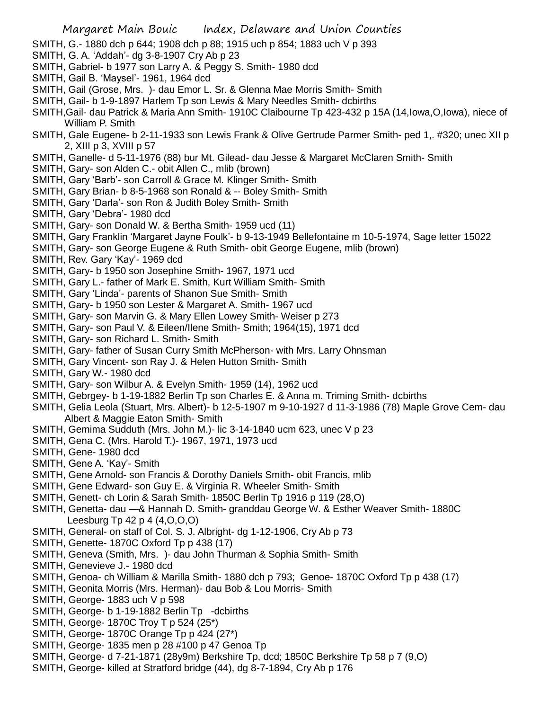- SMITH, G.- 1880 dch p 644; 1908 dch p 88; 1915 uch p 854; 1883 uch V p 393
- SMITH, G. A. 'Addah'- dg 3-8-1907 Cry Ab p 23
- SMITH, Gabriel- b 1977 son Larry A. & Peggy S. Smith- 1980 dcd
- SMITH, Gail B. 'Maysel'- 1961, 1964 dcd
- SMITH, Gail (Grose, Mrs. )- dau Emor L. Sr. & Glenna Mae Morris Smith- Smith
- SMITH, Gail- b 1-9-1897 Harlem Tp son Lewis & Mary Needles Smith- dcbirths
- SMITH,Gail- dau Patrick & Maria Ann Smith- 1910C Claibourne Tp 423-432 p 15A (14,Iowa,O,Iowa), niece of William P. Smith
- SMITH, Gale Eugene- b 2-11-1933 son Lewis Frank & Olive Gertrude Parmer Smith- ped 1,. #320; unec XII p 2, XIII p 3, XVIII p 57
- SMITH, Ganelle- d 5-11-1976 (88) bur Mt. Gilead- dau Jesse & Margaret McClaren Smith- Smith
- SMITH, Gary- son Alden C.- obit Allen C., mlib (brown)
- SMITH, Gary 'Barb'- son Carroll & Grace M. Klinger Smith- Smith
- SMITH, Gary Brian- b 8-5-1968 son Ronald & -- Boley Smith- Smith
- SMITH, Gary 'Darla'- son Ron & Judith Boley Smith- Smith
- SMITH, Gary 'Debra'- 1980 dcd
- SMITH, Gary- son Donald W. & Bertha Smith- 1959 ucd (11)
- SMITH, Gary Franklin 'Margaret Jayne Foulk'- b 9-13-1949 Bellefontaine m 10-5-1974, Sage letter 15022
- SMITH, Gary- son George Eugene & Ruth Smith- obit George Eugene, mlib (brown)
- SMITH, Rev. Gary 'Kay'- 1969 dcd
- SMITH, Gary- b 1950 son Josephine Smith- 1967, 1971 ucd
- SMITH, Gary L.- father of Mark E. Smith, Kurt William Smith- Smith
- SMITH, Gary 'Linda'- parents of Shanon Sue Smith- Smith
- SMITH, Gary- b 1950 son Lester & Margaret A. Smith- 1967 ucd
- SMITH, Gary- son Marvin G. & Mary Ellen Lowey Smith- Weiser p 273
- SMITH, Gary- son Paul V. & Eileen/Ilene Smith- Smith; 1964(15), 1971 dcd
- SMITH, Gary- son Richard L. Smith- Smith
- SMITH, Gary- father of Susan Curry Smith McPherson- with Mrs. Larry Ohnsman
- SMITH, Gary Vincent- son Ray J. & Helen Hutton Smith- Smith
- SMITH, Gary W.- 1980 dcd
- SMITH, Gary- son Wilbur A. & Evelyn Smith- 1959 (14), 1962 ucd
- SMITH, Gebrgey- b 1-19-1882 Berlin Tp son Charles E. & Anna m. Triming Smith- dcbirths
- SMITH, Gelia Leola (Stuart, Mrs. Albert)- b 12-5-1907 m 9-10-1927 d 11-3-1986 (78) Maple Grove Cem- dau Albert & Maggie Eaton Smith- Smith
- SMITH, Gemima Sudduth (Mrs. John M.)- lic 3-14-1840 ucm 623, unec V p 23
- SMITH, Gena C. (Mrs. Harold T.)- 1967, 1971, 1973 ucd
- SMITH, Gene- 1980 dcd
- SMITH, Gene A. 'Kay'- Smith
- SMITH, Gene Arnold- son Francis & Dorothy Daniels Smith- obit Francis, mlib
- SMITH, Gene Edward- son Guy E. & Virginia R. Wheeler Smith- Smith
- SMITH, Genett- ch Lorin & Sarah Smith- 1850C Berlin Tp 1916 p 119 (28,O)
- SMITH, Genetta- dau —& Hannah D. Smith- granddau George W. & Esther Weaver Smith- 1880C Leesburg Tp 42 p 4 (4,O,O,O)
- SMITH, General- on staff of Col. S. J. Albright- dg 1-12-1906, Cry Ab p 73
- SMITH, Genette- 1870C Oxford Tp p 438 (17)
- SMITH, Geneva (Smith, Mrs. )- dau John Thurman & Sophia Smith- Smith
- SMITH, Genevieve J.- 1980 dcd
- SMITH, Genoa- ch William & Marilla Smith- 1880 dch p 793; Genoe- 1870C Oxford Tp p 438 (17)
- SMITH, Geonita Morris (Mrs. Herman)- dau Bob & Lou Morris- Smith
- SMITH, George- 1883 uch V p 598
- SMITH, George- b 1-19-1882 Berlin Tp -dcbirths
- SMITH, George- 1870C Troy T p 524 (25\*)
- SMITH, George- 1870C Orange Tp p 424 (27\*)
- SMITH, George- 1835 men p 28 #100 p 47 Genoa Tp
- SMITH, George- d 7-21-1871 (28y9m) Berkshire Tp, dcd; 1850C Berkshire Tp 58 p 7 (9,O)
- SMITH, George- killed at Stratford bridge (44), dg 8-7-1894, Cry Ab p 176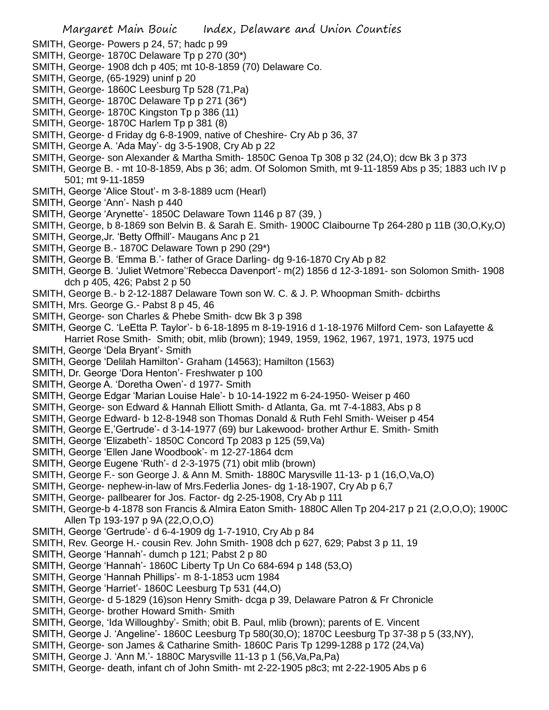- SMITH, George- Powers p 24, 57; hadc p 99
- SMITH, George- 1870C Delaware Tp p 270 (30\*)
- SMITH, George- 1908 dch p 405; mt 10-8-1859 (70) Delaware Co.
- SMITH, George, (65-1929) uninf p 20
- SMITH, George- 1860C Leesburg Tp 528 (71,Pa)
- SMITH, George- 1870C Delaware Tp p 271 (36\*)
- SMITH, George- 1870C Kingston Tp p 386 (11)
- SMITH, George- 1870C Harlem Tp p 381 (8)
- SMITH, George- d Friday dg 6-8-1909, native of Cheshire- Cry Ab p 36, 37
- SMITH, George A. 'Ada May'- dg 3-5-1908, Cry Ab p 22
- SMITH, George- son Alexander & Martha Smith- 1850C Genoa Tp 308 p 32 (24,O); dcw Bk 3 p 373
- SMITH, George B. mt 10-8-1859, Abs p 36; adm. Of Solomon Smith, mt 9-11-1859 Abs p 35; 1883 uch IV p 501; mt 9-11-1859
- SMITH, George 'Alice Stout'- m 3-8-1889 ucm (Hearl)
- SMITH, George 'Ann'- Nash p 440
- SMITH, George 'Arynette'- 1850C Delaware Town 1146 p 87 (39, )
- SMITH, George, b 8-1869 son Belvin B. & Sarah E. Smith- 1900C Claibourne Tp 264-280 p 11B (30,O,Ky,O)
- SMITH, George,Jr. 'Betty Offhill'- Maugans Anc p 21
- SMITH, George B.- 1870C Delaware Town p 290 (29\*)
- SMITH, George B. 'Emma B.'- father of Grace Darling- dg 9-16-1870 Cry Ab p 82
- SMITH, George B. 'Juliet Wetmore''Rebecca Davenport'- m(2) 1856 d 12-3-1891- son Solomon Smith- 1908 dch p 405, 426; Pabst 2 p 50
- SMITH, George B.- b 2-12-1887 Delaware Town son W. C. & J. P. Whoopman Smith- dcbirths
- SMITH, Mrs. George G.- Pabst 8 p 45, 46
- SMITH, George- son Charles & Phebe Smith- dcw Bk 3 p 398
- SMITH, George C. 'LeEtta P. Taylor'- b 6-18-1895 m 8-19-1916 d 1-18-1976 Milford Cem- son Lafayette & Harriet Rose Smith- Smith; obit, mlib (brown); 1949, 1959, 1962, 1967, 1971, 1973, 1975 ucd
- SMITH, George 'Dela Bryant'- Smith
- SMITH, George 'Delilah Hamilton'- Graham (14563); Hamilton (1563)
- SMITH, Dr. George 'Dora Henton'- Freshwater p 100
- SMITH, George A. 'Doretha Owen'- d 1977- Smith
- SMITH, George Edgar 'Marian Louise Hale'- b 10-14-1922 m 6-24-1950- Weiser p 460
- SMITH, George- son Edward & Hannah Elliott Smith- d Atlanta, Ga. mt 7-4-1883, Abs p 8
- SMITH, George Edward- b 12-8-1948 son Thomas Donald & Ruth Fehl Smith- Weiser p 454
- SMITH, George E,'Gertrude'- d 3-14-1977 (69) bur Lakewood- brother Arthur E. Smith- Smith
- SMITH, George 'Elizabeth'- 1850C Concord Tp 2083 p 125 (59,Va)
- SMITH, George 'Ellen Jane Woodbook'- m 12-27-1864 dcm
- SMITH, George Eugene 'Ruth'- d 2-3-1975 (71) obit mlib (brown)
- SMITH, George F.- son George J. & Ann M. Smith- 1880C Marysville 11-13- p 1 (16,O,Va,O)
- SMITH, George- nephew-in-law of Mrs.Federlia Jones- dg 1-18-1907, Cry Ab p 6,7
- SMITH, George- pallbearer for Jos. Factor- dg 2-25-1908, Cry Ab p 111
- SMITH, George-b 4-1878 son Francis & Almira Eaton Smith- 1880C Allen Tp 204-217 p 21 (2,O,O,O); 1900C Allen Tp 193-197 p 9A (22,O,O,O)
- SMITH, George 'Gertrude'- d 6-4-1909 dg 1-7-1910, Cry Ab p 84
- SMITH, Rev. George H.- cousin Rev. John Smith- 1908 dch p 627, 629; Pabst 3 p 11, 19
- SMITH, George 'Hannah'- dumch p 121; Pabst 2 p 80
- SMITH, George 'Hannah'- 1860C Liberty Tp Un Co 684-694 p 148 (53,O)
- SMITH, George 'Hannah Phillips'- m 8-1-1853 ucm 1984
- SMITH, George 'Harriet'- 1860C Leesburg Tp 531 (44,O)
- SMITH, George- d 5-1829 (16)son Henry Smith- dcga p 39, Delaware Patron & Fr Chronicle
- SMITH, George- brother Howard Smith- Smith
- SMITH, George, 'Ida Willoughby'- Smith; obit B. Paul, mlib (brown); parents of E. Vincent
- SMITH, George J. 'Angeline'- 1860C Leesburg Tp 580(30,O); 1870C Leesburg Tp 37-38 p 5 (33,NY),
- SMITH, George- son James & Catharine Smith- 1860C Paris Tp 1299-1288 p 172 (24,Va)
- SMITH, George J. 'Ann M.'- 1880C Marysville 11-13 p 1 (56,Va,Pa,Pa)
- SMITH, George- death, infant ch of John Smith- mt 2-22-1905 p8c3; mt 2-22-1905 Abs p 6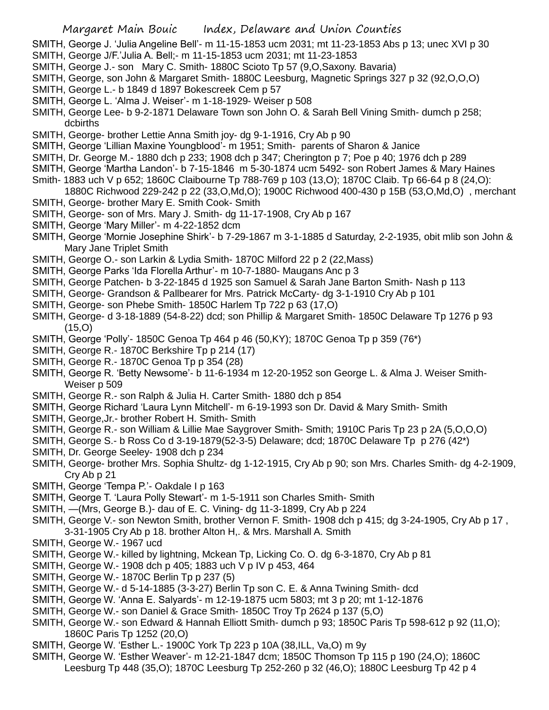- SMITH, George J. 'Julia Angeline Bell'- m 11-15-1853 ucm 2031; mt 11-23-1853 Abs p 13; unec XVI p 30
- SMITH, George J/F.'Julia A. Bell;- m 11-15-1853 ucm 2031; mt 11-23-1853
- SMITH, George J.- son Mary C. Smith- 1880C Scioto Tp 57 (9,O,Saxony. Bavaria)
- SMITH, George, son John & Margaret Smith- 1880C Leesburg, Magnetic Springs 327 p 32 (92,O,O,O)
- SMITH, George L.- b 1849 d 1897 Bokescreek Cem p 57
- SMITH, George L. 'Alma J. Weiser'- m 1-18-1929- Weiser p 508
- SMITH, George Lee- b 9-2-1871 Delaware Town son John O. & Sarah Bell Vining Smith- dumch p 258; dcbirths
- SMITH, George- brother Lettie Anna Smith joy- dg 9-1-1916, Cry Ab p 90
- SMITH, George 'Lillian Maxine Youngblood'- m 1951; Smith- parents of Sharon & Janice
- SMITH, Dr. George M.- 1880 dch p 233; 1908 dch p 347; Cherington p 7; Poe p 40; 1976 dch p 289
- SMITH, George 'Martha Landon'- b 7-15-1846 m 5-30-1874 ucm 5492- son Robert James & Mary Haines
- Smith- 1883 uch V p 652; 1860C Claibourne Tp 788-769 p 103 (13,O); 1870C Claib. Tp 66-64 p 8 (24,O): 1880C Richwood 229-242 p 22 (33,O,Md,O); 1900C Richwood 400-430 p 15B (53,O,Md,O) , merchant
- SMITH, George- brother Mary E. Smith Cook- Smith
- SMITH, George- son of Mrs. Mary J. Smith- dg 11-17-1908, Cry Ab p 167
- SMITH, George 'Mary Miller'- m 4-22-1852 dcm
- SMITH, George 'Mornie Josephine Shirk'- b 7-29-1867 m 3-1-1885 d Saturday, 2-2-1935, obit mlib son John & Mary Jane Triplet Smith
- SMITH, George O.- son Larkin & Lydia Smith- 1870C Milford 22 p 2 (22,Mass)
- SMITH, George Parks 'Ida Florella Arthur'- m 10-7-1880- Maugans Anc p 3
- SMITH, George Patchen- b 3-22-1845 d 1925 son Samuel & Sarah Jane Barton Smith- Nash p 113
- SMITH, George- Grandson & Pallbearer for Mrs. Patrick McCarty- dg 3-1-1910 Cry Ab p 101
- SMITH, George- son Phebe Smith- 1850C Harlem Tp 722 p 63 (17,O)
- SMITH, George- d 3-18-1889 (54-8-22) dcd; son Phillip & Margaret Smith- 1850C Delaware Tp 1276 p 93 (15,O)
- SMITH, George 'Polly'- 1850C Genoa Tp 464 p 46 (50,KY); 1870C Genoa Tp p 359 (76\*)
- SMITH, George R.- 1870C Berkshire Tp p 214 (17)
- SMITH, George R.- 1870C Genoa Tp p 354 (28)
- SMITH, George R. 'Betty Newsome'- b 11-6-1934 m 12-20-1952 son George L. & Alma J. Weiser Smith-Weiser p 509
- SMITH, George R.- son Ralph & Julia H. Carter Smith- 1880 dch p 854
- SMITH, George Richard 'Laura Lynn Mitchell'- m 6-19-1993 son Dr. David & Mary Smith- Smith
- SMITH, George,Jr.- brother Robert H. Smith- Smith
- SMITH, George R.- son William & Lillie Mae Saygrover Smith- Smith; 1910C Paris Tp 23 p 2A (5,O,O,O)
- SMITH, George S.- b Ross Co d 3-19-1879(52-3-5) Delaware; dcd; 1870C Delaware Tp p 276 (42\*)
- SMITH, Dr. George Seeley- 1908 dch p 234
- SMITH, George- brother Mrs. Sophia Shultz- dg 1-12-1915, Cry Ab p 90; son Mrs. Charles Smith- dg 4-2-1909, Cry Ab p 21
- SMITH, George 'Tempa P.'- Oakdale I p 163
- SMITH, George T. 'Laura Polly Stewart'- m 1-5-1911 son Charles Smith- Smith
- SMITH, —(Mrs, George B.)- dau of E. C. Vining- dg 11-3-1899, Cry Ab p 224
- SMITH, George V.- son Newton Smith, brother Vernon F. Smith- 1908 dch p 415; dg 3-24-1905, Cry Ab p 17 , 3-31-1905 Cry Ab p 18. brother Alton H,. & Mrs. Marshall A. Smith
- SMITH, George W.- 1967 ucd
- SMITH, George W.- killed by lightning, Mckean Tp, Licking Co. O. dg 6-3-1870, Cry Ab p 81
- SMITH, George W.- 1908 dch p 405; 1883 uch V p IV p 453, 464
- SMITH, George W.- 1870C Berlin Tp p 237 (5)
- SMITH, George W.- d 5-14-1885 (3-3-27) Berlin Tp son C. E. & Anna Twining Smith- dcd
- SMITH, George W. 'Anna E. Salyards'- m 12-19-1875 ucm 5803; mt 3 p 20; mt 1-12-1876
- SMITH, George W.- son Daniel & Grace Smith- 1850C Troy Tp 2624 p 137 (5,O)
- SMITH, George W.- son Edward & Hannah Elliott Smith- dumch p 93; 1850C Paris Tp 598-612 p 92 (11,O); 1860C Paris Tp 1252 (20,O)
- SMITH, George W. 'Esther L.- 1900C York Tp 223 p 10A (38,ILL, Va,O) m 9y
- SMITH, George W. 'Esther Weaver'- m 12-21-1847 dcm; 1850C Thomson Tp 115 p 190 (24,O); 1860C Leesburg Tp 448 (35,O); 1870C Leesburg Tp 252-260 p 32 (46,O); 1880C Leesburg Tp 42 p 4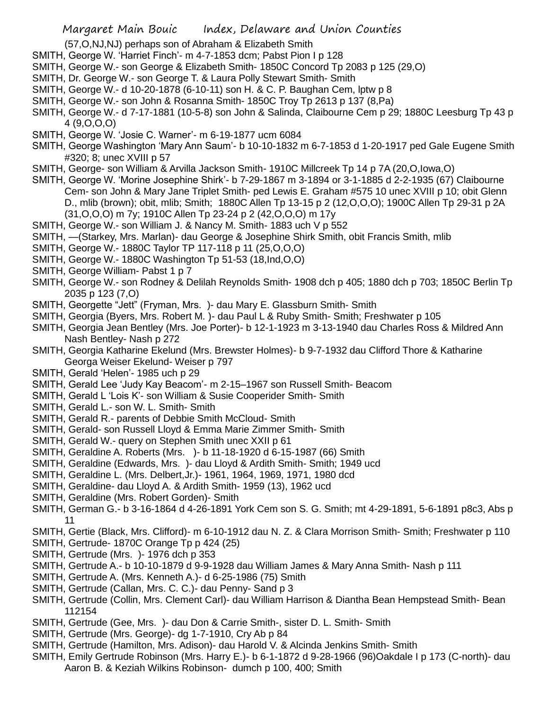(57,O,NJ,NJ) perhaps son of Abraham & Elizabeth Smith

- SMITH, George W. 'Harriet Finch'- m 4-7-1853 dcm; Pabst Pion I p 128
- SMITH, George W.- son George & Elizabeth Smith- 1850C Concord Tp 2083 p 125 (29,O)
- SMITH, Dr. George W.- son George T. & Laura Polly Stewart Smith- Smith
- SMITH, George W.- d 10-20-1878 (6-10-11) son H. & C. P. Baughan Cem, lptw p 8
- SMITH, George W.- son John & Rosanna Smith- 1850C Troy Tp 2613 p 137 (8,Pa)
- SMITH, George W.- d 7-17-1881 (10-5-8) son John & Salinda, Claibourne Cem p 29; 1880C Leesburg Tp 43 p 4 (9,O,O,O)
- SMITH, George W. 'Josie C. Warner'- m 6-19-1877 ucm 6084
- SMITH, George Washington 'Mary Ann Saum'- b 10-10-1832 m 6-7-1853 d 1-20-1917 ped Gale Eugene Smith #320; 8; unec XVIII p 57
- SMITH, George- son William & Arvilla Jackson Smith- 1910C Millcreek Tp 14 p 7A (20,O,Iowa,O)
- SMITH, George W. 'Morine Josephine Shirk'- b 7-29-1867 m 3-1894 or 3-1-1885 d 2-2-1935 (67) Claibourne Cem- son John & Mary Jane Triplet Smith- ped Lewis E. Graham #575 10 unec XVIII p 10; obit Glenn D., mlib (brown); obit, mlib; Smith; 1880C Allen Tp 13-15 p 2 (12,O,O,O); 1900C Allen Tp 29-31 p 2A (31,O,O,O) m 7y; 1910C Allen Tp 23-24 p 2 (42,O,O,O) m 17y
- SMITH, George W.- son William J. & Nancy M. Smith- 1883 uch V p 552
- SMITH, —(Starkey, Mrs. Marlan)- dau George & Josephine Shirk Smith, obit Francis Smith, mlib
- SMITH, George W.- 1880C Taylor TP 117-118 p 11 (25,O,O,O)
- SMITH, George W.- 1880C Washington Tp 51-53 (18,Ind,O,O)
- SMITH, George William- Pabst 1 p 7
- SMITH, George W.- son Rodney & Delilah Reynolds Smith- 1908 dch p 405; 1880 dch p 703; 1850C Berlin Tp 2035 p 123 (7,O)
- SMITH, Georgette "Jett" (Fryman, Mrs. )- dau Mary E. Glassburn Smith- Smith
- SMITH, Georgia (Byers, Mrs. Robert M. )- dau Paul L & Ruby Smith- Smith; Freshwater p 105
- SMITH, Georgia Jean Bentley (Mrs. Joe Porter)- b 12-1-1923 m 3-13-1940 dau Charles Ross & Mildred Ann Nash Bentley- Nash p 272
- SMITH, Georgia Katharine Ekelund (Mrs. Brewster Holmes)- b 9-7-1932 dau Clifford Thore & Katharine Georga Weiser Ekelund- Weiser p 797
- SMITH, Gerald 'Helen'- 1985 uch p 29
- SMITH, Gerald Lee 'Judy Kay Beacom'- m 2-15–1967 son Russell Smith- Beacom
- SMITH, Gerald L 'Lois K'- son William & Susie Cooperider Smith- Smith
- SMITH, Gerald L.- son W. L. Smith- Smith
- SMITH, Gerald R.- parents of Debbie Smith McCloud- Smith
- SMITH, Gerald- son Russell Lloyd & Emma Marie Zimmer Smith- Smith
- SMITH, Gerald W.- query on Stephen Smith unec XXII p 61
- SMITH, Geraldine A. Roberts (Mrs. )- b 11-18-1920 d 6-15-1987 (66) Smith
- SMITH, Geraldine (Edwards, Mrs. )- dau Lloyd & Ardith Smith- Smith; 1949 ucd
- SMITH, Geraldine L. (Mrs. Delbert,Jr.)- 1961, 1964, 1969, 1971, 1980 dcd
- SMITH, Geraldine- dau Lloyd A. & Ardith Smith- 1959 (13), 1962 ucd
- SMITH, Geraldine (Mrs. Robert Gorden)- Smith
- SMITH, German G.- b 3-16-1864 d 4-26-1891 York Cem son S. G. Smith; mt 4-29-1891, 5-6-1891 p8c3, Abs p 11
- SMITH, Gertie (Black, Mrs. Clifford)- m 6-10-1912 dau N. Z. & Clara Morrison Smith- Smith; Freshwater p 110
- SMITH, Gertrude- 1870C Orange Tp p 424 (25)
- SMITH, Gertrude (Mrs. )- 1976 dch p 353
- SMITH, Gertrude A.- b 10-10-1879 d 9-9-1928 dau William James & Mary Anna Smith- Nash p 111
- SMITH, Gertrude A. (Mrs. Kenneth A.)- d 6-25-1986 (75) Smith
- SMITH, Gertrude (Callan, Mrs. C. C.)- dau Penny- Sand p 3
- SMITH, Gertrude (Collin, Mrs. Clement Carl)- dau William Harrison & Diantha Bean Hempstead Smith- Bean 112154
- SMITH, Gertrude (Gee, Mrs. )- dau Don & Carrie Smith-, sister D. L. Smith- Smith
- SMITH, Gertrude (Mrs. George)- dg 1-7-1910, Cry Ab p 84
- SMITH, Gertrude (Hamilton, Mrs. Adison)- dau Harold V. & Alcinda Jenkins Smith- Smith
- SMITH, Emily Gertrude Robinson (Mrs. Harry E.)- b 6-1-1872 d 9-28-1966 (96)Oakdale I p 173 (C-north)- dau Aaron B. & Keziah Wilkins Robinson- dumch p 100, 400; Smith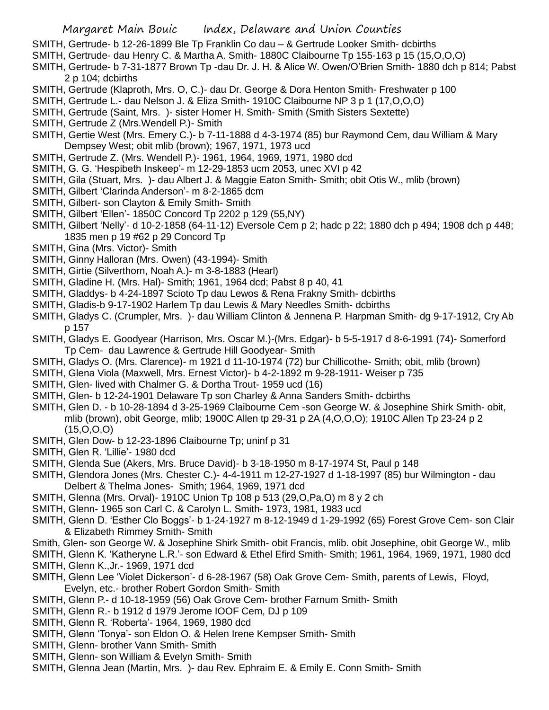- SMITH, Gertrude- b 12-26-1899 Ble Tp Franklin Co dau & Gertrude Looker Smith- dcbirths
- SMITH, Gertrude- dau Henry C. & Martha A. Smith- 1880C Claibourne Tp 155-163 p 15 (15,O,O,O)
- SMITH, Gertrude- b 7-31-1877 Brown Tp -dau Dr. J. H. & Alice W. Owen/O'Brien Smith- 1880 dch p 814; Pabst 2 p 104; dcbirths
- SMITH, Gertrude (Klaproth, Mrs. O, C.)- dau Dr. George & Dora Henton Smith- Freshwater p 100
- SMITH, Gertrude L.- dau Nelson J. & Eliza Smith- 1910C Claibourne NP 3 p 1 (17,O,O,O)
- SMITH, Gertrude (Saint, Mrs. )- sister Homer H. Smith- Smith (Smith Sisters Sextette)
- SMITH, Gertrude Z (Mrs.Wendell P.)- Smith
- SMITH, Gertie West (Mrs. Emery C.)- b 7-11-1888 d 4-3-1974 (85) bur Raymond Cem, dau William & Mary Dempsey West; obit mlib (brown); 1967, 1971, 1973 ucd
- SMITH, Gertrude Z. (Mrs. Wendell P.)- 1961, 1964, 1969, 1971, 1980 dcd
- SMITH, G. G. 'Hespibeth Inskeep'- m 12-29-1853 ucm 2053, unec XVI p 42
- SMITH, Gila (Stuart, Mrs. )- dau Albert J. & Maggie Eaton Smith- Smith; obit Otis W., mlib (brown)
- SMITH, Gilbert 'Clarinda Anderson'- m 8-2-1865 dcm
- SMITH, Gilbert- son Clayton & Emily Smith- Smith
- SMITH, Gilbert 'Ellen'- 1850C Concord Tp 2202 p 129 (55,NY)
- SMITH, Gilbert 'Nelly'- d 10-2-1858 (64-11-12) Eversole Cem p 2; hadc p 22; 1880 dch p 494; 1908 dch p 448; 1835 men p 19 #62 p 29 Concord Tp
- SMITH, Gina (Mrs. Victor)- Smith
- SMITH, Ginny Halloran (Mrs. Owen) (43-1994)- Smith
- SMITH, Girtie (Silverthorn, Noah A.)- m 3-8-1883 (Hearl)
- SMITH, Gladine H. (Mrs. Hal)- Smith; 1961, 1964 dcd; Pabst 8 p 40, 41
- SMITH, Gladdys- b 4-24-1897 Scioto Tp dau Lewos & Rena Frakny Smith- dcbirths
- SMITH, Gladis-b 9-17-1902 Harlem Tp dau Lewis & Mary Needles Smith- dcbirths
- SMITH, Gladys C. (Crumpler, Mrs. )- dau William Clinton & Jennena P. Harpman Smith- dg 9-17-1912, Cry Ab p 157
- SMITH, Gladys E. Goodyear (Harrison, Mrs. Oscar M.)-(Mrs. Edgar)- b 5-5-1917 d 8-6-1991 (74)- Somerford Tp Cem- dau Lawrence & Gertrude Hill Goodyear- Smith
- SMITH, Gladys O. (Mrs. Clarence)- m 1921 d 11-10-1974 (72) bur Chillicothe- Smith; obit, mlib (brown)
- SMITH, Glena Viola (Maxwell, Mrs. Ernest Victor)- b 4-2-1892 m 9-28-1911- Weiser p 735
- SMITH, Glen- lived with Chalmer G. & Dortha Trout- 1959 ucd (16)
- SMITH, Glen- b 12-24-1901 Delaware Tp son Charley & Anna Sanders Smith- dcbirths
- SMITH, Glen D. b 10-28-1894 d 3-25-1969 Claibourne Cem -son George W. & Josephine Shirk Smith- obit, mlib (brown), obit George, mlib; 1900C Allen tp 29-31 p 2A (4,O,O,O); 1910C Allen Tp 23-24 p 2 (15,O,O,O)
- SMITH, Glen Dow- b 12-23-1896 Claibourne Tp; uninf p 31
- SMITH, Glen R. 'Lillie'- 1980 dcd
- SMITH, Glenda Sue (Akers, Mrs. Bruce David)- b 3-18-1950 m 8-17-1974 St, Paul p 148
- SMITH, Glendora Jones (Mrs. Chester C.)- 4-4-1911 m 12-27-1927 d 1-18-1997 (85) bur Wilmington dau Delbert & Thelma Jones- Smith; 1964, 1969, 1971 dcd
- SMITH, Glenna (Mrs. Orval)- 1910C Union Tp 108 p 513 (29,O,Pa,O) m 8 y 2 ch
- SMITH, Glenn- 1965 son Carl C. & Carolyn L. Smith- 1973, 1981, 1983 ucd
- SMITH, Glenn D. 'Esther Clo Boggs'- b 1-24-1927 m 8-12-1949 d 1-29-1992 (65) Forest Grove Cem- son Clair & Elizabeth Rimmey Smith- Smith
- Smith, Glen- son George W. & Josephine Shirk Smith- obit Francis, mlib. obit Josephine, obit George W., mlib
- SMITH, Glenn K. 'Katheryne L.R.'- son Edward & Ethel Efird Smith- Smith; 1961, 1964, 1969, 1971, 1980 dcd SMITH, Glenn K.,Jr.- 1969, 1971 dcd
- SMITH, Glenn Lee 'Violet Dickerson'- d 6-28-1967 (58) Oak Grove Cem- Smith, parents of Lewis, Floyd, Evelyn, etc.- brother Robert Gordon Smith- Smith
- SMITH, Glenn P.- d 10-18-1959 (56) Oak Grove Cem- brother Farnum Smith- Smith
- SMITH, Glenn R.- b 1912 d 1979 Jerome IOOF Cem, DJ p 109
- SMITH, Glenn R. 'Roberta'- 1964, 1969, 1980 dcd
- SMITH, Glenn 'Tonya'- son Eldon O. & Helen Irene Kempser Smith- Smith
- SMITH, Glenn- brother Vann Smith- Smith
- SMITH, Glenn- son William & Evelyn Smith- Smith
- SMITH, Glenna Jean (Martin, Mrs. )- dau Rev. Ephraim E. & Emily E. Conn Smith- Smith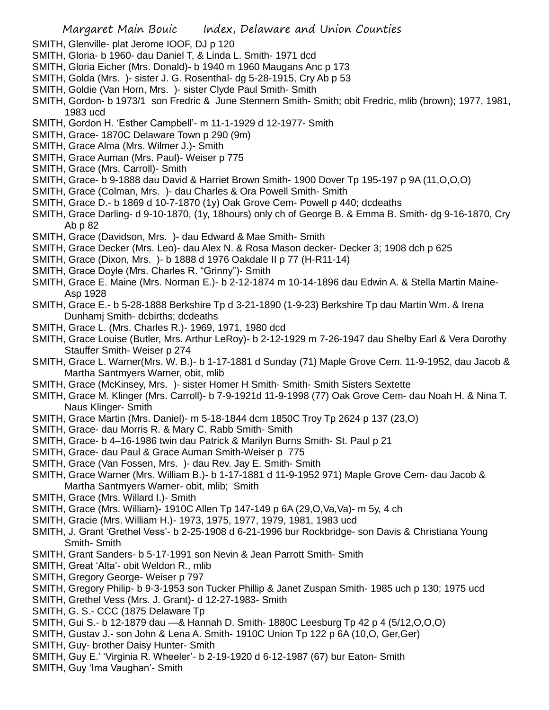- SMITH, Glenville- plat Jerome IOOF, DJ p 120
- SMITH, Gloria- b 1960- dau Daniel T, & Linda L. Smith- 1971 dcd
- SMITH, Gloria Eicher (Mrs. Donald)- b 1940 m 1960 Maugans Anc p 173
- SMITH, Golda (Mrs. )- sister J. G. Rosenthal- dg 5-28-1915, Cry Ab p 53
- SMITH, Goldie (Van Horn, Mrs. )- sister Clyde Paul Smith- Smith
- SMITH, Gordon- b 1973/1 son Fredric & June Stennern Smith- Smith; obit Fredric, mlib (brown); 1977, 1981, 1983 ucd
- SMITH, Gordon H. 'Esther Campbell'- m 11-1-1929 d 12-1977- Smith
- SMITH, Grace- 1870C Delaware Town p 290 (9m)
- SMITH, Grace Alma (Mrs. Wilmer J.)- Smith
- SMITH, Grace Auman (Mrs. Paul)- Weiser p 775
- SMITH, Grace (Mrs. Carroll)- Smith
- SMITH, Grace- b 9-1888 dau David & Harriet Brown Smith- 1900 Dover Tp 195-197 p 9A (11,O,O,O)
- SMITH, Grace (Colman, Mrs. )- dau Charles & Ora Powell Smith- Smith
- SMITH, Grace D.- b 1869 d 10-7-1870 (1y) Oak Grove Cem- Powell p 440; dcdeaths
- SMITH, Grace Darling- d 9-10-1870, (1y, 18hours) only ch of George B. & Emma B. Smith- dg 9-16-1870, Cry Ab p 82
- SMITH, Grace (Davidson, Mrs. )- dau Edward & Mae Smith- Smith
- SMITH, Grace Decker (Mrs. Leo)- dau Alex N. & Rosa Mason decker- Decker 3; 1908 dch p 625
- SMITH, Grace (Dixon, Mrs. )- b 1888 d 1976 Oakdale II p 77 (H-R11-14)
- SMITH, Grace Doyle (Mrs. Charles R. "Grinny")- Smith
- SMITH, Grace E. Maine (Mrs. Norman E.)- b 2-12-1874 m 10-14-1896 dau Edwin A. & Stella Martin Maine-Asp 1928
- SMITH, Grace E.- b 5-28-1888 Berkshire Tp d 3-21-1890 (1-9-23) Berkshire Tp dau Martin Wm. & Irena Dunhamj Smith- dcbirths; dcdeaths
- SMITH, Grace L. (Mrs. Charles R.)- 1969, 1971, 1980 dcd
- SMITH, Grace Louise (Butler, Mrs. Arthur LeRoy)- b 2-12-1929 m 7-26-1947 dau Shelby Earl & Vera Dorothy Stauffer Smith- Weiser p 274
- SMITH, Grace L. Warner(Mrs. W. B.)- b 1-17-1881 d Sunday (71) Maple Grove Cem. 11-9-1952, dau Jacob & Martha Santmyers Warner, obit, mlib
- SMITH, Grace (McKinsey, Mrs. )- sister Homer H Smith- Smith- Smith Sisters Sextette
- SMITH, Grace M. Klinger (Mrs. Carroll)- b 7-9-1921d 11-9-1998 (77) Oak Grove Cem- dau Noah H. & Nina T. Naus Klinger- Smith
- SMITH, Grace Martin (Mrs. Daniel)- m 5-18-1844 dcm 1850C Troy Tp 2624 p 137 (23,O)
- SMITH, Grace- dau Morris R. & Mary C. Rabb Smith- Smith
- SMITH, Grace- b 4–16-1986 twin dau Patrick & Marilyn Burns Smith- St. Paul p 21
- SMITH, Grace- dau Paul & Grace Auman Smith-Weiser p 775
- SMITH, Grace (Van Fossen, Mrs. )- dau Rev. Jay E. Smith- Smith
- SMITH, Grace Warner (Mrs. William B.)- b 1-17-1881 d 11-9-1952 971) Maple Grove Cem- dau Jacob & Martha Santmyers Warner- obit, mlib; Smith
- SMITH, Grace (Mrs. Willard I.)- Smith
- SMITH, Grace (Mrs. William)- 1910C Allen Tp 147-149 p 6A (29,O,Va,Va)- m 5y, 4 ch
- SMITH, Gracie (Mrs. William H.)- 1973, 1975, 1977, 1979, 1981, 1983 ucd
- SMITH, J. Grant 'Grethel Vess'- b 2-25-1908 d 6-21-1996 bur Rockbridge- son Davis & Christiana Young Smith- Smith
- SMITH, Grant Sanders- b 5-17-1991 son Nevin & Jean Parrott Smith- Smith
- SMITH, Great 'Alta'- obit Weldon R., mlib
- SMITH, Gregory George- Weiser p 797
- SMITH, Gregory Philip- b 9-3-1953 son Tucker Phillip & Janet Zuspan Smith- 1985 uch p 130; 1975 ucd
- SMITH, Grethel Vess (Mrs. J. Grant)- d 12-27-1983- Smith
- SMITH, G. S.- CCC (1875 Delaware Tp
- SMITH, Gui S.- b 12-1879 dau —& Hannah D. Smith- 1880C Leesburg Tp 42 p 4 (5/12,O,O,O)
- SMITH, Gustav J.- son John & Lena A. Smith- 1910C Union Tp 122 p 6A (10,O, Ger,Ger)
- SMITH, Guy- brother Daisy Hunter- Smith
- SMITH, Guy E.' 'Virginia R. Wheeler'- b 2-19-1920 d 6-12-1987 (67) bur Eaton- Smith
- SMITH, Guy 'Ima Vaughan'- Smith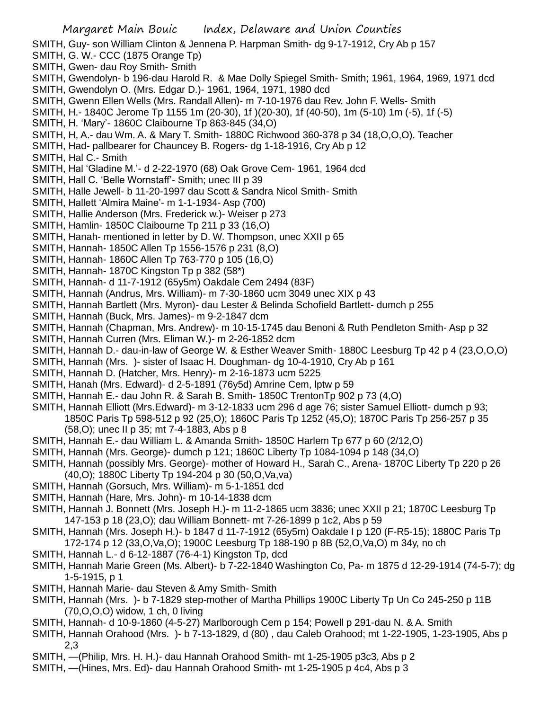SMITH, Guy- son William Clinton & Jennena P. Harpman Smith- dg 9-17-1912, Cry Ab p 157

- SMITH, G. W.- CCC (1875 Orange Tp)
- SMITH, Gwen- dau Roy Smith- Smith
- SMITH, Gwendolyn- b 196-dau Harold R. & Mae Dolly Spiegel Smith- Smith; 1961, 1964, 1969, 1971 dcd SMITH, Gwendolyn O. (Mrs. Edgar D.)- 1961, 1964, 1971, 1980 dcd
- SMITH, Gwenn Ellen Wells (Mrs. Randall Allen)- m 7-10-1976 dau Rev. John F. Wells- Smith
- SMITH, H.- 1840C Jerome Tp 1155 1m (20-30), 1f )(20-30), 1f (40-50), 1m (5-10) 1m (-5), 1f (-5)
- SMITH, H. 'Mary'- 1860C Claibourne Tp 863-845 (34,O)
- SMITH, H, A.- dau Wm. A. & Mary T. Smith- 1880C Richwood 360-378 p 34 (18,O,O,O). Teacher
- SMITH, Had- pallbearer for Chauncey B. Rogers- dg 1-18-1916, Cry Ab p 12
- SMITH, Hal C.- Smith
- SMITH, Hal 'Gladine M.'- d 2-22-1970 (68) Oak Grove Cem- 1961, 1964 dcd
- SMITH, Hall C. 'Belle Wornstaff'- Smith; unec III p 39
- SMITH, Halle Jewell- b 11-20-1997 dau Scott & Sandra Nicol Smith- Smith
- SMITH, Hallett 'Almira Maine'- m 1-1-1934- Asp (700)
- SMITH, Hallie Anderson (Mrs. Frederick w.)- Weiser p 273
- SMITH, Hamlin- 1850C Claibourne Tp 211 p 33 (16,O)
- SMITH, Hanah- mentioned in letter by D. W. Thompson, unec XXII p 65
- SMITH, Hannah- 1850C Allen Tp 1556-1576 p 231 (8,O)
- SMITH, Hannah- 1860C Allen Tp 763-770 p 105 (16,O)
- SMITH, Hannah- 1870C Kingston Tp p 382 (58\*)
- SMITH, Hannah- d 11-7-1912 (65y5m) Oakdale Cem 2494 (83F)
- SMITH, Hannah (Andrus, Mrs. William)- m 7-30-1860 ucm 3049 unec XIX p 43
- SMITH, Hannah Bartlett (Mrs. Myron)- dau Lester & Belinda Schofield Bartlett- dumch p 255
- SMITH, Hannah (Buck, Mrs. James)- m 9-2-1847 dcm
- SMITH, Hannah (Chapman, Mrs. Andrew)- m 10-15-1745 dau Benoni & Ruth Pendleton Smith- Asp p 32
- SMITH, Hannah Curren (Mrs. Eliman W.)- m 2-26-1852 dcm
- SMITH, Hannah D.- dau-in-law of George W. & Esther Weaver Smith- 1880C Leesburg Tp 42 p 4 (23,O,O,O)
- SMITH, Hannah (Mrs. )- sister of Isaac H. Doughman- dg 10-4-1910, Cry Ab p 161
- SMITH, Hannah D. (Hatcher, Mrs. Henry)- m 2-16-1873 ucm 5225
- SMITH, Hanah (Mrs. Edward)- d 2-5-1891 (76y5d) Amrine Cem, lptw p 59
- SMITH, Hannah E.- dau John R. & Sarah B. Smith- 1850C TrentonTp 902 p 73 (4,O)
- SMITH, Hannah Elliott (Mrs.Edward)- m 3-12-1833 ucm 296 d age 76; sister Samuel Elliott- dumch p 93; 1850C Paris Tp 598-512 p 92 (25,O); 1860C Paris Tp 1252 (45,O); 1870C Paris Tp 256-257 p 35 (58,O); unec II p 35; mt 7-4-1883, Abs p 8
- SMITH, Hannah E.- dau William L. & Amanda Smith- 1850C Harlem Tp 677 p 60 (2/12,O)
- SMITH, Hannah (Mrs. George)- dumch p 121; 1860C Liberty Tp 1084-1094 p 148 (34,O)
- SMITH, Hannah (possibly Mrs. George)- mother of Howard H., Sarah C., Arena- 1870C Liberty Tp 220 p 26 (40,O); 1880C Liberty Tp 194-204 p 30 (50,O,Va,va)
- SMITH, Hannah (Gorsuch, Mrs. William)- m 5-1-1851 dcd
- SMITH, Hannah (Hare, Mrs. John)- m 10-14-1838 dcm
- SMITH, Hannah J. Bonnett (Mrs. Joseph H.)- m 11-2-1865 ucm 3836; unec XXII p 21; 1870C Leesburg Tp 147-153 p 18 (23,O); dau William Bonnett- mt 7-26-1899 p 1c2, Abs p 59
- SMITH, Hannah (Mrs. Joseph H.)- b 1847 d 11-7-1912 (65y5m) Oakdale I p 120 (F-R5-15); 1880C Paris Tp 172-174 p 12 (33,O,Va,O); 1900C Leesburg Tp 188-190 p 8B (52,O,Va,O) m 34y, no ch
- SMITH, Hannah L.- d 6-12-1887 (76-4-1) Kingston Tp, dcd
- SMITH, Hannah Marie Green (Ms. Albert)- b 7-22-1840 Washington Co, Pa- m 1875 d 12-29-1914 (74-5-7); dg 1-5-1915, p 1
- SMITH, Hannah Marie- dau Steven & Amy Smith- Smith
- SMITH, Hannah (Mrs. )- b 7-1829 step-mother of Martha Phillips 1900C Liberty Tp Un Co 245-250 p 11B (70,O,O,O) widow, 1 ch, 0 living
- SMITH, Hannah- d 10-9-1860 (4-5-27) Marlborough Cem p 154; Powell p 291-dau N. & A. Smith
- SMITH, Hannah Orahood (Mrs. )- b 7-13-1829, d (80) , dau Caleb Orahood; mt 1-22-1905, 1-23-1905, Abs p 2,3
- SMITH, —(Philip, Mrs. H. H.)- dau Hannah Orahood Smith- mt 1-25-1905 p3c3, Abs p 2
- SMITH, —(Hines, Mrs. Ed)- dau Hannah Orahood Smith- mt 1-25-1905 p 4c4, Abs p 3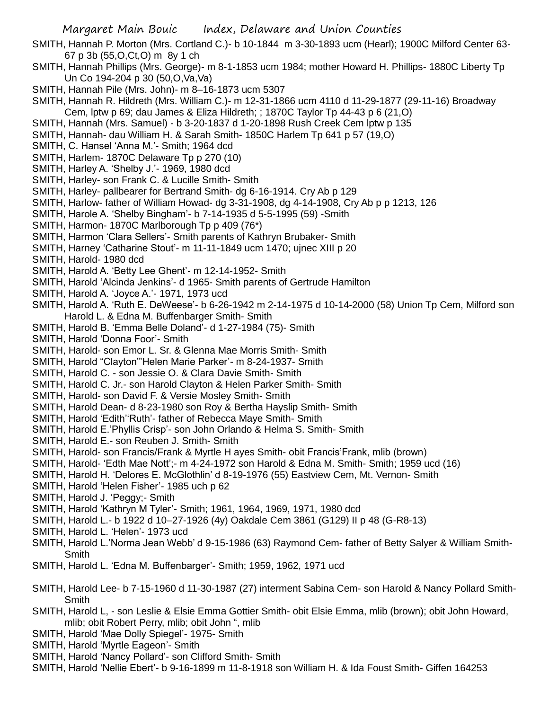SMITH, Hannah P. Morton (Mrs. Cortland C.)- b 10-1844 m 3-30-1893 ucm (Hearl); 1900C Milford Center 63- 67 p 3b (55,O,Ct,O) m 8y 1 ch

- SMITH, Hannah Phillips (Mrs. George)- m 8-1-1853 ucm 1984; mother Howard H. Phillips- 1880C Liberty Tp Un Co 194-204 p 30 (50,O,Va,Va)
- SMITH, Hannah Pile (Mrs. John)- m 8–16-1873 ucm 5307
- SMITH, Hannah R. Hildreth (Mrs. William C.)- m 12-31-1866 ucm 4110 d 11-29-1877 (29-11-16) Broadway Cem, lptw p 69; dau James & Eliza Hildreth; ; 1870C Taylor Tp 44-43 p 6 (21,O)
- SMITH, Hannah (Mrs. Samuel) b 3-20-1837 d 1-20-1898 Rush Creek Cem lptw p 135
- SMITH, Hannah- dau William H. & Sarah Smith- 1850C Harlem Tp 641 p 57 (19,O)
- SMITH, C. Hansel 'Anna M.'- Smith; 1964 dcd
- SMITH, Harlem- 1870C Delaware Tp p 270 (10)
- SMITH, Harley A. 'Shelby J.'- 1969, 1980 dcd
- SMITH, Harley- son Frank C. & Lucille Smith- Smith
- SMITH, Harley- pallbearer for Bertrand Smith- dg 6-16-1914. Cry Ab p 129
- SMITH, Harlow- father of William Howad- dg 3-31-1908, dg 4-14-1908, Cry Ab p p 1213, 126
- SMITH, Harole A. 'Shelby Bingham'- b 7-14-1935 d 5-5-1995 (59) -Smith
- SMITH, Harmon- 1870C Marlborough Tp p 409 (76\*)
- SMITH, Harmon 'Clara Sellers'- Smith parents of Kathryn Brubaker- Smith
- SMITH, Harney 'Catharine Stout'- m 11-11-1849 ucm 1470; ujnec XIII p 20
- SMITH, Harold- 1980 dcd
- SMITH, Harold A. 'Betty Lee Ghent'- m 12-14-1952- Smith
- SMITH, Harold 'Alcinda Jenkins'- d 1965- Smith parents of Gertrude Hamilton
- SMITH, Harold A. 'Joyce A.'- 1971, 1973 ucd
- SMITH, Harold A. 'Ruth E. DeWeese'- b 6-26-1942 m 2-14-1975 d 10-14-2000 (58) Union Tp Cem, Milford son Harold L. & Edna M. Buffenbarger Smith- Smith
- SMITH, Harold B. 'Emma Belle Doland'- d 1-27-1984 (75)- Smith
- SMITH, Harold 'Donna Foor'- Smith
- SMITH, Harold- son Emor L. Sr. & Glenna Mae Morris Smith- Smith
- SMITH, Harold "Clayton"'Helen Marie Parker'- m 8-24-1937- Smith
- SMITH, Harold C. son Jessie O. & Clara Davie Smith- Smith
- SMITH, Harold C. Jr.- son Harold Clayton & Helen Parker Smith- Smith
- SMITH, Harold- son David F. & Versie Mosley Smith- Smith
- SMITH, Harold Dean- d 8-23-1980 son Roy & Bertha Hayslip Smith- Smith
- SMITH, Harold 'Edith''Ruth'- father of Rebecca Maye Smith- Smith
- SMITH, Harold E.'Phyllis Crisp'- son John Orlando & Helma S. Smith- Smith
- SMITH, Harold E.- son Reuben J. Smith- Smith
- SMITH, Harold- son Francis/Frank & Myrtle H ayes Smith- obit Francis'Frank, mlib (brown)
- SMITH, Harold- 'Edth Mae Nott';- m 4-24-1972 son Harold & Edna M. Smith- Smith; 1959 ucd (16)
- SMITH, Harold H. 'Delores E. McGlothlin' d 8-19-1976 (55) Eastview Cem, Mt. Vernon- Smith
- SMITH, Harold 'Helen Fisher'- 1985 uch p 62
- SMITH, Harold J. 'Peggy;- Smith
- SMITH, Harold 'Kathryn M Tyler'- Smith; 1961, 1964, 1969, 1971, 1980 dcd
- SMITH, Harold L.- b 1922 d 10–27-1926 (4y) Oakdale Cem 3861 (G129) II p 48 (G-R8-13)
- SMITH, Harold L. 'Helen'- 1973 ucd
- SMITH, Harold L.'Norma Jean Webb' d 9-15-1986 (63) Raymond Cem- father of Betty Salyer & William Smith-Smith
- SMITH, Harold L. 'Edna M. Buffenbarger'- Smith; 1959, 1962, 1971 ucd
- SMITH, Harold Lee- b 7-15-1960 d 11-30-1987 (27) interment Sabina Cem- son Harold & Nancy Pollard Smith-**Smith**
- SMITH, Harold L, son Leslie & Elsie Emma Gottier Smith- obit Elsie Emma, mlib (brown); obit John Howard, mlib; obit Robert Perry, mlib; obit John ", mlib
- SMITH, Harold 'Mae Dolly Spiegel'- 1975- Smith
- SMITH, Harold 'Myrtle Eageon'- Smith
- SMITH, Harold 'Nancy Pollard'- son Clifford Smith- Smith
- SMITH, Harold 'Nellie Ebert'- b 9-16-1899 m 11-8-1918 son William H. & Ida Foust Smith- Giffen 164253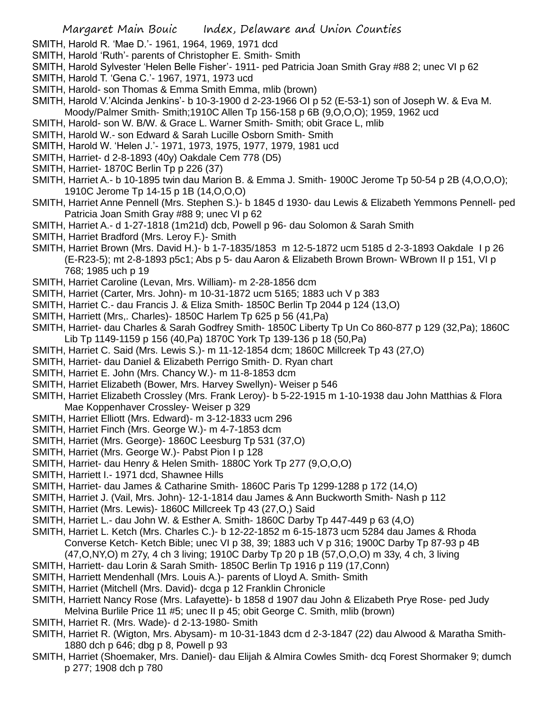- SMITH, Harold R. 'Mae D.'- 1961, 1964, 1969, 1971 dcd
- SMITH, Harold 'Ruth'- parents of Christopher E. Smith- Smith
- SMITH, Harold Sylvester 'Helen Belle Fisher'- 1911- ped Patricia Joan Smith Gray #88 2; unec VI p 62
- SMITH, Harold T. 'Gena C.'- 1967, 1971, 1973 ucd
- SMITH, Harold- son Thomas & Emma Smith Emma, mlib (brown)
- SMITH, Harold V.'Alcinda Jenkins'- b 10-3-1900 d 2-23-1966 OI p 52 (E-53-1) son of Joseph W. & Eva M. Moody/Palmer Smith- Smith;1910C Allen Tp 156-158 p 6B (9,O,O,O); 1959, 1962 ucd
- SMITH, Harold- son W. B/W. & Grace L. Warner Smith- Smith; obit Grace L, mlib
- SMITH, Harold W.- son Edward & Sarah Lucille Osborn Smith- Smith
- SMITH, Harold W. 'Helen J.'- 1971, 1973, 1975, 1977, 1979, 1981 ucd
- SMITH, Harriet- d 2-8-1893 (40y) Oakdale Cem 778 (D5)
- SMITH, Harriet- 1870C Berlin Tp p 226 (37)
- SMITH, Harriet A.- b 10-1895 twin dau Marion B. & Emma J. Smith- 1900C Jerome Tp 50-54 p 2B (4,O,O,O); 1910C Jerome Tp 14-15 p 1B (14,O,O,O)
- SMITH, Harriet Anne Pennell (Mrs. Stephen S.)- b 1845 d 1930- dau Lewis & Elizabeth Yemmons Pennell- ped Patricia Joan Smith Gray #88 9; unec VI p 62
- SMITH, Harriet A.- d 1-27-1818 (1m21d) dcb, Powell p 96- dau Solomon & Sarah Smith
- SMITH, Harriet Bradford (Mrs. Leroy F.)- Smith
- SMITH, Harriet Brown (Mrs. David H.)- b 1-7-1835/1853 m 12-5-1872 ucm 5185 d 2-3-1893 Oakdale I p 26 (E-R23-5); mt 2-8-1893 p5c1; Abs p 5- dau Aaron & Elizabeth Brown Brown- WBrown II p 151, VI p 768; 1985 uch p 19
- SMITH, Harriet Caroline (Levan, Mrs. William)- m 2-28-1856 dcm
- SMITH, Harriet (Carter, Mrs. John)- m 10-31-1872 ucm 5165; 1883 uch V p 383
- SMITH, Harriet C.- dau Francis J. & Eliza Smith- 1850C Berlin Tp 2044 p 124 (13,O)
- SMITH, Harriett (Mrs,. Charles)- 1850C Harlem Tp 625 p 56 (41,Pa)
- SMITH, Harriet- dau Charles & Sarah Godfrey Smith- 1850C Liberty Tp Un Co 860-877 p 129 (32,Pa); 1860C Lib Tp 1149-1159 p 156 (40,Pa) 1870C York Tp 139-136 p 18 (50,Pa)
- SMITH, Harriet C. Said (Mrs. Lewis S.)- m 11-12-1854 dcm; 1860C Millcreek Tp 43 (27,O)
- SMITH, Harriet- dau Daniel & Elizabeth Perrigo Smith- D. Ryan chart
- SMITH, Harriet E. John (Mrs. Chancy W.)- m 11-8-1853 dcm
- SMITH, Harriet Elizabeth (Bower, Mrs. Harvey Swellyn)- Weiser p 546
- SMITH, Harriet Elizabeth Crossley (Mrs. Frank Leroy)- b 5-22-1915 m 1-10-1938 dau John Matthias & Flora Mae Koppenhaver Crossley- Weiser p 329
- SMITH, Harriet Elliott (Mrs. Edward)- m 3-12-1833 ucm 296
- SMITH, Harriet Finch (Mrs. George W.)- m 4-7-1853 dcm
- SMITH, Harriet (Mrs. George)- 1860C Leesburg Tp 531 (37,O)
- SMITH, Harriet (Mrs. George W.)- Pabst Pion I p 128
- SMITH, Harriet- dau Henry & Helen Smith- 1880C York Tp 277 (9,O,O,O)
- SMITH, Harriett I.- 1971 dcd, Shawnee Hills
- SMITH, Harriet- dau James & Catharine Smith- 1860C Paris Tp 1299-1288 p 172 (14,O)
- SMITH, Harriet J. (Vail, Mrs. John)- 12-1-1814 dau James & Ann Buckworth Smith- Nash p 112
- SMITH, Harriet (Mrs. Lewis)- 1860C Millcreek Tp 43 (27,O,) Said
- SMITH, Harriet L.- dau John W. & Esther A. Smith- 1860C Darby Tp 447-449 p 63 (4,O)
- SMITH, Harriet L. Ketch (Mrs. Charles C.)- b 12-22-1852 m 6-15-1873 ucm 5284 dau James & Rhoda Converse Ketch- Ketch Bible; unec VI p 38, 39; 1883 uch V p 316; 1900C Darby Tp 87-93 p 4B (47,O,NY,O) m 27y, 4 ch 3 living; 1910C Darby Tp 20 p 1B (57,O,O,O) m 33y, 4 ch, 3 living
- SMITH, Harriett- dau Lorin & Sarah Smith- 1850C Berlin Tp 1916 p 119 (17,Conn)
- SMITH, Harriett Mendenhall (Mrs. Louis A.)- parents of Lloyd A. Smith- Smith
- SMITH, Harriet (Mitchell (Mrs. David)- dcga p 12 Franklin Chronicle
- SMITH, Harriett Nancy Rose (Mrs. Lafayette)- b 1858 d 1907 dau John & Elizabeth Prye Rose- ped Judy Melvina Burlile Price 11 #5; unec II p 45; obit George C. Smith, mlib (brown)
- SMITH, Harriet R. (Mrs. Wade)- d 2-13-1980- Smith
- SMITH, Harriet R. (Wigton, Mrs. Abysam)- m 10-31-1843 dcm d 2-3-1847 (22) dau Alwood & Maratha Smith-1880 dch p 646; dbg p 8, Powell p 93
- SMITH, Harriet (Shoemaker, Mrs. Daniel)- dau Elijah & Almira Cowles Smith- dcq Forest Shormaker 9; dumch p 277; 1908 dch p 780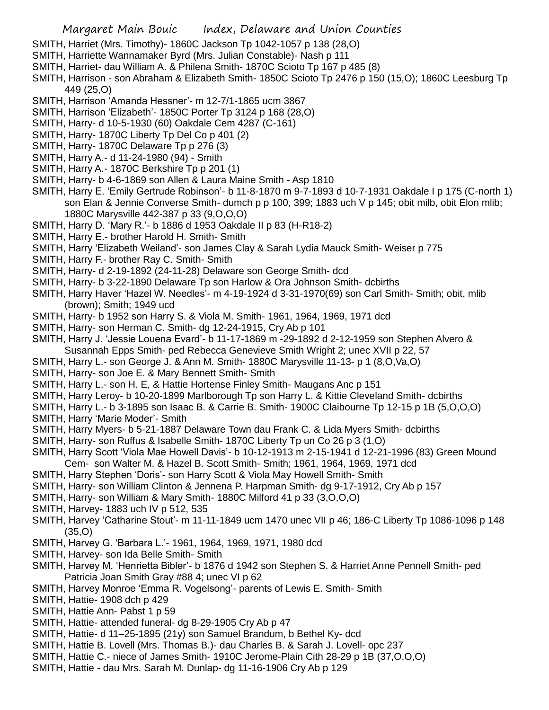- SMITH, Harriet (Mrs. Timothy)- 1860C Jackson Tp 1042-1057 p 138 (28,O)
- SMITH, Harriette Wannamaker Byrd (Mrs. Julian Constable)- Nash p 111
- SMITH, Harriet- dau William A. & Philena Smith- 1870C Scioto Tp 167 p 485 (8)
- SMITH, Harrison son Abraham & Elizabeth Smith- 1850C Scioto Tp 2476 p 150 (15,O); 1860C Leesburg Tp 449 (25,O)
- SMITH, Harrison 'Amanda Hessner'- m 12-7/1-1865 ucm 3867
- SMITH, Harrison 'Elizabeth'- 1850C Porter Tp 3124 p 168 (28,O)
- SMITH, Harry- d 10-5-1930 (60) Oakdale Cem 4287 (C-161)
- SMITH, Harry- 1870C Liberty Tp Del Co p 401 (2)
- SMITH, Harry- 1870C Delaware Tp p 276 (3)
- SMITH, Harry A.- d 11-24-1980 (94) Smith
- SMITH, Harry A.- 1870C Berkshire Tp p 201 (1)
- SMITH, Harry- b 4-6-1869 son Allen & Laura Maine Smith Asp 1810
- SMITH, Harry E. 'Emily Gertrude Robinson'- b 11-8-1870 m 9-7-1893 d 10-7-1931 Oakdale I p 175 (C-north 1) son Elan & Jennie Converse Smith- dumch p p 100, 399; 1883 uch V p 145; obit milb, obit Elon mlib; 1880C Marysville 442-387 p 33 (9,O,O,O)
- SMITH, Harry D. 'Mary R.'- b 1886 d 1953 Oakdale II p 83 (H-R18-2)
- SMITH, Harry E.- brother Harold H. Smith- Smith
- SMITH, Harry 'Elizabeth Weiland'- son James Clay & Sarah Lydia Mauck Smith- Weiser p 775
- SMITH, Harry F.- brother Ray C. Smith- Smith
- SMITH, Harry- d 2-19-1892 (24-11-28) Delaware son George Smith- dcd
- SMITH, Harry- b 3-22-1890 Delaware Tp son Harlow & Ora Johnson Smith- dcbirths
- SMITH, Harry Haver 'Hazel W. Needles'- m 4-19-1924 d 3-31-1970(69) son Carl Smith- Smith; obit, mlib (brown); Smith; 1949 ucd
- SMITH, Harry- b 1952 son Harry S. & Viola M. Smith- 1961, 1964, 1969, 1971 dcd
- SMITH, Harry- son Herman C. Smith- dg 12-24-1915, Cry Ab p 101
- SMITH, Harry J. 'Jessie Louena Evard'- b 11-17-1869 m -29-1892 d 2-12-1959 son Stephen Alvero & Susannah Epps Smith- ped Rebecca Genevieve Smith Wright 2; unec XVII p 22, 57
- SMITH, Harry L.- son George J. & Ann M. Smith- 1880C Marysville 11-13- p 1 (8,O,Va,O)
- SMITH, Harry- son Joe E. & Mary Bennett Smith- Smith
- SMITH, Harry L.- son H. E, & Hattie Hortense Finley Smith- Maugans Anc p 151
- SMITH, Harry Leroy- b 10-20-1899 Marlborough Tp son Harry L. & Kittie Cleveland Smith- dcbirths
- SMITH, Harry L.- b 3-1895 son Isaac B. & Carrie B. Smith- 1900C Claibourne Tp 12-15 p 1B (5,O,O,O)
- SMITH, Harry 'Marie Moder'- Smith
- SMITH, Harry Myers- b 5-21-1887 Delaware Town dau Frank C. & Lida Myers Smith- dcbirths
- SMITH, Harry- son Ruffus & Isabelle Smith- 1870C Liberty Tp un Co 26 p 3 (1,O)
- SMITH, Harry Scott 'Viola Mae Howell Davis'- b 10-12-1913 m 2-15-1941 d 12-21-1996 (83) Green Mound Cem- son Walter M. & Hazel B. Scott Smith- Smith; 1961, 1964, 1969, 1971 dcd
- SMITH, Harry Stephen 'Doris'- son Harry Scott & Viola May Howell Smith- Smith
- SMITH, Harry- son William Clinton & Jennena P. Harpman Smith- dg 9-17-1912, Cry Ab p 157
- SMITH, Harry- son William & Mary Smith- 1880C Milford 41 p 33 (3,O,O,O)
- SMITH, Harvey- 1883 uch IV p 512, 535
- SMITH, Harvey 'Catharine Stout'- m 11-11-1849 ucm 1470 unec VII p 46; 186-C Liberty Tp 1086-1096 p 148 (35,O)
- SMITH, Harvey G. 'Barbara L.'- 1961, 1964, 1969, 1971, 1980 dcd
- SMITH, Harvey- son Ida Belle Smith- Smith
- SMITH, Harvey M. 'Henrietta Bibler'- b 1876 d 1942 son Stephen S. & Harriet Anne Pennell Smith- ped Patricia Joan Smith Gray #88 4; unec VI p 62
- SMITH, Harvey Monroe 'Emma R. Vogelsong'- parents of Lewis E. Smith- Smith
- SMITH, Hattie- 1908 dch p 429
- SMITH, Hattie Ann- Pabst 1 p 59
- SMITH, Hattie- attended funeral- dg 8-29-1905 Cry Ab p 47
- SMITH, Hattie- d 11–25-1895 (21y) son Samuel Brandum, b Bethel Ky- dcd
- SMITH, Hattie B. Lovell (Mrs. Thomas B.)- dau Charles B. & Sarah J. Lovell- opc 237
- SMITH, Hattie C.- niece of James Smith- 1910C Jerome-Plain Cith 28-29 p 1B (37,O,O,O)
- SMITH, Hattie dau Mrs. Sarah M. Dunlap- dg 11-16-1906 Cry Ab p 129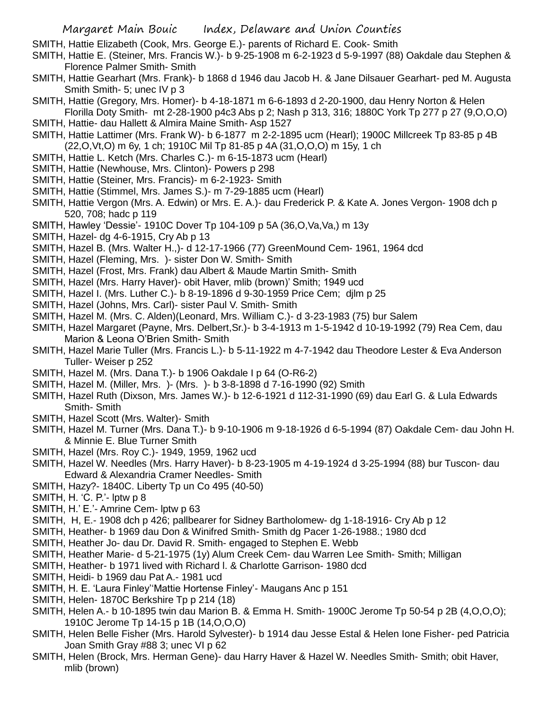SMITH, Hattie Elizabeth (Cook, Mrs. George E.)- parents of Richard E. Cook- Smith

- SMITH, Hattie E. (Steiner, Mrs. Francis W.)- b 9-25-1908 m 6-2-1923 d 5-9-1997 (88) Oakdale dau Stephen & Florence Palmer Smith- Smith
- SMITH, Hattie Gearhart (Mrs. Frank)- b 1868 d 1946 dau Jacob H. & Jane Dilsauer Gearhart- ped M. Augusta Smith Smith- 5; unec IV p 3
- SMITH, Hattie (Gregory, Mrs. Homer)- b 4-18-1871 m 6-6-1893 d 2-20-1900, dau Henry Norton & Helen Florilla Doty Smith- mt 2-28-1900 p4c3 Abs p 2; Nash p 313, 316; 1880C York Tp 277 p 27 (9,O,O,O)
- SMITH, Hattie- dau Hallett & Almira Maine Smith- Asp 1527
- SMITH, Hattie Lattimer (Mrs. Frank W)- b 6-1877 m 2-2-1895 ucm (Hearl); 1900C Millcreek Tp 83-85 p 4B (22,O,Vt,O) m 6y, 1 ch; 1910C Mil Tp 81-85 p 4A (31,O,O,O) m 15y, 1 ch
- SMITH, Hattie L. Ketch (Mrs. Charles C.)- m 6-15-1873 ucm (Hearl)
- SMITH, Hattie (Newhouse, Mrs. Clinton)- Powers p 298
- SMITH, Hattie (Steiner, Mrs. Francis)- m 6-2-1923- Smith
- SMITH, Hattie (Stimmel, Mrs. James S.)- m 7-29-1885 ucm (Hearl)
- SMITH, Hattie Vergon (Mrs. A. Edwin) or Mrs. E. A.)- dau Frederick P. & Kate A. Jones Vergon- 1908 dch p 520, 708; hadc p 119
- SMITH, Hawley 'Dessie'- 1910C Dover Tp 104-109 p 5A (36,O,Va,Va,) m 13y
- SMITH, Hazel- dg 4-6-1915, Cry Ab p 13
- SMITH, Hazel B. (Mrs. Walter H.,)- d 12-17-1966 (77) GreenMound Cem- 1961, 1964 dcd
- SMITH, Hazel (Fleming, Mrs. )- sister Don W. Smith- Smith
- SMITH, Hazel (Frost, Mrs. Frank) dau Albert & Maude Martin Smith- Smith
- SMITH, Hazel (Mrs. Harry Haver)- obit Haver, mlib (brown)' Smith; 1949 ucd
- SMITH, Hazel I. (Mrs. Luther C.)- b 8-19-1896 d 9-30-1959 Price Cem; djlm p 25
- SMITH, Hazel (Johns, Mrs. Carl)- sister Paul V. Smith- Smith
- SMITH, Hazel M. (Mrs. C. Alden)(Leonard, Mrs. William C.)- d 3-23-1983 (75) bur Salem
- SMITH, Hazel Margaret (Payne, Mrs. Delbert,Sr.)- b 3-4-1913 m 1-5-1942 d 10-19-1992 (79) Rea Cem, dau Marion & Leona O'Brien Smith- Smith
- SMITH, Hazel Marie Tuller (Mrs. Francis L.)- b 5-11-1922 m 4-7-1942 dau Theodore Lester & Eva Anderson Tuller- Weiser p 252
- SMITH, Hazel M. (Mrs. Dana T.)- b 1906 Oakdale I p 64 (O-R6-2)
- SMITH, Hazel M. (Miller, Mrs. )- (Mrs. )- b 3-8-1898 d 7-16-1990 (92) Smith
- SMITH, Hazel Ruth (Dixson, Mrs. James W.)- b 12-6-1921 d 112-31-1990 (69) dau Earl G. & Lula Edwards Smith- Smith
- SMITH, Hazel Scott (Mrs. Walter)- Smith
- SMITH, Hazel M. Turner (Mrs. Dana T.)- b 9-10-1906 m 9-18-1926 d 6-5-1994 (87) Oakdale Cem- dau John H. & Minnie E. Blue Turner Smith
- SMITH, Hazel (Mrs. Roy C.)- 1949, 1959, 1962 ucd
- SMITH, Hazel W. Needles (Mrs. Harry Haver)- b 8-23-1905 m 4-19-1924 d 3-25-1994 (88) bur Tuscon- dau Edward & Alexandria Cramer Needles- Smith
- SMITH, Hazy?- 1840C. Liberty Tp un Co 495 (40-50)
- SMITH, H. 'C. P.'- lptw p 8
- SMITH, H.' E.'- Amrine Cem- lptw p 63
- SMITH, H, E.- 1908 dch p 426; pallbearer for Sidney Bartholomew- dg 1-18-1916- Cry Ab p 12
- SMITH, Heather- b 1969 dau Don & Winifred Smith- Smith dg Pacer 1-26-1988.; 1980 dcd
- SMITH, Heather Jo- dau Dr. David R. Smith- engaged to Stephen E. Webb
- SMITH, Heather Marie- d 5-21-1975 (1y) Alum Creek Cem- dau Warren Lee Smith- Smith; Milligan
- SMITH, Heather- b 1971 lived with Richard l. & Charlotte Garrison- 1980 dcd
- SMITH, Heidi- b 1969 dau Pat A.- 1981 ucd
- SMITH, H. E. 'Laura Finley''Mattie Hortense Finley'- Maugans Anc p 151
- SMITH, Helen- 1870C Berkshire Tp p 214 (18)
- SMITH, Helen A.- b 10-1895 twin dau Marion B. & Emma H. Smith- 1900C Jerome Tp 50-54 p 2B (4,O,O,O); 1910C Jerome Tp 14-15 p 1B (14,O,O,O)
- SMITH, Helen Belle Fisher (Mrs. Harold Sylvester)- b 1914 dau Jesse Estal & Helen Ione Fisher- ped Patricia Joan Smith Gray #88 3; unec VI p 62
- SMITH, Helen (Brock, Mrs. Herman Gene)- dau Harry Haver & Hazel W. Needles Smith- Smith; obit Haver, mlib (brown)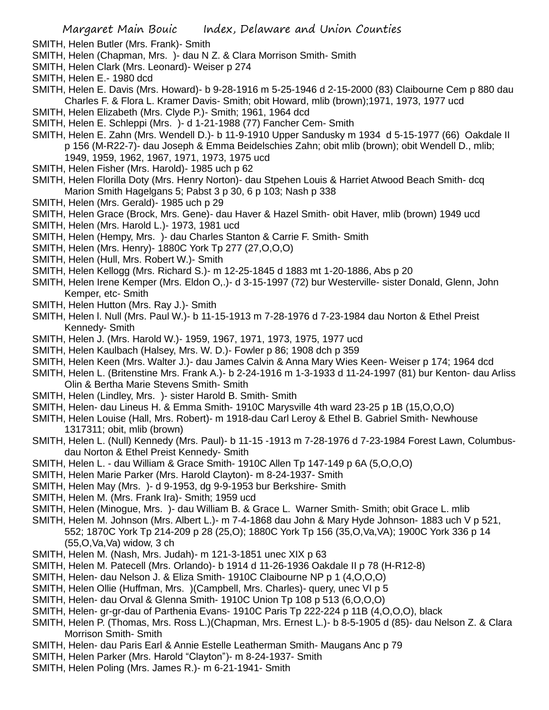- SMITH, Helen Butler (Mrs. Frank)- Smith
- SMITH, Helen (Chapman, Mrs. )- dau N Z. & Clara Morrison Smith- Smith
- SMITH, Helen Clark (Mrs. Leonard)- Weiser p 274
- SMITH, Helen E.- 1980 dcd
- SMITH, Helen E. Davis (Mrs. Howard)- b 9-28-1916 m 5-25-1946 d 2-15-2000 (83) Claibourne Cem p 880 dau Charles F. & Flora L. Kramer Davis- Smith; obit Howard, mlib (brown);1971, 1973, 1977 ucd
- SMITH, Helen Elizabeth (Mrs. Clyde P.)- Smith; 1961, 1964 dcd
- SMITH, Helen E. Schleppi (Mrs. )- d 1-21-1988 (77) Fancher Cem- Smith
- SMITH, Helen E. Zahn (Mrs. Wendell D.)- b 11-9-1910 Upper Sandusky m 1934 d 5-15-1977 (66) Oakdale II p 156 (M-R22-7)- dau Joseph & Emma Beidelschies Zahn; obit mlib (brown); obit Wendell D., mlib; 1949, 1959, 1962, 1967, 1971, 1973, 1975 ucd
- SMITH, Helen Fisher (Mrs. Harold)- 1985 uch p 62
- SMITH, Helen Florilla Doty (Mrs. Henry Norton)- dau Stpehen Louis & Harriet Atwood Beach Smith- dcq Marion Smith Hagelgans 5; Pabst 3 p 30, 6 p 103; Nash p 338
- SMITH, Helen (Mrs. Gerald)- 1985 uch p 29
- SMITH, Helen Grace (Brock, Mrs. Gene)- dau Haver & Hazel Smith- obit Haver, mlib (brown) 1949 ucd
- SMITH, Helen (Mrs. Harold L.)- 1973, 1981 ucd
- SMITH, Helen (Hempy, Mrs. )- dau Charles Stanton & Carrie F. Smith- Smith
- SMITH, Helen (Mrs. Henry)- 1880C York Tp 277 (27,O,O,O)
- SMITH, Helen (Hull, Mrs. Robert W.)- Smith
- SMITH, Helen Kellogg (Mrs. Richard S.)- m 12-25-1845 d 1883 mt 1-20-1886, Abs p 20
- SMITH, Helen Irene Kemper (Mrs. Eldon O,.)- d 3-15-1997 (72) bur Westerville- sister Donald, Glenn, John Kemper, etc- Smith
- SMITH, Helen Hutton (Mrs. Ray J.)- Smith
- SMITH, Helen l. Null (Mrs. Paul W.)- b 11-15-1913 m 7-28-1976 d 7-23-1984 dau Norton & Ethel Preist Kennedy- Smith
- SMITH, Helen J. (Mrs. Harold W.)- 1959, 1967, 1971, 1973, 1975, 1977 ucd
- SMITH, Helen Kaulbach (Halsey, Mrs. W. D.)- Fowler p 86; 1908 dch p 359
- SMITH, Helen Keen (Mrs. Walter J.)- dau James Calvin & Anna Mary Wies Keen- Weiser p 174; 1964 dcd
- SMITH, Helen L. (Britenstine Mrs. Frank A.)- b 2-24-1916 m 1-3-1933 d 11-24-1997 (81) bur Kenton- dau Arliss Olin & Bertha Marie Stevens Smith- Smith
- SMITH, Helen (Lindley, Mrs. )- sister Harold B. Smith- Smith
- SMITH, Helen- dau Lineus H. & Emma Smith- 1910C Marysville 4th ward 23-25 p 1B (15,O,O,O)
- SMITH, Helen Louise (Hall, Mrs. Robert)- m 1918-dau Carl Leroy & Ethel B. Gabriel Smith- Newhouse 1317311; obit, mlib (brown)
- SMITH, Helen L. (Null) Kennedy (Mrs. Paul)- b 11-15 -1913 m 7-28-1976 d 7-23-1984 Forest Lawn, Columbusdau Norton & Ethel Preist Kennedy- Smith
- SMITH, Helen L. dau William & Grace Smith- 1910C Allen Tp 147-149 p 6A (5,O,O,O)
- SMITH, Helen Marie Parker (Mrs. Harold Clayton)- m 8-24-1937- Smith
- SMITH, Helen May (Mrs. )- d 9-1953, dg 9-9-1953 bur Berkshire- Smith
- SMITH, Helen M. (Mrs. Frank Ira)- Smith; 1959 ucd
- SMITH, Helen (Minogue, Mrs. )- dau William B. & Grace L. Warner Smith- Smith; obit Grace L. mlib
- SMITH, Helen M. Johnson (Mrs. Albert L.)- m 7-4-1868 dau John & Mary Hyde Johnson- 1883 uch V p 521, 552; 1870C York Tp 214-209 p 28 (25,O); 1880C York Tp 156 (35,O,Va,VA); 1900C York 336 p 14 (55,O,Va,Va) widow, 3 ch
- SMITH, Helen M. (Nash, Mrs. Judah)- m 121-3-1851 unec XIX p 63
- SMITH, Helen M. Patecell (Mrs. Orlando)- b 1914 d 11-26-1936 Oakdale II p 78 (H-R12-8)
- SMITH, Helen- dau Nelson J. & Eliza Smith- 1910C Claibourne NP p 1 (4,O,O,O)
- SMITH, Helen Ollie (Huffman, Mrs. )(Campbell, Mrs. Charles)- query, unec VI p 5
- SMITH, Helen- dau Orval & Glenna Smith- 1910C Union Tp 108 p 513 (6,O,O,O)
- SMITH, Helen- gr-gr-dau of Parthenia Evans- 1910C Paris Tp 222-224 p 11B (4,O,O,O), black
- SMITH, Helen P. (Thomas, Mrs. Ross L.)(Chapman, Mrs. Ernest L.)- b 8-5-1905 d (85)- dau Nelson Z. & Clara Morrison Smith- Smith
- SMITH, Helen- dau Paris Earl & Annie Estelle Leatherman Smith- Maugans Anc p 79
- SMITH, Helen Parker (Mrs. Harold "Clayton")- m 8-24-1937- Smith
- SMITH, Helen Poling (Mrs. James R.)- m 6-21-1941- Smith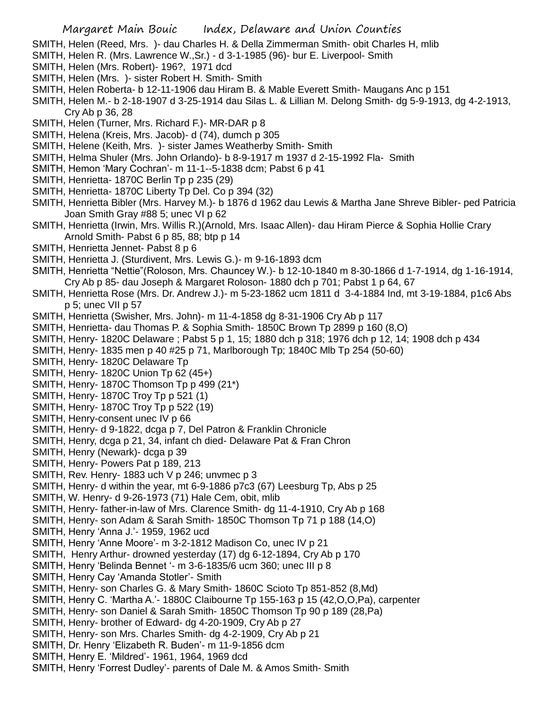- SMITH, Helen (Reed, Mrs. )- dau Charles H. & Della Zimmerman Smith- obit Charles H, mlib
- SMITH, Helen R. (Mrs. Lawrence W.,Sr.) d 3-1-1985 (96)- bur E. Liverpool- Smith
- SMITH, Helen (Mrs. Robert)- 196?, 1971 dcd
- SMITH, Helen (Mrs. )- sister Robert H. Smith- Smith
- SMITH, Helen Roberta- b 12-11-1906 dau Hiram B. & Mable Everett Smith- Maugans Anc p 151
- SMITH, Helen M.- b 2-18-1907 d 3-25-1914 dau Silas L. & Lillian M. Delong Smith- dg 5-9-1913, dg 4-2-1913, Cry Ab p 36, 28
- SMITH, Helen (Turner, Mrs. Richard F.)- MR-DAR p 8
- SMITH, Helena (Kreis, Mrs. Jacob)- d (74), dumch p 305
- SMITH, Helene (Keith, Mrs. )- sister James Weatherby Smith- Smith
- SMITH, Helma Shuler (Mrs. John Orlando)- b 8-9-1917 m 1937 d 2-15-1992 Fla- Smith
- SMITH, Hemon 'Mary Cochran'- m 11-1--5-1838 dcm; Pabst 6 p 41
- SMITH, Henrietta- 1870C Berlin Tp p 235 (29)
- SMITH, Henrietta- 1870C Liberty Tp Del. Co p 394 (32)
- SMITH, Henrietta Bibler (Mrs. Harvey M.)- b 1876 d 1962 dau Lewis & Martha Jane Shreve Bibler- ped Patricia Joan Smith Gray #88 5; unec VI p 62
- SMITH, Henrietta (Irwin, Mrs. Willis R.)(Arnold, Mrs. Isaac Allen)- dau Hiram Pierce & Sophia Hollie Crary Arnold Smith- Pabst 6 p 85, 88; btp p 14
- SMITH, Henrietta Jennet- Pabst 8 p 6
- SMITH, Henrietta J. (Sturdivent, Mrs. Lewis G.)- m 9-16-1893 dcm
- SMITH, Henrietta "Nettie"(Roloson, Mrs. Chauncey W.)- b 12-10-1840 m 8-30-1866 d 1-7-1914, dg 1-16-1914, Cry Ab p 85- dau Joseph & Margaret Roloson- 1880 dch p 701; Pabst 1 p 64, 67
- SMITH, Henrietta Rose (Mrs. Dr. Andrew J.)- m 5-23-1862 ucm 1811 d 3-4-1884 Ind, mt 3-19-1884, p1c6 Abs p 5; unec VII p 57
- SMITH, Henrietta (Swisher, Mrs. John)- m 11-4-1858 dg 8-31-1906 Cry Ab p 117
- SMITH, Henrietta- dau Thomas P. & Sophia Smith- 1850C Brown Tp 2899 p 160 (8,O)
- SMITH, Henry- 1820C Delaware ; Pabst 5 p 1, 15; 1880 dch p 318; 1976 dch p 12, 14; 1908 dch p 434
- SMITH, Henry- 1835 men p 40 #25 p 71, Marlborough Tp; 1840C Mlb Tp 254 (50-60)
- SMITH, Henry- 1820C Delaware Tp
- SMITH, Henry- 1820C Union Tp 62 (45+)
- SMITH, Henry- 1870C Thomson Tp p 499 (21\*)
- SMITH, Henry- 1870C Troy Tp p 521 (1)
- SMITH, Henry- 1870C Troy Tp p 522 (19)
- SMITH, Henry-consent unec IV p 66
- SMITH, Henry- d 9-1822, dcga p 7, Del Patron & Franklin Chronicle
- SMITH, Henry, dcga p 21, 34, infant ch died- Delaware Pat & Fran Chron
- SMITH, Henry (Newark)- dcga p 39
- SMITH, Henry- Powers Pat p 189, 213
- SMITH, Rev. Henry- 1883 uch V p 246; unvmec p 3
- SMITH, Henry- d within the year, mt 6-9-1886 p7c3 (67) Leesburg Tp, Abs p 25
- SMITH, W. Henry- d 9-26-1973 (71) Hale Cem, obit, mlib
- SMITH, Henry- father-in-law of Mrs. Clarence Smith- dg 11-4-1910, Cry Ab p 168
- SMITH, Henry- son Adam & Sarah Smith- 1850C Thomson Tp 71 p 188 (14,O)
- SMITH, Henry 'Anna J.'- 1959, 1962 ucd
- SMITH, Henry 'Anne Moore'- m 3-2-1812 Madison Co, unec IV p 21
- SMITH, Henry Arthur- drowned yesterday (17) dg 6-12-1894, Cry Ab p 170
- SMITH, Henry 'Belinda Bennet '- m 3-6-1835/6 ucm 360; unec III p 8
- SMITH, Henry Cay 'Amanda Stotler'- Smith
- SMITH, Henry- son Charles G. & Mary Smith- 1860C Scioto Tp 851-852 (8,Md)
- SMITH, Henry C. 'Martha A.'- 1880C Claibourne Tp 155-163 p 15 (42,O,O,Pa), carpenter
- SMITH, Henry- son Daniel & Sarah Smith- 1850C Thomson Tp 90 p 189 (28,Pa)
- SMITH, Henry- brother of Edward- dg 4-20-1909, Cry Ab p 27
- SMITH, Henry- son Mrs. Charles Smith- dg 4-2-1909, Cry Ab p 21
- SMITH, Dr. Henry 'Elizabeth R. Buden'- m 11-9-1856 dcm
- SMITH, Henry E. 'Mildred'- 1961, 1964, 1969 dcd
- SMITH, Henry 'Forrest Dudley'- parents of Dale M. & Amos Smith- Smith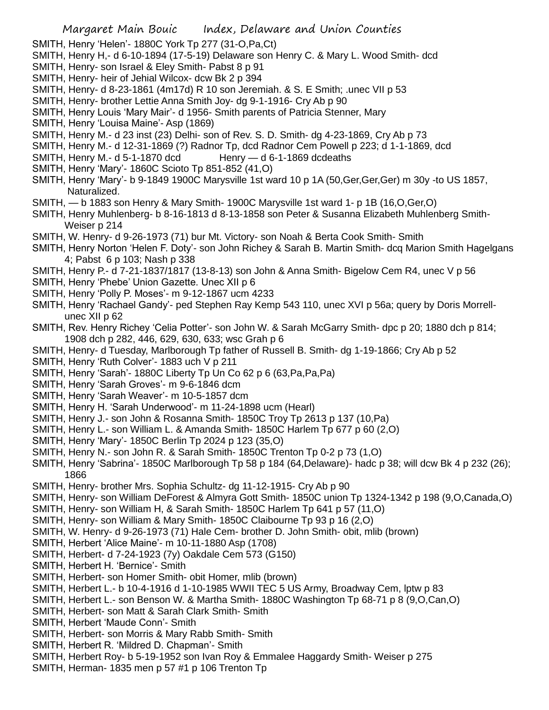SMITH, Henry 'Helen'- 1880C York Tp 277 (31-O,Pa,Ct)

- SMITH, Henry H,- d 6-10-1894 (17-5-19) Delaware son Henry C. & Mary L. Wood Smith- dcd
- SMITH, Henry- son Israel & Eley Smith- Pabst 8 p 91
- SMITH, Henry- heir of Jehial Wilcox- dcw Bk 2 p 394
- SMITH, Henry- d 8-23-1861 (4m17d) R 10 son Jeremiah. & S. E Smith; .unec VII p 53
- SMITH, Henry- brother Lettie Anna Smith Joy- dg 9-1-1916- Cry Ab p 90
- SMITH, Henry Louis 'Mary Mair'- d 1956- Smith parents of Patricia Stenner, Mary
- SMITH, Henry 'Louisa Maine'- Asp (1869)
- SMITH, Henry M.- d 23 inst (23) Delhi- son of Rev. S. D. Smith- dg 4-23-1869, Cry Ab p 73
- SMITH, Henry M.- d 12-31-1869 (?) Radnor Tp, dcd Radnor Cem Powell p 223; d 1-1-1869, dcd
- SMITH, Henry M.- d  $5-1-1870$  dcd Henry  $-$  d  $6-1-1869$  dcdeaths
- SMITH, Henry 'Mary'- 1860C Scioto Tp 851-852 (41,O)
- SMITH, Henry 'Mary'- b 9-1849 1900C Marysville 1st ward 10 p 1A (50,Ger,Ger,Ger) m 30y -to US 1857, Naturalized.
- SMITH, b 1883 son Henry & Mary Smith- 1900C Marysville 1st ward 1- p 1B (16,O,Ger,O)
- SMITH, Henry Muhlenberg- b 8-16-1813 d 8-13-1858 son Peter & Susanna Elizabeth Muhlenberg Smith-Weiser p 214
- SMITH, W. Henry- d 9-26-1973 (71) bur Mt. Victory- son Noah & Berta Cook Smith- Smith
- SMITH, Henry Norton 'Helen F. Doty'- son John Richey & Sarah B. Martin Smith- dcq Marion Smith Hagelgans 4; Pabst 6 p 103; Nash p 338
- SMITH, Henry P.- d 7-21-1837/1817 (13-8-13) son John & Anna Smith- Bigelow Cem R4, unec V p 56
- SMITH, Henry 'Phebe' Union Gazette. Unec XII p 6
- SMITH, Henry 'Polly P. Moses'- m 9-12-1867 ucm 4233
- SMITH, Henry 'Rachael Gandy'- ped Stephen Ray Kemp 543 110, unec XVI p 56a; query by Doris Morrellunec XII p 62
- SMITH, Rev. Henry Richey 'Celia Potter'- son John W. & Sarah McGarry Smith- dpc p 20; 1880 dch p 814; 1908 dch p 282, 446, 629, 630, 633; wsc Grah p 6
- SMITH, Henry- d Tuesday, Marlborough Tp father of Russell B. Smith- dg 1-19-1866; Cry Ab p 52
- SMITH, Henry 'Ruth Colver'- 1883 uch V p 211
- SMITH, Henry 'Sarah'- 1880C Liberty Tp Un Co 62 p 6 (63,Pa,Pa,Pa)
- SMITH, Henry 'Sarah Groves'- m 9-6-1846 dcm
- SMITH, Henry 'Sarah Weaver'- m 10-5-1857 dcm
- SMITH, Henry H. 'Sarah Underwood'- m 11-24-1898 ucm (Hearl)
- SMITH, Henry J.- son John & Rosanna Smith- 1850C Troy Tp 2613 p 137 (10,Pa)
- SMITH, Henry L.- son William L. & Amanda Smith- 1850C Harlem Tp 677 p 60 (2,O)
- SMITH, Henry 'Mary'- 1850C Berlin Tp 2024 p 123 (35,O)
- SMITH, Henry N.- son John R. & Sarah Smith- 1850C Trenton Tp 0-2 p 73 (1,O)
- SMITH, Henry 'Sabrina'- 1850C Marlborough Tp 58 p 184 (64,Delaware)- hadc p 38; will dcw Bk 4 p 232 (26); 1866
- SMITH, Henry- brother Mrs. Sophia Schultz- dg 11-12-1915- Cry Ab p 90
- SMITH, Henry- son William DeForest & Almyra Gott Smith- 1850C union Tp 1324-1342 p 198 (9,O,Canada,O)
- SMITH, Henry- son William H, & Sarah Smith- 1850C Harlem Tp 641 p 57 (11,O)
- SMITH, Henry- son William & Mary Smith- 1850C Claibourne Tp 93 p 16 (2,O)
- SMITH, W. Henry- d 9-26-1973 (71) Hale Cem- brother D. John Smith- obit, mlib (brown)
- SMITH, Herbert 'Alice Maine'- m 10-11-1880 Asp (1708)
- SMITH, Herbert- d 7-24-1923 (7y) Oakdale Cem 573 (G150)
- SMITH, Herbert H. 'Bernice'- Smith
- SMITH, Herbert- son Homer Smith- obit Homer, mlib (brown)
- SMITH, Herbert L.- b 10-4-1916 d 1-10-1985 WWII TEC 5 US Army, Broadway Cem, lptw p 83
- SMITH, Herbert L.- son Benson W. & Martha Smith- 1880C Washington Tp 68-71 p 8 (9,O,Can,O)
- SMITH, Herbert- son Matt & Sarah Clark Smith- Smith
- SMITH, Herbert 'Maude Conn'- Smith
- SMITH, Herbert- son Morris & Mary Rabb Smith- Smith
- SMITH, Herbert R. 'Mildred D. Chapman'- Smith
- SMITH, Herbert Roy- b 5-19-1952 son Ivan Roy & Emmalee Haggardy Smith- Weiser p 275
- SMITH, Herman- 1835 men p 57 #1 p 106 Trenton Tp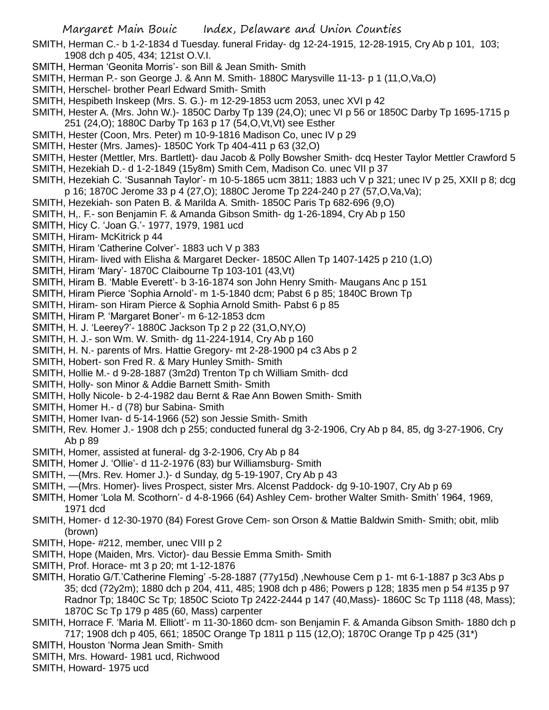SMITH, Herman C.- b 1-2-1834 d Tuesday. funeral Friday- dg 12-24-1915, 12-28-1915, Cry Ab p 101, 103; 1908 dch p 405, 434; 121st O.V.I.

- SMITH, Herman 'Geonita Morris'- son Bill & Jean Smith- Smith
- SMITH, Herman P.- son George J. & Ann M. Smith- 1880C Marysville 11-13- p 1 (11,O,Va,O)
- SMITH, Herschel- brother Pearl Edward Smith- Smith
- SMITH, Hespibeth Inskeep (Mrs. S. G.)- m 12-29-1853 ucm 2053, unec XVI p 42
- SMITH, Hester A. (Mrs. John W.)- 1850C Darby Tp 139 (24,O); unec VI p 56 or 1850C Darby Tp 1695-1715 p 251 (24,O); 1880C Darby Tp 163 p 17 (54,O,Vt,Vt) see Esther
- SMITH, Hester (Coon, Mrs. Peter) m 10-9-1816 Madison Co, unec IV p 29
- SMITH, Hester (Mrs. James)- 1850C York Tp 404-411 p 63 (32,O)
- SMITH, Hester (Mettler, Mrs. Bartlett)- dau Jacob & Polly Bowsher Smith- dcq Hester Taylor Mettler Crawford 5
- SMITH, Hezekiah D.- d 1-2-1849 (15y8m) Smith Cem, Madison Co. unec VII p 37
- SMITH, Hezekiah C. 'Susannah Taylor'- m 10-5-1865 ucm 3811; 1883 uch V p 321; unec IV p 25, XXII p 8; dcg p 16; 1870C Jerome 33 p 4 (27,O); 1880C Jerome Tp 224-240 p 27 (57,O,Va,Va);
- SMITH, Hezekiah- son Paten B. & Marilda A. Smith- 1850C Paris Tp 682-696 (9,O)
- SMITH, H,. F.- son Benjamin F. & Amanda Gibson Smith- dg 1-26-1894, Cry Ab p 150
- SMITH, Hicy C. 'Joan G.'- 1977, 1979, 1981 ucd
- SMITH, Hiram- McKitrick p 44
- SMITH, Hiram 'Catherine Colver'- 1883 uch V p 383
- SMITH, Hiram- lived with Elisha & Margaret Decker- 1850C Allen Tp 1407-1425 p 210 (1,O)
- SMITH, Hiram 'Mary'- 1870C Claibourne Tp 103-101 (43,Vt)
- SMITH, Hiram B. 'Mable Everett'- b 3-16-1874 son John Henry Smith- Maugans Anc p 151
- SMITH, Hiram Pierce 'Sophia Arnold'- m 1-5-1840 dcm; Pabst 6 p 85; 1840C Brown Tp
- SMITH, Hiram- son Hiram Pierce & Sophia Arnold Smith- Pabst 6 p 85
- SMITH, Hiram P. 'Margaret Boner'- m 6-12-1853 dcm
- SMITH, H. J. 'Leerey?'- 1880C Jackson Tp 2 p 22 (31,O,NY,O)
- SMITH, H. J.- son Wm. W. Smith- dg 11-224-1914, Cry Ab p 160
- SMITH, H. N.- parents of Mrs. Hattie Gregory- mt 2-28-1900 p4 c3 Abs p 2
- SMITH, Hobert- son Fred R. & Mary Hunley Smith- Smith
- SMITH, Hollie M.- d 9-28-1887 (3m2d) Trenton Tp ch William Smith- dcd
- SMITH, Holly- son Minor & Addie Barnett Smith- Smith
- SMITH, Holly Nicole- b 2-4-1982 dau Bernt & Rae Ann Bowen Smith- Smith
- SMITH, Homer H.- d (78) bur Sabina- Smith
- SMITH, Homer Ivan- d 5-14-1966 (52) son Jessie Smith- Smith
- SMITH, Rev. Homer J.- 1908 dch p 255; conducted funeral dg 3-2-1906, Cry Ab p 84, 85, dg 3-27-1906, Cry Ab p 89
- SMITH, Homer, assisted at funeral- dg 3-2-1906, Cry Ab p 84
- SMITH, Homer J. 'Ollie'- d 11-2-1976 (83) bur Williamsburg- Smith
- SMITH, —(Mrs. Rev. Homer J.)- d Sunday, dg 5-19-1907, Cry Ab p 43
- SMITH, —(Mrs. Homer)- lives Prospect, sister Mrs. Alcenst Paddock- dg 9-10-1907, Cry Ab p 69
- SMITH, Homer 'Lola M. Scothorn'- d 4-8-1966 (64) Ashley Cem- brother Walter Smith- Smith' 1964, 1969, 1971 dcd
- SMITH, Homer- d 12-30-1970 (84) Forest Grove Cem- son Orson & Mattie Baldwin Smith- Smith; obit, mlib (brown)
- SMITH, Hope- #212, member, unec VIII p 2
- SMITH, Hope (Maiden, Mrs. Victor)- dau Bessie Emma Smith- Smith
- SMITH, Prof. Horace- mt 3 p 20; mt 1-12-1876
- SMITH, Horatio G/T.'Catherine Fleming' -5-28-1887 (77y15d) ,Newhouse Cem p 1- mt 6-1-1887 p 3c3 Abs p 35; dcd (72y2m); 1880 dch p 204, 411, 485; 1908 dch p 486; Powers p 128; 1835 men p 54 #135 p 97 Radnor Tp; 1840C Sc Tp; 1850C Scioto Tp 2422-2444 p 147 (40,Mass)- 1860C Sc Tp 1118 (48, Mass); 1870C Sc Tp 179 p 485 (60, Mass) carpenter
- SMITH, Horrace F. 'Maria M. Elliott'- m 11-30-1860 dcm- son Benjamin F. & Amanda Gibson Smith- 1880 dch p 717; 1908 dch p 405, 661; 1850C Orange Tp 1811 p 115 (12,O); 1870C Orange Tp p 425 (31\*)
- SMITH, Houston 'Norma Jean Smith- Smith
- SMITH, Mrs. Howard- 1981 ucd, Richwood
- SMITH, Howard- 1975 ucd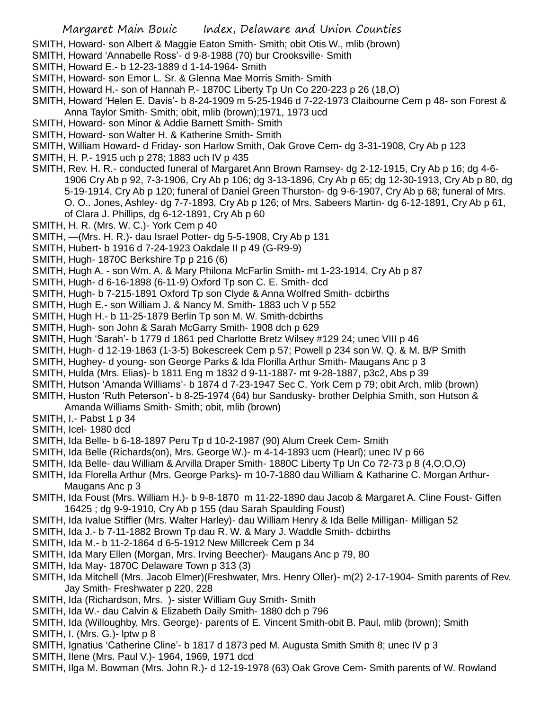- SMITH, Howard- son Albert & Maggie Eaton Smith- Smith; obit Otis W., mlib (brown)
- SMITH, Howard 'Annabelle Ross'- d 9-8-1988 (70) bur Crooksville- Smith
- SMITH, Howard E.- b 12-23-1889 d 1-14-1964- Smith
- SMITH, Howard- son Emor L. Sr. & Glenna Mae Morris Smith- Smith
- SMITH, Howard H.- son of Hannah P.- 1870C Liberty Tp Un Co 220-223 p 26 (18,O)
- SMITH, Howard 'Helen E. Davis'- b 8-24-1909 m 5-25-1946 d 7-22-1973 Claibourne Cem p 48- son Forest & Anna Taylor Smith- Smith; obit, mlib (brown);1971, 1973 ucd
- SMITH, Howard- son Minor & Addie Barnett Smith- Smith
- SMITH, Howard- son Walter H. & Katherine Smith- Smith
- SMITH, William Howard- d Friday- son Harlow Smith, Oak Grove Cem- dg 3-31-1908, Cry Ab p 123
- SMITH, H. P.- 1915 uch p 278; 1883 uch IV p 435
- SMITH, Rev. H. R.- conducted funeral of Margaret Ann Brown Ramsey- dg 2-12-1915, Cry Ab p 16; dg 4-6- 1906 Cry Ab p 92, 7-3-1906, Cry Ab p 106; dg 3-13-1896, Cry Ab p 65; dg 12-30-1913, Cry Ab p 80, dg 5-19-1914, Cry Ab p 120; funeral of Daniel Green Thurston- dg 9-6-1907, Cry Ab p 68; funeral of Mrs. O. O.. Jones, Ashley- dg 7-7-1893, Cry Ab p 126; of Mrs. Sabeers Martin- dg 6-12-1891, Cry Ab p 61, of Clara J. Phillips, dg 6-12-1891, Cry Ab p 60
- SMITH, H. R. (Mrs. W. C.)- York Cem p 40
- SMITH, —(Mrs. H. R.)- dau Israel Potter- dg 5-5-1908, Cry Ab p 131
- SMITH, Hubert- b 1916 d 7-24-1923 Oakdale II p 49 (G-R9-9)
- SMITH, Hugh- 1870C Berkshire Tp p 216 (6)
- SMITH, Hugh A. son Wm. A. & Mary Philona McFarlin Smith- mt 1-23-1914, Cry Ab p 87
- SMITH, Hugh- d 6-16-1898 (6-11-9) Oxford Tp son C. E. Smith- dcd
- SMITH, Hugh- b 7-215-1891 Oxford Tp son Clyde & Anna Wolfred Smith- dcbirths
- SMITH, Hugh E.- son William J. & Nancy M. Smith- 1883 uch V p 552
- SMITH, Hugh H.- b 11-25-1879 Berlin Tp son M. W. Smith-dcbirths
- SMITH, Hugh- son John & Sarah McGarry Smith- 1908 dch p 629
- SMITH, Hugh 'Sarah'- b 1779 d 1861 ped Charlotte Bretz Wilsey #129 24; unec VIII p 46
- SMITH, Hugh- d 12-19-1863 (1-3-5) Bokescreek Cem p 57; Powell p 234 son W. Q. & M. B/P Smith
- SMITH, Hughey- d young- son George Parks & Ida Florilla Arthur Smith- Maugans Anc p 3
- SMITH, Hulda (Mrs. Elias)- b 1811 Eng m 1832 d 9-11-1887- mt 9-28-1887, p3c2, Abs p 39
- SMITH, Hutson 'Amanda Williams'- b 1874 d 7-23-1947 Sec C. York Cem p 79; obit Arch, mlib (brown)
- SMITH, Huston 'Ruth Peterson'- b 8-25-1974 (64) bur Sandusky- brother Delphia Smith, son Hutson &
	- Amanda Williams Smith- Smith; obit, mlib (brown)
- SMITH, I.- Pabst 1 p 34
- SMITH, Icel- 1980 dcd
- SMITH, Ida Belle- b 6-18-1897 Peru Tp d 10-2-1987 (90) Alum Creek Cem- Smith
- SMITH, Ida Belle (Richards(on), Mrs. George W.)- m 4-14-1893 ucm (Hearl); unec IV p 66
- SMITH, Ida Belle- dau William & Arvilla Draper Smith- 1880C Liberty Tp Un Co 72-73 p 8 (4,O,O,O)
- SMITH, Ida Florella Arthur (Mrs. George Parks)- m 10-7-1880 dau William & Katharine C. Morgan Arthur-Maugans Anc p 3
- SMITH, Ida Foust (Mrs. William H.)- b 9-8-1870 m 11-22-1890 dau Jacob & Margaret A. Cline Foust- Giffen 16425 ; dg 9-9-1910, Cry Ab p 155 (dau Sarah Spaulding Foust)
- SMITH, Ida Ivalue Stiffler (Mrs. Walter Harley)- dau William Henry & Ida Belle Milligan- Milligan 52
- SMITH, Ida J.- b 7-11-1882 Brown Tp dau R. W. & Mary J. Waddle Smith- dcbirths
- SMITH, Ida M.- b 11-2-1864 d 6-5-1912 New Millcreek Cem p 34
- SMITH, Ida Mary Ellen (Morgan, Mrs. Irving Beecher)- Maugans Anc p 79, 80
- SMITH, Ida May- 1870C Delaware Town p 313 (3)
- SMITH, Ida Mitchell (Mrs. Jacob Elmer)(Freshwater, Mrs. Henry Oller)- m(2) 2-17-1904- Smith parents of Rev. Jay Smith- Freshwater p 220, 228
- SMITH, Ida (Richardson, Mrs. )- sister William Guy Smith- Smith
- SMITH, Ida W.- dau Calvin & Elizabeth Daily Smith- 1880 dch p 796
- SMITH, Ida (Willoughby, Mrs. George)- parents of E. Vincent Smith-obit B. Paul, mlib (brown); Smith

SMITH, I. (Mrs. G.)- lptw p 8

- SMITH, Ignatius 'Catherine Cline'- b 1817 d 1873 ped M. Augusta Smith Smith 8; unec IV p 3
- SMITH, Ilene (Mrs. Paul V.)- 1964, 1969, 1971 dcd
- SMITH, Ilga M. Bowman (Mrs. John R.)- d 12-19-1978 (63) Oak Grove Cem- Smith parents of W. Rowland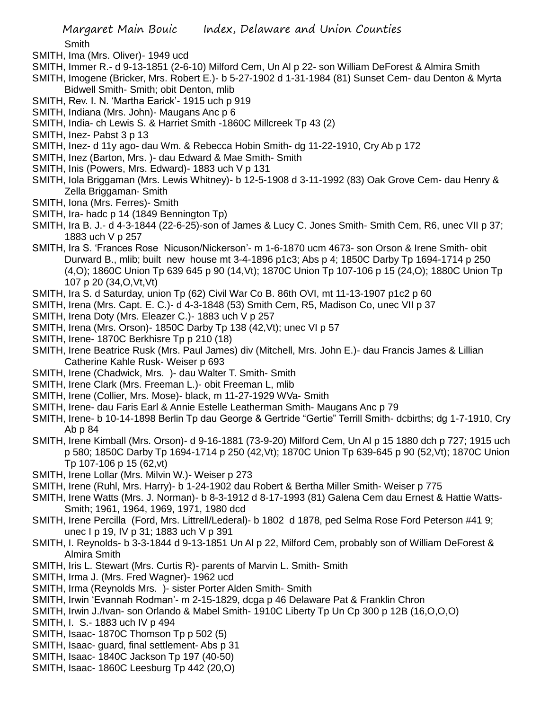Smith

- SMITH, Ima (Mrs. Oliver)- 1949 ucd
- SMITH, Immer R.- d 9-13-1851 (2-6-10) Milford Cem, Un Al p 22- son William DeForest & Almira Smith
- SMITH, Imogene (Bricker, Mrs. Robert E.)- b 5-27-1902 d 1-31-1984 (81) Sunset Cem- dau Denton & Myrta Bidwell Smith- Smith; obit Denton, mlib
- SMITH, Rev. I. N. 'Martha Earick'- 1915 uch p 919
- SMITH, Indiana (Mrs. John)- Maugans Anc p 6
- SMITH, India- ch Lewis S. & Harriet Smith -1860C Millcreek Tp 43 (2)
- SMITH, Inez- Pabst 3 p 13
- SMITH, Inez- d 11y ago- dau Wm. & Rebecca Hobin Smith- dg 11-22-1910, Cry Ab p 172
- SMITH, Inez (Barton, Mrs. )- dau Edward & Mae Smith- Smith
- SMITH, Inis (Powers, Mrs. Edward)- 1883 uch V p 131
- SMITH, Iola Briggaman (Mrs. Lewis Whitney)- b 12-5-1908 d 3-11-1992 (83) Oak Grove Cem- dau Henry & Zella Briggaman- Smith
- SMITH, Iona (Mrs. Ferres)- Smith
- SMITH, Ira- hadc p 14 (1849 Bennington Tp)
- SMITH, Ira B. J.- d 4-3-1844 (22-6-25)-son of James & Lucy C. Jones Smith- Smith Cem, R6, unec VII p 37; 1883 uch V p 257
- SMITH, Ira S. 'Frances Rose Nicuson/Nickerson'- m 1-6-1870 ucm 4673- son Orson & Irene Smith- obit Durward B., mlib; built new house mt 3-4-1896 p1c3; Abs p 4; 1850C Darby Tp 1694-1714 p 250 (4,O); 1860C Union Tp 639 645 p 90 (14,Vt); 1870C Union Tp 107-106 p 15 (24,O); 1880C Union Tp 107 p 20 (34,O,Vt,Vt)
- SMITH, Ira S. d Saturday, union Tp (62) Civil War Co B. 86th OVI, mt 11-13-1907 p1c2 p 60
- SMITH, Irena (Mrs. Capt. E. C.)- d 4-3-1848 (53) Smith Cem, R5, Madison Co, unec VII p 37
- SMITH, Irena Doty (Mrs. Eleazer C.)- 1883 uch V p 257
- SMITH, Irena (Mrs. Orson)- 1850C Darby Tp 138 (42,Vt); unec VI p 57
- SMITH, Irene- 1870C Berkhisre Tp p 210 (18)
- SMITH, Irene Beatrice Rusk (Mrs. Paul James) div (Mitchell, Mrs. John E.)- dau Francis James & Lillian Catherine Kahle Rusk- Weiser p 693
- SMITH, Irene (Chadwick, Mrs. )- dau Walter T. Smith- Smith
- SMITH, Irene Clark (Mrs. Freeman L.)- obit Freeman L, mlib
- SMITH, Irene (Collier, Mrs. Mose)- black, m 11-27-1929 WVa- Smith
- SMITH, Irene- dau Faris Earl & Annie Estelle Leatherman Smith- Maugans Anc p 79
- SMITH, Irene- b 10-14-1898 Berlin Tp dau George & Gertride "Gertie" Terrill Smith- dcbirths; dg 1-7-1910, Cry Ab p 84
- SMITH, Irene Kimball (Mrs. Orson)- d 9-16-1881 (73-9-20) Milford Cem, Un Al p 15 1880 dch p 727; 1915 uch p 580; 1850C Darby Tp 1694-1714 p 250 (42,Vt); 1870C Union Tp 639-645 p 90 (52,Vt); 1870C Union Tp 107-106 p 15 (62,vt)
- SMITH, Irene Lollar (Mrs. Milvin W.)- Weiser p 273
- SMITH, Irene (Ruhl, Mrs. Harry)- b 1-24-1902 dau Robert & Bertha Miller Smith- Weiser p 775
- SMITH, Irene Watts (Mrs. J. Norman)- b 8-3-1912 d 8-17-1993 (81) Galena Cem dau Ernest & Hattie Watts-Smith; 1961, 1964, 1969, 1971, 1980 dcd
- SMITH, Irene Percilla (Ford, Mrs. Littrell/Lederal)- b 1802 d 1878, ped Selma Rose Ford Peterson #41 9; unec I p 19, IV p 31; 1883 uch V p 391
- SMITH, I. Reynolds- b 3-3-1844 d 9-13-1851 Un Al p 22, Milford Cem, probably son of William DeForest & Almira Smith
- SMITH, Iris L. Stewart (Mrs. Curtis R)- parents of Marvin L. Smith- Smith
- SMITH, Irma J. (Mrs. Fred Wagner)- 1962 ucd
- SMITH, Irma (Reynolds Mrs. )- sister Porter Alden Smith- Smith
- SMITH, Irwin 'Evannah Rodman'- m 2-15-1829, dcga p 46 Delaware Pat & Franklin Chron
- SMITH, Irwin J./Ivan- son Orlando & Mabel Smith- 1910C Liberty Tp Un Cp 300 p 12B (16,O,O,O)
- SMITH, I. S.- 1883 uch IV p 494
- SMITH, Isaac- 1870C Thomson Tp p 502 (5)
- SMITH, Isaac- guard, final settlement- Abs p 31
- SMITH, Isaac- 1840C Jackson Tp 197 (40-50)
- SMITH, Isaac- 1860C Leesburg Tp 442 (20,O)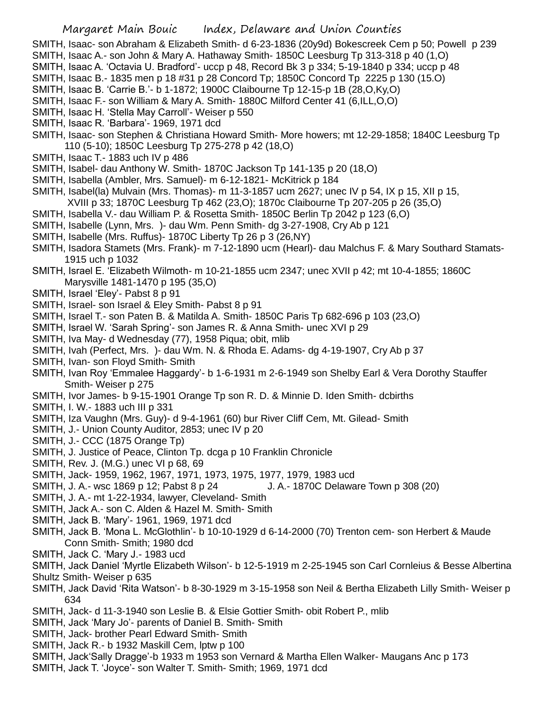- SMITH, Isaac- son Abraham & Elizabeth Smith- d 6-23-1836 (20y9d) Bokescreek Cem p 50; Powell p 239
- SMITH, Isaac A.- son John & Mary A. Hathaway Smith- 1850C Leesburg Tp 313-318 p 40 (1,O)
- SMITH, Isaac A. 'Octavia U. Bradford'- uccp p 48, Record Bk 3 p 334; 5-19-1840 p 334; uccp p 48
- SMITH, Isaac B.- 1835 men p 18 #31 p 28 Concord Tp; 1850C Concord Tp 2225 p 130 (15.O)
- SMITH, Isaac B. 'Carrie B.'- b 1-1872; 1900C Claibourne Tp 12-15-p 1B (28,O,Ky,O)
- SMITH, Isaac F.- son William & Mary A. Smith- 1880C Milford Center 41 (6,ILL,O,O)
- SMITH, Isaac H. 'Stella May Carroll'- Weiser p 550
- SMITH, Isaac R. 'Barbara'- 1969, 1971 dcd
- SMITH, Isaac- son Stephen & Christiana Howard Smith- More howers; mt 12-29-1858; 1840C Leesburg Tp 110 (5-10); 1850C Leesburg Tp 275-278 p 42 (18,O)
- SMITH, Isaac T.- 1883 uch IV p 486
- SMITH, Isabel- dau Anthony W. Smith- 1870C Jackson Tp 141-135 p 20 (18,O)
- SMITH, Isabella (Ambler, Mrs. Samuel)- m 6-12-1821- McKitrick p 184
- SMITH, Isabel(la) Mulvain (Mrs. Thomas)- m 11-3-1857 ucm 2627; unec IV p 54, IX p 15, XII p 15, XVIII p 33; 1870C Leesburg Tp 462 (23,O); 1870c Claibourne Tp 207-205 p 26 (35,O)
- SMITH, Isabella V.- dau William P. & Rosetta Smith- 1850C Berlin Tp 2042 p 123 (6,O)
- SMITH, Isabelle (Lynn, Mrs. )- dau Wm. Penn Smith- dg 3-27-1908, Cry Ab p 121
- SMITH, Isabelle (Mrs. Ruffus)- 1870C Liberty Tp 26 p 3 (26,NY)
- SMITH, Isadora Stamets (Mrs. Frank)- m 7-12-1890 ucm (Hearl)- dau Malchus F. & Mary Southard Stamats-1915 uch p 1032
- SMITH, Israel E. 'Elizabeth Wilmoth- m 10-21-1855 ucm 2347; unec XVII p 42; mt 10-4-1855; 1860C Marysville 1481-1470 p 195 (35,O)
- SMITH, Israel 'Eley'- Pabst 8 p 91
- SMITH, Israel- son Israel & Eley Smith- Pabst 8 p 91
- SMITH, Israel T.- son Paten B. & Matilda A. Smith- 1850C Paris Tp 682-696 p 103 (23,O)
- SMITH, Israel W. 'Sarah Spring'- son James R. & Anna Smith- unec XVI p 29
- SMITH, Iva May- d Wednesday (77), 1958 Piqua; obit, mlib
- SMITH, Ivah (Perfect, Mrs. )- dau Wm. N. & Rhoda E. Adams- dg 4-19-1907, Cry Ab p 37
- SMITH, Ivan- son Floyd Smith- Smith
- SMITH, Ivan Roy 'Emmalee Haggardy'- b 1-6-1931 m 2-6-1949 son Shelby Earl & Vera Dorothy Stauffer Smith- Weiser p 275
- SMITH, Ivor James- b 9-15-1901 Orange Tp son R. D. & Minnie D. Iden Smith- dcbirths
- SMITH, I. W.- 1883 uch III p 331
- SMITH, Iza Vaughn (Mrs. Guy)- d 9-4-1961 (60) bur River Cliff Cem, Mt. Gilead- Smith
- SMITH, J.- Union County Auditor, 2853; unec IV p 20
- SMITH, J.- CCC (1875 Orange Tp)
- SMITH, J. Justice of Peace, Clinton Tp. dcga p 10 Franklin Chronicle
- SMITH, Rev. J. (M.G.) unec VI p 68, 69
- SMITH, Jack- 1959, 1962, 1967, 1971, 1973, 1975, 1977, 1979, 1983 ucd
- SMITH, J. A.- wsc 1869 p 12; Pabst 8 p 24 J. A.- 1870C Delaware Town p 308 (20)
- SMITH, J. A.- mt 1-22-1934, lawyer, Cleveland- Smith
- SMITH, Jack A.- son C. Alden & Hazel M. Smith- Smith
- SMITH, Jack B. 'Mary'- 1961, 1969, 1971 dcd
- SMITH, Jack B. 'Mona L. McGlothlin'- b 10-10-1929 d 6-14-2000 (70) Trenton cem- son Herbert & Maude Conn Smith- Smith; 1980 dcd
- SMITH, Jack C. 'Mary J.- 1983 ucd
- SMITH, Jack Daniel 'Myrtle Elizabeth Wilson'- b 12-5-1919 m 2-25-1945 son Carl Cornleius & Besse Albertina
- Shultz Smith- Weiser p 635
- SMITH, Jack David 'Rita Watson'- b 8-30-1929 m 3-15-1958 son Neil & Bertha Elizabeth Lilly Smith- Weiser p 634
- SMITH, Jack- d 11-3-1940 son Leslie B. & Elsie Gottier Smith- obit Robert P., mlib
- SMITH, Jack 'Mary Jo'- parents of Daniel B. Smith- Smith
- SMITH, Jack- brother Pearl Edward Smith- Smith
- SMITH, Jack R.- b 1932 Maskill Cem, lptw p 100
- SMITH, Jack'Sally Dragge'-b 1933 m 1953 son Vernard & Martha Ellen Walker- Maugans Anc p 173
- SMITH, Jack T. 'Joyce'- son Walter T. Smith- Smith; 1969, 1971 dcd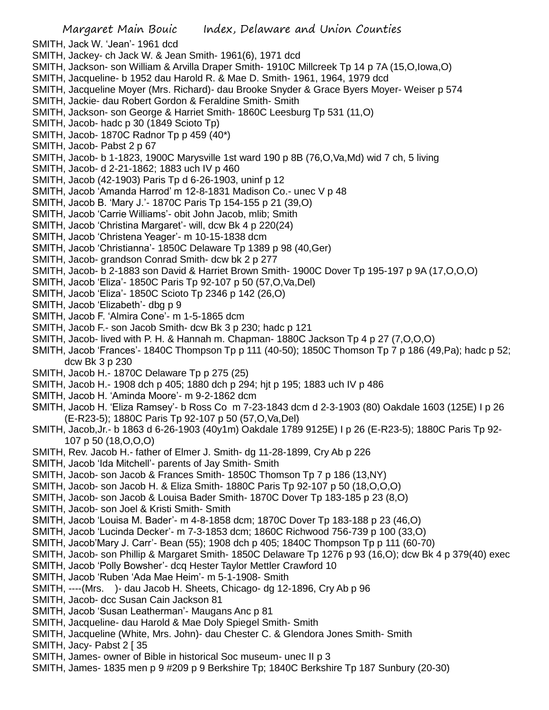SMITH, Jack W. 'Jean'- 1961 dcd

- SMITH, Jackey- ch Jack W. & Jean Smith- 1961(6), 1971 dcd
- SMITH, Jackson- son William & Arvilla Draper Smith- 1910C Millcreek Tp 14 p 7A (15,O,Iowa,O)
- SMITH, Jacqueline- b 1952 dau Harold R. & Mae D. Smith- 1961, 1964, 1979 dcd
- SMITH, Jacqueline Moyer (Mrs. Richard)- dau Brooke Snyder & Grace Byers Moyer- Weiser p 574
- SMITH, Jackie- dau Robert Gordon & Feraldine Smith- Smith
- SMITH, Jackson- son George & Harriet Smith- 1860C Leesburg Tp 531 (11,O)
- SMITH, Jacob- hadc p 30 (1849 Scioto Tp)
- SMITH, Jacob- 1870C Radnor Tp p 459 (40\*)
- SMITH, Jacob- Pabst 2 p 67
- SMITH, Jacob- b 1-1823, 1900C Marysville 1st ward 190 p 8B (76,O,Va,Md) wid 7 ch, 5 living
- SMITH, Jacob- d 2-21-1862; 1883 uch IV p 460
- SMITH, Jacob (42-1903) Paris Tp d 6-26-1903, uninf p 12
- SMITH, Jacob 'Amanda Harrod' m 12-8-1831 Madison Co.- unec V p 48
- SMITH, Jacob B. 'Mary J.'- 1870C Paris Tp 154-155 p 21 (39,O)
- SMITH, Jacob 'Carrie Williams'- obit John Jacob, mlib; Smith
- SMITH, Jacob 'Christina Margaret'- will, dcw Bk 4 p 220(24)
- SMITH, Jacob 'Christena Yeager'- m 10-15-1838 dcm
- SMITH, Jacob 'Christianna'- 1850C Delaware Tp 1389 p 98 (40,Ger)
- SMITH, Jacob- grandson Conrad Smith- dcw bk 2 p 277
- SMITH, Jacob- b 2-1883 son David & Harriet Brown Smith- 1900C Dover Tp 195-197 p 9A (17,O,O,O)
- SMITH, Jacob 'Eliza'- 1850C Paris Tp 92-107 p 50 (57,O,Va,Del)
- SMITH, Jacob 'Eliza'- 1850C Scioto Tp 2346 p 142 (26,O)
- SMITH, Jacob 'Elizabeth'- dbg p 9
- SMITH, Jacob F. 'Almira Cone'- m 1-5-1865 dcm
- SMITH, Jacob F.- son Jacob Smith- dcw Bk 3 p 230; hadc p 121
- SMITH, Jacob- lived with P. H. & Hannah m. Chapman- 1880C Jackson Tp 4 p 27 (7,O,O,O)
- SMITH, Jacob 'Frances'- 1840C Thompson Tp p 111 (40-50); 1850C Thomson Tp 7 p 186 (49,Pa); hadc p 52; dcw Bk 3 p 230
- SMITH, Jacob H.- 1870C Delaware Tp p 275 (25)
- SMITH, Jacob H.- 1908 dch p 405; 1880 dch p 294; hjt p 195; 1883 uch IV p 486
- SMITH, Jacob H. 'Aminda Moore'- m 9-2-1862 dcm
- SMITH, Jacob H. 'Eliza Ramsey'- b Ross Co m 7-23-1843 dcm d 2-3-1903 (80) Oakdale 1603 (125E) I p 26 (E-R23-5); 1880C Paris Tp 92-107 p 50 (57,O,Va,Del)
- SMITH, Jacob,Jr.- b 1863 d 6-26-1903 (40y1m) Oakdale 1789 9125E) I p 26 (E-R23-5); 1880C Paris Tp 92- 107 p 50 (18,O,O,O)
- SMITH, Rev. Jacob H.- father of Elmer J. Smith- dg 11-28-1899, Cry Ab p 226
- SMITH, Jacob 'Ida Mitchell'- parents of Jay Smith- Smith
- SMITH, Jacob- son Jacob & Frances Smith- 1850C Thomson Tp 7 p 186 (13,NY)
- SMITH, Jacob- son Jacob H. & Eliza Smith- 1880C Paris Tp 92-107 p 50 (18,O,O,O)
- SMITH, Jacob- son Jacob & Louisa Bader Smith- 1870C Dover Tp 183-185 p 23 (8,O)
- SMITH, Jacob- son Joel & Kristi Smith- Smith
- SMITH, Jacob 'Louisa M. Bader'- m 4-8-1858 dcm; 1870C Dover Tp 183-188 p 23 (46,O)
- SMITH, Jacob 'Lucinda Decker'- m 7-3-1853 dcm; 1860C Richwood 756-739 p 100 (33,O)
- SMITH, Jacob'Mary J. Carr'- Bean (55); 1908 dch p 405; 1840C Thompson Tp p 111 (60-70)
- SMITH, Jacob- son Phillip & Margaret Smith- 1850C Delaware Tp 1276 p 93 (16,O); dcw Bk 4 p 379(40) exec
- SMITH, Jacob 'Polly Bowsher'- dcq Hester Taylor Mettler Crawford 10
- SMITH, Jacob 'Ruben 'Ada Mae Heim'- m 5-1-1908- Smith
- SMITH, ----(Mrs. )- dau Jacob H. Sheets, Chicago- dg 12-1896, Cry Ab p 96
- SMITH, Jacob- dcc Susan Cain Jackson 81
- SMITH, Jacob 'Susan Leatherman'- Maugans Anc p 81
- SMITH, Jacqueline- dau Harold & Mae Doly Spiegel Smith- Smith
- SMITH, Jacqueline (White, Mrs. John)- dau Chester C. & Glendora Jones Smith- Smith
- SMITH, Jacy- Pabst 2 [ 35
- SMITH, James- owner of Bible in historical Soc museum- unec II p 3
- SMITH, James- 1835 men p 9 #209 p 9 Berkshire Tp; 1840C Berkshire Tp 187 Sunbury (20-30)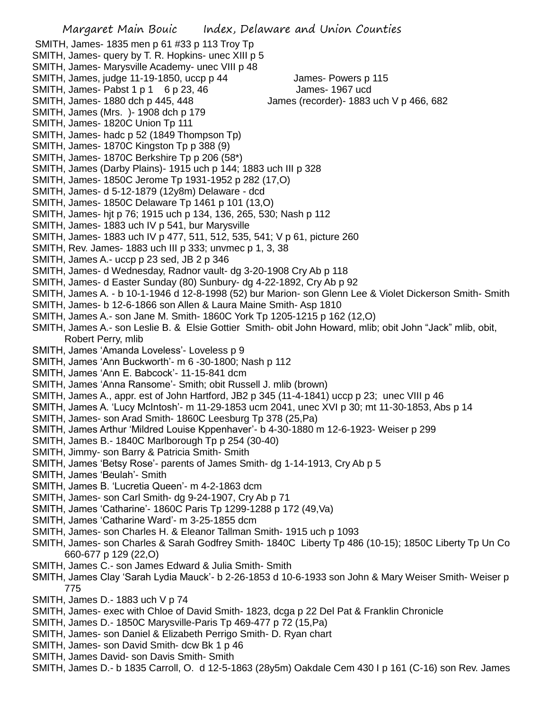SMITH, James- 1835 men p 61 #33 p 113 Troy Tp SMITH, James- query by T. R. Hopkins- unec XIII p 5 SMITH, James- Marysville Academy- unec VIII p 48 SMITH, James, judge 11-19-1850, uccp p 44 James- Powers p 115 SMITH, James- Pabst 1 p 1 6 p 23, 46 James- 1967 ucd SMITH, James- 1880 dch p 445, 448 James (recorder)- 1883 uch V p 466, 682 SMITH, James (Mrs. )- 1908 dch p 179 SMITH, James- 1820C Union Tp 111 SMITH, James- hadc p 52 (1849 Thompson Tp) SMITH, James- 1870C Kingston Tp p 388 (9) SMITH, James- 1870C Berkshire Tp p 206 (58\*) SMITH, James (Darby Plains)- 1915 uch p 144; 1883 uch III p 328 SMITH, James- 1850C Jerome Tp 1931-1952 p 282 (17,O) SMITH, James- d 5-12-1879 (12y8m) Delaware - dcd SMITH, James- 1850C Delaware Tp 1461 p 101 (13,O) SMITH, James- hjt p 76; 1915 uch p 134, 136, 265, 530; Nash p 112 SMITH, James- 1883 uch IV p 541, bur Marysville SMITH, James- 1883 uch IV p 477, 511, 512, 535, 541; V p 61, picture 260 SMITH, Rev. James- 1883 uch III p 333; unvmec p 1, 3, 38 SMITH, James A.- uccp p 23 sed, JB 2 p 346 SMITH, James- d Wednesday, Radnor vault- dg 3-20-1908 Cry Ab p 118 SMITH, James- d Easter Sunday (80) Sunbury- dg 4-22-1892, Cry Ab p 92 SMITH, James A. - b 10-1-1946 d 12-8-1998 (52) bur Marion- son Glenn Lee & Violet Dickerson Smith- Smith SMITH, James- b 12-6-1866 son Allen & Laura Maine Smith- Asp 1810 SMITH, James A.- son Jane M. Smith- 1860C York Tp 1205-1215 p 162 (12,O) SMITH, James A.- son Leslie B. & Elsie Gottier Smith- obit John Howard, mlib; obit John "Jack" mlib, obit, Robert Perry, mlib SMITH, James 'Amanda Loveless'- Loveless p 9 SMITH, James 'Ann Buckworth'- m 6 -30-1800; Nash p 112 SMITH, James 'Ann E. Babcock'- 11-15-841 dcm SMITH, James 'Anna Ransome'- Smith; obit Russell J. mlib (brown) SMITH, James A., appr. est of John Hartford, JB2 p 345 (11-4-1841) uccp p 23; unec VIII p 46 SMITH, James A. 'Lucy McIntosh'- m 11-29-1853 ucm 2041, unec XVI p 30; mt 11-30-1853, Abs p 14 SMITH, James- son Arad Smith- 1860C Leesburg Tp 378 (25,Pa) SMITH, James Arthur 'Mildred Louise Kppenhaver'- b 4-30-1880 m 12-6-1923- Weiser p 299 SMITH, James B.- 1840C Marlborough Tp p 254 (30-40) SMITH, Jimmy- son Barry & Patricia Smith- Smith SMITH, James 'Betsy Rose'- parents of James Smith- dg 1-14-1913, Cry Ab p 5 SMITH, James 'Beulah'- Smith SMITH, James B. 'Lucretia Queen'- m 4-2-1863 dcm SMITH, James- son Carl Smith- dg 9-24-1907, Cry Ab p 71 SMITH, James 'Catharine'- 1860C Paris Tp 1299-1288 p 172 (49,Va) SMITH, James 'Catharine Ward'- m 3-25-1855 dcm SMITH, James- son Charles H. & Eleanor Tallman Smith- 1915 uch p 1093 SMITH, James- son Charles & Sarah Godfrey Smith- 1840C Liberty Tp 486 (10-15); 1850C Liberty Tp Un Co 660-677 p 129 (22,O) SMITH, James C.- son James Edward & Julia Smith- Smith SMITH, James Clay 'Sarah Lydia Mauck'- b 2-26-1853 d 10-6-1933 son John & Mary Weiser Smith- Weiser p 775 SMITH, James D.- 1883 uch V p 74 SMITH, James- exec with Chloe of David Smith- 1823, dcga p 22 Del Pat & Franklin Chronicle

- SMITH, James D.- 1850C Marysville-Paris Tp 469-477 p 72 (15,Pa)
- SMITH, James- son Daniel & Elizabeth Perrigo Smith- D. Ryan chart
- SMITH, James- son David Smith- dcw Bk 1 p 46
- SMITH, James David- son Davis Smith- Smith
- SMITH, James D.- b 1835 Carroll, O. d 12-5-1863 (28y5m) Oakdale Cem 430 I p 161 (C-16) son Rev. James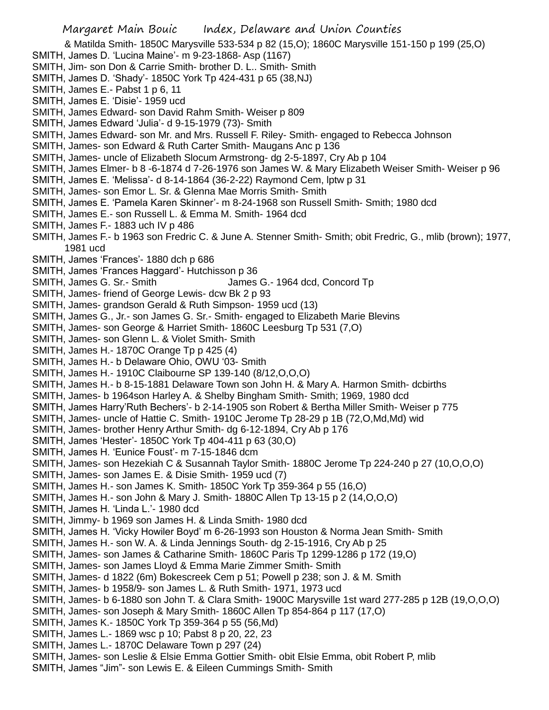- & Matilda Smith- 1850C Marysville 533-534 p 82 (15,O); 1860C Marysville 151-150 p 199 (25,O)
- SMITH, James D. 'Lucina Maine'- m 9-23-1868- Asp (1167)
- SMITH, Jim- son Don & Carrie Smith- brother D. L.. Smith- Smith
- SMITH, James D. 'Shady'- 1850C York Tp 424-431 p 65 (38,NJ)
- SMITH, James E.- Pabst 1 p 6, 11
- SMITH, James E. 'Disie'- 1959 ucd
- SMITH, James Edward- son David Rahm Smith- Weiser p 809
- SMITH, James Edward 'Julia'- d 9-15-1979 (73)- Smith
- SMITH, James Edward- son Mr. and Mrs. Russell F. Riley- Smith- engaged to Rebecca Johnson
- SMITH, James- son Edward & Ruth Carter Smith- Maugans Anc p 136
- SMITH, James- uncle of Elizabeth Slocum Armstrong- dg 2-5-1897, Cry Ab p 104
- SMITH, James Elmer- b 8 -6-1874 d 7-26-1976 son James W. & Mary Elizabeth Weiser Smith- Weiser p 96
- SMITH, James E. 'Melissa'- d 8-14-1864 (36-2-22) Raymond Cem, lptw p 31
- SMITH, James- son Emor L. Sr. & Glenna Mae Morris Smith- Smith
- SMITH, James E. 'Pamela Karen Skinner'- m 8-24-1968 son Russell Smith- Smith; 1980 dcd
- SMITH, James E.- son Russell L. & Emma M. Smith- 1964 dcd
- SMITH, James F.- 1883 uch IV p 486
- SMITH, James F.- b 1963 son Fredric C. & June A. Stenner Smith- Smith; obit Fredric, G., mlib (brown); 1977, 1981 ucd
- SMITH, James 'Frances'- 1880 dch p 686
- SMITH, James 'Frances Haggard'- Hutchisson p 36
- SMITH, James G. Sr.- Smith James G.- 1964 dcd, Concord Tp
- SMITH, James- friend of George Lewis- dcw Bk 2 p 93
- SMITH, James- grandson Gerald & Ruth Simpson- 1959 ucd (13)
- SMITH, James G., Jr.- son James G. Sr.- Smith- engaged to Elizabeth Marie Blevins
- SMITH, James- son George & Harriet Smith- 1860C Leesburg Tp 531 (7,O)
- SMITH, James- son Glenn L. & Violet Smith- Smith
- SMITH, James H.- 1870C Orange Tp p 425 (4)
- SMITH, James H.- b Delaware Ohio, OWU '03- Smith
- SMITH, James H.- 1910C Claibourne SP 139-140 (8/12,O,O,O)
- SMITH, James H.- b 8-15-1881 Delaware Town son John H. & Mary A. Harmon Smith- dcbirths
- SMITH, James- b 1964son Harley A. & Shelby Bingham Smith- Smith; 1969, 1980 dcd
- SMITH, James Harry'Ruth Bechers'- b 2-14-1905 son Robert & Bertha Miller Smith- Weiser p 775
- SMITH, James- uncle of Hattie C. Smith- 1910C Jerome Tp 28-29 p 1B (72,O,Md,Md) wid
- SMITH, James- brother Henry Arthur Smith- dg 6-12-1894, Cry Ab p 176
- SMITH, James 'Hester'- 1850C York Tp 404-411 p 63 (30,O)
- SMITH, James H. 'Eunice Foust'- m 7-15-1846 dcm
- SMITH, James- son Hezekiah C & Susannah Taylor Smith- 1880C Jerome Tp 224-240 p 27 (10,O,O,O)
- SMITH, James- son James E. & Disie Smith- 1959 ucd (7)
- SMITH, James H.- son James K. Smith- 1850C York Tp 359-364 p 55 (16,O)
- SMITH, James H.- son John & Mary J. Smith- 1880C Allen Tp 13-15 p 2 (14,O,O,O)
- SMITH, James H. 'Linda L.'- 1980 dcd
- SMITH, Jimmy- b 1969 son James H. & Linda Smith- 1980 dcd
- SMITH, James H. 'Vicky Howiler Boyd' m 6-26-1993 son Houston & Norma Jean Smith- Smith
- SMITH, James H.- son W. A. & Linda Jennings South- dg 2-15-1916, Cry Ab p 25
- SMITH, James- son James & Catharine Smith- 1860C Paris Tp 1299-1286 p 172 (19,O)
- SMITH, James- son James Lloyd & Emma Marie Zimmer Smith- Smith
- SMITH, James- d 1822 (6m) Bokescreek Cem p 51; Powell p 238; son J. & M. Smith
- SMITH, James- b 1958/9- son James L. & Ruth Smith- 1971, 1973 ucd
- SMITH, James- b 6-1880 son John T. & Clara Smith- 1900C Marysville 1st ward 277-285 p 12B (19,O,O,O)
- SMITH, James- son Joseph & Mary Smith- 1860C Allen Tp 854-864 p 117 (17,O)
- SMITH, James K.- 1850C York Tp 359-364 p 55 (56,Md)
- SMITH, James L.- 1869 wsc p 10; Pabst 8 p 20, 22, 23
- SMITH, James L.- 1870C Delaware Town p 297 (24)
- SMITH, James- son Leslie & Elsie Emma Gottier Smith- obit Elsie Emma, obit Robert P, mlib
- SMITH, James "Jim"- son Lewis E. & Eileen Cummings Smith- Smith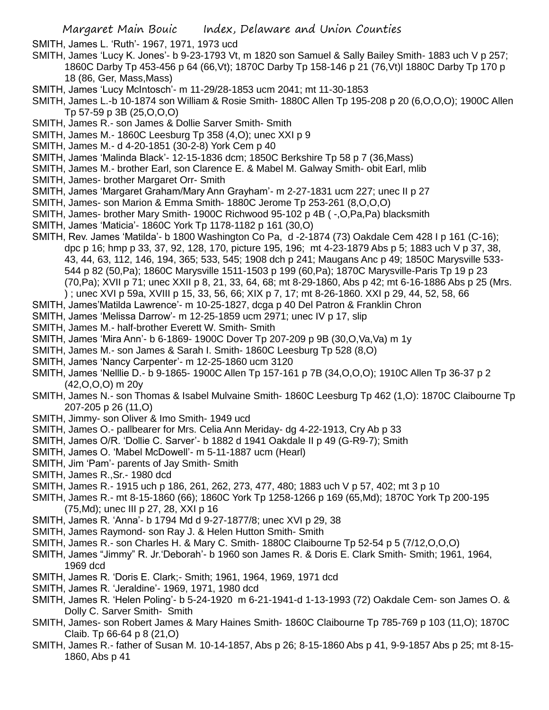SMITH, James L. 'Ruth'- 1967, 1971, 1973 ucd

- SMITH, James 'Lucy K. Jones'- b 9-23-1793 Vt, m 1820 son Samuel & Sally Bailey Smith- 1883 uch V p 257; 1860C Darby Tp 453-456 p 64 (66,Vt); 1870C Darby Tp 158-146 p 21 (76,Vt)l 1880C Darby Tp 170 p 18 (86, Ger, Mass,Mass)
- SMITH, James 'Lucy McIntosch'- m 11-29/28-1853 ucm 2041; mt 11-30-1853
- SMITH, James L.-b 10-1874 son William & Rosie Smith- 1880C Allen Tp 195-208 p 20 (6,O,O,O); 1900C Allen Tp 57-59 p 3B (25,O,O,O)
- SMITH, James R.- son James & Dollie Sarver Smith- Smith
- SMITH, James M.- 1860C Leesburg Tp 358 (4,O); unec XXI p 9
- SMITH, James M.- d 4-20-1851 (30-2-8) York Cem p 40
- SMITH, James 'Malinda Black'- 12-15-1836 dcm; 1850C Berkshire Tp 58 p 7 (36,Mass)
- SMITH, James M.- brother Earl, son Clarence E. & Mabel M. Galway Smith- obit Earl, mlib
- SMITH, James- brother Margaret Orr- Smith
- SMITH, James 'Margaret Graham/Mary Ann Grayham'- m 2-27-1831 ucm 227; unec II p 27
- SMITH, James- son Marion & Emma Smith- 1880C Jerome Tp 253-261 (8,O,O,O)
- SMITH, James- brother Mary Smith- 1900C Richwood 95-102 p 4B ( -,O,Pa,Pa) blacksmith
- SMITH, James 'Maticia'- 1860C York Tp 1178-1182 p 161 (30,O)
- SMITH, Rev. James 'Matilda'- b 1800 Washington Co Pa, d -2-1874 (73) Oakdale Cem 428 I p 161 (C-16); dpc p 16; hmp p 33, 37, 92, 128, 170, picture 195, 196; mt 4-23-1879 Abs p 5; 1883 uch V p 37, 38, 43, 44, 63, 112, 146, 194, 365; 533, 545; 1908 dch p 241; Maugans Anc p 49; 1850C Marysville 533- 544 p 82 (50,Pa); 1860C Marysville 1511-1503 p 199 (60,Pa); 1870C Marysville-Paris Tp 19 p 23 (70,Pa); XVII p 71; unec XXII p 8, 21, 33, 64, 68; mt 8-29-1860, Abs p 42; mt 6-16-1886 Abs p 25 (Mrs. ) ; unec XVI p 59a, XVIII p 15, 33, 56, 66; XIX p 7, 17; mt 8-26-1860. XXI p 29, 44, 52, 58, 66
- SMITH, James'Matilda Lawrence'- m 10-25-1827, dcga p 40 Del Patron & Franklin Chron
- SMITH, James 'Melissa Darrow'- m 12-25-1859 ucm 2971; unec IV p 17, slip
- SMITH, James M.- half-brother Everett W. Smith- Smith
- SMITH, James 'Mira Ann'- b 6-1869- 1900C Dover Tp 207-209 p 9B (30,O,Va,Va) m 1y
- SMITH, James M.- son James & Sarah I. Smith- 1860C Leesburg Tp 528 (8,O)
- SMITH, James 'Nancy Carpenter'- m 12-25-1860 ucm 3120
- SMITH, James 'Nelllie D.- b 9-1865- 1900C Allen Tp 157-161 p 7B (34,O,O,O); 1910C Allen Tp 36-37 p 2 (42,O,O,O) m 20y
- SMITH, James N.- son Thomas & Isabel Mulvaine Smith- 1860C Leesburg Tp 462 (1,O): 1870C Claibourne Tp 207-205 p 26 (11,O)
- SMITH, Jimmy- son Oliver & Imo Smith- 1949 ucd
- SMITH, James O.- pallbearer for Mrs. Celia Ann Meriday- dg 4-22-1913, Cry Ab p 33
- SMITH, James O/R. 'Dollie C. Sarver'- b 1882 d 1941 Oakdale II p 49 (G-R9-7); Smith
- SMITH, James O. 'Mabel McDowell'- m 5-11-1887 ucm (Hearl)
- SMITH, Jim 'Pam'- parents of Jay Smith- Smith
- SMITH, James R.,Sr.- 1980 dcd
- SMITH, James R.- 1915 uch p 186, 261, 262, 273, 477, 480; 1883 uch V p 57, 402; mt 3 p 10
- SMITH, James R.- mt 8-15-1860 (66); 1860C York Tp 1258-1266 p 169 (65,Md); 1870C York Tp 200-195 (75,Md); unec III p 27, 28, XXI p 16
- SMITH, James R. 'Anna'- b 1794 Md d 9-27-1877/8; unec XVI p 29, 38
- SMITH, James Raymond- son Ray J. & Helen Hutton Smith- Smith
- SMITH, James R.- son Charles H. & Mary C. Smith- 1880C Claibourne Tp 52-54 p 5 (7/12,O,O,O)
- SMITH, James "Jimmy" R. Jr.'Deborah'- b 1960 son James R. & Doris E. Clark Smith- Smith; 1961, 1964, 1969 dcd
- SMITH, James R. 'Doris E. Clark;- Smith; 1961, 1964, 1969, 1971 dcd
- SMITH, James R. 'Jeraldine'- 1969, 1971, 1980 dcd
- SMITH, James R. 'Helen Poling'- b 5-24-1920 m 6-21-1941-d 1-13-1993 (72) Oakdale Cem- son James O. & Dolly C. Sarver Smith- Smith
- SMITH, James- son Robert James & Mary Haines Smith- 1860C Claibourne Tp 785-769 p 103 (11,O); 1870C Claib. Tp 66-64 p 8 (21,O)
- SMITH, James R.- father of Susan M. 10-14-1857, Abs p 26; 8-15-1860 Abs p 41, 9-9-1857 Abs p 25; mt 8-15- 1860, Abs p 41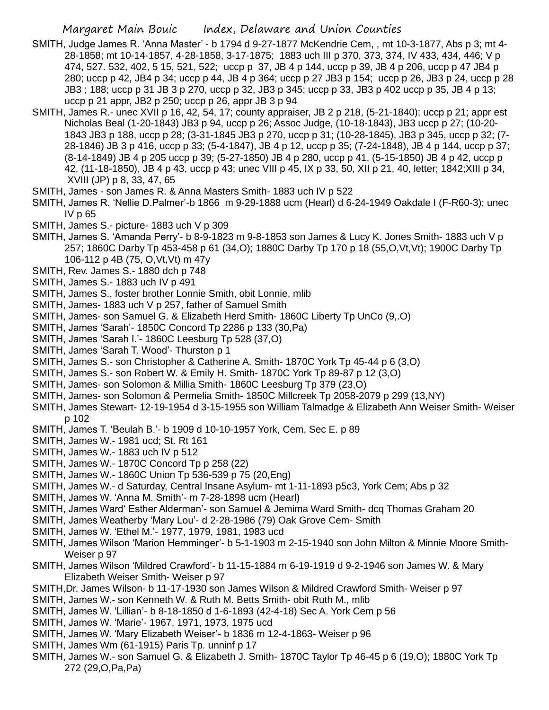- SMITH, Judge James R. 'Anna Master' b 1794 d 9-27-1877 McKendrie Cem, , mt 10-3-1877, Abs p 3; mt 4- 28-1858; mt 10-14-1857, 4-28-1858, 3-17-1875; 1883 uch III p 370, 373, 374, IV 433, 434, 446; V p 474, 527. 532, 402, 5 15, 521, 522; uccp p 37, JB 4 p 144, uccp p 39, JB 4 p 206, uccp p 47 JB4 p 280; uccp p 42, JB4 p 34; uccp p 44, JB 4 p 364; uccp p 27 JB3 p 154; uccp p 26, JB3 p 24, uccp p 28 JB3 ; 188; uccp p 31 JB 3 p 270, uccp p 32, JB3 p 345; uccp p 33, JB3 p 402 uccp p 35, JB 4 p 13; uccp p 21 appr, JB2 p 250; uccp p 26, appr JB 3 p 94
- SMITH, James R.- unec XVII p 16, 42, 54, 17; county appraiser, JB 2 p 218, (5-21-1840); uccp p 21; appr est Nicholas Beal (1-20-1843) JB3 p 94, uccp p 26; Assoc Judge, (10-18-1843), JB3 uccp p 27; (10-20- 1843 JB3 p 188, uccp p 28; (3-31-1845 JB3 p 270, uccp p 31; (10-28-1845), JB3 p 345, uccp p 32; (7- 28-1846) JB 3 p 416, uccp p 33; (5-4-1847), JB 4 p 12, uccp p 35; (7-24-1848), JB 4 p 144, uccp p 37; (8-14-1849) JB 4 p 205 uccp p 39; (5-27-1850) JB 4 p 280, uccp p 41, (5-15-1850) JB 4 p 42, uccp p 42, (11-18-1850), JB 4 p 43, uccp p 43; unec VIII p 45, IX p 33, 50, XII p 21, 40, letter; 1842;XIII p 34, XVIII (JP) p 8, 33, 47, 65
- SMITH, James son James R. & Anna Masters Smith- 1883 uch IV p 522
- SMITH, James R. 'Nellie D.Palmer'-b 1866 m 9-29-1888 ucm (Hearl) d 6-24-1949 Oakdale I (F-R60-3); unec IV p 65
- SMITH, James S.- picture- 1883 uch V p 309
- SMITH, James S. 'Amanda Perry'- b 8-9-1823 m 9-8-1853 son James & Lucy K. Jones Smith- 1883 uch V p 257; 1860C Darby Tp 453-458 p 61 (34,O); 1880C Darby Tp 170 p 18 (55,O,Vt,Vt); 1900C Darby Tp 106-112 p 4B (75, O,Vt,Vt) m 47y
- SMITH, Rev. James S.- 1880 dch p 748
- SMITH, James S.- 1883 uch IV p 491
- SMITH, James S., foster brother Lonnie Smith, obit Lonnie, mlib
- SMITH, James- 1883 uch V p 257, father of Samuel Smith
- SMITH, James- son Samuel G. & Elizabeth Herd Smith- 1860C Liberty Tp UnCo (9,.O)
- SMITH, James 'Sarah'- 1850C Concord Tp 2286 p 133 (30,Pa)
- SMITH, James 'Sarah I.'- 1860C Leesburg Tp 528 (37,O)
- SMITH, James 'Sarah T. Wood'- Thurston p 1
- SMITH, James S.- son Christopher & Catherine A. Smith- 1870C York Tp 45-44 p 6 (3,O)
- SMITH, James S.- son Robert W. & Emily H. Smith- 1870C York Tp 89-87 p 12 (3,O)
- SMITH, James- son Solomon & Millia Smith- 1860C Leesburg Tp 379 (23,O)
- SMITH, James- son Solomon & Permelia Smith- 1850C Millcreek Tp 2058-2079 p 299 (13,NY)
- SMITH, James Stewart- 12-19-1954 d 3-15-1955 son William Talmadge & Elizabeth Ann Weiser Smith- Weiser p 102
- SMITH, James T. 'Beulah B.'- b 1909 d 10-10-1957 York, Cem, Sec E. p 89
- SMITH, James W.- 1981 ucd; St. Rt 161
- SMITH, James W.- 1883 uch IV p 512
- SMITH, James W.- 1870C Concord Tp p 258 (22)
- SMITH, James W.- 1860C Union Tp 536-539 p 75 (20,Eng)
- SMITH, James W.- d Saturday, Central Insane Asylum- mt 1-11-1893 p5c3, York Cem; Abs p 32
- SMITH, James W. 'Anna M. Smith'- m 7-28-1898 ucm (Hearl)
- SMITH, James Ward' Esther Alderman'- son Samuel & Jemima Ward Smith- dcq Thomas Graham 20
- SMITH, James Weatherby 'Mary Lou'- d 2-28-1986 (79) Oak Grove Cem- Smith
- SMITH, James W. 'Ethel M.'- 1977, 1979, 1981, 1983 ucd
- SMITH, James Wilson 'Marion Hemminger'- b 5-1-1903 m 2-15-1940 son John Milton & Minnie Moore Smith-Weiser p 97
- SMITH, James Wilson 'Mildred Crawford'- b 11-15-1884 m 6-19-1919 d 9-2-1946 son James W. & Mary Elizabeth Weiser Smith- Weiser p 97
- SMITH,Dr. James Wilson- b 11-17-1930 son James Wilson & Mildred Crawford Smith- Weiser p 97
- SMITH, James W.- son Kenneth W. & Ruth M. Betts Smith- obit Ruth M., mlib
- SMITH, James W. 'Lillian'- b 8-18-1850 d 1-6-1893 (42-4-18) Sec A. York Cem p 56
- SMITH, James W. 'Marie'- 1967, 1971, 1973, 1975 ucd
- SMITH, James W. 'Mary Elizabeth Weiser'- b 1836 m 12-4-1863- Weiser p 96
- SMITH, James Wm (61-1915) Paris Tp. unninf p 17
- SMITH, James W.- son Samuel G. & Elizabeth J. Smith- 1870C Taylor Tp 46-45 p 6 (19,O); 1880C York Tp 272 (29,O,Pa,Pa)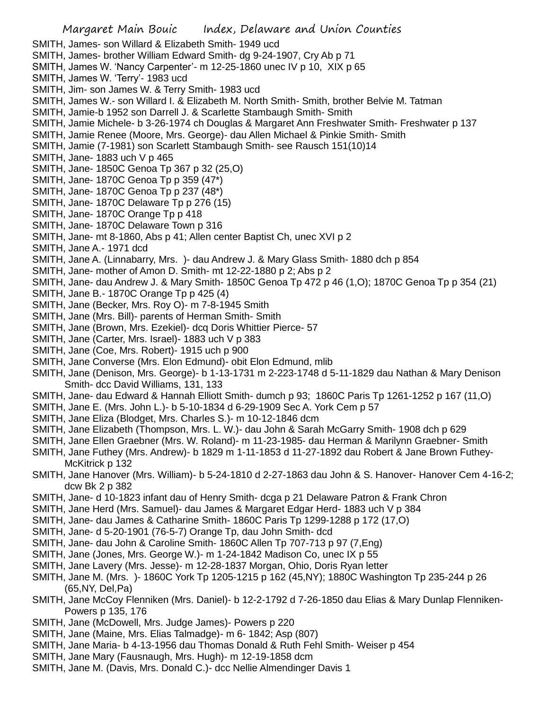Margaret Main Bouic Index, Delaware and Union Counties SMITH, James- son Willard & Elizabeth Smith- 1949 ucd SMITH, James- brother William Edward Smith- dg 9-24-1907, Cry Ab p 71 SMITH, James W. 'Nancy Carpenter'- m 12-25-1860 unec IV p 10, XIX p 65 SMITH, James W. 'Terry'- 1983 ucd SMITH, Jim- son James W. & Terry Smith- 1983 ucd SMITH, James W.- son Willard I. & Elizabeth M. North Smith- Smith, brother Belvie M. Tatman SMITH, Jamie-b 1952 son Darrell J. & Scarlette Stambaugh Smith- Smith SMITH, Jamie Michele- b 3-26-1974 ch Douglas & Margaret Ann Freshwater Smith- Freshwater p 137 SMITH, Jamie Renee (Moore, Mrs. George)- dau Allen Michael & Pinkie Smith- Smith SMITH, Jamie (7-1981) son Scarlett Stambaugh Smith- see Rausch 151(10)14 SMITH, Jane- 1883 uch V p 465 SMITH, Jane- 1850C Genoa Tp 367 p 32 (25,O) SMITH, Jane- 1870C Genoa Tp p 359 (47\*) SMITH, Jane- 1870C Genoa Tp p 237 (48\*) SMITH, Jane- 1870C Delaware Tp p 276 (15) SMITH, Jane- 1870C Orange Tp p 418 SMITH, Jane- 1870C Delaware Town p 316 SMITH, Jane- mt 8-1860, Abs p 41; Allen center Baptist Ch, unec XVI p 2 SMITH, Jane A.- 1971 dcd SMITH, Jane A. (Linnabarry, Mrs. )- dau Andrew J. & Mary Glass Smith- 1880 dch p 854 SMITH, Jane- mother of Amon D. Smith- mt 12-22-1880 p 2; Abs p 2 SMITH, Jane- dau Andrew J. & Mary Smith- 1850C Genoa Tp 472 p 46 (1,O); 1870C Genoa Tp p 354 (21) SMITH, Jane B.- 1870C Orange Tp p 425 (4) SMITH, Jane (Becker, Mrs. Roy O)- m 7-8-1945 Smith SMITH, Jane (Mrs. Bill)- parents of Herman Smith- Smith SMITH, Jane (Brown, Mrs. Ezekiel)- dcq Doris Whittier Pierce- 57 SMITH, Jane (Carter, Mrs. Israel)- 1883 uch V p 383 SMITH, Jane (Coe, Mrs. Robert)- 1915 uch p 900 SMITH, Jane Converse (Mrs. Elon Edmund)- obit Elon Edmund, mlib SMITH, Jane (Denison, Mrs. George)- b 1-13-1731 m 2-223-1748 d 5-11-1829 dau Nathan & Mary Denison Smith- dcc David Williams, 131, 133 SMITH, Jane- dau Edward & Hannah Elliott Smith- dumch p 93; 1860C Paris Tp 1261-1252 p 167 (11,O) SMITH, Jane E. (Mrs. John L.)- b 5-10-1834 d 6-29-1909 Sec A. York Cem p 57 SMITH, Jane Eliza (Blodget, Mrs. Charles S.)- m 10-12-1846 dcm SMITH, Jane Elizabeth (Thompson, Mrs. L. W.)- dau John & Sarah McGarry Smith- 1908 dch p 629 SMITH, Jane Ellen Graebner (Mrs. W. Roland)- m 11-23-1985- dau Herman & Marilynn Graebner- Smith SMITH, Jane Futhey (Mrs. Andrew)- b 1829 m 1-11-1853 d 11-27-1892 dau Robert & Jane Brown Futhey-McKitrick p 132 SMITH, Jane Hanover (Mrs. William)- b 5-24-1810 d 2-27-1863 dau John & S. Hanover- Hanover Cem 4-16-2; dcw Bk 2 p 382 SMITH, Jane- d 10-1823 infant dau of Henry Smith- dcga p 21 Delaware Patron & Frank Chron SMITH, Jane Herd (Mrs. Samuel)- dau James & Margaret Edgar Herd- 1883 uch V p 384 SMITH, Jane- dau James & Catharine Smith- 1860C Paris Tp 1299-1288 p 172 (17,O) SMITH, Jane- d 5-20-1901 (76-5-7) Orange Tp, dau John Smith- dcd SMITH, Jane- dau John & Caroline Smith- 1860C Allen Tp 707-713 p 97 (7,Eng) SMITH, Jane (Jones, Mrs. George W.)- m 1-24-1842 Madison Co, unec IX p 55 SMITH, Jane Lavery (Mrs. Jesse)- m 12-28-1837 Morgan, Ohio, Doris Ryan letter SMITH, Jane M. (Mrs. )- 1860C York Tp 1205-1215 p 162 (45,NY); 1880C Washington Tp 235-244 p 26 (65,NY, Del,Pa) SMITH, Jane McCoy Flenniken (Mrs. Daniel)- b 12-2-1792 d 7-26-1850 dau Elias & Mary Dunlap Flenniken-

- Powers p 135, 176 SMITH, Jane (McDowell, Mrs. Judge James)- Powers p 220
- SMITH, Jane (Maine, Mrs. Elias Talmadge)- m 6- 1842; Asp (807)
- SMITH, Jane Maria- b 4-13-1956 dau Thomas Donald & Ruth Fehl Smith- Weiser p 454
- SMITH, Jane Mary (Fausnaugh, Mrs. Hugh)- m 12-19-1858 dcm
- SMITH, Jane M. (Davis, Mrs. Donald C.)- dcc Nellie Almendinger Davis 1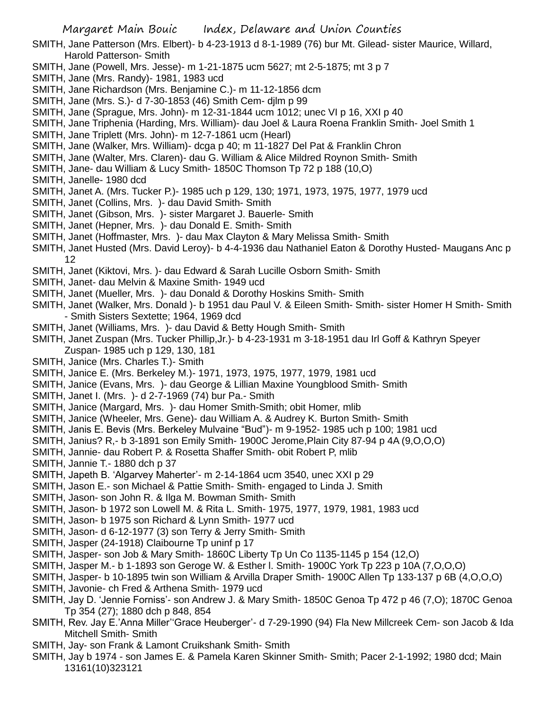- SMITH, Jane Patterson (Mrs. Elbert)- b 4-23-1913 d 8-1-1989 (76) bur Mt. Gilead- sister Maurice, Willard, Harold Patterson- Smith
- SMITH, Jane (Powell, Mrs. Jesse)- m 1-21-1875 ucm 5627; mt 2-5-1875; mt 3 p 7
- SMITH, Jane (Mrs. Randy)- 1981, 1983 ucd
- SMITH, Jane Richardson (Mrs. Benjamine C.)- m 11-12-1856 dcm
- SMITH, Jane (Mrs. S.)- d 7-30-1853 (46) Smith Cem- djlm p 99
- SMITH, Jane (Sprague, Mrs. John)- m 12-31-1844 ucm 1012; unec VI p 16, XXI p 40
- SMITH, Jane Triphenia (Harding, Mrs. William)- dau Joel & Laura Roena Franklin Smith- Joel Smith 1
- SMITH, Jane Triplett (Mrs. John)- m 12-7-1861 ucm (Hearl)
- SMITH, Jane (Walker, Mrs. William)- dcga p 40; m 11-1827 Del Pat & Franklin Chron
- SMITH, Jane (Walter, Mrs. Claren)- dau G. William & Alice Mildred Roynon Smith- Smith
- SMITH, Jane- dau William & Lucy Smith- 1850C Thomson Tp 72 p 188 (10,O)
- SMITH, Janelle- 1980 dcd
- SMITH, Janet A. (Mrs. Tucker P.)- 1985 uch p 129, 130; 1971, 1973, 1975, 1977, 1979 ucd
- SMITH, Janet (Collins, Mrs. )- dau David Smith- Smith
- SMITH, Janet (Gibson, Mrs. )- sister Margaret J. Bauerle- Smith
- SMITH, Janet (Hepner, Mrs. )- dau Donald E. Smith- Smith
- SMITH, Janet (Hoffmaster, Mrs. )- dau Max Clayton & Mary Melissa Smith- Smith
- SMITH, Janet Husted (Mrs. David Leroy)- b 4-4-1936 dau Nathaniel Eaton & Dorothy Husted- Maugans Anc p 12
- SMITH, Janet (Kiktovi, Mrs. )- dau Edward & Sarah Lucille Osborn Smith- Smith
- SMITH, Janet- dau Melvin & Maxine Smith- 1949 ucd
- SMITH, Janet (Mueller, Mrs. )- dau Donald & Dorothy Hoskins Smith- Smith
- SMITH, Janet (Walker, Mrs. Donald )- b 1951 dau Paul V. & Eileen Smith- Smith- sister Homer H Smith- Smith - Smith Sisters Sextette; 1964, 1969 dcd
- SMITH, Janet (Williams, Mrs. )- dau David & Betty Hough Smith- Smith
- SMITH, Janet Zuspan (Mrs. Tucker Phillip,Jr.)- b 4-23-1931 m 3-18-1951 dau Irl Goff & Kathryn Speyer Zuspan- 1985 uch p 129, 130, 181
- SMITH, Janice (Mrs. Charles T.)- Smith
- SMITH, Janice E. (Mrs. Berkeley M.)- 1971, 1973, 1975, 1977, 1979, 1981 ucd
- SMITH, Janice (Evans, Mrs. )- dau George & Lillian Maxine Youngblood Smith- Smith
- SMITH, Janet I. (Mrs. )- d 2-7-1969 (74) bur Pa.- Smith
- SMITH, Janice (Margard, Mrs. )- dau Homer Smith-Smith; obit Homer, mlib
- SMITH, Janice (Wheeler, Mrs. Gene)- dau William A. & Audrey K. Burton Smith- Smith
- SMITH, Janis E. Bevis (Mrs. Berkeley Mulvaine "Bud")- m 9-1952- 1985 uch p 100; 1981 ucd
- SMITH, Janius? R,- b 3-1891 son Emily Smith- 1900C Jerome,Plain City 87-94 p 4A (9,O,O,O)
- SMITH, Jannie- dau Robert P. & Rosetta Shaffer Smith- obit Robert P, mlib
- SMITH, Jannie T.- 1880 dch p 37
- SMITH, Japeth B. 'Algarvey Maherter'- m 2-14-1864 ucm 3540, unec XXI p 29
- SMITH, Jason E.- son Michael & Pattie Smith- Smith- engaged to Linda J. Smith
- SMITH, Jason- son John R. & Ilga M. Bowman Smith- Smith
- SMITH, Jason- b 1972 son Lowell M. & Rita L. Smith- 1975, 1977, 1979, 1981, 1983 ucd
- SMITH, Jason- b 1975 son Richard & Lynn Smith- 1977 ucd
- SMITH, Jason- d 6-12-1977 (3) son Terry & Jerry Smith- Smith
- SMITH, Jasper (24-1918) Claibourne Tp uninf p 17
- SMITH, Jasper- son Job & Mary Smith- 1860C Liberty Tp Un Co 1135-1145 p 154 (12,O)
- SMITH, Jasper M.- b 1-1893 son Geroge W. & Esther l. Smith- 1900C York Tp 223 p 10A (7,O,O,O)
- SMITH, Jasper- b 10-1895 twin son William & Arvilla Draper Smith- 1900C Allen Tp 133-137 p 6B (4,O,O,O)
- SMITH, Javonie- ch Fred & Arthena Smith- 1979 ucd
- SMITH, Jay D. 'Jennie Forniss'- son Andrew J. & Mary Smith- 1850C Genoa Tp 472 p 46 (7,O); 1870C Genoa Tp 354 (27); 1880 dch p 848, 854
- SMITH, Rev. Jay E.'Anna Miller''Grace Heuberger'- d 7-29-1990 (94) Fla New Millcreek Cem- son Jacob & Ida Mitchell Smith- Smith
- SMITH, Jay- son Frank & Lamont Cruikshank Smith- Smith
- SMITH, Jay b 1974 son James E. & Pamela Karen Skinner Smith- Smith; Pacer 2-1-1992; 1980 dcd; Main 13161(10)323121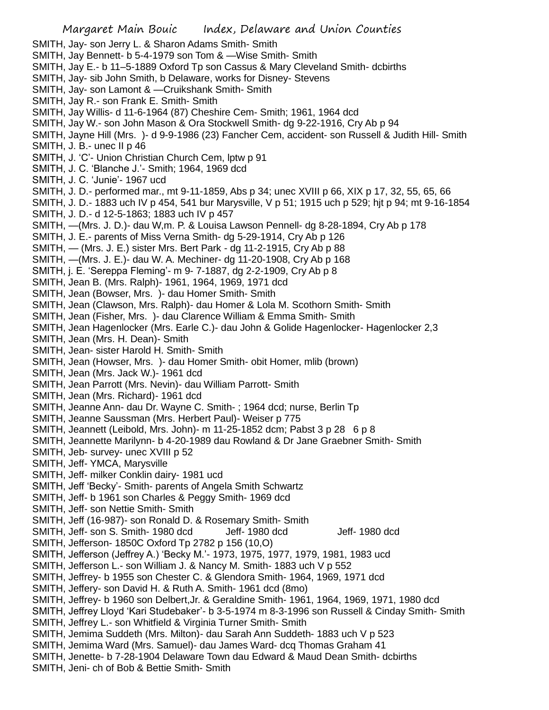SMITH, Jay- son Jerry L. & Sharon Adams Smith- Smith

- SMITH, Jay Bennett- b 5-4-1979 son Tom & —Wise Smith- Smith
- SMITH, Jay E.- b 11–5-1889 Oxford Tp son Cassus & Mary Cleveland Smith- dcbirths
- SMITH, Jay- sib John Smith, b Delaware, works for Disney- Stevens
- SMITH, Jay- son Lamont & —Cruikshank Smith- Smith
- SMITH, Jay R.- son Frank E. Smith- Smith
- SMITH, Jay Willis- d 11-6-1964 (87) Cheshire Cem- Smith; 1961, 1964 dcd
- SMITH, Jay W.- son John Mason & Ora Stockwell Smith- dg 9-22-1916, Cry Ab p 94
- SMITH, Jayne Hill (Mrs. )- d 9-9-1986 (23) Fancher Cem, accident- son Russell & Judith Hill- Smith SMITH, J. B.- unec II p 46
- SMITH, J. 'C'- Union Christian Church Cem, lptw p 91
- SMITH, J. C. 'Blanche J.'- Smith; 1964, 1969 dcd
- SMITH, J. C. 'Junie'- 1967 ucd
- SMITH, J. D.- performed mar., mt 9-11-1859, Abs p 34; unec XVIII p 66, XIX p 17, 32, 55, 65, 66
- SMITH, J. D.- 1883 uch IV p 454, 541 bur Marysville, V p 51; 1915 uch p 529; hjt p 94; mt 9-16-1854
- SMITH, J. D.- d 12-5-1863; 1883 uch IV p 457
- SMITH, —(Mrs. J. D.)- dau W,m. P. & Louisa Lawson Pennell- dg 8-28-1894, Cry Ab p 178
- SMITH, J. E.- parents of Miss Verna Smith- dg 5-29-1914, Cry Ab p 126
- SMITH, (Mrs. J. E.) sister Mrs. Bert Park dg 11-2-1915, Cry Ab p 88
- SMITH, —(Mrs. J. E.)- dau W. A. Mechiner- dg 11-20-1908, Cry Ab p 168
- SMITH, j. E. 'Sereppa Fleming'- m 9- 7-1887, dg 2-2-1909, Cry Ab p 8
- SMITH, Jean B. (Mrs. Ralph)- 1961, 1964, 1969, 1971 dcd
- SMITH, Jean (Bowser, Mrs. )- dau Homer Smith- Smith
- SMITH, Jean (Clawson, Mrs. Ralph)- dau Homer & Lola M. Scothorn Smith- Smith
- SMITH, Jean (Fisher, Mrs. )- dau Clarence William & Emma Smith- Smith
- SMITH, Jean Hagenlocker (Mrs. Earle C.)- dau John & Golide Hagenlocker- Hagenlocker 2,3
- SMITH, Jean (Mrs. H. Dean)- Smith
- SMITH, Jean- sister Harold H. Smith- Smith
- SMITH, Jean (Howser, Mrs. )- dau Homer Smith- obit Homer, mlib (brown)
- SMITH, Jean (Mrs. Jack W.)- 1961 dcd
- SMITH, Jean Parrott (Mrs. Nevin)- dau William Parrott- Smith
- SMITH, Jean (Mrs. Richard)- 1961 dcd
- SMITH, Jeanne Ann- dau Dr. Wayne C. Smith- ; 1964 dcd; nurse, Berlin Tp
- SMITH, Jeanne Saussman (Mrs. Herbert Paul)- Weiser p 775
- SMITH, Jeannett (Leibold, Mrs. John)- m 11-25-1852 dcm; Pabst 3 p 28 6 p 8
- SMITH, Jeannette Marilynn- b 4-20-1989 dau Rowland & Dr Jane Graebner Smith- Smith
- SMITH, Jeb- survey- unec XVIII p 52
- SMITH, Jeff- YMCA, Marysville
- SMITH, Jeff- milker Conklin dairy- 1981 ucd
- SMITH, Jeff 'Becky'- Smith- parents of Angela Smith Schwartz
- SMITH, Jeff- b 1961 son Charles & Peggy Smith- 1969 dcd
- SMITH, Jeff- son Nettie Smith- Smith
- SMITH, Jeff (16-987)- son Ronald D. & Rosemary Smith- Smith
- SMITH, Jeff- son S. Smith- 1980 dcd Jeff- 1980 dcd Jeff- 1980 dcd
- SMITH, Jefferson- 1850C Oxford Tp 2782 p 156 (10,O)
- SMITH, Jefferson (Jeffrey A.) 'Becky M.'- 1973, 1975, 1977, 1979, 1981, 1983 ucd
- SMITH, Jefferson L.- son William J. & Nancy M. Smith- 1883 uch V p 552
- SMITH, Jeffrey- b 1955 son Chester C. & Glendora Smith- 1964, 1969, 1971 dcd
- SMITH, Jeffery- son David H. & Ruth A. Smith- 1961 dcd (8mo)
- SMITH, Jeffrey- b 1960 son Delbert,Jr. & Geraldine Smith- 1961, 1964, 1969, 1971, 1980 dcd
- SMITH, Jeffrey Lloyd 'Kari Studebaker'- b 3-5-1974 m 8-3-1996 son Russell & Cinday Smith- Smith
- SMITH, Jeffrey L.- son Whitfield & Virginia Turner Smith- Smith
- SMITH, Jemima Suddeth (Mrs. Milton)- dau Sarah Ann Suddeth- 1883 uch V p 523
- SMITH, Jemima Ward (Mrs. Samuel)- dau James Ward- dcq Thomas Graham 41
- SMITH, Jenette- b 7-28-1904 Delaware Town dau Edward & Maud Dean Smith- dcbirths
- SMITH, Jeni- ch of Bob & Bettie Smith- Smith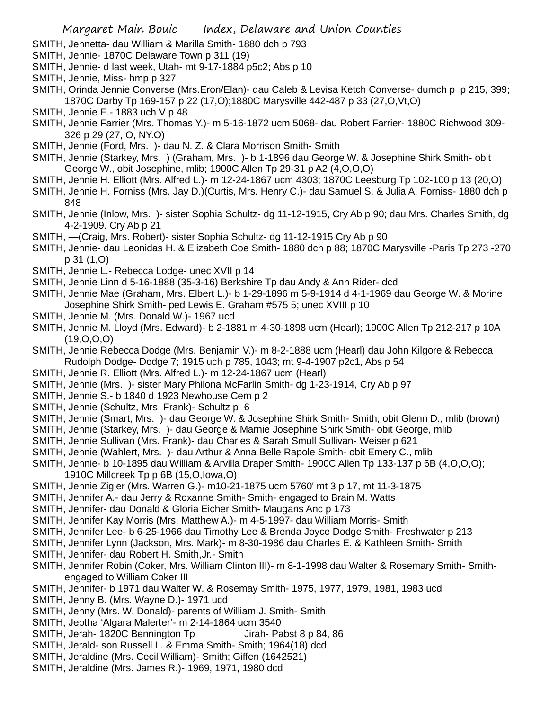- SMITH, Jennetta- dau William & Marilla Smith- 1880 dch p 793
- SMITH, Jennie- 1870C Delaware Town p 311 (19)
- SMITH, Jennie- d last week, Utah- mt 9-17-1884 p5c2; Abs p 10
- SMITH, Jennie, Miss- hmp p 327
- SMITH, Orinda Jennie Converse (Mrs.Eron/Elan)- dau Caleb & Levisa Ketch Converse- dumch p p 215, 399; 1870C Darby Tp 169-157 p 22 (17,O);1880C Marysville 442-487 p 33 (27,O,Vt,O)
- SMITH, Jennie E.- 1883 uch V p 48
- SMITH, Jennie Farrier (Mrs. Thomas Y.)- m 5-16-1872 ucm 5068- dau Robert Farrier- 1880C Richwood 309- 326 p 29 (27, O, NY.O)
- SMITH, Jennie (Ford, Mrs. )- dau N. Z. & Clara Morrison Smith- Smith
- SMITH, Jennie (Starkey, Mrs. ) (Graham, Mrs. )- b 1-1896 dau George W. & Josephine Shirk Smith- obit George W., obit Josephine, mlib; 1900C Allen Tp 29-31 p A2 (4,O,O,O)
- SMITH, Jennie H. Elliott (Mrs. Alfred L.)- m 12-24-1867 ucm 4303; 1870C Leesburg Tp 102-100 p 13 (20,O)
- SMITH, Jennie H. Forniss (Mrs. Jay D.)(Curtis, Mrs. Henry C.)- dau Samuel S. & Julia A. Forniss- 1880 dch p 848
- SMITH, Jennie (Inlow, Mrs. )- sister Sophia Schultz- dg 11-12-1915, Cry Ab p 90; dau Mrs. Charles Smith, dg 4-2-1909. Cry Ab p 21
- SMITH, —(Craig, Mrs. Robert)- sister Sophia Schultz- dg 11-12-1915 Cry Ab p 90
- SMITH, Jennie- dau Leonidas H. & Elizabeth Coe Smith- 1880 dch p 88; 1870C Marysville -Paris Tp 273 -270 p 31 (1,O)
- SMITH, Jennie L.- Rebecca Lodge- unec XVII p 14
- SMITH, Jennie Linn d 5-16-1888 (35-3-16) Berkshire Tp dau Andy & Ann Rider- dcd
- SMITH, Jennie Mae (Graham, Mrs. Elbert L.)- b 1-29-1896 m 5-9-1914 d 4-1-1969 dau George W. & Morine Josephine Shirk Smith- ped Lewis E. Graham #575 5; unec XVIII p 10
- SMITH, Jennie M. (Mrs. Donald W.)- 1967 ucd
- SMITH, Jennie M. Lloyd (Mrs. Edward)- b 2-1881 m 4-30-1898 ucm (Hearl); 1900C Allen Tp 212-217 p 10A (19,O,O,O)
- SMITH, Jennie Rebecca Dodge (Mrs. Benjamin V.)- m 8-2-1888 ucm (Hearl) dau John Kilgore & Rebecca Rudolph Dodge- Dodge 7; 1915 uch p 785, 1043; mt 9-4-1907 p2c1, Abs p 54
- SMITH, Jennie R. Elliott (Mrs. Alfred L.)- m 12-24-1867 ucm (Hearl)
- SMITH, Jennie (Mrs. )- sister Mary Philona McFarlin Smith- dg 1-23-1914, Cry Ab p 97
- SMITH, Jennie S.- b 1840 d 1923 Newhouse Cem p 2
- SMITH, Jennie (Schultz, Mrs. Frank) Schultz p 6
- SMITH, Jennie (Smart, Mrs. )- dau George W. & Josephine Shirk Smith- Smith; obit Glenn D., mlib (brown)
- SMITH, Jennie (Starkey, Mrs. )- dau George & Marnie Josephine Shirk Smith- obit George, mlib
- SMITH, Jennie Sullivan (Mrs. Frank)- dau Charles & Sarah Smull Sullivan- Weiser p 621
- SMITH, Jennie (Wahlert, Mrs. )- dau Arthur & Anna Belle Rapole Smith- obit Emery C., mlib
- SMITH, Jennie- b 10-1895 dau William & Arvilla Draper Smith- 1900C Allen Tp 133-137 p 6B (4,O,O,O); 1910C Millcreek Tp p 6B (15,O,Iowa,O)
- SMITH, Jennie Zigler (Mrs. Warren G.)- m10-21-1875 ucm 5760' mt 3 p 17, mt 11-3-1875
- SMITH, Jennifer A.- dau Jerry & Roxanne Smith- Smith- engaged to Brain M. Watts
- SMITH, Jennifer- dau Donald & Gloria Eicher Smith- Maugans Anc p 173
- SMITH, Jennifer Kay Morris (Mrs. Matthew A.)- m 4-5-1997- dau William Morris- Smith
- SMITH, Jennifer Lee- b 6-25-1966 dau Timothy Lee & Brenda Joyce Dodge Smith- Freshwater p 213
- SMITH, Jennifer Lynn (Jackson, Mrs. Mark)- m 8-30-1986 dau Charles E. & Kathleen Smith- Smith
- SMITH, Jennifer- dau Robert H. Smith,Jr.- Smith
- SMITH, Jennifer Robin (Coker, Mrs. William Clinton III)- m 8-1-1998 dau Walter & Rosemary Smith- Smithengaged to William Coker III
- SMITH, Jennifer- b 1971 dau Walter W. & Rosemay Smith- 1975, 1977, 1979, 1981, 1983 ucd
- SMITH, Jenny B. (Mrs. Wayne D.)- 1971 ucd
- SMITH, Jenny (Mrs. W. Donald)- parents of William J. Smith- Smith
- SMITH, Jeptha 'Algara Malerter'- m 2-14-1864 ucm 3540
- SMITH, Jerah- 1820C Bennington Tp Jirah- Pabst 8 p 84, 86
- SMITH, Jerald- son Russell L. & Emma Smith- Smith; 1964(18) dcd
- SMITH, Jeraldine (Mrs. Cecil William)- Smith; Giffen (1642521)
- SMITH, Jeraldine (Mrs. James R.)- 1969, 1971, 1980 dcd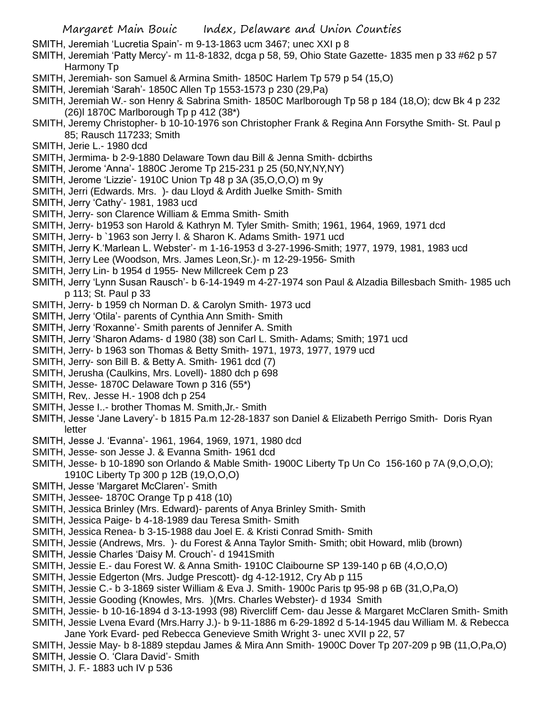SMITH, Jeremiah 'Lucretia Spain'- m 9-13-1863 ucm 3467; unec XXI p 8

SMITH, Jeremiah 'Patty Mercy'- m 11-8-1832, dcga p 58, 59, Ohio State Gazette- 1835 men p 33 #62 p 57 Harmony Tp

- SMITH, Jeremiah- son Samuel & Armina Smith- 1850C Harlem Tp 579 p 54 (15,O)
- SMITH, Jeremiah 'Sarah'- 1850C Allen Tp 1553-1573 p 230 (29,Pa)
- SMITH, Jeremiah W.- son Henry & Sabrina Smith- 1850C Marlborough Tp 58 p 184 (18,O); dcw Bk 4 p 232 (26)l 1870C Marlborough Tp p 412 (38\*)
- SMITH, Jeremy Christopher- b 10-10-1976 son Christopher Frank & Regina Ann Forsythe Smith- St. Paul p 85; Rausch 117233; Smith
- SMITH, Jerie L.- 1980 dcd
- SMITH, Jermima- b 2-9-1880 Delaware Town dau Bill & Jenna Smith- dcbirths
- SMITH, Jerome 'Anna'- 1880C Jerome Tp 215-231 p 25 (50,NY,NY,NY)
- SMITH, Jerome 'Lizzie'- 1910C Union Tp 48 p 3A (35,O,O,O) m 9y
- SMITH, Jerri (Edwards. Mrs. )- dau Lloyd & Ardith Juelke Smith- Smith
- SMITH, Jerry 'Cathy'- 1981, 1983 ucd
- SMITH, Jerry- son Clarence William & Emma Smith- Smith
- SMITH, Jerry- b1953 son Harold & Kathryn M. Tyler Smith- Smith; 1961, 1964, 1969, 1971 dcd
- SMITH, Jerry- b `1963 son Jerry l. & Sharon K. Adams Smith- 1971 ucd
- SMITH, Jerry K.'Marlean L. Webster'- m 1-16-1953 d 3-27-1996-Smith; 1977, 1979, 1981, 1983 ucd
- SMITH, Jerry Lee (Woodson, Mrs. James Leon,Sr.)- m 12-29-1956- Smith
- SMITH, Jerry Lin- b 1954 d 1955- New Millcreek Cem p 23
- SMITH, Jerry 'Lynn Susan Rausch'- b 6-14-1949 m 4-27-1974 son Paul & Alzadia Billesbach Smith- 1985 uch p 113; St. Paul p 33
- SMITH, Jerry- b 1959 ch Norman D. & Carolyn Smith- 1973 ucd
- SMITH, Jerry 'Otila'- parents of Cynthia Ann Smith- Smith
- SMITH, Jerry 'Roxanne'- Smith parents of Jennifer A. Smith
- SMITH, Jerry 'Sharon Adams- d 1980 (38) son Carl L. Smith- Adams; Smith; 1971 ucd
- SMITH, Jerry- b 1963 son Thomas & Betty Smith- 1971, 1973, 1977, 1979 ucd
- SMITH, Jerry- son Bill B. & Betty A. Smith- 1961 dcd (7)
- SMITH, Jerusha (Caulkins, Mrs. Lovell)- 1880 dch p 698
- SMITH, Jesse- 1870C Delaware Town p 316 (55\*)
- SMITH, Rev,. Jesse H.- 1908 dch p 254
- SMITH, Jesse I..- brother Thomas M. Smith,Jr.- Smith
- SMITH, Jesse 'Jane Lavery'- b 1815 Pa.m 12-28-1837 son Daniel & Elizabeth Perrigo Smith- Doris Ryan letter
- SMITH, Jesse J. 'Evanna'- 1961, 1964, 1969, 1971, 1980 dcd
- SMITH, Jesse- son Jesse J. & Evanna Smith- 1961 dcd
- SMITH, Jesse- b 10-1890 son Orlando & Mable Smith- 1900C Liberty Tp Un Co 156-160 p 7A (9,O,O,O); 1910C Liberty Tp 300 p 12B (19,O,O,O)
- SMITH, Jesse 'Margaret McClaren'- Smith
- SMITH, Jessee- 1870C Orange Tp p 418 (10)
- SMITH, Jessica Brinley (Mrs. Edward)- parents of Anya Brinley Smith- Smith
- SMITH, Jessica Paige- b 4-18-1989 dau Teresa Smith- Smith
- SMITH, Jessica Renea- b 3-15-1988 dau Joel E. & Kristi Conrad Smith- Smith
- SMITH, Jessie (Andrews, Mrs. )- du Forest & Anna Taylor Smith- Smith; obit Howard, mlib (brown)
- SMITH, Jessie Charles 'Daisy M. Crouch'- d 1941Smith
- SMITH, Jessie E.- dau Forest W. & Anna Smith- 1910C Claibourne SP 139-140 p 6B (4,O,O,O)
- SMITH, Jessie Edgerton (Mrs. Judge Prescott)- dg 4-12-1912, Cry Ab p 115
- SMITH, Jessie C.- b 3-1869 sister William & Eva J. Smith- 1900c Paris tp 95-98 p 6B (31,O,Pa,O)
- SMITH, Jessie Gooding (Knowles, Mrs. )(Mrs. Charles Webster)- d 1934 Smith
- SMITH, Jessie- b 10-16-1894 d 3-13-1993 (98) Rivercliff Cem- dau Jesse & Margaret McClaren Smith- Smith SMITH, Jessie Lvena Evard (Mrs.Harry J.)- b 9-11-1886 m 6-29-1892 d 5-14-1945 dau William M. & Rebecca
- Jane York Evard- ped Rebecca Genevieve Smith Wright 3- unec XVII p 22, 57
- SMITH, Jessie May- b 8-1889 stepdau James & Mira Ann Smith- 1900C Dover Tp 207-209 p 9B (11,O,Pa,O) SMITH, Jessie O. 'Clara David'- Smith
- SMITH, J. F.- 1883 uch IV p 536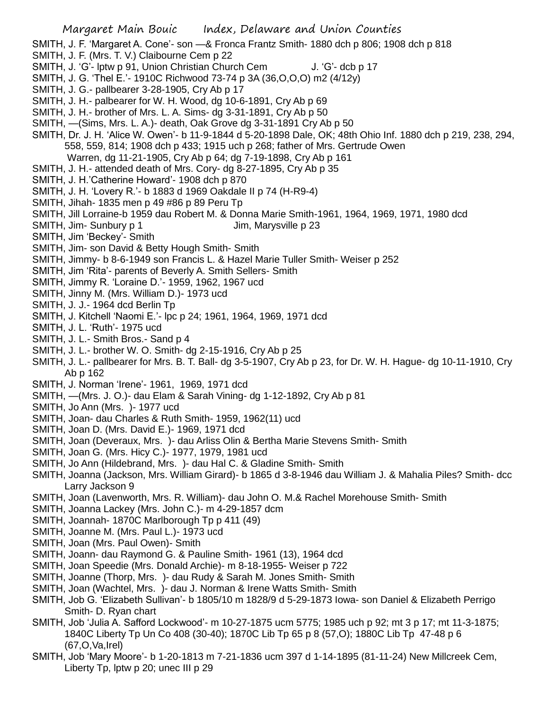- SMITH, J. F. 'Margaret A. Cone'- son —& Fronca Frantz Smith- 1880 dch p 806; 1908 dch p 818
- SMITH, J. F. (Mrs. T. V.) Claibourne Cem p 22
- SMITH, J. 'G'- lptw p 91, Union Christian Church Cem J. 'G'- dcb p 17
- SMITH, J. G. 'Thel E.'- 1910C Richwood 73-74 p 3A (36,O,O,O) m2 (4/12y)
- SMITH, J. G.- pallbearer 3-28-1905, Cry Ab p 17
- SMITH, J. H.- palbearer for W. H. Wood, dg 10-6-1891, Cry Ab p 69
- SMITH, J. H.- brother of Mrs. L. A. Sims- dg 3-31-1891, Cry Ab p 50
- SMITH, —(Sims, Mrs. L. A.)- death, Oak Grove dg 3-31-1891 Cry Ab p 50
- SMITH, Dr. J. H. 'Alice W. Owen'- b 11-9-1844 d 5-20-1898 Dale, OK; 48th Ohio Inf. 1880 dch p 219, 238, 294, 558, 559, 814; 1908 dch p 433; 1915 uch p 268; father of Mrs. Gertrude Owen
	- Warren, dg 11-21-1905, Cry Ab p 64; dg 7-19-1898, Cry Ab p 161
- SMITH, J. H.- attended death of Mrs. Cory- dg 8-27-1895, Cry Ab p 35
- SMITH, J. H.'Catherine Howard'- 1908 dch p 870
- SMITH, J. H. 'Lovery R.'- b 1883 d 1969 Oakdale II p 74 (H-R9-4)
- SMITH, Jihah- 1835 men p 49 #86 p 89 Peru Tp
- SMITH, Jill Lorraine-b 1959 dau Robert M. & Donna Marie Smith-1961, 1964, 1969, 1971, 1980 dcd
- SMITH, Jim- Sunbury p 1 Jim, Marysville p 23
- SMITH, Jim 'Beckey'- Smith
- SMITH, Jim- son David & Betty Hough Smith- Smith
- SMITH, Jimmy- b 8-6-1949 son Francis L. & Hazel Marie Tuller Smith- Weiser p 252
- SMITH, Jim 'Rita'- parents of Beverly A. Smith Sellers- Smith
- SMITH, Jimmy R. 'Loraine D.'- 1959, 1962, 1967 ucd
- SMITH, Jinny M. (Mrs. William D.)- 1973 ucd
- SMITH, J. J.- 1964 dcd Berlin Tp
- SMITH, J. Kitchell 'Naomi E.'- lpc p 24; 1961, 1964, 1969, 1971 dcd
- SMITH, J. L. 'Ruth'- 1975 ucd
- SMITH, J. L.- Smith Bros.- Sand p 4
- SMITH, J. L.- brother W. O. Smith- dg 2-15-1916, Cry Ab p 25
- SMITH, J. L.- pallbearer for Mrs. B. T. Ball- dg 3-5-1907, Cry Ab p 23, for Dr. W. H. Hague- dg 10-11-1910, Cry Ab p 162
- SMITH, J. Norman 'Irene'- 1961, 1969, 1971 dcd
- SMITH, —(Mrs. J. O.)- dau Elam & Sarah Vining- dg 1-12-1892, Cry Ab p 81
- SMITH, Jo Ann (Mrs. )- 1977 ucd
- SMITH, Joan- dau Charles & Ruth Smith- 1959, 1962(11) ucd
- SMITH, Joan D. (Mrs. David E.)- 1969, 1971 dcd
- SMITH, Joan (Deveraux, Mrs. )- dau Arliss Olin & Bertha Marie Stevens Smith- Smith
- SMITH, Joan G. (Mrs. Hicy C.)- 1977, 1979, 1981 ucd
- SMITH, Jo Ann (Hildebrand, Mrs. )- dau Hal C. & Gladine Smith- Smith
- SMITH, Joanna (Jackson, Mrs. William Girard)- b 1865 d 3-8-1946 dau William J. & Mahalia Piles? Smith- dcc Larry Jackson 9
- SMITH, Joan (Lavenworth, Mrs. R. William)- dau John O. M.& Rachel Morehouse Smith- Smith
- SMITH, Joanna Lackey (Mrs. John C.)- m 4-29-1857 dcm
- SMITH, Joannah- 1870C Marlborough Tp p 411 (49)
- SMITH, Joanne M. (Mrs. Paul L.)- 1973 ucd
- SMITH, Joan (Mrs. Paul Owen)- Smith
- SMITH, Joann- dau Raymond G. & Pauline Smith- 1961 (13), 1964 dcd
- SMITH, Joan Speedie (Mrs. Donald Archie)- m 8-18-1955- Weiser p 722
- SMITH, Joanne (Thorp, Mrs. )- dau Rudy & Sarah M. Jones Smith- Smith
- SMITH, Joan (Wachtel, Mrs. )- dau J. Norman & Irene Watts Smith- Smith
- SMITH, Job G. 'Elizabeth Sullivan'- b 1805/10 m 1828/9 d 5-29-1873 Iowa- son Daniel & Elizabeth Perrigo Smith- D. Ryan chart
- SMITH, Job 'Julia A. Safford Lockwood'- m 10-27-1875 ucm 5775; 1985 uch p 92; mt 3 p 17; mt 11-3-1875; 1840C Liberty Tp Un Co 408 (30-40); 1870C Lib Tp 65 p 8 (57,O); 1880C Lib Tp 47-48 p 6 (67,O,Va,Irel)
- SMITH, Job 'Mary Moore'- b 1-20-1813 m 7-21-1836 ucm 397 d 1-14-1895 (81-11-24) New Millcreek Cem, Liberty Tp, lptw p 20; unec III p 29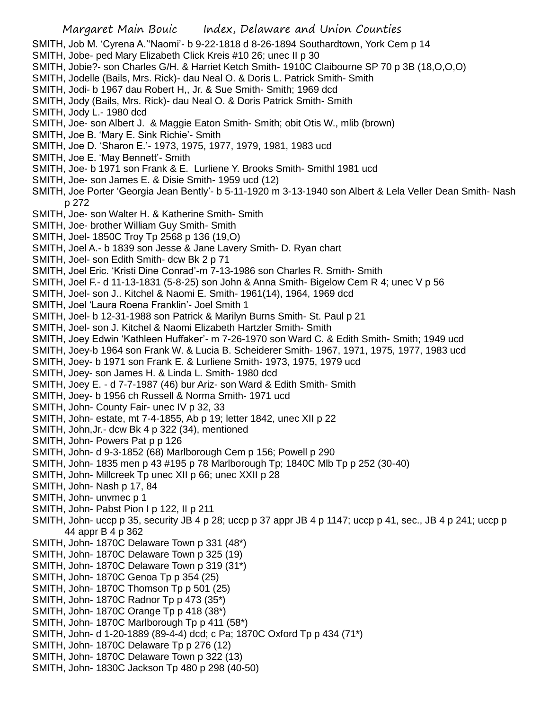Margaret Main Bouic Index, Delaware and Union Counties SMITH, Job M. 'Cyrena A.''Naomi'- b 9-22-1818 d 8-26-1894 Southardtown, York Cem p 14 SMITH, Jobe- ped Mary Elizabeth Click Kreis #10 26; unec II p 30 SMITH, Jobie?- son Charles G/H. & Harriet Ketch Smith- 1910C Claibourne SP 70 p 3B (18,O,O,O) SMITH, Jodelle (Bails, Mrs. Rick)- dau Neal O. & Doris L. Patrick Smith- Smith SMITH, Jodi- b 1967 dau Robert H,, Jr. & Sue Smith- Smith; 1969 dcd SMITH, Jody (Bails, Mrs. Rick)- dau Neal O. & Doris Patrick Smith- Smith SMITH, Jody L.- 1980 dcd SMITH, Joe- son Albert J. & Maggie Eaton Smith- Smith; obit Otis W., mlib (brown) SMITH, Joe B. 'Mary E. Sink Richie'- Smith SMITH, Joe D. 'Sharon E.'- 1973, 1975, 1977, 1979, 1981, 1983 ucd SMITH, Joe E. 'May Bennett'- Smith SMITH, Joe- b 1971 son Frank & E. Lurliene Y. Brooks Smith- Smithl 1981 ucd SMITH, Joe- son James E. & Disie Smith- 1959 ucd (12) SMITH, Joe Porter 'Georgia Jean Bently'- b 5-11-1920 m 3-13-1940 son Albert & Lela Veller Dean Smith- Nash p 272 SMITH, Joe- son Walter H. & Katherine Smith- Smith SMITH, Joe- brother William Guy Smith- Smith SMITH, Joel- 1850C Troy Tp 2568 p 136 (19,O) SMITH, Joel A.- b 1839 son Jesse & Jane Lavery Smith- D. Ryan chart SMITH, Joel- son Edith Smith- dcw Bk 2 p 71 SMITH, Joel Eric. 'Kristi Dine Conrad'-m 7-13-1986 son Charles R. Smith- Smith SMITH, Joel F.- d 11-13-1831 (5-8-25) son John & Anna Smith- Bigelow Cem R 4; unec V p 56 SMITH, Joel- son J.. Kitchel & Naomi E. Smith- 1961(14), 1964, 1969 dcd SMITH, Joel 'Laura Roena Franklin'- Joel Smith 1 SMITH, Joel- b 12-31-1988 son Patrick & Marilyn Burns Smith- St. Paul p 21 SMITH, Joel- son J. Kitchel & Naomi Elizabeth Hartzler Smith- Smith SMITH, Joey Edwin 'Kathleen Huffaker'- m 7-26-1970 son Ward C. & Edith Smith- Smith; 1949 ucd SMITH, Joey-b 1964 son Frank W. & Lucia B. Scheiderer Smith- 1967, 1971, 1975, 1977, 1983 ucd SMITH, Joey- b 1971 son Frank E. & Lurliene Smith- 1973, 1975, 1979 ucd SMITH, Joey- son James H. & Linda L. Smith- 1980 dcd SMITH, Joey E. - d 7-7-1987 (46) bur Ariz- son Ward & Edith Smith- Smith SMITH, Joey- b 1956 ch Russell & Norma Smith- 1971 ucd SMITH, John- County Fair- unec IV p 32, 33 SMITH, John- estate, mt 7-4-1855, Ab p 19; letter 1842, unec XII p 22 SMITH, John,Jr.- dcw Bk 4 p 322 (34), mentioned SMITH, John- Powers Pat p p 126 SMITH, John- d 9-3-1852 (68) Marlborough Cem p 156; Powell p 290 SMITH, John- 1835 men p 43 #195 p 78 Marlborough Tp; 1840C Mlb Tp p 252 (30-40) SMITH, John- Millcreek Tp unec XII p 66; unec XXII p 28 SMITH, John- Nash p 17, 84 SMITH, John- unvmec p 1 SMITH, John- Pabst Pion I p 122, II p 211 SMITH, John- uccp p 35, security JB 4 p 28; uccp p 37 appr JB 4 p 1147; uccp p 41, sec., JB 4 p 241; uccp p 44 appr B 4 p 362 SMITH, John- 1870C Delaware Town p 331 (48\*) SMITH, John- 1870C Delaware Town p 325 (19) SMITH, John- 1870C Delaware Town p 319 (31\*) SMITH, John- 1870C Genoa Tp p 354 (25) SMITH, John- 1870C Thomson Tp p 501 (25) SMITH, John- 1870C Radnor Tp p 473 (35\*) SMITH, John- 1870C Orange Tp p 418 (38\*) SMITH, John-1870C Marlborough Tp p 411 (58\*) SMITH, John- d 1-20-1889 (89-4-4) dcd; c Pa; 1870C Oxford Tp p 434 (71\*) SMITH, John- 1870C Delaware Tp p 276 (12) SMITH, John- 1870C Delaware Town p 322 (13) SMITH, John- 1830C Jackson Tp 480 p 298 (40-50)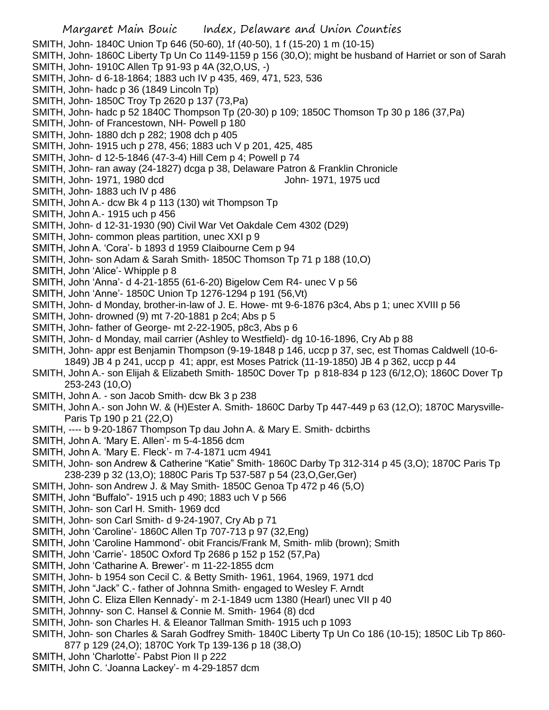- Margaret Main Bouic Index, Delaware and Union Counties SMITH, John- 1840C Union Tp 646 (50-60), 1f (40-50), 1 f (15-20) 1 m (10-15) SMITH, John- 1860C Liberty Tp Un Co 1149-1159 p 156 (30,O); might be husband of Harriet or son of Sarah SMITH, John- 1910C Allen Tp 91-93 p 4A (32,O,US, -) SMITH, John- d 6-18-1864; 1883 uch IV p 435, 469, 471, 523, 536 SMITH, John- hadc p 36 (1849 Lincoln Tp) SMITH, John- 1850C Troy Tp 2620 p 137 (73,Pa) SMITH, John- hadc p 52 1840C Thompson Tp (20-30) p 109; 1850C Thomson Tp 30 p 186 (37,Pa) SMITH, John- of Francestown, NH- Powell p 180 SMITH, John- 1880 dch p 282; 1908 dch p 405 SMITH, John- 1915 uch p 278, 456; 1883 uch V p 201, 425, 485 SMITH, John- d 12-5-1846 (47-3-4) Hill Cem p 4; Powell p 74 SMITH, John- ran away (24-1827) dcga p 38, Delaware Patron & Franklin Chronicle SMITH, John- 1971, 1980 dcd John- 1971, 1975 ucd SMITH, John- 1883 uch IV p 486 SMITH, John A.- dcw Bk 4 p 113 (130) wit Thompson Tp SMITH, John A.- 1915 uch p 456 SMITH, John- d 12-31-1930 (90) Civil War Vet Oakdale Cem 4302 (D29) SMITH, John- common pleas partition, unec XXI p 9 SMITH, John A. 'Cora'- b 1893 d 1959 Claibourne Cem p 94 SMITH, John- son Adam & Sarah Smith- 1850C Thomson Tp 71 p 188 (10,O) SMITH, John 'Alice'- Whipple p 8 SMITH, John 'Anna'- d 4-21-1855 (61-6-20) Bigelow Cem R4- unec V p 56 SMITH, John 'Anne'- 1850C Union Tp 1276-1294 p 191 (56,Vt) SMITH, John- d Monday, brother-in-law of J. E. Howe- mt 9-6-1876 p3c4, Abs p 1; unec XVIII p 56 SMITH, John- drowned (9) mt 7-20-1881 p 2c4; Abs p 5 SMITH, John- father of George- mt 2-22-1905, p8c3, Abs p 6 SMITH, John- d Monday, mail carrier (Ashley to Westfield)- dg 10-16-1896, Cry Ab p 88 SMITH, John- appr est Benjamin Thompson (9-19-1848 p 146, uccp p 37, sec, est Thomas Caldwell (10-6- 1849) JB 4 p 241, uccp p 41; appr, est Moses Patrick (11-19-1850) JB 4 p 362, uccp p 44 SMITH, John A.- son Elijah & Elizabeth Smith- 1850C Dover Tp p 818-834 p 123 (6/12,O); 1860C Dover Tp 253-243 (10,O) SMITH, John A. - son Jacob Smith- dcw Bk 3 p 238 SMITH, John A.- son John W. & (H)Ester A. Smith- 1860C Darby Tp 447-449 p 63 (12,O); 1870C Marysville-Paris Tp 190 p 21 (22,O) SMITH, ---- b 9-20-1867 Thompson Tp dau John A. & Mary E. Smith- dcbirths SMITH, John A. 'Mary E. Allen'- m 5-4-1856 dcm SMITH, John A. 'Mary E. Fleck'- m 7-4-1871 ucm 4941 SMITH, John- son Andrew & Catherine "Katie" Smith- 1860C Darby Tp 312-314 p 45 (3,O); 1870C Paris Tp 238-239 p 32 (13,O); 1880C Paris Tp 537-587 p 54 (23,O,Ger,Ger) SMITH, John- son Andrew J. & May Smith- 1850C Genoa Tp 472 p 46 (5,O) SMITH, John "Buffalo"- 1915 uch p 490; 1883 uch V p 566 SMITH, John- son Carl H. Smith- 1969 dcd SMITH, John- son Carl Smith- d 9-24-1907, Cry Ab p 71 SMITH, John 'Caroline'- 1860C Allen Tp 707-713 p 97 (32,Eng) SMITH, John 'Caroline Hammond'- obit Francis/Frank M, Smith- mlib (brown); Smith SMITH, John 'Carrie'- 1850C Oxford Tp 2686 p 152 p 152 (57, Pa) SMITH, John 'Catharine A. Brewer'- m 11-22-1855 dcm SMITH, John- b 1954 son Cecil C. & Betty Smith- 1961, 1964, 1969, 1971 dcd SMITH, John "Jack" C.- father of Johnna Smith- engaged to Wesley F. Arndt SMITH, John C. Eliza Ellen Kennady'- m 2-1-1849 ucm 1380 (Hearl) unec VII p 40 SMITH, Johnny- son C. Hansel & Connie M. Smith- 1964 (8) dcd SMITH, John- son Charles H. & Eleanor Tallman Smith- 1915 uch p 1093
- SMITH, John- son Charles & Sarah Godfrey Smith- 1840C Liberty Tp Un Co 186 (10-15); 1850C Lib Tp 860-
- 877 p 129 (24,O); 1870C York Tp 139-136 p 18 (38,O)
- SMITH, John 'Charlotte'- Pabst Pion II p 222
- SMITH, John C. 'Joanna Lackey'- m 4-29-1857 dcm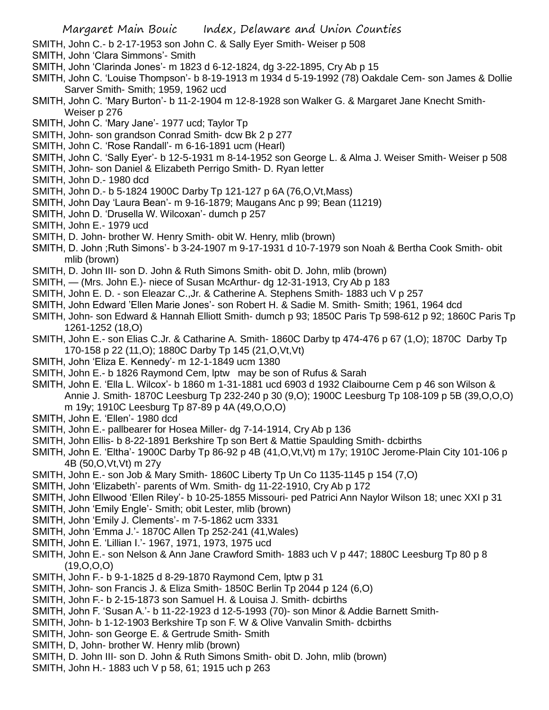- SMITH, John C.- b 2-17-1953 son John C. & Sally Eyer Smith- Weiser p 508
- SMITH, John 'Clara Simmons'- Smith
- SMITH, John 'Clarinda Jones'- m 1823 d 6-12-1824, dg 3-22-1895, Cry Ab p 15
- SMITH, John C. 'Louise Thompson'- b 8-19-1913 m 1934 d 5-19-1992 (78) Oakdale Cem- son James & Dollie Sarver Smith- Smith; 1959, 1962 ucd
- SMITH, John C. 'Mary Burton'- b 11-2-1904 m 12-8-1928 son Walker G. & Margaret Jane Knecht Smith-Weiser p 276
- SMITH, John C. 'Mary Jane'- 1977 ucd; Taylor Tp
- SMITH, John- son grandson Conrad Smith- dcw Bk 2 p 277
- SMITH, John C. 'Rose Randall'- m 6-16-1891 ucm (Hearl)
- SMITH, John C. 'Sally Eyer'- b 12-5-1931 m 8-14-1952 son George L. & Alma J. Weiser Smith- Weiser p 508
- SMITH, John- son Daniel & Elizabeth Perrigo Smith- D. Ryan letter
- SMITH, John D.- 1980 dcd
- SMITH, John D.- b 5-1824 1900C Darby Tp 121-127 p 6A (76,O,Vt,Mass)
- SMITH, John Day 'Laura Bean'- m 9-16-1879; Maugans Anc p 99; Bean (11219)
- SMITH, John D. 'Drusella W. Wilcoxan'- dumch p 257
- SMITH, John E.- 1979 ucd
- SMITH, D. John- brother W. Henry Smith- obit W. Henry, mlib (brown)
- SMITH, D. John ;Ruth Simons'- b 3-24-1907 m 9-17-1931 d 10-7-1979 son Noah & Bertha Cook Smith- obit mlib (brown)
- SMITH, D. John III- son D. John & Ruth Simons Smith- obit D. John, mlib (brown)
- SMITH, (Mrs. John E.)- niece of Susan McArthur- dg 12-31-1913, Cry Ab p 183
- SMITH, John E. D. son Eleazar C.,Jr. & Catherine A. Stephens Smith- 1883 uch V p 257
- SMITH, John Edward 'Ellen Marie Jones'- son Robert H. & Sadie M. Smith- Smith; 1961, 1964 dcd
- SMITH, John- son Edward & Hannah Elliott Smith- dumch p 93; 1850C Paris Tp 598-612 p 92; 1860C Paris Tp 1261-1252 (18,O)
- SMITH, John E.- son Elias C.Jr. & Catharine A. Smith- 1860C Darby tp 474-476 p 67 (1,O); 1870C Darby Tp 170-158 p 22 (11,O); 1880C Darby Tp 145 (21,O,Vt,Vt)
- SMITH, John 'Eliza E. Kennedy'- m 12-1-1849 ucm 1380
- SMITH, John E.- b 1826 Raymond Cem, lptw may be son of Rufus & Sarah
- SMITH, John E. 'Ella L. Wilcox'- b 1860 m 1-31-1881 ucd 6903 d 1932 Claibourne Cem p 46 son Wilson & Annie J. Smith- 1870C Leesburg Tp 232-240 p 30 (9,O); 1900C Leesburg Tp 108-109 p 5B (39,O,O,O) m 19y; 1910C Leesburg Tp 87-89 p 4A (49,O,O,O)
- SMITH, John E. 'Ellen'- 1980 dcd
- SMITH, John E.- pallbearer for Hosea Miller- dg 7-14-1914, Cry Ab p 136
- SMITH, John Ellis- b 8-22-1891 Berkshire Tp son Bert & Mattie Spaulding Smith- dcbirths
- SMITH, John E. 'Eltha'- 1900C Darby Tp 86-92 p 4B (41,O,Vt,Vt) m 17y; 1910C Jerome-Plain City 101-106 p 4B (50,O,Vt,Vt) m 27y
- SMITH, John E.- son Job & Mary Smith- 1860C Liberty Tp Un Co 1135-1145 p 154 (7,O)
- SMITH, John 'Elizabeth'- parents of Wm. Smith- dg 11-22-1910, Cry Ab p 172
- SMITH, John Ellwood 'Ellen Riley'- b 10-25-1855 Missouri- ped Patrici Ann Naylor Wilson 18; unec XXI p 31
- SMITH, John 'Emily Engle'- Smith; obit Lester, mlib (brown)
- SMITH, John 'Emily J. Clements'- m 7-5-1862 ucm 3331
- SMITH, John 'Emma J.'- 1870C Allen Tp 252-241 (41,Wales)
- SMITH, John E. 'Lillian I.'- 1967, 1971, 1973, 1975 ucd
- SMITH, John E.- son Nelson & Ann Jane Crawford Smith- 1883 uch V p 447; 1880C Leesburg Tp 80 p 8 (19,O,O,O)
- SMITH, John F.- b 9-1-1825 d 8-29-1870 Raymond Cem, lptw p 31
- SMITH, John- son Francis J. & Eliza Smith- 1850C Berlin Tp 2044 p 124 (6,O)
- SMITH, John F.- b 2-15-1873 son Samuel H. & Louisa J. Smith- dcbirths
- SMITH, John F. 'Susan A.'- b 11-22-1923 d 12-5-1993 (70)- son Minor & Addie Barnett Smith-
- SMITH, John- b 1-12-1903 Berkshire Tp son F. W & Olive Vanvalin Smith- dcbirths
- SMITH, John- son George E. & Gertrude Smith- Smith
- SMITH, D, John- brother W. Henry mlib (brown)
- SMITH, D. John III- son D. John & Ruth Simons Smith- obit D. John, mlib (brown)
- SMITH, John H.- 1883 uch V p 58, 61; 1915 uch p 263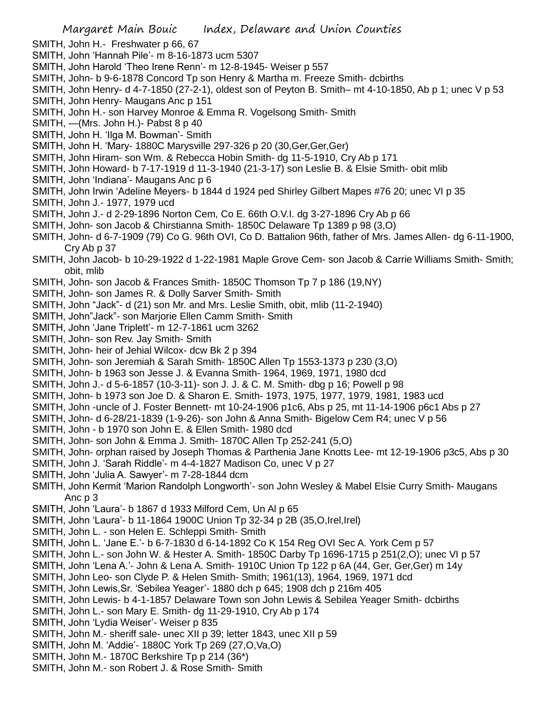- SMITH, John H.- Freshwater p 66, 67
- SMITH, John 'Hannah Pile'- m 8-16-1873 ucm 5307
- SMITH, John Harold 'Theo Irene Renn'- m 12-8-1945- Weiser p 557
- SMITH, John- b 9-6-1878 Concord Tp son Henry & Martha m. Freeze Smith- dcbirths
- SMITH, John Henry- d 4-7-1850 (27-2-1), oldest son of Peyton B. Smith– mt 4-10-1850, Ab p 1; unec V p 53 SMITH, John Henry- Maugans Anc p 151
- SMITH, John H.- son Harvey Monroe & Emma R. Vogelsong Smith- Smith
- SMITH, —(Mrs. John H.)- Pabst 8 p 40
- SMITH, John H. 'Ilga M. Bowman'- Smith
- SMITH, John H. 'Mary- 1880C Marysville 297-326 p 20 (30,Ger,Ger,Ger)
- SMITH, John Hiram- son Wm. & Rebecca Hobin Smith- dg 11-5-1910, Cry Ab p 171
- SMITH, John Howard- b 7-17-1919 d 11-3-1940 (21-3-17) son Leslie B. & Elsie Smith- obit mlib
- SMITH, John 'Indiana'- Maugans Anc p 6
- SMITH, John Irwin 'Adeline Meyers- b 1844 d 1924 ped Shirley Gilbert Mapes #76 20; unec VI p 35
- SMITH, John J.- 1977, 1979 ucd
- SMITH, John J.- d 2-29-1896 Norton Cem, Co E. 66th O.V.I. dg 3-27-1896 Cry Ab p 66
- SMITH, John- son Jacob & Chirstianna Smith- 1850C Delaware Tp 1389 p 98 (3,O)
- SMITH, John- d 6-7-1909 (79) Co G. 96th OVI, Co D. Battalion 96th, father of Mrs. James Allen- dg 6-11-1900, Cry Ab p 37
- SMITH, John Jacob- b 10-29-1922 d 1-22-1981 Maple Grove Cem- son Jacob & Carrie Williams Smith- Smith; obit, mlib
- SMITH, John- son Jacob & Frances Smith- 1850C Thomson Tp 7 p 186 (19,NY)
- SMITH, John- son James R. & Dolly Sarver Smith- Smith
- SMITH, John "Jack"- d (21) son Mr. and Mrs. Leslie Smith, obit, mlib (11-2-1940)
- SMITH, John"Jack"- son Marjorie Ellen Camm Smith- Smith
- SMITH, John 'Jane Triplett'- m 12-7-1861 ucm 3262
- SMITH, John- son Rev. Jay Smith- Smith
- SMITH, John- heir of Jehial Wilcox- dcw Bk 2 p 394
- SMITH, John- son Jeremiah & Sarah Smith- 1850C Allen Tp 1553-1373 p 230 (3,O)
- SMITH, John- b 1963 son Jesse J. & Evanna Smith- 1964, 1969, 1971, 1980 dcd
- SMITH, John J.- d 5-6-1857 (10-3-11)- son J. J. & C. M. Smith- dbg p 16; Powell p 98
- SMITH, John- b 1973 son Joe D. & Sharon E. Smith- 1973, 1975, 1977, 1979, 1981, 1983 ucd
- SMITH, John -uncle of J. Foster Bennett- mt 10-24-1906 p1c6, Abs p 25, mt 11-14-1906 p6c1 Abs p 27
- SMITH, John- d 6-28/21-1839 (1-9-26)- son John & Anna Smith- Bigelow Cem R4; unec V p 56
- SMITH, John b 1970 son John E. & Ellen Smith- 1980 dcd
- SMITH, John- son John & Emma J. Smith- 1870C Allen Tp 252-241 (5,O)
- SMITH, John- orphan raised by Joseph Thomas & Parthenia Jane Knotts Lee- mt 12-19-1906 p3c5, Abs p 30
- SMITH, John J. 'Sarah Riddle'- m 4-4-1827 Madison Co, unec V p 27
- SMITH, John 'Julia A. Sawyer'- m 7-28-1844 dcm
- SMITH, John Kermit 'Marion Randolph Longworth'- son John Wesley & Mabel Elsie Curry Smith- Maugans Anc p 3
- SMITH, John 'Laura'- b 1867 d 1933 Milford Cem, Un Al p 65
- SMITH, John 'Laura'- b 11-1864 1900C Union Tp 32-34 p 2B (35,O,Irel,Irel)
- SMITH, John L. son Helen E. Schleppi Smith- Smith
- SMITH, John L. 'Jane E.'- b 6-7-1830 d 6-14-1892 Co K 154 Reg OVI Sec A. York Cem p 57
- SMITH, John L.- son John W. & Hester A. Smith- 1850C Darby Tp 1696-1715 p 251(2,O); unec VI p 57
- SMITH, John 'Lena A.'- John & Lena A. Smith- 1910C Union Tp 122 p 6A (44, Ger, Ger,Ger) m 14y
- SMITH, John Leo- son Clyde P. & Helen Smith- Smith; 1961(13), 1964, 1969, 1971 dcd
- SMITH, John Lewis,Sr. 'Sebilea Yeager'- 1880 dch p 645; 1908 dch p 216m 405
- SMITH, John Lewis- b 4-1-1857 Delaware Town son John Lewis & Sebilea Yeager Smith- dcbirths
- SMITH, John L.- son Mary E. Smith- dg 11-29-1910, Cry Ab p 174
- SMITH, John 'Lydia Weiser'- Weiser p 835
- SMITH, John M.- sheriff sale- unec XII p 39; letter 1843, unec XII p 59
- SMITH, John M. 'Addie'- 1880C York Tp 269 (27,O,Va,O)
- SMITH, John M.- 1870C Berkshire Tp p 214 (36\*)
- SMITH, John M.- son Robert J. & Rose Smith- Smith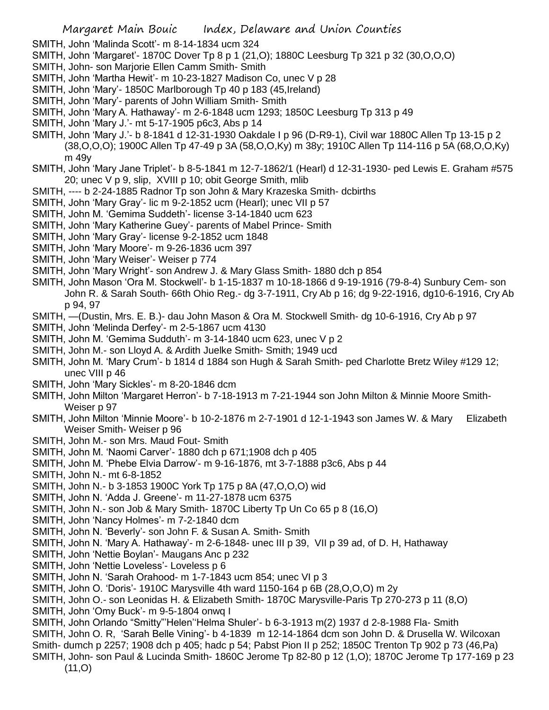- SMITH, John 'Malinda Scott'- m 8-14-1834 ucm 324
- SMITH, John 'Margaret'- 1870C Dover Tp 8 p 1 (21,O); 1880C Leesburg Tp 321 p 32 (30,O,O,O)
- SMITH, John- son Marjorie Ellen Camm Smith- Smith
- SMITH, John 'Martha Hewit'- m 10-23-1827 Madison Co, unec V p 28
- SMITH, John 'Mary'- 1850C Marlborough Tp 40 p 183 (45,Ireland)
- SMITH, John 'Mary'- parents of John William Smith- Smith
- SMITH, John 'Mary A. Hathaway'- m 2-6-1848 ucm 1293; 1850C Leesburg Tp 313 p 49
- SMITH, John 'Mary J.'- mt 5-17-1905 p6c3, Abs p 14
- SMITH, John 'Mary J.'- b 8-1841 d 12-31-1930 Oakdale I p 96 (D-R9-1), Civil war 1880C Allen Tp 13-15 p 2 (38,O,O,O); 1900C Allen Tp 47-49 p 3A (58,O,O,Ky) m 38y; 1910C Allen Tp 114-116 p 5A (68,O,O,Ky) m 49y
- SMITH, John 'Mary Jane Triplet'- b 8-5-1841 m 12-7-1862/1 (Hearl) d 12-31-1930- ped Lewis E. Graham #575 20; unec V p 9, slip, XVIII p 10; obit George Smith, mlib
- SMITH, ---- b 2-24-1885 Radnor Tp son John & Mary Krazeska Smith- dcbirths
- SMITH, John 'Mary Gray'- lic m 9-2-1852 ucm (Hearl); unec VII p 57
- SMITH, John M. 'Gemima Suddeth'- license 3-14-1840 ucm 623
- SMITH, John 'Mary Katherine Guey'- parents of Mabel Prince- Smith
- SMITH, John 'Mary Gray'- license 9-2-1852 ucm 1848
- SMITH, John 'Mary Moore'- m 9-26-1836 ucm 397
- SMITH, John 'Mary Weiser'- Weiser p 774
- SMITH, John 'Mary Wright'- son Andrew J. & Mary Glass Smith- 1880 dch p 854
- SMITH, John Mason 'Ora M. Stockwell'- b 1-15-1837 m 10-18-1866 d 9-19-1916 (79-8-4) Sunbury Cem- son John R. & Sarah South- 66th Ohio Reg.- dg 3-7-1911, Cry Ab p 16; dg 9-22-1916, dg10-6-1916, Cry Ab p 94, 97
- SMITH, —(Dustin, Mrs. E. B.)- dau John Mason & Ora M. Stockwell Smith- dg 10-6-1916, Cry Ab p 97
- SMITH, John 'Melinda Derfey'- m 2-5-1867 ucm 4130
- SMITH, John M. 'Gemima Sudduth'- m 3-14-1840 ucm 623, unec V p 2
- SMITH, John M.- son Lloyd A. & Ardith Juelke Smith- Smith; 1949 ucd
- SMITH, John M. 'Mary Crum'- b 1814 d 1884 son Hugh & Sarah Smith- ped Charlotte Bretz Wiley #129 12; unec VIII p 46
- SMITH, John 'Mary Sickles'- m 8-20-1846 dcm
- SMITH, John Milton 'Margaret Herron'- b 7-18-1913 m 7-21-1944 son John Milton & Minnie Moore Smith-Weiser p 97
- SMITH, John Milton 'Minnie Moore'- b 10-2-1876 m 2-7-1901 d 12-1-1943 son James W. & Mary Elizabeth Weiser Smith- Weiser p 96
- SMITH, John M.- son Mrs. Maud Fout- Smith
- SMITH, John M. 'Naomi Carver'- 1880 dch p 671;1908 dch p 405
- SMITH, John M. 'Phebe Elvia Darrow'- m 9-16-1876, mt 3-7-1888 p3c6, Abs p 44
- SMITH, John N.- mt 6-8-1852
- SMITH, John N.- b 3-1853 1900C York Tp 175 p 8A (47,O,O,O) wid
- SMITH, John N. 'Adda J. Greene'- m 11-27-1878 ucm 6375
- SMITH, John N.- son Job & Mary Smith- 1870C Liberty Tp Un Co 65 p 8 (16,O)
- SMITH, John 'Nancy Holmes'- m 7-2-1840 dcm
- SMITH, John N. 'Beverly'- son John F. & Susan A. Smith- Smith
- SMITH, John N. 'Mary A. Hathaway'- m 2-6-1848- unec III p 39, VII p 39 ad, of D. H, Hathaway
- SMITH, John 'Nettie Boylan'- Maugans Anc p 232
- SMITH, John 'Nettie Loveless'- Loveless p 6
- SMITH, John N. 'Sarah Orahood- m 1-7-1843 ucm 854; unec VI p 3
- SMITH, John O. 'Doris'- 1910C Marysville 4th ward 1150-164 p 6B (28,O,O,O) m 2y
- SMITH, John O.- son Leonidas H. & Elizabeth Smith- 1870C Marysville-Paris Tp 270-273 p 11 (8,O)
- SMITH, John 'Omy Buck'- m 9-5-1804 onwq I
- SMITH, John Orlando "Smitty"'Helen''Helma Shuler'- b 6-3-1913 m(2) 1937 d 2-8-1988 Fla- Smith
- SMITH, John O. R, 'Sarah Belle Vining'- b 4-1839 m 12-14-1864 dcm son John D. & Drusella W. Wilcoxan
- Smith- dumch p 2257; 1908 dch p 405; hadc p 54; Pabst Pion II p 252; 1850C Trenton Tp 902 p 73 (46,Pa)
- SMITH, John- son Paul & Lucinda Smith- 1860C Jerome Tp 82-80 p 12 (1,O); 1870C Jerome Tp 177-169 p 23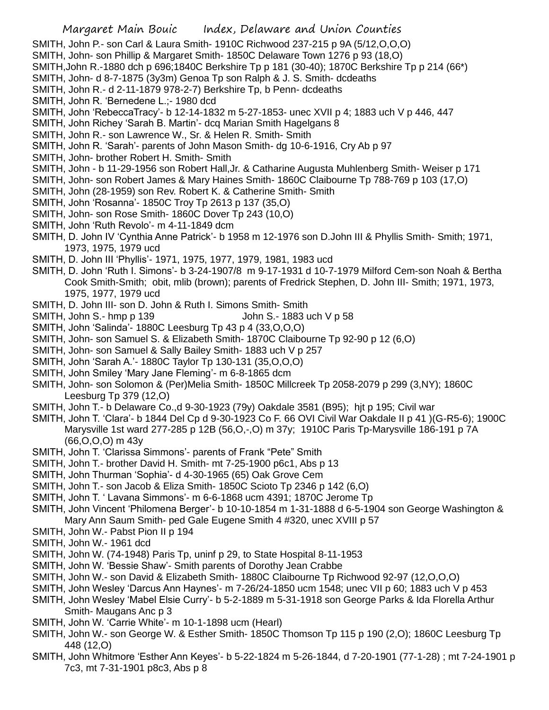- SMITH, John P.- son Carl & Laura Smith- 1910C Richwood 237-215 p 9A (5/12,O,O,O)
- SMITH, John- son Phillip & Margaret Smith- 1850C Delaware Town 1276 p 93 (18,O)
- SMITH,John R.-1880 dch p 696;1840C Berkshire Tp p 181 (30-40); 1870C Berkshire Tp p 214 (66\*)
- SMITH, John- d 8-7-1875 (3y3m) Genoa Tp son Ralph & J. S. Smith- dcdeaths
- SMITH, John R.- d 2-11-1879 978-2-7) Berkshire Tp, b Penn- dcdeaths
- SMITH, John R. 'Bernedene L.;- 1980 dcd
- SMITH, John 'RebeccaTracy'- b 12-14-1832 m 5-27-1853- unec XVII p 4; 1883 uch V p 446, 447
- SMITH, John Richey 'Sarah B. Martin'- dcq Marian Smith Hagelgans 8
- SMITH, John R.- son Lawrence W., Sr. & Helen R. Smith- Smith
- SMITH, John R. 'Sarah'- parents of John Mason Smith- dg 10-6-1916, Cry Ab p 97
- SMITH, John- brother Robert H. Smith- Smith
- SMITH, John b 11-29-1956 son Robert Hall,Jr. & Catharine Augusta Muhlenberg Smith- Weiser p 171
- SMITH, John- son Robert James & Mary Haines Smith- 1860C Claibourne Tp 788-769 p 103 (17,O)
- SMITH, John (28-1959) son Rev. Robert K. & Catherine Smith- Smith
- SMITH, John 'Rosanna'- 1850C Troy Tp 2613 p 137 (35,O)
- SMITH, John- son Rose Smith- 1860C Dover Tp 243 (10,O)
- SMITH, John 'Ruth Revolo'- m 4-11-1849 dcm
- SMITH, D. John IV 'Cynthia Anne Patrick'- b 1958 m 12-1976 son D.John III & Phyllis Smith- Smith; 1971, 1973, 1975, 1979 ucd
- SMITH, D. John III 'Phyllis'- 1971, 1975, 1977, 1979, 1981, 1983 ucd
- SMITH, D. John 'Ruth I. Simons'- b 3-24-1907/8 m 9-17-1931 d 10-7-1979 Milford Cem-son Noah & Bertha Cook Smith-Smith; obit, mlib (brown); parents of Fredrick Stephen, D. John III- Smith; 1971, 1973, 1975, 1977, 1979 ucd
- SMITH, D. John III- son D. John & Ruth I. Simons Smith- Smith
- SMITH, John S.- hmp p 139 John S.- 1883 uch V p 58
- SMITH, John 'Salinda'- 1880C Leesburg Tp 43 p 4 (33,O,O,O)
- SMITH, John- son Samuel S. & Elizabeth Smith- 1870C Claibourne Tp 92-90 p 12 (6,O)
- SMITH, John- son Samuel & Sally Bailey Smith- 1883 uch V p 257
- SMITH, John 'Sarah A.'- 1880C Taylor Tp 130-131 (35,O,O,O)
- SMITH, John Smiley 'Mary Jane Fleming'- m 6-8-1865 dcm
- SMITH, John- son Solomon & (Per)Melia Smith- 1850C Millcreek Tp 2058-2079 p 299 (3,NY); 1860C Leesburg Tp 379 (12,O)
- SMITH, John T.- b Delaware Co.,d 9-30-1923 (79y) Oakdale 3581 (B95); hjt p 195; Civil war
- SMITH, John T. 'Clara'- b 1844 Del Cp d 9-30-1923 Co F. 66 OVI Civil War Oakdale II p 41 )(G-R5-6); 1900C Marysville 1st ward 277-285 p 12B (56,O,-,O) m 37y; 1910C Paris Tp-Marysville 186-191 p 7A (66,O,O,O) m 43y
- SMITH, John T. 'Clarissa Simmons'- parents of Frank "Pete" Smith
- SMITH, John T.- brother David H. Smith- mt 7-25-1900 p6c1, Abs p 13
- SMITH, John Thurman 'Sophia'- d 4-30-1965 (65) Oak Grove Cem
- SMITH, John T.- son Jacob & Eliza Smith- 1850C Scioto Tp 2346 p 142 (6,O)
- SMITH, John T. ' Lavana Simmons'- m 6-6-1868 ucm 4391; 1870C Jerome Tp
- SMITH, John Vincent 'Philomena Berger'- b 10-10-1854 m 1-31-1888 d 6-5-1904 son George Washington & Mary Ann Saum Smith- ped Gale Eugene Smith 4 #320, unec XVIII p 57
- SMITH, John W.- Pabst Pion II p 194
- SMITH, John W.- 1961 dcd
- SMITH, John W. (74-1948) Paris Tp, uninf p 29, to State Hospital 8-11-1953
- SMITH, John W. 'Bessie Shaw'- Smith parents of Dorothy Jean Crabbe
- SMITH, John W.- son David & Elizabeth Smith- 1880C Claibourne Tp Richwood 92-97 (12,O,O,O)
- SMITH, John Wesley 'Darcus Ann Haynes'- m 7-26/24-1850 ucm 1548; unec VII p 60; 1883 uch V p 453
- SMITH, John Wesley 'Mabel Elsie Curry'- b 5-2-1889 m 5-31-1918 son George Parks & Ida Florella Arthur Smith- Maugans Anc p 3
- SMITH, John W. 'Carrie White'- m 10-1-1898 ucm (Hearl)
- SMITH, John W.- son George W. & Esther Smith- 1850C Thomson Tp 115 p 190 (2,O); 1860C Leesburg Tp 448 (12,O)
- SMITH, John Whitmore 'Esther Ann Keyes'- b 5-22-1824 m 5-26-1844, d 7-20-1901 (77-1-28) ; mt 7-24-1901 p 7c3, mt 7-31-1901 p8c3, Abs p 8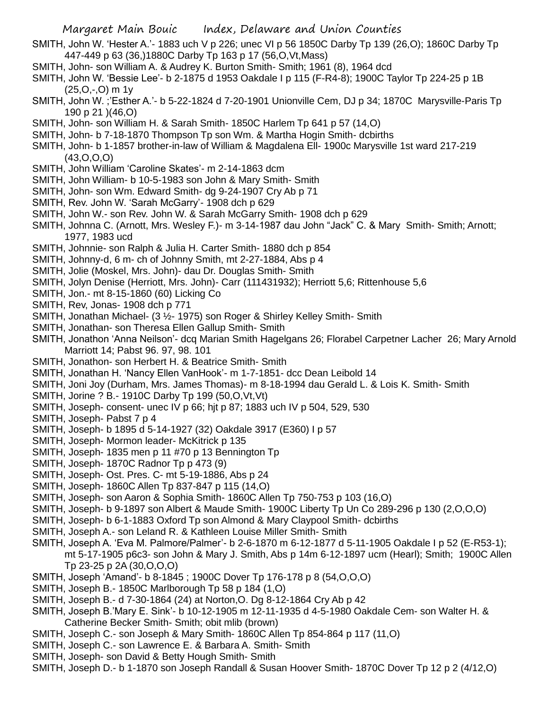- SMITH, John W. 'Hester A.'- 1883 uch V p 226; unec VI p 56 1850C Darby Tp 139 (26,O); 1860C Darby Tp 447-449 p 63 (36,)1880C Darby Tp 163 p 17 (56,O,Vt,Mass)
- SMITH, John- son William A. & Audrey K. Burton Smith- Smith; 1961 (8), 1964 dcd
- SMITH, John W. 'Bessie Lee'- b 2-1875 d 1953 Oakdale I p 115 (F-R4-8); 1900C Taylor Tp 224-25 p 1B (25,O,-,O) m 1y
- SMITH, John W. ;'Esther A.'- b 5-22-1824 d 7-20-1901 Unionville Cem, DJ p 34; 1870C Marysville-Paris Tp 190 p 21 )(46,O)
- SMITH, John- son William H. & Sarah Smith- 1850C Harlem Tp 641 p 57 (14,O)
- SMITH, John- b 7-18-1870 Thompson Tp son Wm. & Martha Hogin Smith- dcbirths
- SMITH, John- b 1-1857 brother-in-law of William & Magdalena Ell- 1900c Marysville 1st ward 217-219 (43,O,O,O)
- SMITH, John William 'Caroline Skates'- m 2-14-1863 dcm
- SMITH, John William- b 10-5-1983 son John & Mary Smith- Smith
- SMITH, John- son Wm. Edward Smith- dg 9-24-1907 Cry Ab p 71
- SMITH, Rev. John W. 'Sarah McGarry'- 1908 dch p 629
- SMITH, John W.- son Rev. John W. & Sarah McGarry Smith- 1908 dch p 629
- SMITH, Johnna C. (Arnott, Mrs. Wesley F.)- m 3-14-1987 dau John "Jack" C. & Mary Smith- Smith; Arnott; 1977, 1983 ucd
- SMITH, Johnnie- son Ralph & Julia H. Carter Smith- 1880 dch p 854
- SMITH, Johnny-d, 6 m- ch of Johnny Smith, mt 2-27-1884, Abs p 4
- SMITH, Jolie (Moskel, Mrs. John)- dau Dr. Douglas Smith- Smith
- SMITH, Jolyn Denise (Herriott, Mrs. John)- Carr (111431932); Herriott 5,6; Rittenhouse 5,6
- SMITH, Jon.- mt 8-15-1860 (60) Licking Co
- SMITH, Rev, Jonas- 1908 dch p 771
- SMITH, Jonathan Michael- (3 ½- 1975) son Roger & Shirley Kelley Smith- Smith
- SMITH, Jonathan- son Theresa Ellen Gallup Smith- Smith
- SMITH, Jonathon 'Anna Neilson'- dcq Marian Smith Hagelgans 26; Florabel Carpetner Lacher 26; Mary Arnold Marriott 14; Pabst 96. 97, 98. 101
- SMITH, Jonathon- son Herbert H. & Beatrice Smith- Smith
- SMITH, Jonathan H. 'Nancy Ellen VanHook'- m 1-7-1851- dcc Dean Leibold 14
- SMITH, Joni Joy (Durham, Mrs. James Thomas)- m 8-18-1994 dau Gerald L. & Lois K. Smith- Smith
- SMITH, Jorine ? B.- 1910C Darby Tp 199 (50,O,Vt,Vt)
- SMITH, Joseph- consent- unec IV p 66; hjt p 87; 1883 uch IV p 504, 529, 530
- SMITH, Joseph- Pabst 7 p 4
- SMITH, Joseph- b 1895 d 5-14-1927 (32) Oakdale 3917 (E360) I p 57
- SMITH, Joseph- Mormon leader- McKitrick p 135
- SMITH, Joseph- 1835 men p 11 #70 p 13 Bennington Tp
- SMITH, Joseph- 1870C Radnor Tp p 473 (9)
- SMITH, Joseph- Ost. Pres. C- mt 5-19-1886, Abs p 24
- SMITH, Joseph- 1860C Allen Tp 837-847 p 115 (14,O)
- SMITH, Joseph- son Aaron & Sophia Smith- 1860C Allen Tp 750-753 p 103 (16,O)
- SMITH, Joseph- b 9-1897 son Albert & Maude Smith- 1900C Liberty Tp Un Co 289-296 p 130 (2,O,O,O)
- SMITH, Joseph- b 6-1-1883 Oxford Tp son Almond & Mary Claypool Smith- dcbirths
- SMITH, Joseph A.- son Leland R. & Kathleen Louise Miller Smith- Smith
- SMITH, Joseph A. 'Eva M. Palmore/Palmer'- b 2-6-1870 m 6-12-1877 d 5-11-1905 Oakdale I p 52 (E-R53-1); mt 5-17-1905 p6c3- son John & Mary J. Smith, Abs p 14m 6-12-1897 ucm (Hearl); Smith; 1900C Allen Tp 23-25 p 2A (30,O,O,O)
- SMITH, Joseph 'Amand'- b 8-1845 ; 1900C Dover Tp 176-178 p 8 (54,O,O,O)
- SMITH, Joseph B.- 1850C Marlborough Tp 58 p 184 (1,O)
- SMITH, Joseph B.- d 7-30-1864 (24) at Norton,O. Dg 8-12-1864 Cry Ab p 42
- SMITH, Joseph B.'Mary E. Sink'- b 10-12-1905 m 12-11-1935 d 4-5-1980 Oakdale Cem- son Walter H. & Catherine Becker Smith- Smith; obit mlib (brown)
- SMITH, Joseph C.- son Joseph & Mary Smith- 1860C Allen Tp 854-864 p 117 (11,O)
- SMITH, Joseph C.- son Lawrence E. & Barbara A. Smith- Smith
- SMITH, Joseph- son David & Betty Hough Smith- Smith
- SMITH, Joseph D.- b 1-1870 son Joseph Randall & Susan Hoover Smith- 1870C Dover Tp 12 p 2 (4/12,O)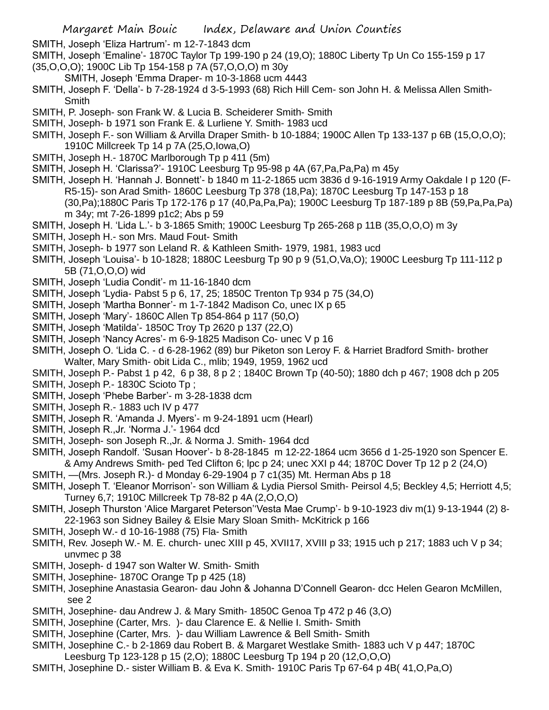- SMITH, Joseph 'Eliza Hartrum'- m 12-7-1843 dcm
- SMITH, Joseph 'Emaline'- 1870C Taylor Tp 199-190 p 24 (19,O); 1880C Liberty Tp Un Co 155-159 p 17 (35,O,O,O); 1900C Lib Tp 154-158 p 7A (57,O,O,O) m 30y
	- SMITH, Joseph 'Emma Draper- m 10-3-1868 ucm 4443
- SMITH, Joseph F. 'Della'- b 7-28-1924 d 3-5-1993 (68) Rich Hill Cem- son John H. & Melissa Allen Smith-**Smith**
- SMITH, P. Joseph- son Frank W. & Lucia B. Scheiderer Smith- Smith
- SMITH, Joseph- b 1971 son Frank E. & Lurliene Y. Smith- 1983 ucd
- SMITH, Joseph F.- son William & Arvilla Draper Smith- b 10-1884; 1900C Allen Tp 133-137 p 6B (15,O,O,O); 1910C Millcreek Tp 14 p 7A (25,O,Iowa,O)
- SMITH, Joseph H.- 1870C Marlborough Tp p 411 (5m)
- SMITH, Joseph H. 'Clarissa?'- 1910C Leesburg Tp 95-98 p 4A (67,Pa,Pa,Pa) m 45y
- SMITH, Joseph H. 'Hannah J. Bonnett'- b 1840 m 11-2-1865 ucm 3836 d 9-16-1919 Army Oakdale I p 120 (F-R5-15)- son Arad Smith- 1860C Leesburg Tp 378 (18,Pa); 1870C Leesburg Tp 147-153 p 18 (30,Pa);1880C Paris Tp 172-176 p 17 (40,Pa,Pa,Pa); 1900C Leesburg Tp 187-189 p 8B (59,Pa,Pa,Pa) m 34y; mt 7-26-1899 p1c2; Abs p 59
- SMITH, Joseph H. 'Lida L.'- b 3-1865 Smith; 1900C Leesburg Tp 265-268 p 11B (35,O,O,O) m 3y
- SMITH, Joseph H.- son Mrs. Maud Fout- Smith
- SMITH, Joseph- b 1977 son Leland R. & Kathleen Smith- 1979, 1981, 1983 ucd
- SMITH, Joseph 'Louisa'- b 10-1828; 1880C Leesburg Tp 90 p 9 (51,O,Va,O); 1900C Leesburg Tp 111-112 p 5B (71,O,O,O) wid
- SMITH, Joseph 'Ludia Condit'- m 11-16-1840 dcm
- SMITH, Joseph 'Lydia- Pabst 5 p 6, 17, 25; 1850C Trenton Tp 934 p 75 (34,O)
- SMITH, Joseph 'Martha Bonner'- m 1-7-1842 Madison Co, unec IX p 65
- SMITH, Joseph 'Mary'- 1860C Allen Tp 854-864 p 117 (50,O)
- SMITH, Joseph 'Matilda'- 1850C Troy Tp 2620 p 137 (22,O)
- SMITH, Joseph 'Nancy Acres'- m 6-9-1825 Madison Co- unec V p 16
- SMITH, Joseph O. 'Lida C. d 6-28-1962 (89) bur Piketon son Leroy F. & Harriet Bradford Smith- brother Walter, Mary Smith- obit Lida C., mlib; 1949, 1959, 1962 ucd
- SMITH, Joseph P.- Pabst 1 p 42, 6 p 38, 8 p 2 ; 1840C Brown Tp (40-50); 1880 dch p 467; 1908 dch p 205
- SMITH, Joseph P.- 1830C Scioto Tp ;
- SMITH, Joseph 'Phebe Barber'- m 3-28-1838 dcm
- SMITH, Joseph R.- 1883 uch IV p 477
- SMITH, Joseph R. 'Amanda J. Myers'- m 9-24-1891 ucm (Hearl)
- SMITH, Joseph R.,Jr. 'Norma J.'- 1964 dcd
- SMITH, Joseph- son Joseph R.,Jr. & Norma J. Smith- 1964 dcd
- SMITH, Joseph Randolf. 'Susan Hoover'- b 8-28-1845 m 12-22-1864 ucm 3656 d 1-25-1920 son Spencer E. & Amy Andrews Smith- ped Ted Clifton 6; lpc p 24; unec XXI p 44; 1870C Dover Tp 12 p 2 (24,O)
- SMITH, —(Mrs. Joseph R.)- d Monday 6-29-1904 p 7 c1(35) Mt. Herman Abs p 18
- SMITH, Joseph T. 'Eleanor Morrison'- son William & Lydia Piersol Smith- Peirsol 4,5; Beckley 4,5; Herriott 4,5; Turney 6,7; 1910C Millcreek Tp 78-82 p 4A (2,O,O,O)
- SMITH, Joseph Thurston 'Alice Margaret Peterson''Vesta Mae Crump'- b 9-10-1923 div m(1) 9-13-1944 (2) 8- 22-1963 son Sidney Bailey & Elsie Mary Sloan Smith- McKitrick p 166
- SMITH, Joseph W.- d 10-16-1988 (75) Fla- Smith
- SMITH, Rev. Joseph W.- M. E. church- unec XIII p 45, XVII17, XVIII p 33; 1915 uch p 217; 1883 uch V p 34; unvmec p 38
- SMITH, Joseph- d 1947 son Walter W. Smith- Smith
- SMITH, Josephine- 1870C Orange Tp p 425 (18)
- SMITH, Josephine Anastasia Gearon- dau John & Johanna D'Connell Gearon- dcc Helen Gearon McMillen, see 2
- SMITH, Josephine- dau Andrew J. & Mary Smith- 1850C Genoa Tp 472 p 46 (3,O)
- SMITH, Josephine (Carter, Mrs. )- dau Clarence E. & Nellie I. Smith- Smith
- SMITH, Josephine (Carter, Mrs. )- dau William Lawrence & Bell Smith- Smith
- SMITH, Josephine C.- b 2-1869 dau Robert B. & Margaret Westlake Smith- 1883 uch V p 447; 1870C Leesburg Tp 123-128 p 15 (2,O); 1880C Leesburg Tp 194 p 20 (12,O,O,O)
- SMITH, Josephine D.- sister William B. & Eva K. Smith- 1910C Paris Tp 67-64 p 4B( 41,O,Pa,O)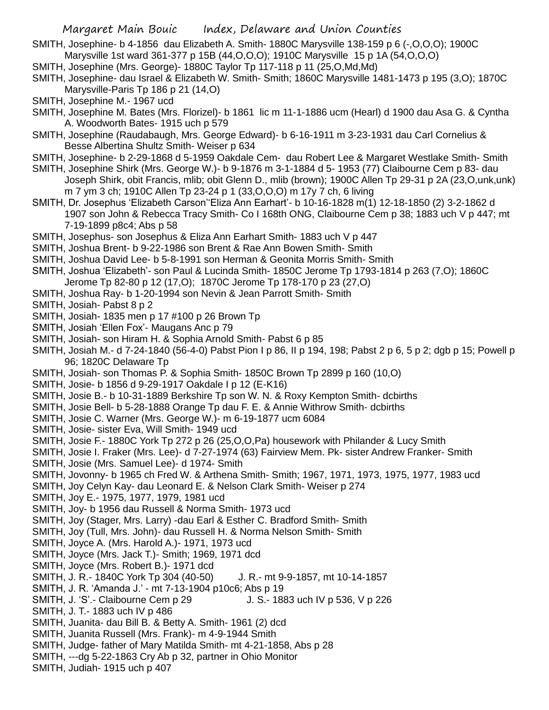- SMITH, Josephine- b 4-1856 dau Elizabeth A. Smith- 1880C Marysville 138-159 p 6 (-,O,O,O); 1900C Marysville 1st ward 361-377 p 15B (44,O,O,O); 1910C Marysville 15 p 1A (54,O,O,O)
- SMITH, Josephine (Mrs. George)- 1880C Taylor Tp 117-118 p 11 (25,O,Md,Md)
- SMITH, Josephine- dau Israel & Elizabeth W. Smith- Smith; 1860C Marysville 1481-1473 p 195 (3,O); 1870C Marysville-Paris Tp 186 p 21 (14,O)
- SMITH, Josephine M.- 1967 ucd
- SMITH, Josephine M. Bates (Mrs. Florizel)- b 1861 lic m 11-1-1886 ucm (Hearl) d 1900 dau Asa G. & Cyntha A. Woodworth Bates- 1915 uch p 579
- SMITH, Josephine (Raudabaugh, Mrs. George Edward)- b 6-16-1911 m 3-23-1931 dau Carl Cornelius & Besse Albertina Shultz Smith- Weiser p 634
- SMITH, Josephine- b 2-29-1868 d 5-1959 Oakdale Cem- dau Robert Lee & Margaret Westlake Smith- Smith
- SMITH, Josephine Shirk (Mrs. George W.)- b 9-1876 m 3-1-1884 d 5- 1953 (77) Claibourne Cem p 83- dau Joseph Shirk, obit Francis, mlib; obit Glenn D., mlib (brown); 1900C Allen Tp 29-31 p 2A (23,O,unk,unk) m 7 ym 3 ch; 1910C Allen Tp 23-24 p 1 (33,O,O,O) m 17y 7 ch, 6 living
- SMITH, Dr. Josephus 'Elizabeth Carson''Eliza Ann Earhart'- b 10-16-1828 m(1) 12-18-1850 (2) 3-2-1862 d 1907 son John & Rebecca Tracy Smith- Co I 168th ONG, Claibourne Cem p 38; 1883 uch V p 447; mt 7-19-1899 p8c4; Abs p 58
- SMITH, Josephus- son Josephus & Eliza Ann Earhart Smith- 1883 uch V p 447
- SMITH, Joshua Brent- b 9-22-1986 son Brent & Rae Ann Bowen Smith- Smith
- SMITH, Joshua David Lee- b 5-8-1991 son Herman & Geonita Morris Smith- Smith
- SMITH, Joshua 'Elizabeth'- son Paul & Lucinda Smith- 1850C Jerome Tp 1793-1814 p 263 (7,O); 1860C
- Jerome Tp 82-80 p 12 (17,O); 1870C Jerome Tp 178-170 p 23 (27,O)
- SMITH, Joshua Ray- b 1-20-1994 son Nevin & Jean Parrott Smith- Smith
- SMITH, Josiah- Pabst 8 p 2
- SMITH, Josiah- 1835 men p 17 #100 p 26 Brown Tp
- SMITH, Josiah 'Ellen Fox'- Maugans Anc p 79
- SMITH, Josiah- son Hiram H. & Sophia Arnold Smith- Pabst 6 p 85
- SMITH, Josiah M.- d 7-24-1840 (56-4-0) Pabst Pion I p 86, II p 194, 198; Pabst 2 p 6, 5 p 2; dgb p 15; Powell p 96; 1820C Delaware Tp
- SMITH, Josiah- son Thomas P. & Sophia Smith- 1850C Brown Tp 2899 p 160 (10,O)
- SMITH, Josie- b 1856 d 9-29-1917 Oakdale I p 12 (E-K16)
- SMITH, Josie B.- b 10-31-1889 Berkshire Tp son W. N. & Roxy Kempton Smith- dcbirths
- SMITH, Josie Bell- b 5-28-1888 Orange Tp dau F. E. & Annie Withrow Smith- dcbirths
- SMITH, Josie C. Warner (Mrs. George W.)- m 6-19-1877 ucm 6084
- SMITH, Josie- sister Eva, Will Smith- 1949 ucd
- SMITH, Josie F.- 1880C York Tp 272 p 26 (25,O,O,Pa) housework with Philander & Lucy Smith
- SMITH, Josie I. Fraker (Mrs. Lee)- d 7-27-1974 (63) Fairview Mem. Pk- sister Andrew Franker- Smith
- SMITH, Josie (Mrs. Samuel Lee)- d 1974- Smith
- SMITH, Jovonny- b 1965 ch Fred W. & Arthena Smith- Smith; 1967, 1971, 1973, 1975, 1977, 1983 ucd
- SMITH, Joy Celyn Kay- dau Leonard E. & Nelson Clark Smith- Weiser p 274
- SMITH, Joy E.- 1975, 1977, 1979, 1981 ucd
- SMITH, Joy- b 1956 dau Russell & Norma Smith- 1973 ucd
- SMITH, Joy (Stager, Mrs. Larry) -dau Earl & Esther C. Bradford Smith- Smith
- SMITH, Joy (Tull, Mrs. John)- dau Russell H. & Norma Nelson Smith- Smith
- SMITH, Joyce A. (Mrs. Harold A.)- 1971, 1973 ucd
- SMITH, Joyce (Mrs. Jack T.)- Smith; 1969, 1971 dcd
- SMITH, Joyce (Mrs. Robert B.)- 1971 dcd
- SMITH, J. R.- 1840C York Tp 304 (40-50) J. R.- mt 9-9-1857, mt 10-14-1857
- SMITH, J. R. 'Amanda J.' mt 7-13-1904 p10c6; Abs p 19
- SMITH, J. 'S'.- Claibourne Cem p 29 J. S.- 1883 uch IV p 536, V p 226
- SMITH, J. T.- 1883 uch IV p 486
- SMITH, Juanita- dau Bill B. & Betty A. Smith- 1961 (2) dcd
- SMITH, Juanita Russell (Mrs. Frank)- m 4-9-1944 Smith
- SMITH, Judge- father of Mary Matilda Smith- mt 4-21-1858, Abs p 28
- SMITH, ---dg 5-22-1863 Cry Ab p 32, partner in Ohio Monitor
- SMITH, Judiah- 1915 uch p 407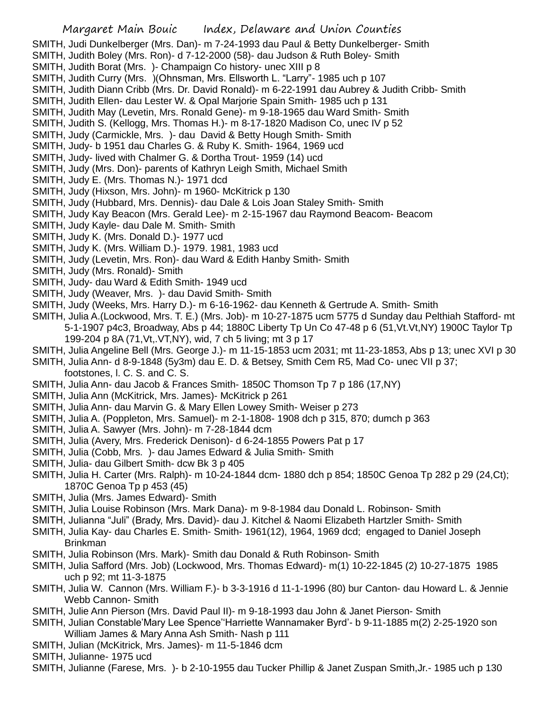- SMITH, Judi Dunkelberger (Mrs. Dan)- m 7-24-1993 dau Paul & Betty Dunkelberger- Smith
- SMITH, Judith Boley (Mrs. Ron)- d 7-12-2000 (58)- dau Judson & Ruth Boley- Smith
- SMITH, Judith Borat (Mrs. )- Champaign Co history- unec XIII p 8
- SMITH, Judith Curry (Mrs. )(Ohnsman, Mrs. Ellsworth L. "Larry"- 1985 uch p 107
- SMITH, Judith Diann Cribb (Mrs. Dr. David Ronald)- m 6-22-1991 dau Aubrey & Judith Cribb- Smith
- SMITH, Judith Ellen- dau Lester W. & Opal Marjorie Spain Smith- 1985 uch p 131
- SMITH, Judith May (Levetin, Mrs. Ronald Gene)- m 9-18-1965 dau Ward Smith- Smith
- SMITH, Judith S. (Kellogg, Mrs. Thomas H.)- m 8-17-1820 Madison Co, unec IV p 52
- SMITH, Judy (Carmickle, Mrs. )- dau David & Betty Hough Smith- Smith
- SMITH, Judy- b 1951 dau Charles G. & Ruby K. Smith- 1964, 1969 ucd
- SMITH, Judy- lived with Chalmer G. & Dortha Trout- 1959 (14) ucd
- SMITH, Judy (Mrs. Don)- parents of Kathryn Leigh Smith, Michael Smith
- SMITH, Judy E. (Mrs. Thomas N.)- 1971 dcd
- SMITH, Judy (Hixson, Mrs. John)- m 1960- McKitrick p 130
- SMITH, Judy (Hubbard, Mrs. Dennis)- dau Dale & Lois Joan Staley Smith- Smith
- SMITH, Judy Kay Beacon (Mrs. Gerald Lee)- m 2-15-1967 dau Raymond Beacom- Beacom
- SMITH, Judy Kayle- dau Dale M. Smith- Smith
- SMITH, Judy K. (Mrs. Donald D.)- 1977 ucd
- SMITH, Judy K. (Mrs. William D.)- 1979. 1981, 1983 ucd
- SMITH, Judy (Levetin, Mrs. Ron)- dau Ward & Edith Hanby Smith- Smith
- SMITH, Judy (Mrs. Ronald)- Smith
- SMITH, Judy- dau Ward & Edith Smith- 1949 ucd
- SMITH, Judy (Weaver, Mrs. )- dau David Smith- Smith
- SMITH, Judy (Weeks, Mrs. Harry D.)- m 6-16-1962- dau Kenneth & Gertrude A. Smith- Smith
- SMITH, Julia A.(Lockwood, Mrs. T. E.) (Mrs. Job)- m 10-27-1875 ucm 5775 d Sunday dau Pelthiah Stafford- mt 5-1-1907 p4c3, Broadway, Abs p 44; 1880C Liberty Tp Un Co 47-48 p 6 (51,Vt.Vt,NY) 1900C Taylor Tp 199-204 p 8A (71,Vt,.VT,NY), wid, 7 ch 5 living; mt 3 p 17
- SMITH, Julia Angeline Bell (Mrs. George J.)- m 11-15-1853 ucm 2031; mt 11-23-1853, Abs p 13; unec XVI p 30
- SMITH, Julia Ann- d 8-9-1848 (5y3m) dau E. D. & Betsey, Smith Cem R5, Mad Co- unec VII p 37; footstones, l. C. S. and C. S.
- SMITH, Julia Ann- dau Jacob & Frances Smith- 1850C Thomson Tp 7 p 186 (17,NY)
- SMITH, Julia Ann (McKitrick, Mrs. James)- McKitrick p 261
- SMITH, Julia Ann- dau Marvin G. & Mary Ellen Lowey Smith- Weiser p 273
- SMITH, Julia A. (Poppleton, Mrs. Samuel)- m 2-1-1808- 1908 dch p 315, 870; dumch p 363
- SMITH, Julia A. Sawyer (Mrs. John)- m 7-28-1844 dcm
- SMITH, Julia (Avery, Mrs. Frederick Denison)- d 6-24-1855 Powers Pat p 17
- SMITH, Julia (Cobb, Mrs. )- dau James Edward & Julia Smith- Smith
- SMITH, Julia- dau Gilbert Smith- dcw Bk 3 p 405
- SMITH, Julia H. Carter (Mrs. Ralph)- m 10-24-1844 dcm- 1880 dch p 854; 1850C Genoa Tp 282 p 29 (24,Ct); 1870C Genoa Tp p 453 (45)
- SMITH, Julia (Mrs. James Edward)- Smith
- SMITH, Julia Louise Robinson (Mrs. Mark Dana)- m 9-8-1984 dau Donald L. Robinson- Smith
- SMITH, Julianna "Juli" (Brady, Mrs. David)- dau J. Kitchel & Naomi Elizabeth Hartzler Smith- Smith
- SMITH, Julia Kay- dau Charles E. Smith- Smith- 1961(12), 1964, 1969 dcd; engaged to Daniel Joseph Brinkman
- SMITH, Julia Robinson (Mrs. Mark)- Smith dau Donald & Ruth Robinson- Smith
- SMITH, Julia Safford (Mrs. Job) (Lockwood, Mrs. Thomas Edward)- m(1) 10-22-1845 (2) 10-27-1875 1985 uch p 92; mt 11-3-1875
- SMITH, Julia W. Cannon (Mrs. William F.)- b 3-3-1916 d 11-1-1996 (80) bur Canton- dau Howard L. & Jennie Webb Cannon- Smith
- SMITH, Julie Ann Pierson (Mrs. David Paul II)- m 9-18-1993 dau John & Janet Pierson- Smith
- SMITH, Julian Constable'Mary Lee Spence''Harriette Wannamaker Byrd'- b 9-11-1885 m(2) 2-25-1920 son William James & Mary Anna Ash Smith- Nash p 111
- SMITH, Julian (McKitrick, Mrs. James)- m 11-5-1846 dcm
- SMITH, Julianne- 1975 ucd
- SMITH, Julianne (Farese, Mrs. )- b 2-10-1955 dau Tucker Phillip & Janet Zuspan Smith,Jr.- 1985 uch p 130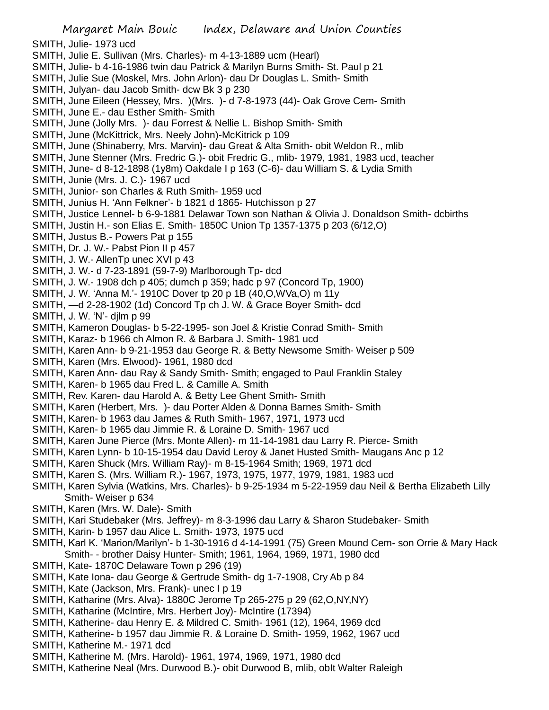- SMITH, Julie- 1973 ucd
- SMITH, Julie E. Sullivan (Mrs. Charles)- m 4-13-1889 ucm (Hearl)
- SMITH, Julie- b 4-16-1986 twin dau Patrick & Marilyn Burns Smith- St. Paul p 21
- SMITH, Julie Sue (Moskel, Mrs. John Arlon)- dau Dr Douglas L. Smith- Smith
- SMITH, Julyan- dau Jacob Smith- dcw Bk 3 p 230
- SMITH, June Eileen (Hessey, Mrs. )(Mrs. )- d 7-8-1973 (44)- Oak Grove Cem- Smith
- SMITH, June E.- dau Esther Smith- Smith
- SMITH, June (Jolly Mrs. )- dau Forrest & Nellie L. Bishop Smith- Smith
- SMITH, June (McKittrick, Mrs. Neely John)-McKitrick p 109
- SMITH, June (Shinaberry, Mrs. Marvin)- dau Great & Alta Smith- obit Weldon R., mlib
- SMITH, June Stenner (Mrs. Fredric G.)- obit Fredric G., mlib- 1979, 1981, 1983 ucd, teacher
- SMITH, June- d 8-12-1898 (1y8m) Oakdale I p 163 (C-6)- dau William S. & Lydia Smith
- SMITH, Junie (Mrs. J. C.)- 1967 ucd
- SMITH, Junior- son Charles & Ruth Smith- 1959 ucd
- SMITH, Junius H. 'Ann Felkner'- b 1821 d 1865- Hutchisson p 27
- SMITH, Justice Lennel- b 6-9-1881 Delawar Town son Nathan & Olivia J. Donaldson Smith- dcbirths
- SMITH, Justin H.- son Elias E. Smith- 1850C Union Tp 1357-1375 p 203 (6/12,O)
- SMITH, Justus B.- Powers Pat p 155
- SMITH, Dr. J. W.- Pabst Pion II p 457
- SMITH, J. W.- AllenTp unec XVI p 43
- SMITH, J. W.- d 7-23-1891 (59-7-9) Marlborough Tp- dcd
- SMITH, J. W.- 1908 dch p 405; dumch p 359; hadc p 97 (Concord Tp, 1900)
- SMITH, J. W. 'Anna M.'- 1910C Dover tp 20 p 1B (40,O,WVa,O) m 11y
- SMITH, —d 2-28-1902 (1d) Concord Tp ch J. W. & Grace Boyer Smith- dcd
- SMITH, J. W. 'N'- djlm p 99
- SMITH, Kameron Douglas- b 5-22-1995- son Joel & Kristie Conrad Smith- Smith
- SMITH, Karaz- b 1966 ch Almon R. & Barbara J. Smith- 1981 ucd
- SMITH, Karen Ann- b 9-21-1953 dau George R. & Betty Newsome Smith- Weiser p 509
- SMITH, Karen (Mrs. Elwood)- 1961, 1980 dcd
- SMITH, Karen Ann- dau Ray & Sandy Smith- Smith; engaged to Paul Franklin Staley
- SMITH, Karen- b 1965 dau Fred L. & Camille A. Smith
- SMITH, Rev. Karen- dau Harold A. & Betty Lee Ghent Smith- Smith
- SMITH, Karen (Herbert, Mrs. )- dau Porter Alden & Donna Barnes Smith- Smith
- SMITH, Karen- b 1963 dau James & Ruth Smith- 1967, 1971, 1973 ucd
- SMITH, Karen- b 1965 dau Jimmie R. & Loraine D. Smith- 1967 ucd
- SMITH, Karen June Pierce (Mrs. Monte Allen)- m 11-14-1981 dau Larry R. Pierce- Smith
- SMITH, Karen Lynn- b 10-15-1954 dau David Leroy & Janet Husted Smith- Maugans Anc p 12
- SMITH, Karen Shuck (Mrs. William Ray)- m 8-15-1964 Smith; 1969, 1971 dcd
- SMITH, Karen S. (Mrs. William R.)- 1967, 1973, 1975, 1977, 1979, 1981, 1983 ucd
- SMITH, Karen Sylvia (Watkins, Mrs. Charles)- b 9-25-1934 m 5-22-1959 dau Neil & Bertha Elizabeth Lilly Smith- Weiser p 634
- SMITH, Karen (Mrs. W. Dale)- Smith
- SMITH, Kari Studebaker (Mrs. Jeffrey)- m 8-3-1996 dau Larry & Sharon Studebaker- Smith
- SMITH, Karin- b 1957 dau Alice L. Smith- 1973, 1975 ucd
- SMITH, Karl K. 'Marion/Marilyn'- b 1-30-1916 d 4-14-1991 (75) Green Mound Cem- son Orrie & Mary Hack Smith- - brother Daisy Hunter- Smith; 1961, 1964, 1969, 1971, 1980 dcd
- SMITH, Kate- 1870C Delaware Town p 296 (19)
- SMITH, Kate Iona- dau George & Gertrude Smith- dg 1-7-1908, Cry Ab p 84
- SMITH, Kate (Jackson, Mrs. Frank)- unec I p 19
- SMITH, Katharine (Mrs. Alva)- 1880C Jerome Tp 265-275 p 29 (62,O,NY,NY)
- SMITH, Katharine (McIntire, Mrs. Herbert Joy)- McIntire (17394)
- SMITH, Katherine- dau Henry E. & Mildred C. Smith- 1961 (12), 1964, 1969 dcd
- SMITH, Katherine- b 1957 dau Jimmie R. & Loraine D. Smith- 1959, 1962, 1967 ucd
- SMITH, Katherine M.- 1971 dcd
- SMITH, Katherine M. (Mrs. Harold)- 1961, 1974, 1969, 1971, 1980 dcd
- SMITH, Katherine Neal (Mrs. Durwood B.)- obit Durwood B, mlib, obit Walter Raleigh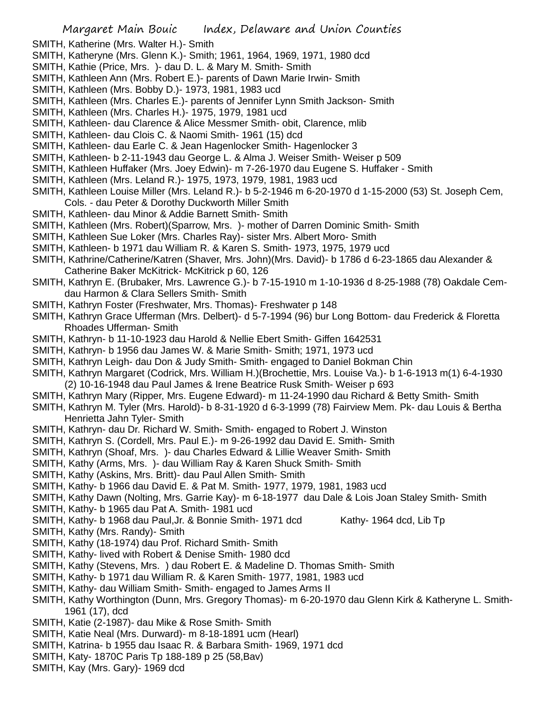- SMITH, Katherine (Mrs. Walter H.)- Smith
- SMITH, Katheryne (Mrs. Glenn K.)- Smith; 1961, 1964, 1969, 1971, 1980 dcd
- SMITH, Kathie (Price, Mrs. )- dau D. L. & Mary M. Smith- Smith
- SMITH, Kathleen Ann (Mrs. Robert E.)- parents of Dawn Marie Irwin- Smith
- SMITH, Kathleen (Mrs. Bobby D.)- 1973, 1981, 1983 ucd
- SMITH, Kathleen (Mrs. Charles E.)- parents of Jennifer Lynn Smith Jackson- Smith
- SMITH, Kathleen (Mrs. Charles H.)- 1975, 1979, 1981 ucd
- SMITH, Kathleen- dau Clarence & Alice Messmer Smith- obit, Clarence, mlib
- SMITH, Kathleen- dau Clois C. & Naomi Smith- 1961 (15) dcd
- SMITH, Kathleen- dau Earle C. & Jean Hagenlocker Smith- Hagenlocker 3
- SMITH, Kathleen- b 2-11-1943 dau George L. & Alma J. Weiser Smith- Weiser p 509
- SMITH, Kathleen Huffaker (Mrs. Joey Edwin)- m 7-26-1970 dau Eugene S. Huffaker Smith
- SMITH, Kathleen (Mrs. Leland R.)- 1975, 1973, 1979, 1981, 1983 ucd
- SMITH, Kathleen Louise Miller (Mrs. Leland R.)- b 5-2-1946 m 6-20-1970 d 1-15-2000 (53) St. Joseph Cem, Cols. - dau Peter & Dorothy Duckworth Miller Smith
- SMITH, Kathleen- dau Minor & Addie Barnett Smith- Smith
- 
- SMITH, Kathleen (Mrs. Robert)(Sparrow, Mrs. )- mother of Darren Dominic Smith- Smith
- SMITH, Kathleen Sue Loker (Mrs. Charles Ray)- sister Mrs. Albert Moro- Smith
- SMITH, Kathleen- b 1971 dau William R. & Karen S. Smith- 1973, 1975, 1979 ucd
- SMITH, Kathrine/Catherine/Katren (Shaver, Mrs. John)(Mrs. David)- b 1786 d 6-23-1865 dau Alexander & Catherine Baker McKitrick- McKitrick p 60, 126
- SMITH, Kathryn E. (Brubaker, Mrs. Lawrence G.)- b 7-15-1910 m 1-10-1936 d 8-25-1988 (78) Oakdale Cemdau Harmon & Clara Sellers Smith- Smith
- SMITH, Kathryn Foster (Freshwater, Mrs. Thomas)- Freshwater p 148
- SMITH, Kathryn Grace Ufferman (Mrs. Delbert)- d 5-7-1994 (96) bur Long Bottom- dau Frederick & Floretta Rhoades Ufferman- Smith
- SMITH, Kathryn- b 11-10-1923 dau Harold & Nellie Ebert Smith- Giffen 1642531
- SMITH, Kathryn- b 1956 dau James W. & Marie Smith- Smith; 1971, 1973 ucd
- SMITH, Kathryn Leigh- dau Don & Judy Smith- Smith- engaged to Daniel Bokman Chin
- SMITH, Kathryn Margaret (Codrick, Mrs. William H.)(Brochettie, Mrs. Louise Va.)- b 1-6-1913 m(1) 6-4-1930 (2) 10-16-1948 dau Paul James & Irene Beatrice Rusk Smith- Weiser p 693
- SMITH, Kathryn Mary (Ripper, Mrs. Eugene Edward)- m 11-24-1990 dau Richard & Betty Smith- Smith
- SMITH, Kathryn M. Tyler (Mrs. Harold)- b 8-31-1920 d 6-3-1999 (78) Fairview Mem. Pk- dau Louis & Bertha Henrietta Jahn Tyler- Smith
- SMITH, Kathryn- dau Dr. Richard W. Smith- Smith- engaged to Robert J. Winston
- SMITH, Kathryn S. (Cordell, Mrs. Paul E.)- m 9-26-1992 dau David E. Smith- Smith
- SMITH, Kathryn (Shoaf, Mrs. )- dau Charles Edward & Lillie Weaver Smith- Smith
- SMITH, Kathy (Arms, Mrs. )- dau William Ray & Karen Shuck Smith- Smith
- SMITH, Kathy (Askins, Mrs. Britt)- dau Paul Allen Smith- Smith
- SMITH, Kathy- b 1966 dau David E. & Pat M. Smith- 1977, 1979, 1981, 1983 ucd
- SMITH, Kathy Dawn (Nolting, Mrs. Garrie Kay)- m 6-18-1977 dau Dale & Lois Joan Staley Smith- Smith
- SMITH, Kathy- b 1965 dau Pat A. Smith- 1981 ucd
- SMITH, Kathy- b 1968 dau Paul, Jr. & Bonnie Smith- 1971 dcd Kathy- 1964 dcd, Lib Tp
- SMITH, Kathy (Mrs. Randy)- Smith
- SMITH, Kathy (18-1974) dau Prof. Richard Smith- Smith
- SMITH, Kathy- lived with Robert & Denise Smith- 1980 dcd
- SMITH, Kathy (Stevens, Mrs. ) dau Robert E. & Madeline D. Thomas Smith- Smith
- SMITH, Kathy- b 1971 dau William R. & Karen Smith- 1977, 1981, 1983 ucd
- SMITH, Kathy- dau William Smith- Smith- engaged to James Arms II
- SMITH, Kathy Worthington (Dunn, Mrs. Gregory Thomas)- m 6-20-1970 dau Glenn Kirk & Katheryne L. Smith-1961 (17), dcd
- SMITH, Katie (2-1987)- dau Mike & Rose Smith- Smith
- SMITH, Katie Neal (Mrs. Durward)- m 8-18-1891 ucm (Hearl)
- SMITH, Katrina- b 1955 dau Isaac R. & Barbara Smith- 1969, 1971 dcd
- SMITH, Katy- 1870C Paris Tp 188-189 p 25 (58,Bav)
- SMITH, Kay (Mrs. Gary)- 1969 dcd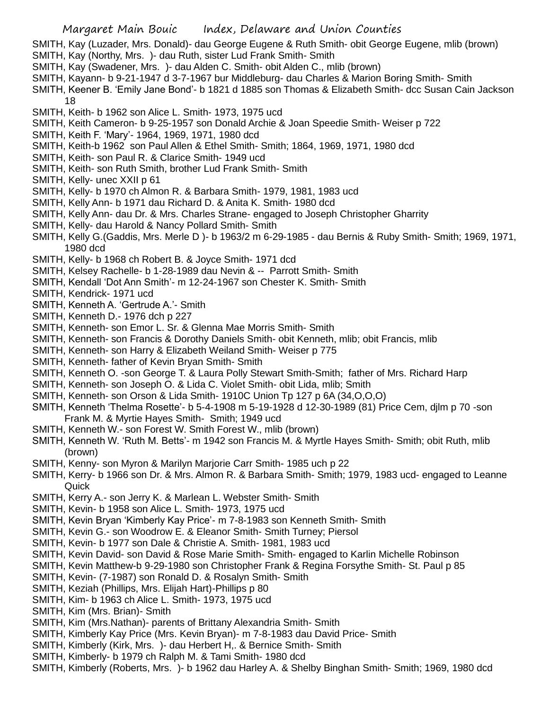- SMITH, Kay (Luzader, Mrs. Donald)- dau George Eugene & Ruth Smith- obit George Eugene, mlib (brown)
- SMITH, Kay (Northy, Mrs. )- dau Ruth, sister Lud Frank Smith- Smith
- SMITH, Kay (Swadener, Mrs. )- dau Alden C. Smith- obit Alden C., mlib (brown)
- SMITH, Kayann- b 9-21-1947 d 3-7-1967 bur Middleburg- dau Charles & Marion Boring Smith- Smith
- SMITH, Keener B. 'Emily Jane Bond'- b 1821 d 1885 son Thomas & Elizabeth Smith- dcc Susan Cain Jackson 18
- SMITH, Keith- b 1962 son Alice L. Smith- 1973, 1975 ucd
- SMITH, Keith Cameron- b 9-25-1957 son Donald Archie & Joan Speedie Smith- Weiser p 722
- SMITH, Keith F. 'Mary'- 1964, 1969, 1971, 1980 dcd
- SMITH, Keith-b 1962 son Paul Allen & Ethel Smith- Smith; 1864, 1969, 1971, 1980 dcd
- SMITH, Keith- son Paul R. & Clarice Smith- 1949 ucd
- SMITH, Keith- son Ruth Smith, brother Lud Frank Smith- Smith
- SMITH, Kelly- unec XXII p 61
- SMITH, Kelly- b 1970 ch Almon R. & Barbara Smith- 1979, 1981, 1983 ucd
- SMITH, Kelly Ann- b 1971 dau Richard D. & Anita K. Smith- 1980 dcd
- SMITH, Kelly Ann- dau Dr. & Mrs. Charles Strane- engaged to Joseph Christopher Gharrity
- SMITH, Kelly- dau Harold & Nancy Pollard Smith- Smith
- SMITH, Kelly G.(Gaddis, Mrs. Merle D )- b 1963/2 m 6-29-1985 dau Bernis & Ruby Smith- Smith; 1969, 1971, 1980 dcd
- SMITH, Kelly- b 1968 ch Robert B. & Joyce Smith- 1971 dcd
- SMITH, Kelsey Rachelle- b 1-28-1989 dau Nevin & -- Parrott Smith- Smith
- SMITH, Kendall 'Dot Ann Smith'- m 12-24-1967 son Chester K. Smith- Smith
- SMITH, Kendrick- 1971 ucd
- SMITH, Kenneth A. 'Gertrude A.'- Smith
- SMITH, Kenneth D.- 1976 dch p 227
- SMITH, Kenneth- son Emor L. Sr. & Glenna Mae Morris Smith- Smith
- SMITH, Kenneth- son Francis & Dorothy Daniels Smith- obit Kenneth, mlib; obit Francis, mlib
- SMITH, Kenneth- son Harry & Elizabeth Weiland Smith- Weiser p 775
- SMITH, Kenneth- father of Kevin Bryan Smith- Smith
- SMITH, Kenneth O. -son George T. & Laura Polly Stewart Smith-Smith; father of Mrs. Richard Harp
- SMITH, Kenneth- son Joseph O. & Lida C. Violet Smith- obit Lida, mlib; Smith
- SMITH, Kenneth- son Orson & Lida Smith- 1910C Union Tp 127 p 6A (34,O,O,O)
- SMITH, Kenneth 'Thelma Rosette'- b 5-4-1908 m 5-19-1928 d 12-30-1989 (81) Price Cem, djlm p 70 -son Frank M. & Myrtie Hayes Smith- Smith; 1949 ucd
- SMITH, Kenneth W.- son Forest W. Smith Forest W., mlib (brown)
- SMITH, Kenneth W. 'Ruth M. Betts'- m 1942 son Francis M. & Myrtle Hayes Smith- Smith; obit Ruth, mlib (brown)
- SMITH, Kenny- son Myron & Marilyn Marjorie Carr Smith- 1985 uch p 22
- SMITH, Kerry- b 1966 son Dr. & Mrs. Almon R. & Barbara Smith- Smith; 1979, 1983 ucd- engaged to Leanne **Quick**
- SMITH, Kerry A.- son Jerry K. & Marlean L. Webster Smith- Smith
- SMITH, Kevin- b 1958 son Alice L. Smith- 1973, 1975 ucd
- SMITH, Kevin Bryan 'Kimberly Kay Price'- m 7-8-1983 son Kenneth Smith- Smith
- SMITH, Kevin G.- son Woodrow E. & Eleanor Smith- Smith Turney; Piersol
- SMITH, Kevin- b 1977 son Dale & Christie A. Smith- 1981, 1983 ucd
- SMITH, Kevin David- son David & Rose Marie Smith- Smith- engaged to Karlin Michelle Robinson
- SMITH, Kevin Matthew-b 9-29-1980 son Christopher Frank & Regina Forsythe Smith- St. Paul p 85
- SMITH, Kevin- (7-1987) son Ronald D. & Rosalyn Smith- Smith
- SMITH, Keziah (Phillips, Mrs. Elijah Hart)-Phillips p 80
- SMITH, Kim- b 1963 ch Alice L. Smith- 1973, 1975 ucd
- SMITH, Kim (Mrs. Brian)- Smith
- SMITH, Kim (Mrs.Nathan)- parents of Brittany Alexandria Smith- Smith
- SMITH, Kimberly Kay Price (Mrs. Kevin Bryan)- m 7-8-1983 dau David Price- Smith
- SMITH, Kimberly (Kirk, Mrs. )- dau Herbert H,. & Bernice Smith- Smith
- SMITH, Kimberly- b 1979 ch Ralph M. & Tami Smith- 1980 dcd
- SMITH, Kimberly (Roberts, Mrs. )- b 1962 dau Harley A. & Shelby Binghan Smith- Smith; 1969, 1980 dcd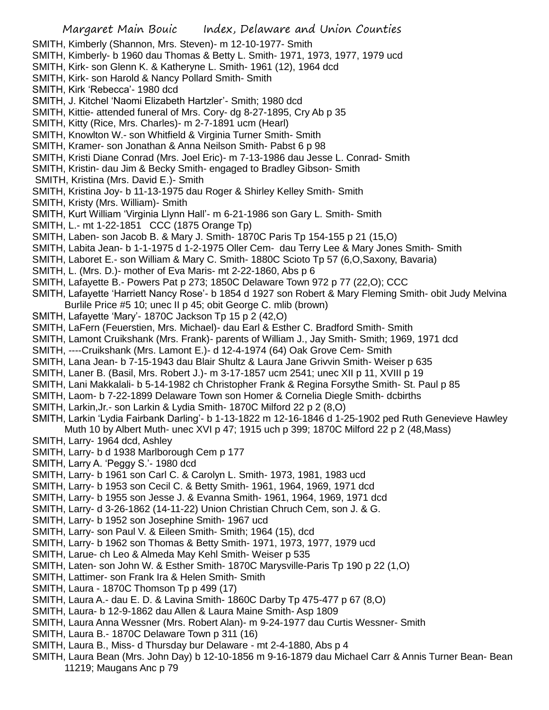SMITH, Kimberly (Shannon, Mrs. Steven)- m 12-10-1977- Smith SMITH, Kimberly- b 1960 dau Thomas & Betty L. Smith- 1971, 1973, 1977, 1979 ucd SMITH, Kirk- son Glenn K. & Katheryne L. Smith- 1961 (12), 1964 dcd SMITH, Kirk- son Harold & Nancy Pollard Smith- Smith SMITH, Kirk 'Rebecca'- 1980 dcd SMITH, J. Kitchel 'Naomi Elizabeth Hartzler'- Smith; 1980 dcd SMITH, Kittie- attended funeral of Mrs. Cory- dg 8-27-1895, Cry Ab p 35 SMITH, Kitty (Rice, Mrs. Charles)- m 2-7-1891 ucm (Hearl) SMITH, Knowlton W.- son Whitfield & Virginia Turner Smith- Smith SMITH, Kramer- son Jonathan & Anna Neilson Smith- Pabst 6 p 98 SMITH, Kristi Diane Conrad (Mrs. Joel Eric)- m 7-13-1986 dau Jesse L. Conrad- Smith SMITH, Kristin- dau Jim & Becky Smith- engaged to Bradley Gibson- Smith SMITH, Kristina (Mrs. David E.)- Smith SMITH, Kristina Joy- b 11-13-1975 dau Roger & Shirley Kelley Smith- Smith SMITH, Kristy (Mrs. William)- Smith SMITH, Kurt William 'Virginia Llynn Hall'- m 6-21-1986 son Gary L. Smith- Smith SMITH, L.- mt 1-22-1851 CCC (1875 Orange Tp) SMITH, Laben- son Jacob B. & Mary J. Smith- 1870C Paris Tp 154-155 p 21 (15,O) SMITH, Labita Jean- b 1-1-1975 d 1-2-1975 Oller Cem- dau Terry Lee & Mary Jones Smith- Smith SMITH, Laboret E.- son William & Mary C. Smith- 1880C Scioto Tp 57 (6,O,Saxony, Bavaria) SMITH, L. (Mrs. D.)- mother of Eva Maris- mt 2-22-1860, Abs p 6 SMITH, Lafayette B.- Powers Pat p 273; 1850C Delaware Town 972 p 77 (22,O); CCC SMITH, Lafayette 'Harriett Nancy Rose'- b 1854 d 1927 son Robert & Mary Fleming Smith- obit Judy Melvina Burlile Price #5 10; unec II p 45; obit George C. mlib (brown) SMITH, Lafayette 'Mary'- 1870C Jackson Tp 15 p 2 (42,O) SMITH, LaFern (Feuerstien, Mrs. Michael)- dau Earl & Esther C. Bradford Smith- Smith SMITH, Lamont Cruikshank (Mrs. Frank)- parents of William J., Jay Smith- Smith; 1969, 1971 dcd SMITH, ----Cruikshank (Mrs. Lamont E.)- d 12-4-1974 (64) Oak Grove Cem- Smith SMITH, Lana Jean- b 7-15-1943 dau Blair Shultz & Laura Jane Grivvin Smith- Weiser p 635 SMITH, Laner B. (Basil, Mrs. Robert J.)- m 3-17-1857 ucm 2541; unec XII p 11, XVIII p 19 SMITH, Lani Makkalali- b 5-14-1982 ch Christopher Frank & Regina Forsythe Smith- St. Paul p 85 SMITH, Laom- b 7-22-1899 Delaware Town son Homer & Cornelia Diegle Smith- dcbirths SMITH, Larkin,Jr.- son Larkin & Lydia Smith- 1870C Milford 22 p 2 (8,O) SMITH, Larkin 'Lydia Fairbank Darling'- b 1-13-1822 m 12-16-1846 d 1-25-1902 ped Ruth Genevieve Hawley Muth 10 by Albert Muth- unec XVI p 47; 1915 uch p 399; 1870C Milford 22 p 2 (48,Mass) SMITH, Larry- 1964 dcd, Ashley SMITH, Larry- b d 1938 Marlborough Cem p 177 SMITH, Larry A. 'Peggy S.'- 1980 dcd SMITH, Larry- b 1961 son Carl C. & Carolyn L. Smith- 1973, 1981, 1983 ucd SMITH, Larry- b 1953 son Cecil C. & Betty Smith- 1961, 1964, 1969, 1971 dcd SMITH, Larry- b 1955 son Jesse J. & Evanna Smith- 1961, 1964, 1969, 1971 dcd SMITH, Larry- d 3-26-1862 (14-11-22) Union Christian Chruch Cem, son J. & G.

- SMITH, Larry- b 1952 son Josephine Smith- 1967 ucd
- SMITH, Larry- son Paul V. & Eileen Smith- Smith; 1964 (15), dcd
- SMITH, Larry- b 1962 son Thomas & Betty Smith- 1971, 1973, 1977, 1979 ucd
- SMITH, Larue- ch Leo & Almeda May Kehl Smith- Weiser p 535
- SMITH, Laten- son John W. & Esther Smith- 1870C Marysville-Paris Tp 190 p 22 (1,O)
- SMITH, Lattimer- son Frank Ira & Helen Smith- Smith
- SMITH, Laura 1870C Thomson Tp p 499 (17)
- SMITH, Laura A.- dau E. D. & Lavina Smith- 1860C Darby Tp 475-477 p 67 (8,O)
- SMITH, Laura- b 12-9-1862 dau Allen & Laura Maine Smith- Asp 1809
- SMITH, Laura Anna Wessner (Mrs. Robert Alan)- m 9-24-1977 dau Curtis Wessner- Smith
- SMITH, Laura B.- 1870C Delaware Town p 311 (16)
- SMITH, Laura B., Miss- d Thursday bur Delaware mt 2-4-1880, Abs p 4
- SMITH, Laura Bean (Mrs. John Day) b 12-10-1856 m 9-16-1879 dau Michael Carr & Annis Turner Bean- Bean 11219; Maugans Anc p 79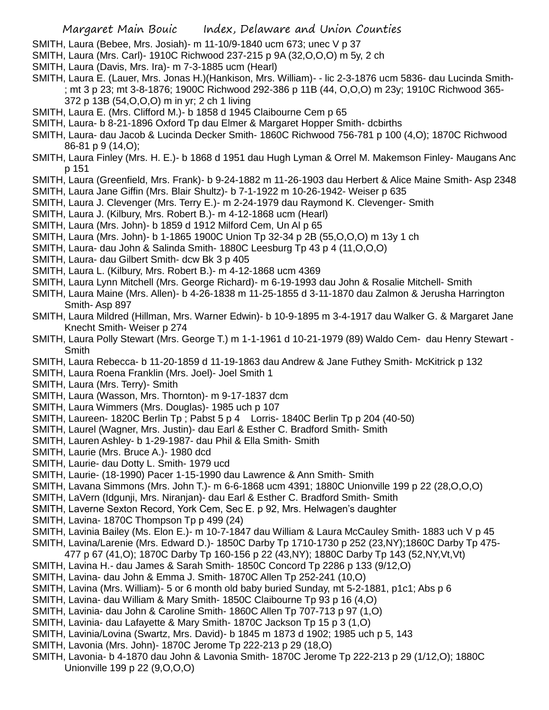- SMITH, Laura (Bebee, Mrs. Josiah)- m 11-10/9-1840 ucm 673; unec V p 37
- SMITH, Laura (Mrs. Carl)- 1910C Richwood 237-215 p 9A (32,O,O,O) m 5y, 2 ch
- SMITH, Laura (Davis, Mrs. Ira)- m 7-3-1885 ucm (Hearl)
- SMITH, Laura E. (Lauer, Mrs. Jonas H.)(Hankison, Mrs. William)- lic 2-3-1876 ucm 5836- dau Lucinda Smith- ; mt 3 p 23; mt 3-8-1876; 1900C Richwood 292-386 p 11B (44, O,O,O) m 23y; 1910C Richwood 365-
	- 372 p 13B (54,O,O,O) m in yr; 2 ch 1 living
- SMITH, Laura E. (Mrs. Clifford M.)- b 1858 d 1945 Claibourne Cem p 65
- SMITH, Laura- b 8-21-1896 Oxford Tp dau Elmer & Margaret Hopper Smith- dcbirths
- SMITH, Laura- dau Jacob & Lucinda Decker Smith- 1860C Richwood 756-781 p 100 (4,O); 1870C Richwood 86-81 p 9 (14,O);
- SMITH, Laura Finley (Mrs. H. E.)- b 1868 d 1951 dau Hugh Lyman & Orrel M. Makemson Finley- Maugans Anc p 151
- SMITH, Laura (Greenfield, Mrs. Frank)- b 9-24-1882 m 11-26-1903 dau Herbert & Alice Maine Smith- Asp 2348
- SMITH, Laura Jane Giffin (Mrs. Blair Shultz)- b 7-1-1922 m 10-26-1942- Weiser p 635
- SMITH, Laura J. Clevenger (Mrs. Terry E.)- m 2-24-1979 dau Raymond K. Clevenger- Smith
- SMITH, Laura J. (Kilbury, Mrs. Robert B.)- m 4-12-1868 ucm (Hearl)
- SMITH, Laura (Mrs. John)- b 1859 d 1912 Milford Cem, Un Al p 65
- SMITH, Laura (Mrs. John)- b 1-1865 1900C Union Tp 32-34 p 2B (55,O,O,O) m 13y 1 ch
- SMITH, Laura- dau John & Salinda Smith- 1880C Leesburg Tp 43 p 4 (11,O,O,O)
- SMITH, Laura- dau Gilbert Smith- dcw Bk 3 p 405
- SMITH, Laura L. (Kilbury, Mrs. Robert B.)- m 4-12-1868 ucm 4369
- SMITH, Laura Lynn Mitchell (Mrs. George Richard)- m 6-19-1993 dau John & Rosalie Mitchell- Smith
- SMITH, Laura Maine (Mrs. Allen)- b 4-26-1838 m 11-25-1855 d 3-11-1870 dau Zalmon & Jerusha Harrington Smith- Asp 897
- SMITH, Laura Mildred (Hillman, Mrs. Warner Edwin)- b 10-9-1895 m 3-4-1917 dau Walker G. & Margaret Jane Knecht Smith- Weiser p 274
- SMITH, Laura Polly Stewart (Mrs. George T.) m 1-1-1961 d 10-21-1979 (89) Waldo Cem- dau Henry Stewart **Smith**
- SMITH, Laura Rebecca- b 11-20-1859 d 11-19-1863 dau Andrew & Jane Futhey Smith- McKitrick p 132
- SMITH, Laura Roena Franklin (Mrs. Joel)- Joel Smith 1
- SMITH, Laura (Mrs. Terry)- Smith
- SMITH, Laura (Wasson, Mrs. Thornton)- m 9-17-1837 dcm
- SMITH, Laura Wimmers (Mrs. Douglas)- 1985 uch p 107
- SMITH, Laureen- 1820C Berlin Tp ; Pabst 5 p 4 Lorris- 1840C Berlin Tp p 204 (40-50)
- SMITH, Laurel (Wagner, Mrs. Justin)- dau Earl & Esther C. Bradford Smith- Smith
- SMITH, Lauren Ashley- b 1-29-1987- dau Phil & Ella Smith- Smith
- SMITH, Laurie (Mrs. Bruce A.)- 1980 dcd
- SMITH, Laurie- dau Dotty L. Smith- 1979 ucd
- SMITH, Laurie- (18-1990) Pacer 1-15-1990 dau Lawrence & Ann Smith- Smith
- SMITH, Lavana Simmons (Mrs. John T.)- m 6-6-1868 ucm 4391; 1880C Unionville 199 p 22 (28,O,O,O)
- SMITH, LaVern (Idgunji, Mrs. Niranjan)- dau Earl & Esther C. Bradford Smith- Smith
- SMITH, Laverne Sexton Record, York Cem, Sec E. p 92, Mrs. Helwagen's daughter
- SMITH, Lavina- 1870C Thompson Tp p 499 (24)
- SMITH, Lavinia Bailey (Ms. Elon E.)- m 10-7-1847 dau William & Laura McCauley Smith- 1883 uch V p 45
- SMITH, Lavina/Larenie (Mrs. Edward D.)- 1850C Darby Tp 1710-1730 p 252 (23,NY);1860C Darby Tp 475-
- 477 p 67 (41,O); 1870C Darby Tp 160-156 p 22 (43,NY); 1880C Darby Tp 143 (52,NY,Vt,Vt)
- SMITH, Lavina H.- dau James & Sarah Smith- 1850C Concord Tp 2286 p 133 (9/12,O)
- SMITH, Lavina- dau John & Emma J. Smith- 1870C Allen Tp 252-241 (10,O)
- SMITH, Lavina (Mrs. William)- 5 or 6 month old baby buried Sunday, mt 5-2-1881, p1c1; Abs p 6
- SMITH, Lavina- dau William & Mary Smith- 1850C Claibourne Tp 93 p 16 (4,O)
- SMITH, Lavinia- dau John & Caroline Smith- 1860C Allen Tp 707-713 p 97 (1,O)
- SMITH, Lavinia- dau Lafayette & Mary Smith- 1870C Jackson Tp 15 p 3 (1,O)
- SMITH, Lavinia/Lovina (Swartz, Mrs. David)- b 1845 m 1873 d 1902; 1985 uch p 5, 143
- SMITH, Lavonia (Mrs. John)- 1870C Jerome Tp 222-213 p 29 (18,O)
- SMITH, Lavonia- b 4-1870 dau John & Lavonia Smith- 1870C Jerome Tp 222-213 p 29 (1/12,O); 1880C Unionville 199 p 22 (9,O,O,O)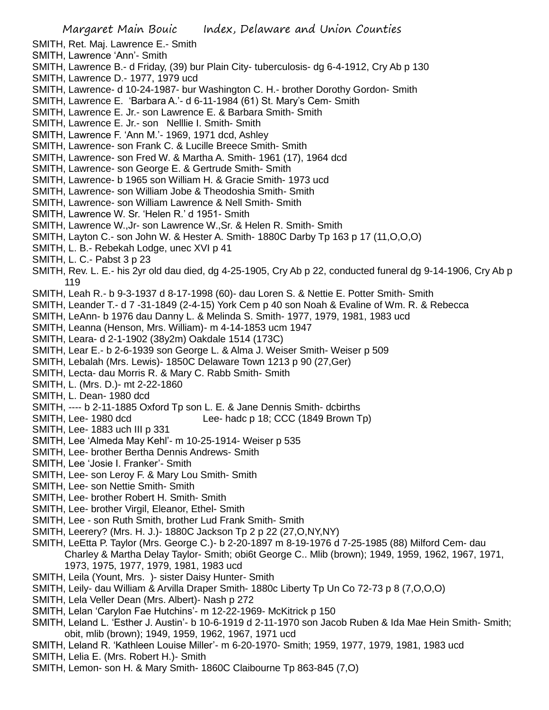- SMITH, Ret. Maj. Lawrence E.- Smith
- SMITH, Lawrence 'Ann'- Smith
- SMITH, Lawrence B.- d Friday, (39) bur Plain City- tuberculosis- dg 6-4-1912, Cry Ab p 130
- SMITH, Lawrence D.- 1977, 1979 ucd
- SMITH, Lawrence- d 10-24-1987- bur Washington C. H.- brother Dorothy Gordon- Smith
- SMITH, Lawrence E. 'Barbara A.'- d 6-11-1984 (61) St. Mary's Cem- Smith
- SMITH, Lawrence E. Jr.- son Lawrence E. & Barbara Smith- Smith
- SMITH, Lawrence E. Jr.- son Nelllie I. Smith- Smith
- SMITH, Lawrence F. 'Ann M.'- 1969, 1971 dcd, Ashley
- SMITH, Lawrence- son Frank C. & Lucille Breece Smith- Smith
- SMITH, Lawrence- son Fred W. & Martha A. Smith- 1961 (17), 1964 dcd
- SMITH, Lawrence- son George E. & Gertrude Smith- Smith
- SMITH, Lawrence- b 1965 son William H. & Gracie Smith- 1973 ucd
- SMITH, Lawrence- son William Jobe & Theodoshia Smith- Smith
- SMITH, Lawrence- son William Lawrence & Nell Smith- Smith
- SMITH, Lawrence W. Sr. 'Helen R.' d 1951- Smith
- SMITH, Lawrence W.,Jr- son Lawrence W.,Sr. & Helen R. Smith- Smith
- SMITH, Layton C.- son John W. & Hester A. Smith- 1880C Darby Tp 163 p 17 (11,O,O,O)
- SMITH, L. B.- Rebekah Lodge, unec XVI p 41
- SMITH, L. C.- Pabst 3 p 23
- SMITH, Rev. L. E.- his 2yr old dau died, dg 4-25-1905, Cry Ab p 22, conducted funeral dg 9-14-1906, Cry Ab p 119
- SMITH, Leah R.- b 9-3-1937 d 8-17-1998 (60)- dau Loren S. & Nettie E. Potter Smith- Smith
- SMITH, Leander T.- d 7 -31-1849 (2-4-15) York Cem p 40 son Noah & Evaline of Wm. R. & Rebecca
- SMITH, LeAnn- b 1976 dau Danny L. & Melinda S. Smith- 1977, 1979, 1981, 1983 ucd
- SMITH, Leanna (Henson, Mrs. William)- m 4-14-1853 ucm 1947
- SMITH, Leara- d 2-1-1902 (38y2m) Oakdale 1514 (173C)
- SMITH, Lear E.- b 2-6-1939 son George L. & Alma J. Weiser Smith- Weiser p 509
- SMITH, Lebalah (Mrs. Lewis)- 1850C Delaware Town 1213 p 90 (27,Ger)
- SMITH, Lecta- dau Morris R. & Mary C. Rabb Smith- Smith
- SMITH, L. (Mrs. D.)- mt 2-22-1860
- SMITH, L. Dean- 1980 dcd
- SMITH, ---- b 2-11-1885 Oxford Tp son L. E. & Jane Dennis Smith- dcbirths
- SMITH, Lee- 1980 dcd Lee- hadc p 18; CCC (1849 Brown Tp)
- SMITH, Lee- 1883 uch III p 331
- SMITH, Lee 'Almeda May Kehl'- m 10-25-1914- Weiser p 535
- SMITH, Lee- brother Bertha Dennis Andrews- Smith
- SMITH, Lee 'Josie I. Franker'- Smith
- SMITH, Lee- son Leroy F. & Mary Lou Smith- Smith
- SMITH, Lee- son Nettie Smith- Smith
- SMITH, Lee- brother Robert H. Smith- Smith
- SMITH, Lee- brother Virgil, Eleanor, Ethel- Smith
- SMITH, Lee son Ruth Smith, brother Lud Frank Smith- Smith
- SMITH, Leerery? (Mrs. H. J.)- 1880C Jackson Tp 2 p 22 (27,O,NY,NY)
- SMITH, LeEtta P. Taylor (Mrs. George C.)- b 2-20-1897 m 8-19-1976 d 7-25-1985 (88) Milford Cem- dau Charley & Martha Delay Taylor- Smith; obi6t George C.. Mlib (brown); 1949, 1959, 1962, 1967, 1971, 1973, 1975, 1977, 1979, 1981, 1983 ucd
- SMITH, Leila (Yount, Mrs. )- sister Daisy Hunter- Smith
- SMITH, Leily- dau William & Arvilla Draper Smith- 1880c Liberty Tp Un Co 72-73 p 8 (7,O,O,O)
- SMITH, Lela Veller Dean (Mrs. Albert)- Nash p 272
- SMITH, Lelan 'Carylon Fae Hutchins'- m 12-22-1969- McKitrick p 150
- SMITH, Leland L. 'Esther J. Austin'- b 10-6-1919 d 2-11-1970 son Jacob Ruben & Ida Mae Hein Smith- Smith; obit, mlib (brown); 1949, 1959, 1962, 1967, 1971 ucd
- SMITH, Leland R. 'Kathleen Louise Miller'- m 6-20-1970- Smith; 1959, 1977, 1979, 1981, 1983 ucd
- SMITH, Lelia E. (Mrs. Robert H.)- Smith
- SMITH, Lemon- son H. & Mary Smith- 1860C Claibourne Tp 863-845 (7,O)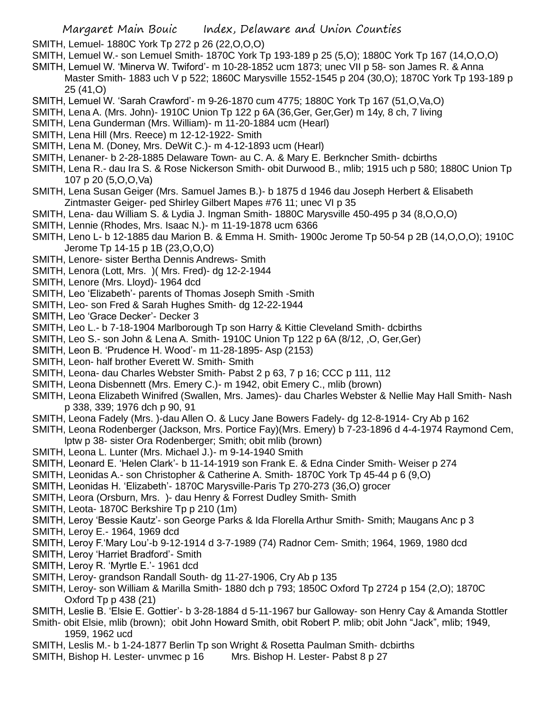SMITH, Lemuel- 1880C York Tp 272 p 26 (22,O,O,O)

- SMITH, Lemuel W.- son Lemuel Smith- 1870C York Tp 193-189 p 25 (5,O); 1880C York Tp 167 (14,O,O,O)
- SMITH, Lemuel W. 'Minerva W. Twiford'- m 10-28-1852 ucm 1873; unec VII p 58- son James R. & Anna Master Smith- 1883 uch V p 522; 1860C Marysville 1552-1545 p 204 (30,O); 1870C York Tp 193-189 p 25 (41,O)
- SMITH, Lemuel W. 'Sarah Crawford'- m 9-26-1870 cum 4775; 1880C York Tp 167 (51,O,Va,O)
- SMITH, Lena A. (Mrs. John)- 1910C Union Tp 122 p 6A (36,Ger, Ger,Ger) m 14y, 8 ch, 7 living
- SMITH, Lena Gunderman (Mrs. William)- m 11-20-1884 ucm (Hearl)
- SMITH, Lena Hill (Mrs. Reece) m 12-12-1922- Smith
- SMITH, Lena M. (Doney, Mrs. DeWit C.)- m 4-12-1893 ucm (Hearl)
- SMITH, Lenaner- b 2-28-1885 Delaware Town- au C. A. & Mary E. Berkncher Smith- dcbirths
- SMITH, Lena R.- dau Ira S. & Rose Nickerson Smith- obit Durwood B., mlib; 1915 uch p 580; 1880C Union Tp 107 p 20 (5,O,O,Va)
- SMITH, Lena Susan Geiger (Mrs. Samuel James B.)- b 1875 d 1946 dau Joseph Herbert & Elisabeth Zintmaster Geiger- ped Shirley Gilbert Mapes #76 11; unec VI p 35
- SMITH, Lena- dau William S. & Lydia J. Ingman Smith- 1880C Marysville 450-495 p 34 (8,O,O,O)
- SMITH, Lennie (Rhodes, Mrs. Isaac N.)- m 11-19-1878 ucm 6366
- SMITH, Leno L- b 12-1885 dau Marion B. & Emma H. Smith- 1900c Jerome Tp 50-54 p 2B (14,O,O,O); 1910C Jerome Tp 14-15 p 1B (23,O,O,O)
- SMITH, Lenore- sister Bertha Dennis Andrews- Smith
- SMITH, Lenora (Lott, Mrs. )( Mrs. Fred)- dg 12-2-1944
- SMITH, Lenore (Mrs. Lloyd)- 1964 dcd
- SMITH, Leo 'Elizabeth'- parents of Thomas Joseph Smith -Smith
- SMITH, Leo- son Fred & Sarah Hughes Smith- dg 12-22-1944
- SMITH, Leo 'Grace Decker'- Decker 3
- SMITH, Leo L.- b 7-18-1904 Marlborough Tp son Harry & Kittie Cleveland Smith- dcbirths
- SMITH, Leo S.- son John & Lena A. Smith- 1910C Union Tp 122 p 6A (8/12, ,O, Ger,Ger)
- SMITH, Leon B. 'Prudence H. Wood'- m 11-28-1895- Asp (2153)
- SMITH, Leon- half brother Everett W. Smith- Smith
- SMITH, Leona- dau Charles Webster Smith- Pabst 2 p 63, 7 p 16; CCC p 111, 112
- SMITH, Leona Disbennett (Mrs. Emery C.)- m 1942, obit Emery C., mlib (brown)
- SMITH, Leona Elizabeth Winifred (Swallen, Mrs. James)- dau Charles Webster & Nellie May Hall Smith- Nash p 338, 339; 1976 dch p 90, 91
- SMITH, Leona Fadely (Mrs. )-dau Allen O. & Lucy Jane Bowers Fadely- dg 12-8-1914- Cry Ab p 162
- SMITH, Leona Rodenberger (Jackson, Mrs. Portice Fay)(Mrs. Emery) b 7-23-1896 d 4-4-1974 Raymond Cem, lptw p 38- sister Ora Rodenberger; Smith; obit mlib (brown)
- SMITH, Leona L. Lunter (Mrs. Michael J.)- m 9-14-1940 Smith
- SMITH, Leonard E. 'Helen Clark'- b 11-14-1919 son Frank E. & Edna Cinder Smith- Weiser p 274
- SMITH, Leonidas A.- son Christopher & Catherine A. Smith- 1870C York Tp 45-44 p 6 (9,O)
- SMITH, Leonidas H. 'Elizabeth'- 1870C Marysville-Paris Tp 270-273 (36,O) grocer
- SMITH, Leora (Orsburn, Mrs. )- dau Henry & Forrest Dudley Smith- Smith
- SMITH, Leota- 1870C Berkshire Tp p 210 (1m)
- SMITH, Leroy 'Bessie Kautz'- son George Parks & Ida Florella Arthur Smith- Smith; Maugans Anc p 3
- SMITH, Leroy E.- 1964, 1969 dcd
- SMITH, Leroy F.'Mary Lou'-b 9-12-1914 d 3-7-1989 (74) Radnor Cem- Smith; 1964, 1969, 1980 dcd
- SMITH, Leroy 'Harriet Bradford'- Smith
- SMITH, Leroy R. 'Myrtle E.'- 1961 dcd
- SMITH, Leroy- grandson Randall South- dg 11-27-1906, Cry Ab p 135
- SMITH, Leroy- son William & Marilla Smith- 1880 dch p 793; 1850C Oxford Tp 2724 p 154 (2,O); 1870C Oxford Tp p 438 (21)
- SMITH, Leslie B. 'Elsie E. Gottier'- b 3-28-1884 d 5-11-1967 bur Galloway- son Henry Cay & Amanda Stottler
- Smith- obit Elsie, mlib (brown); obit John Howard Smith, obit Robert P. mlib; obit John "Jack", mlib; 1949, 1959, 1962 ucd
- SMITH, Leslis M.- b 1-24-1877 Berlin Tp son Wright & Rosetta Paulman Smith- dcbirths
- SMITH, Bishop H. Lester- unvmec p 16 Mrs. Bishop H. Lester- Pabst 8 p 27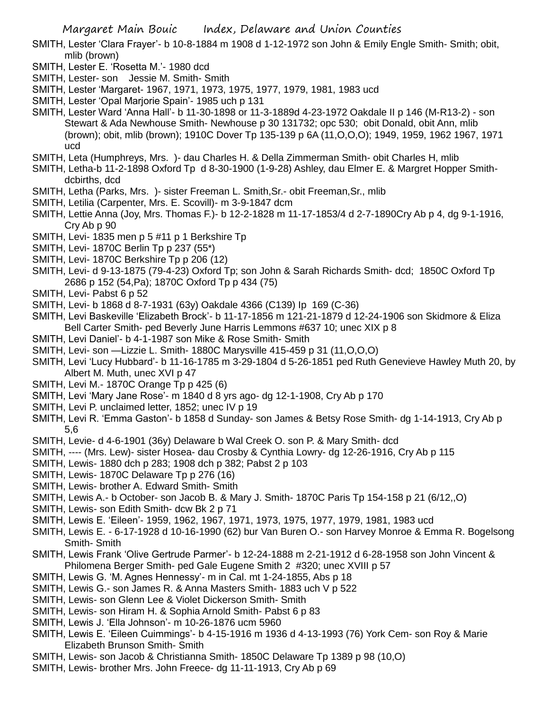- SMITH, Lester 'Clara Frayer'- b 10-8-1884 m 1908 d 1-12-1972 son John & Emily Engle Smith- Smith; obit, mlib (brown)
- SMITH, Lester E. 'Rosetta M.'- 1980 dcd
- SMITH, Lester- son Jessie M. Smith- Smith
- SMITH, Lester 'Margaret- 1967, 1971, 1973, 1975, 1977, 1979, 1981, 1983 ucd
- SMITH, Lester 'Opal Marjorie Spain'- 1985 uch p 131
- SMITH, Lester Ward 'Anna Hall'- b 11-30-1898 or 11-3-1889d 4-23-1972 Oakdale II p 146 (M-R13-2) son Stewart & Ada Newhouse Smith- Newhouse p 30 131732; opc 530; obit Donald, obit Ann, mlib (brown); obit, mlib (brown); 1910C Dover Tp 135-139 p 6A (11,O,O,O); 1949, 1959, 1962 1967, 1971 ucd
- SMITH, Leta (Humphreys, Mrs. )- dau Charles H. & Della Zimmerman Smith- obit Charles H, mlib
- SMITH, Letha-b 11-2-1898 Oxford Tp d 8-30-1900 (1-9-28) Ashley, dau Elmer E. & Margret Hopper Smithdcbirths, dcd
- SMITH, Letha (Parks, Mrs. )- sister Freeman L. Smith,Sr.- obit Freeman,Sr., mlib
- SMITH, Letilia (Carpenter, Mrs. E. Scovill)- m 3-9-1847 dcm
- SMITH, Lettie Anna (Joy, Mrs. Thomas F.)- b 12-2-1828 m 11-17-1853/4 d 2-7-1890Cry Ab p 4, dg 9-1-1916, Cry Ab p 90
- SMITH, Levi- 1835 men p 5 #11 p 1 Berkshire Tp
- SMITH, Levi- 1870C Berlin Tp p 237 (55\*)
- SMITH, Levi- 1870C Berkshire Tp p 206 (12)
- SMITH, Levi- d 9-13-1875 (79-4-23) Oxford Tp; son John & Sarah Richards Smith- dcd; 1850C Oxford Tp 2686 p 152 (54,Pa); 1870C Oxford Tp p 434 (75)
- SMITH, Levi- Pabst 6 p 52
- SMITH, Levi- b 1868 d 8-7-1931 (63y) Oakdale 4366 (C139) Ip 169 (C-36)
- SMITH, Levi Baskeville 'Elizabeth Brock'- b 11-17-1856 m 121-21-1879 d 12-24-1906 son Skidmore & Eliza Bell Carter Smith- ped Beverly June Harris Lemmons #637 10; unec XIX p 8
- SMITH, Levi Daniel'- b 4-1-1987 son Mike & Rose Smith- Smith
- SMITH, Levi- son —Lizzie L. Smith- 1880C Marysville 415-459 p 31 (11,O,O,O)
- SMITH, Levi 'Lucy Hubbard'- b 11-16-1785 m 3-29-1804 d 5-26-1851 ped Ruth Genevieve Hawley Muth 20, by Albert M. Muth, unec XVI p 47
- SMITH, Levi M.- 1870C Orange Tp p 425 (6)
- SMITH, Levi 'Mary Jane Rose'- m 1840 d 8 yrs ago- dg 12-1-1908, Cry Ab p 170
- SMITH, Levi P. unclaimed letter, 1852; unec IV p 19
- SMITH, Levi R. 'Emma Gaston'- b 1858 d Sunday- son James & Betsy Rose Smith- dg 1-14-1913, Cry Ab p 5,6
- SMITH, Levie- d 4-6-1901 (36y) Delaware b Wal Creek O. son P. & Mary Smith- dcd
- SMITH, ---- (Mrs. Lew)- sister Hosea- dau Crosby & Cynthia Lowry- dg 12-26-1916, Cry Ab p 115
- SMITH, Lewis- 1880 dch p 283; 1908 dch p 382; Pabst 2 p 103
- SMITH, Lewis- 1870C Delaware Tp p 276 (16)
- SMITH, Lewis- brother A. Edward Smith- Smith
- SMITH, Lewis A.- b October- son Jacob B. & Mary J. Smith- 1870C Paris Tp 154-158 p 21 (6/12,,O)
- SMITH, Lewis- son Edith Smith- dcw Bk 2 p 71
- SMITH, Lewis E. 'Eileen'- 1959, 1962, 1967, 1971, 1973, 1975, 1977, 1979, 1981, 1983 ucd
- SMITH, Lewis E. 6-17-1928 d 10-16-1990 (62) bur Van Buren O.- son Harvey Monroe & Emma R. Bogelsong Smith- Smith
- SMITH, Lewis Frank 'Olive Gertrude Parmer'- b 12-24-1888 m 2-21-1912 d 6-28-1958 son John Vincent & Philomena Berger Smith- ped Gale Eugene Smith 2 #320; unec XVIII p 57
- SMITH, Lewis G. 'M. Agnes Hennessy'- m in Cal. mt 1-24-1855, Abs p 18
- SMITH, Lewis G.- son James R. & Anna Masters Smith- 1883 uch V p 522
- SMITH, Lewis- son Glenn Lee & Violet Dickerson Smith- Smith
- SMITH, Lewis- son Hiram H. & Sophia Arnold Smith- Pabst 6 p 83
- SMITH, Lewis J. 'Ella Johnson'- m 10-26-1876 ucm 5960
- SMITH, Lewis E. 'Eileen Cuimmings'- b 4-15-1916 m 1936 d 4-13-1993 (76) York Cem- son Roy & Marie Elizabeth Brunson Smith- Smith
- SMITH, Lewis- son Jacob & Christianna Smith- 1850C Delaware Tp 1389 p 98 (10,O)
- SMITH, Lewis- brother Mrs. John Freece- dg 11-11-1913, Cry Ab p 69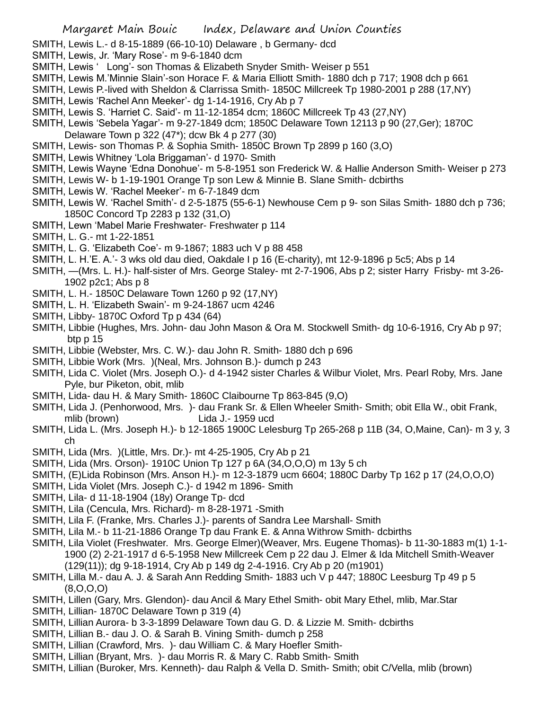- SMITH, Lewis L.- d 8-15-1889 (66-10-10) Delaware , b Germany- dcd
- SMITH, Lewis, Jr. 'Mary Rose'- m 9-6-1840 dcm
- SMITH, Lewis ' Long'- son Thomas & Elizabeth Snyder Smith- Weiser p 551
- SMITH, Lewis M.'Minnie Slain'-son Horace F. & Maria Elliott Smith- 1880 dch p 717; 1908 dch p 661
- SMITH, Lewis P.-lived with Sheldon & Clarrissa Smith- 1850C Millcreek Tp 1980-2001 p 288 (17,NY)
- SMITH, Lewis 'Rachel Ann Meeker'- dg 1-14-1916, Cry Ab p 7
- SMITH, Lewis S. 'Harriet C. Said'- m 11-12-1854 dcm; 1860C Millcreek Tp 43 (27,NY)
- SMITH, Lewis 'Sebela Yagar'- m 9-27-1849 dcm; 1850C Delaware Town 12113 p 90 (27,Ger); 1870C Delaware Town p 322 (47\*); dcw Bk 4 p 277 (30)
- SMITH, Lewis- son Thomas P. & Sophia Smith- 1850C Brown Tp 2899 p 160 (3,O)
- SMITH, Lewis Whitney 'Lola Briggaman'- d 1970- Smith
- SMITH, Lewis Wayne 'Edna Donohue'- m 5-8-1951 son Frederick W. & Hallie Anderson Smith- Weiser p 273
- SMITH, Lewis W- b 1-19-1901 Orange Tp son Lew & Minnie B. Slane Smith- dcbirths
- SMITH, Lewis W. 'Rachel Meeker'- m 6-7-1849 dcm
- SMITH, Lewis W. 'Rachel Smith'- d 2-5-1875 (55-6-1) Newhouse Cem p 9- son Silas Smith- 1880 dch p 736; 1850C Concord Tp 2283 p 132 (31,O)
- SMITH, Lewn 'Mabel Marie Freshwater- Freshwater p 114
- SMITH, L. G.- mt 1-22-1851
- SMITH, L. G. 'Elizabeth Coe'- m 9-1867; 1883 uch V p 88 458
- SMITH, L. H.'E. A.'- 3 wks old dau died, Oakdale I p 16 (E-charity), mt 12-9-1896 p 5c5; Abs p 14
- SMITH, —(Mrs. L. H.)- half-sister of Mrs. George Staley- mt 2-7-1906, Abs p 2; sister Harry Frisby- mt 3-26- 1902 p2c1; Abs p 8
- SMITH, L. H.- 1850C Delaware Town 1260 p 92 (17,NY)
- SMITH, L. H. 'Elizabeth Swain'- m 9-24-1867 ucm 4246
- SMITH, Libby- 1870C Oxford Tp p 434 (64)
- SMITH, Libbie (Hughes, Mrs. John- dau John Mason & Ora M. Stockwell Smith- dg 10-6-1916, Cry Ab p 97; btp p 15
- SMITH, Libbie (Webster, Mrs. C. W.)- dau John R. Smith- 1880 dch p 696
- SMITH, Libbie Work (Mrs. )(Neal, Mrs. Johnson B.)- dumch p 243
- SMITH, Lida C. Violet (Mrs. Joseph O.)- d 4-1942 sister Charles & Wilbur Violet, Mrs. Pearl Roby, Mrs. Jane Pyle, bur Piketon, obit, mlib
- SMITH, Lida- dau H. & Mary Smith- 1860C Claibourne Tp 863-845 (9,O)
- SMITH, Lida J. (Penhorwood, Mrs. )- dau Frank Sr. & Ellen Wheeler Smith- Smith; obit Ella W., obit Frank, mlib (brown) Lida J.- 1959 ucd
- SMITH, Lida L. (Mrs. Joseph H.)- b 12-1865 1900C Lelesburg Tp 265-268 p 11B (34, O,Maine, Can)- m 3 y, 3 ch
- SMITH, Lida (Mrs. )(Little, Mrs. Dr.)- mt 4-25-1905, Cry Ab p 21
- SMITH, Lida (Mrs. Orson)- 1910C Union Tp 127 p 6A (34,O,O,O) m 13y 5 ch
- SMITH, (E)Lida Robinson (Mrs. Anson H.)- m 12-3-1879 ucm 6604; 1880C Darby Tp 162 p 17 (24,O,O,O)
- SMITH, Lida Violet (Mrs. Joseph C.)- d 1942 m 1896- Smith
- SMITH, Lila- d 11-18-1904 (18y) Orange Tp- dcd
- SMITH, Lila (Cencula, Mrs. Richard)- m 8-28-1971 -Smith
- SMITH, Lila F. (Franke, Mrs. Charles J.)- parents of Sandra Lee Marshall- Smith
- SMITH, Lila M.- b 11-21-1886 Orange Tp dau Frank E. & Anna Withrow Smith- dcbirths
- SMITH, Lila Violet (Freshwater. Mrs. George Elmer)(Weaver, Mrs. Eugene Thomas)- b 11-30-1883 m(1) 1-1- 1900 (2) 2-21-1917 d 6-5-1958 New Millcreek Cem p 22 dau J. Elmer & Ida Mitchell Smith-Weaver (129(11)); dg 9-18-1914, Cry Ab p 149 dg 2-4-1916. Cry Ab p 20 (m1901)
- SMITH, Lilla M.- dau A. J. & Sarah Ann Redding Smith- 1883 uch V p 447; 1880C Leesburg Tp 49 p 5 (8,O,O,O)
- SMITH, Lillen (Gary, Mrs. Glendon)- dau Ancil & Mary Ethel Smith- obit Mary Ethel, mlib, Mar.Star
- SMITH, Lillian- 1870C Delaware Town p 319 (4)
- SMITH, Lillian Aurora- b 3-3-1899 Delaware Town dau G. D. & Lizzie M. Smith- dcbirths
- SMITH, Lillian B.- dau J. O. & Sarah B. Vining Smith- dumch p 258
- SMITH, Lillian (Crawford, Mrs. )- dau William C. & Mary Hoefler Smith-
- SMITH, Lillian (Bryant, Mrs. )- dau Morris R. & Mary C. Rabb Smith- Smith
- SMITH, Lillian (Buroker, Mrs. Kenneth)- dau Ralph & Vella D. Smith- Smith; obit C/Vella, mlib (brown)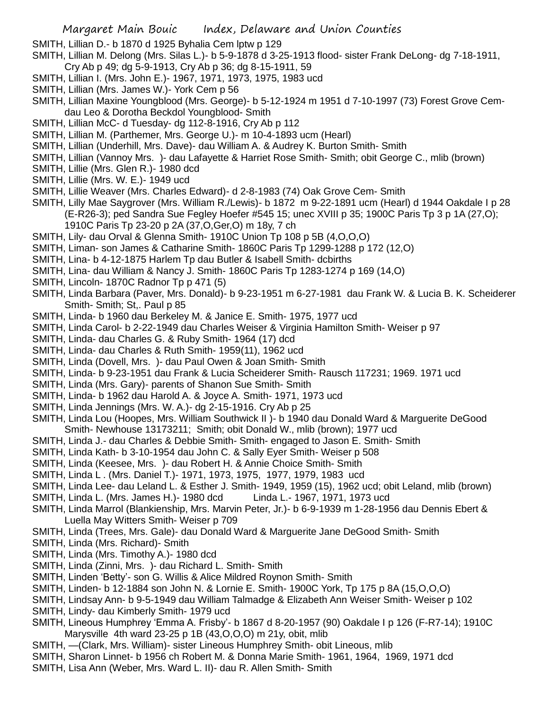SMITH, Lillian D.- b 1870 d 1925 Byhalia Cem lptw p 129

- SMITH, Lillian M. Delong (Mrs. Silas L.)- b 5-9-1878 d 3-25-1913 flood- sister Frank DeLong- dg 7-18-1911, Cry Ab p 49; dg 5-9-1913, Cry Ab p 36; dg 8-15-1911, 59
- SMITH, Lillian I. (Mrs. John E.)- 1967, 1971, 1973, 1975, 1983 ucd
- SMITH, Lillian (Mrs. James W.)- York Cem p 56
- SMITH, Lillian Maxine Youngblood (Mrs. George)- b 5-12-1924 m 1951 d 7-10-1997 (73) Forest Grove Cemdau Leo & Dorotha Beckdol Youngblood- Smith
- SMITH, Lillian McC- d Tuesday- dg 112-8-1916, Cry Ab p 112
- SMITH, Lillian M. (Parthemer, Mrs. George U.)- m 10-4-1893 ucm (Hearl)
- SMITH, Lillian (Underhill, Mrs. Dave)- dau William A. & Audrey K. Burton Smith- Smith
- SMITH, Lillian (Vannoy Mrs. )- dau Lafayette & Harriet Rose Smith- Smith; obit George C., mlib (brown)
- SMITH, Lillie (Mrs. Glen R.)- 1980 dcd
- SMITH, Lillie (Mrs. W. E.)- 1949 ucd
- SMITH, Lillie Weaver (Mrs. Charles Edward)- d 2-8-1983 (74) Oak Grove Cem- Smith
- SMITH, Lilly Mae Saygrover (Mrs. William R./Lewis)- b 1872 m 9-22-1891 ucm (Hearl) d 1944 Oakdale I p 28 (E-R26-3); ped Sandra Sue Fegley Hoefer #545 15; unec XVIII p 35; 1900C Paris Tp 3 p 1A (27,O); 1910C Paris Tp 23-20 p 2A (37,O,Ger,O) m 18y, 7 ch
- SMITH, Lily- dau Orval & Glenna Smith- 1910C Union Tp 108 p 5B (4,O,O,O)
- SMITH, Liman- son James & Catharine Smith- 1860C Paris Tp 1299-1288 p 172 (12,O)
- SMITH, Lina- b 4-12-1875 Harlem Tp dau Butler & Isabell Smith- dcbirths
- SMITH, Lina- dau William & Nancy J. Smith- 1860C Paris Tp 1283-1274 p 169 (14,O)
- SMITH, Lincoln- 1870C Radnor Tp p 471 (5)
- SMITH, Linda Barbara (Paver, Mrs. Donald)- b 9-23-1951 m 6-27-1981 dau Frank W. & Lucia B. K. Scheiderer Smith- Smith; St,. Paul p 85
- SMITH, Linda- b 1960 dau Berkeley M. & Janice E. Smith- 1975, 1977 ucd
- SMITH, Linda Carol- b 2-22-1949 dau Charles Weiser & Virginia Hamilton Smith- Weiser p 97
- SMITH, Linda- dau Charles G. & Ruby Smith- 1964 (17) dcd
- SMITH, Linda- dau Charles & Ruth Smith- 1959(11), 1962 ucd
- SMITH, Linda (Dovell, Mrs. )- dau Paul Owen & Joan Smith- Smith
- SMITH, Linda- b 9-23-1951 dau Frank & Lucia Scheiderer Smith- Rausch 117231; 1969. 1971 ucd
- SMITH, Linda (Mrs. Gary)- parents of Shanon Sue Smith- Smith
- SMITH, Linda- b 1962 dau Harold A. & Joyce A. Smith- 1971, 1973 ucd
- SMITH, Linda Jennings (Mrs. W. A.)- dg 2-15-1916. Cry Ab p 25
- SMITH, Linda Lou (Hoopes, Mrs. William Southwick II )- b 1940 dau Donald Ward & Marguerite DeGood Smith- Newhouse 13173211; Smith; obit Donald W., mlib (brown); 1977 ucd
- SMITH, Linda J.- dau Charles & Debbie Smith- Smith- engaged to Jason E. Smith- Smith
- SMITH, Linda Kath- b 3-10-1954 dau John C. & Sally Eyer Smith- Weiser p 508
- SMITH, Linda (Keesee, Mrs. )- dau Robert H. & Annie Choice Smith- Smith
- SMITH, Linda L . (Mrs. Daniel T.)- 1971, 1973, 1975, 1977, 1979, 1983 ucd
- SMITH, Linda Lee- dau Leland L. & Esther J. Smith- 1949, 1959 (15), 1962 ucd; obit Leland, mlib (brown)
- SMITH, Linda L. (Mrs. James H.)- 1980 dcd Linda L.- 1967, 1971, 1973 ucd
- SMITH, Linda Marrol (Blankienship, Mrs. Marvin Peter, Jr.)- b 6-9-1939 m 1-28-1956 dau Dennis Ebert & Luella May Witters Smith- Weiser p 709
- SMITH, Linda (Trees, Mrs. Gale)- dau Donald Ward & Marguerite Jane DeGood Smith- Smith
- SMITH, Linda (Mrs. Richard)- Smith
- SMITH, Linda (Mrs. Timothy A.)- 1980 dcd
- SMITH, Linda (Zinni, Mrs. )- dau Richard L. Smith- Smith
- SMITH, Linden 'Betty'- son G. Willis & Alice Mildred Roynon Smith- Smith
- SMITH, Linden- b 12-1884 son John N. & Lornie E. Smith- 1900C York, Tp 175 p 8A (15,O,O,O)
- SMITH, Lindsay Ann- b 9-5-1949 dau William Talmadge & Elizabeth Ann Weiser Smith- Weiser p 102
- SMITH, Lindy- dau Kimberly Smith- 1979 ucd
- SMITH, Lineous Humphrey 'Emma A. Frisby'- b 1867 d 8-20-1957 (90) Oakdale I p 126 (F-R7-14); 1910C Marysville 4th ward 23-25 p 1B (43,O,O,O) m 21y, obit, mlib
- SMITH, —(Clark, Mrs. William)- sister Lineous Humphrey Smith- obit Lineous, mlib
- SMITH, Sharon Linnet- b 1956 ch Robert M. & Donna Marie Smith- 1961, 1964, 1969, 1971 dcd
- SMITH, Lisa Ann (Weber, Mrs. Ward L. II)- dau R. Allen Smith- Smith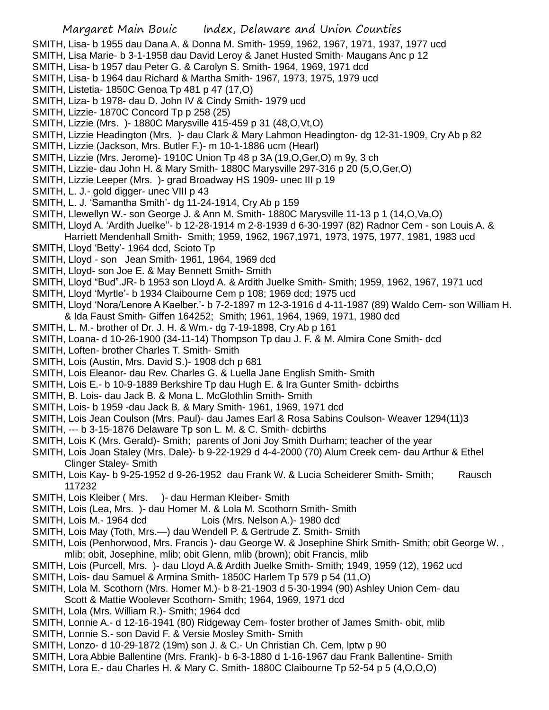SMITH, Lisa- b 1955 dau Dana A. & Donna M. Smith- 1959, 1962, 1967, 1971, 1937, 1977 ucd

- SMITH, Lisa Marie- b 3-1-1958 dau David Leroy & Janet Husted Smith- Maugans Anc p 12
- SMITH, Lisa- b 1957 dau Peter G. & Carolyn S. Smith- 1964, 1969, 1971 dcd
- SMITH, Lisa- b 1964 dau Richard & Martha Smith- 1967, 1973, 1975, 1979 ucd
- SMITH, Listetia- 1850C Genoa Tp 481 p 47 (17,O)
- SMITH, Liza- b 1978- dau D. John IV & Cindy Smith- 1979 ucd
- SMITH, Lizzie- 1870C Concord Tp p 258 (25)
- SMITH, Lizzie (Mrs. )- 1880C Marysville 415-459 p 31 (48,O,Vt,O)
- SMITH, Lizzie Headington (Mrs. )- dau Clark & Mary Lahmon Headington- dg 12-31-1909, Cry Ab p 82
- SMITH, Lizzie (Jackson, Mrs. Butler F.)- m 10-1-1886 ucm (Hearl)
- SMITH, Lizzie (Mrs. Jerome)- 1910C Union Tp 48 p 3A (19,O,Ger,O) m 9y, 3 ch
- SMITH, Lizzie- dau John H. & Mary Smith- 1880C Marysville 297-316 p 20 (5,O,Ger,O)
- SMITH, Lizzie Leeper (Mrs. )- grad Broadway HS 1909- unec III p 19
- SMITH, L. J.- gold digger- unec VIII p 43
- SMITH, L. J. 'Samantha Smith'- dg 11-24-1914, Cry Ab p 159
- SMITH, Llewellyn W.- son George J. & Ann M. Smith- 1880C Marysville 11-13 p 1 (14,O,Va,O)
- SMITH, Lloyd A. 'Ardith Juelke''- b 12-28-1914 m 2-8-1939 d 6-30-1997 (82) Radnor Cem son Louis A. &
- Harriett Mendenhall Smith- Smith; 1959, 1962, 1967,1971, 1973, 1975, 1977, 1981, 1983 ucd
- SMITH, Lloyd 'Betty'- 1964 dcd, Scioto Tp
- SMITH, Lloyd son Jean Smith- 1961, 1964, 1969 dcd
- SMITH, Lloyd- son Joe E. & May Bennett Smith- Smith
- SMITH, Lloyd "Bud".JR- b 1953 son Lloyd A. & Ardith Juelke Smith- Smith; 1959, 1962, 1967, 1971 ucd
- SMITH, Lloyd 'Myrtle'- b 1934 Claibourne Cem p 108; 1969 dcd; 1975 ucd
- SMITH, Lloyd 'Nora/Lenore A Kaelber.'- b 7-2-1897 m 12-3-1916 d 4-11-1987 (89) Waldo Cem- son William H. & Ida Faust Smith- Giffen 164252; Smith; 1961, 1964, 1969, 1971, 1980 dcd
- SMITH, L. M.- brother of Dr. J. H. & Wm.- dg 7-19-1898, Cry Ab p 161
- SMITH, Loana- d 10-26-1900 (34-11-14) Thompson Tp dau J. F. & M. Almira Cone Smith- dcd
- SMITH, Loften- brother Charles T. Smith- Smith
- SMITH, Lois (Austin, Mrs. David S.)- 1908 dch p 681
- SMITH, Lois Eleanor- dau Rev. Charles G. & Luella Jane English Smith- Smith
- SMITH, Lois E.- b 10-9-1889 Berkshire Tp dau Hugh E. & Ira Gunter Smith- dcbirths
- SMITH, B. Lois- dau Jack B. & Mona L. McGlothlin Smith- Smith
- SMITH, Lois- b 1959 -dau Jack B. & Mary Smith- 1961, 1969, 1971 dcd
- SMITH, Lois Jean Coulson (Mrs. Paul)- dau James Earl & Rosa Sabins Coulson- Weaver 1294(11)3
- SMITH, --- b 3-15-1876 Delaware Tp son L. M. & C. Smith- dcbirths
- SMITH, Lois K (Mrs. Gerald)- Smith; parents of Joni Joy Smith Durham; teacher of the year
- SMITH, Lois Joan Staley (Mrs. Dale)- b 9-22-1929 d 4-4-2000 (70) Alum Creek cem- dau Arthur & Ethel Clinger Staley- Smith
- SMITH, Lois Kay- b 9-25-1952 d 9-26-1952 dau Frank W. & Lucia Scheiderer Smith- Smith; Rausch 117232
- SMITH, Lois Kleiber (Mrs. )- dau Herman Kleiber- Smith
- SMITH, Lois (Lea, Mrs. )- dau Homer M. & Lola M. Scothorn Smith- Smith
- SMITH, Lois M.- 1964 dcd Lois (Mrs. Nelson A.)- 1980 dcd
- SMITH, Lois May (Toth, Mrs.—) dau Wendell P. & Gertrude Z. Smith- Smith
- SMITH, Lois (Penhorwood, Mrs. Francis )- dau George W. & Josephine Shirk Smith- Smith; obit George W. , mlib; obit, Josephine, mlib; obit Glenn, mlib (brown); obit Francis, mlib
- SMITH, Lois (Purcell, Mrs. )- dau Lloyd A.& Ardith Juelke Smith- Smith; 1949, 1959 (12), 1962 ucd
- SMITH, Lois- dau Samuel & Armina Smith- 1850C Harlem Tp 579 p 54 (11,O)
- SMITH, Lola M. Scothorn (Mrs. Homer M.)- b 8-21-1903 d 5-30-1994 (90) Ashley Union Cem- dau
- Scott & Mattie Woolever Scothorn- Smith; 1964, 1969, 1971 dcd
- SMITH, Lola (Mrs. William R.)- Smith; 1964 dcd
- SMITH, Lonnie A.- d 12-16-1941 (80) Ridgeway Cem- foster brother of James Smith- obit, mlib
- SMITH, Lonnie S.- son David F. & Versie Mosley Smith- Smith
- SMITH, Lonzo- d 10-29-1872 (19m) son J. & C.- Un Christian Ch. Cem, lptw p 90
- SMITH, Lora Abbie Ballentine (Mrs. Frank)- b 6-3-1880 d 1-16-1967 dau Frank Ballentine- Smith
- SMITH, Lora E.- dau Charles H. & Mary C. Smith- 1880C Claibourne Tp 52-54 p 5 (4,O,O,O)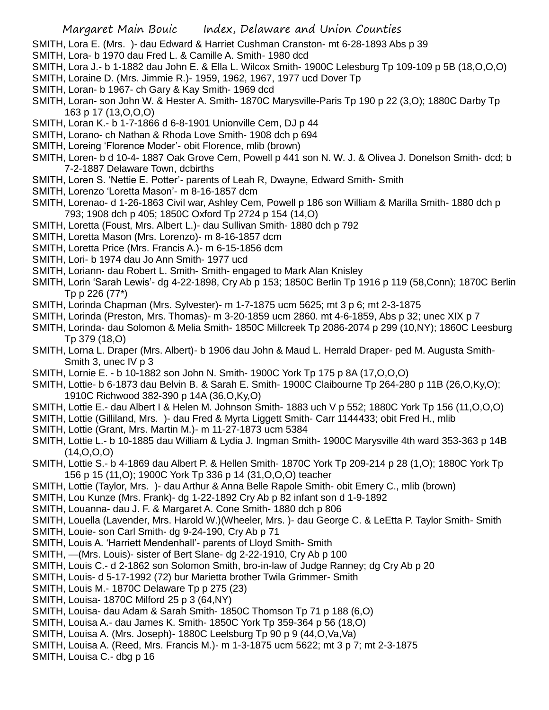- SMITH, Lora E. (Mrs. )- dau Edward & Harriet Cushman Cranston- mt 6-28-1893 Abs p 39
- SMITH, Lora- b 1970 dau Fred L. & Camille A. Smith- 1980 dcd
- SMITH, Lora J.- b 1-1882 dau John E. & Ella L. Wilcox Smith- 1900C Lelesburg Tp 109-109 p 5B (18,O,O,O)
- SMITH, Loraine D. (Mrs. Jimmie R.)- 1959, 1962, 1967, 1977 ucd Dover Tp
- SMITH, Loran- b 1967- ch Gary & Kay Smith- 1969 dcd
- SMITH, Loran- son John W. & Hester A. Smith- 1870C Marysville-Paris Tp 190 p 22 (3,O); 1880C Darby Tp 163 p 17 (13,O,O,O)
- SMITH, Loran K.- b 1-7-1866 d 6-8-1901 Unionville Cem, DJ p 44
- SMITH, Lorano- ch Nathan & Rhoda Love Smith- 1908 dch p 694
- SMITH, Loreing 'Florence Moder'- obit Florence, mlib (brown)
- SMITH, Loren- b d 10-4- 1887 Oak Grove Cem, Powell p 441 son N. W. J. & Olivea J. Donelson Smith- dcd; b 7-2-1887 Delaware Town, dcbirths
- SMITH, Loren S. 'Nettie E. Potter'- parents of Leah R, Dwayne, Edward Smith- Smith
- SMITH, Lorenzo 'Loretta Mason'- m 8-16-1857 dcm
- SMITH, Lorenao- d 1-26-1863 Civil war, Ashley Cem, Powell p 186 son William & Marilla Smith- 1880 dch p 793; 1908 dch p 405; 1850C Oxford Tp 2724 p 154 (14,O)
- SMITH, Loretta (Foust, Mrs. Albert L.)- dau Sullivan Smith- 1880 dch p 792
- SMITH, Loretta Mason (Mrs. Lorenzo)- m 8-16-1857 dcm
- SMITH, Loretta Price (Mrs. Francis A.)- m 6-15-1856 dcm
- SMITH, Lori- b 1974 dau Jo Ann Smith- 1977 ucd
- SMITH, Loriann- dau Robert L. Smith- Smith- engaged to Mark Alan Knisley
- SMITH, Lorin 'Sarah Lewis'- dg 4-22-1898, Cry Ab p 153; 1850C Berlin Tp 1916 p 119 (58,Conn); 1870C Berlin Tp p 226 (77\*)
- SMITH, Lorinda Chapman (Mrs. Sylvester)- m 1-7-1875 ucm 5625; mt 3 p 6; mt 2-3-1875
- SMITH, Lorinda (Preston, Mrs. Thomas)- m 3-20-1859 ucm 2860. mt 4-6-1859, Abs p 32; unec XIX p 7
- SMITH, Lorinda- dau Solomon & Melia Smith- 1850C Millcreek Tp 2086-2074 p 299 (10,NY); 1860C Leesburg Tp 379 (18,O)
- SMITH, Lorna L. Draper (Mrs. Albert)- b 1906 dau John & Maud L. Herrald Draper- ped M. Augusta Smith-Smith 3, unec IV p 3
- SMITH, Lornie E. b 10-1882 son John N. Smith- 1900C York Tp 175 p 8A (17,O,O,O)
- SMITH, Lottie- b 6-1873 dau Belvin B. & Sarah E. Smith- 1900C Claibourne Tp 264-280 p 11B (26,O,Ky,O); 1910C Richwood 382-390 p 14A (36,O,Ky,O)
- SMITH, Lottie E.- dau Albert I & Helen M. Johnson Smith- 1883 uch V p 552; 1880C York Tp 156 (11,O,O,O)
- SMITH, Lottie (Gilliland, Mrs. )- dau Fred & Myrta Liggett Smith- Carr 1144433; obit Fred H., mlib
- SMITH, Lottie (Grant, Mrs. Martin M.)- m 11-27-1873 ucm 5384
- SMITH, Lottie L.- b 10-1885 dau William & Lydia J. Ingman Smith- 1900C Marysville 4th ward 353-363 p 14B  $(14, 0, 0, 0)$
- SMITH, Lottie S.- b 4-1869 dau Albert P. & Hellen Smith- 1870C York Tp 209-214 p 28 (1,O); 1880C York Tp 156 p 15 (11,O); 1900C York Tp 336 p 14 (31,O,O,O) teacher
- SMITH, Lottie (Taylor, Mrs. )- dau Arthur & Anna Belle Rapole Smith- obit Emery C., mlib (brown)
- SMITH, Lou Kunze (Mrs. Frank)- dg 1-22-1892 Cry Ab p 82 infant son d 1-9-1892
- SMITH, Louanna- dau J. F. & Margaret A. Cone Smith- 1880 dch p 806
- SMITH, Louella (Lavender, Mrs. Harold W.)(Wheeler, Mrs. )- dau George C. & LeEtta P. Taylor Smith- Smith
- SMITH, Louie- son Carl Smith- dg 9-24-190, Cry Ab p 71
- SMITH, Louis A. 'Harriett Mendenhall'- parents of Lloyd Smith- Smith
- SMITH, —(Mrs. Louis)- sister of Bert Slane- dg 2-22-1910, Cry Ab p 100
- SMITH, Louis C.- d 2-1862 son Solomon Smith, bro-in-law of Judge Ranney; dg Cry Ab p 20
- SMITH, Louis- d 5-17-1992 (72) bur Marietta brother Twila Grimmer- Smith
- SMITH, Louis M.- 1870C Delaware Tp p 275 (23)
- SMITH, Louisa- 1870C Milford 25 p 3 (64,NY)
- SMITH, Louisa- dau Adam & Sarah Smith- 1850C Thomson Tp 71 p 188 (6,O)
- SMITH, Louisa A.- dau James K. Smith- 1850C York Tp 359-364 p 56 (18,O)
- SMITH, Louisa A. (Mrs. Joseph)- 1880C Leelsburg Tp 90 p 9 (44,O,Va,Va)
- SMITH, Louisa A. (Reed, Mrs. Francis M.)- m 1-3-1875 ucm 5622; mt 3 p 7; mt 2-3-1875
- SMITH, Louisa C.- dbg p 16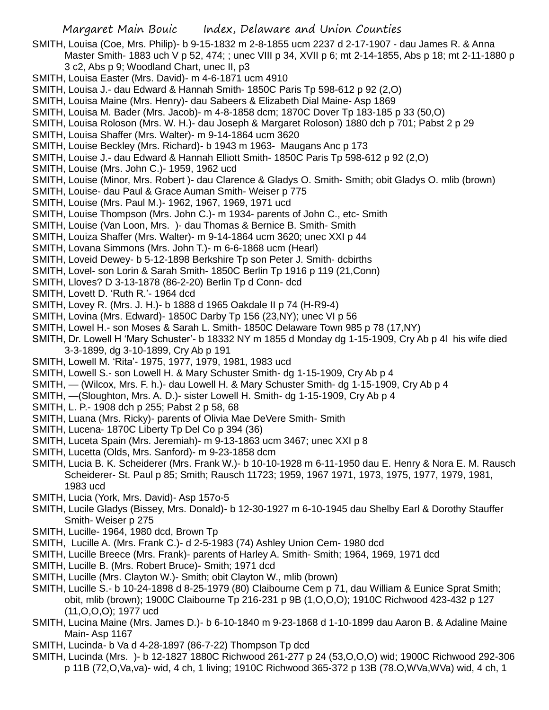- SMITH, Louisa (Coe, Mrs. Philip)- b 9-15-1832 m 2-8-1855 ucm 2237 d 2-17-1907 dau James R. & Anna Master Smith- 1883 uch V p 52, 474; ; unec VIII p 34, XVII p 6; mt 2-14-1855, Abs p 18; mt 2-11-1880 p 3 c2, Abs p 9; Woodland Chart, unec II, p3
- SMITH, Louisa Easter (Mrs. David)- m 4-6-1871 ucm 4910
- SMITH, Louisa J.- dau Edward & Hannah Smith- 1850C Paris Tp 598-612 p 92 (2,O)
- SMITH, Louisa Maine (Mrs. Henry)- dau Sabeers & Elizabeth Dial Maine- Asp 1869
- SMITH, Louisa M. Bader (Mrs. Jacob)- m 4-8-1858 dcm; 1870C Dover Tp 183-185 p 33 (50,O)
- SMITH, Louisa Roloson (Mrs. W. H.)- dau Joseph & Margaret Roloson) 1880 dch p 701; Pabst 2 p 29
- SMITH, Louisa Shaffer (Mrs. Walter)- m 9-14-1864 ucm 3620
- SMITH, Louise Beckley (Mrs. Richard)- b 1943 m 1963- Maugans Anc p 173
- SMITH, Louise J.- dau Edward & Hannah Elliott Smith- 1850C Paris Tp 598-612 p 92 (2,O)
- SMITH, Louise (Mrs. John C.)- 1959, 1962 ucd
- SMITH, Louise (Minor, Mrs. Robert )- dau Clarence & Gladys O. Smith- Smith; obit Gladys O. mlib (brown)
- SMITH, Louise- dau Paul & Grace Auman Smith- Weiser p 775
- SMITH, Louise (Mrs. Paul M.)- 1962, 1967, 1969, 1971 ucd
- SMITH, Louise Thompson (Mrs. John C.)- m 1934- parents of John C., etc- Smith
- SMITH, Louise (Van Loon, Mrs. )- dau Thomas & Bernice B. Smith- Smith
- SMITH, Louiza Shaffer (Mrs. Walter)- m 9-14-1864 ucm 3620; unec XXI p 44
- SMITH, Lovana Simmons (Mrs. John T.)- m 6-6-1868 ucm (Hearl)
- SMITH, Loveid Dewey- b 5-12-1898 Berkshire Tp son Peter J. Smith- dcbirths
- SMITH, Lovel- son Lorin & Sarah Smith- 1850C Berlin Tp 1916 p 119 (21,Conn)
- SMITH, Lloves? D 3-13-1878 (86-2-20) Berlin Tp d Conn- dcd
- SMITH, Lovett D. 'Ruth R.'- 1964 dcd
- SMITH, Lovey R. (Mrs. J. H.)- b 1888 d 1965 Oakdale II p 74 (H-R9-4)
- SMITH, Lovina (Mrs. Edward)- 1850C Darby Tp 156 (23,NY); unec VI p 56
- SMITH, Lowel H.- son Moses & Sarah L. Smith- 1850C Delaware Town 985 p 78 (17,NY)
- SMITH, Dr. Lowell H 'Mary Schuster'- b 18332 NY m 1855 d Monday dg 1-15-1909, Cry Ab p 4l his wife died 3-3-1899, dg 3-10-1899, Cry Ab p 191
- SMITH, Lowell M. 'Rita'- 1975, 1977, 1979, 1981, 1983 ucd
- SMITH, Lowell S.- son Lowell H. & Mary Schuster Smith- dg 1-15-1909, Cry Ab p 4
- SMITH, (Wilcox, Mrs. F. h.)- dau Lowell H. & Mary Schuster Smith- dg 1-15-1909, Cry Ab p 4
- SMITH, —(Sloughton, Mrs. A. D.)- sister Lowell H. Smith- dg 1-15-1909, Cry Ab p 4
- SMITH, L. P.- 1908 dch p 255; Pabst 2 p 58, 68
- SMITH, Luana (Mrs. Ricky)- parents of Olivia Mae DeVere Smith- Smith
- SMITH, Lucena- 1870C Liberty Tp Del Co p 394 (36)
- SMITH, Luceta Spain (Mrs. Jeremiah)- m 9-13-1863 ucm 3467; unec XXI p 8
- SMITH, Lucetta (Olds, Mrs. Sanford)- m 9-23-1858 dcm
- SMITH, Lucia B. K. Scheiderer (Mrs. Frank W.)- b 10-10-1928 m 6-11-1950 dau E. Henry & Nora E. M. Rausch Scheiderer- St. Paul p 85; Smith; Rausch 11723; 1959, 1967 1971, 1973, 1975, 1977, 1979, 1981, 1983 ucd
- SMITH, Lucia (York, Mrs. David)- Asp 157o-5
- SMITH, Lucile Gladys (Bissey, Mrs. Donald)- b 12-30-1927 m 6-10-1945 dau Shelby Earl & Dorothy Stauffer Smith- Weiser p 275
- SMITH, Lucille- 1964, 1980 dcd, Brown Tp
- SMITH, Lucille A. (Mrs. Frank C.)- d 2-5-1983 (74) Ashley Union Cem- 1980 dcd
- SMITH, Lucille Breece (Mrs. Frank)- parents of Harley A. Smith- Smith; 1964, 1969, 1971 dcd
- SMITH, Lucille B. (Mrs. Robert Bruce)- Smith; 1971 dcd
- SMITH, Lucille (Mrs. Clayton W.)- Smith; obit Clayton W., mlib (brown)
- SMITH, Lucille S.- b 10-24-1898 d 8-25-1979 (80) Claibourne Cem p 71, dau William & Eunice Sprat Smith; obit, mlib (brown); 1900C Claibourne Tp 216-231 p 9B (1,O,O,O); 1910C Richwood 423-432 p 127 (11,O,O,O); 1977 ucd
- SMITH, Lucina Maine (Mrs. James D.)- b 6-10-1840 m 9-23-1868 d 1-10-1899 dau Aaron B. & Adaline Maine Main- Asp 1167
- SMITH, Lucinda- b Va d 4-28-1897 (86-7-22) Thompson Tp dcd
- SMITH, Lucinda (Mrs. )- b 12-1827 1880C Richwood 261-277 p 24 (53,O,O,O) wid; 1900C Richwood 292-306 p 11B (72,O,Va,va)- wid, 4 ch, 1 living; 1910C Richwood 365-372 p 13B (78.O,WVa,WVa) wid, 4 ch, 1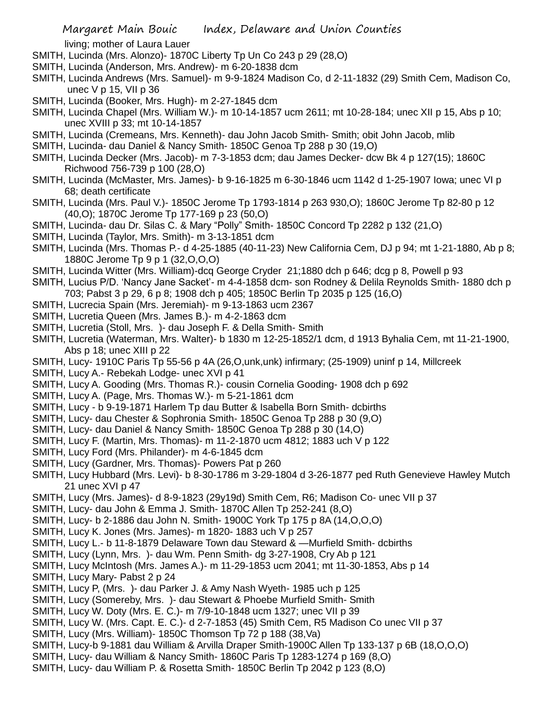living; mother of Laura Lauer

- SMITH, Lucinda (Mrs. Alonzo)- 1870C Liberty Tp Un Co 243 p 29 (28,O)
- SMITH, Lucinda (Anderson, Mrs. Andrew)- m 6-20-1838 dcm
- SMITH, Lucinda Andrews (Mrs. Samuel)- m 9-9-1824 Madison Co, d 2-11-1832 (29) Smith Cem, Madison Co, unec V p 15, VII p 36
- SMITH, Lucinda (Booker, Mrs. Hugh)- m 2-27-1845 dcm
- SMITH, Lucinda Chapel (Mrs. William W.)- m 10-14-1857 ucm 2611; mt 10-28-184; unec XII p 15, Abs p 10; unec XVIII p 33; mt 10-14-1857
- SMITH, Lucinda (Cremeans, Mrs. Kenneth)- dau John Jacob Smith- Smith; obit John Jacob, mlib
- SMITH, Lucinda- dau Daniel & Nancy Smith- 1850C Genoa Tp 288 p 30 (19,O)
- SMITH, Lucinda Decker (Mrs. Jacob)- m 7-3-1853 dcm; dau James Decker- dcw Bk 4 p 127(15); 1860C Richwood 756-739 p 100 (28,O)
- SMITH, Lucinda (McMaster, Mrs. James)- b 9-16-1825 m 6-30-1846 ucm 1142 d 1-25-1907 Iowa; unec VI p 68; death certificate
- SMITH, Lucinda (Mrs. Paul V.)- 1850C Jerome Tp 1793-1814 p 263 930,O); 1860C Jerome Tp 82-80 p 12 (40,O); 1870C Jerome Tp 177-169 p 23 (50,O)
- SMITH, Lucinda- dau Dr. Silas C. & Mary "Polly" Smith- 1850C Concord Tp 2282 p 132 (21,O)
- SMITH, Lucinda (Taylor, Mrs. Smith)- m 3-13-1851 dcm
- SMITH, Lucinda (Mrs. Thomas P.- d 4-25-1885 (40-11-23) New California Cem, DJ p 94; mt 1-21-1880, Ab p 8; 1880C Jerome Tp 9 p 1 (32,O,O,O)
- SMITH, Lucinda Witter (Mrs. William)-dcq George Cryder 21;1880 dch p 646; dcg p 8, Powell p 93
- SMITH, Lucius P/D. 'Nancy Jane Sacket'- m 4-4-1858 dcm- son Rodney & Delila Reynolds Smith- 1880 dch p 703; Pabst 3 p 29, 6 p 8; 1908 dch p 405; 1850C Berlin Tp 2035 p 125 (16,O)
- SMITH, Lucrecia Spain (Mrs. Jeremiah)- m 9-13-1863 ucm 2367
- SMITH, Lucretia Queen (Mrs. James B.)- m 4-2-1863 dcm
- SMITH, Lucretia (Stoll, Mrs. )- dau Joseph F. & Della Smith- Smith
- SMITH, Lucretia (Waterman, Mrs. Walter)- b 1830 m 12-25-1852/1 dcm, d 1913 Byhalia Cem, mt 11-21-1900, Abs p 18; unec XIII p 22
- SMITH, Lucy- 1910C Paris Tp 55-56 p 4A (26,O,unk,unk) infirmary; (25-1909) uninf p 14, Millcreek
- SMITH, Lucy A.- Rebekah Lodge- unec XVI p 41
- SMITH, Lucy A. Gooding (Mrs. Thomas R.)- cousin Cornelia Gooding- 1908 dch p 692
- SMITH, Lucy A. (Page, Mrs. Thomas W.)- m 5-21-1861 dcm
- SMITH, Lucy b 9-19-1871 Harlem Tp dau Butter & Isabella Born Smith- dcbirths
- SMITH, Lucy- dau Chester & Sophronia Smith- 1850C Genoa Tp 288 p 30 (9,O)
- SMITH, Lucy- dau Daniel & Nancy Smith- 1850C Genoa Tp 288 p 30 (14,O)
- SMITH, Lucy F. (Martin, Mrs. Thomas)- m 11-2-1870 ucm 4812; 1883 uch V p 122
- SMITH, Lucy Ford (Mrs. Philander)- m 4-6-1845 dcm
- SMITH, Lucy (Gardner, Mrs. Thomas)- Powers Pat p 260
- SMITH, Lucy Hubbard (Mrs. Levi)- b 8-30-1786 m 3-29-1804 d 3-26-1877 ped Ruth Genevieve Hawley Mutch 21 unec XVI p 47
- SMITH, Lucy (Mrs. James)- d 8-9-1823 (29y19d) Smith Cem, R6; Madison Co- unec VII p 37
- SMITH, Lucy- dau John & Emma J. Smith- 1870C Allen Tp 252-241 (8,O)
- SMITH, Lucy- b 2-1886 dau John N. Smith- 1900C York Tp 175 p 8A (14,O,O,O)
- SMITH, Lucy K. Jones (Mrs. James)- m 1820- 1883 uch V p 257
- SMITH, Lucy L.- b 11-8-1879 Delaware Town dau Steward & —Murfield Smith- dcbirths
- SMITH, Lucy (Lynn, Mrs. )- dau Wm. Penn Smith- dg 3-27-1908, Cry Ab p 121
- SMITH, Lucy McIntosh (Mrs. James A.)- m 11-29-1853 ucm 2041; mt 11-30-1853, Abs p 14
- SMITH, Lucy Mary- Pabst 2 p 24
- SMITH, Lucy P, (Mrs. )- dau Parker J. & Amy Nash Wyeth- 1985 uch p 125
- SMITH, Lucy (Somereby, Mrs. )- dau Stewart & Phoebe Murfield Smith- Smith
- SMITH, Lucy W. Doty (Mrs. E. C.)- m 7/9-10-1848 ucm 1327; unec VII p 39
- SMITH, Lucy W. (Mrs. Capt. E. C.)- d 2-7-1853 (45) Smith Cem, R5 Madison Co unec VII p 37
- SMITH, Lucy (Mrs. William)- 1850C Thomson Tp 72 p 188 (38,Va)
- SMITH, Lucy-b 9-1881 dau William & Arvilla Draper Smith-1900C Allen Tp 133-137 p 6B (18,O,O,O)
- SMITH, Lucy- dau William & Nancy Smith- 1860C Paris Tp 1283-1274 p 169 (8,O)
- SMITH, Lucy- dau William P. & Rosetta Smith- 1850C Berlin Tp 2042 p 123 (8,O)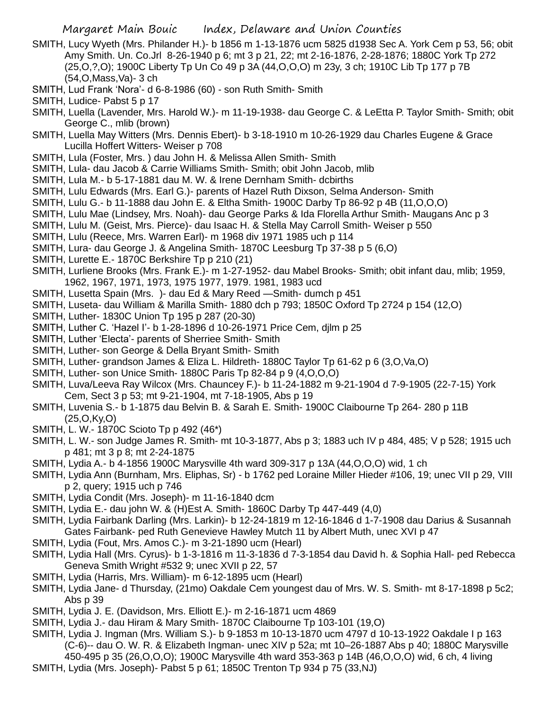- SMITH, Lucy Wyeth (Mrs. Philander H.)- b 1856 m 1-13-1876 ucm 5825 d1938 Sec A. York Cem p 53, 56; obit Amy Smith. Un. Co.Jrl 8-26-1940 p 6; mt 3 p 21, 22; mt 2-16-1876, 2-28-1876; 1880C York Tp 272 (25,O,?,O); 1900C Liberty Tp Un Co 49 p 3A (44,O,O,O) m 23y, 3 ch; 1910C Lib Tp 177 p 7B (54,O,Mass,Va)- 3 ch
- SMITH, Lud Frank 'Nora'- d 6-8-1986 (60) son Ruth Smith- Smith

- SMITH, Luella (Lavender, Mrs. Harold W.)- m 11-19-1938- dau George C. & LeEtta P. Taylor Smith- Smith; obit George C., mlib (brown)
- SMITH, Luella May Witters (Mrs. Dennis Ebert)- b 3-18-1910 m 10-26-1929 dau Charles Eugene & Grace Lucilla Hoffert Witters- Weiser p 708
- SMITH, Lula (Foster, Mrs. ) dau John H. & Melissa Allen Smith- Smith
- SMITH, Lula- dau Jacob & Carrie Williams Smith- Smith; obit John Jacob, mlib
- SMITH, Lula M.- b 5-17-1881 dau M. W. & Irene Dernham Smith- dcbirths
- SMITH, Lulu Edwards (Mrs. Earl G.)- parents of Hazel Ruth Dixson, Selma Anderson- Smith
- SMITH, Lulu G.- b 11-1888 dau John E. & Eltha Smith- 1900C Darby Tp 86-92 p 4B (11,O,O,O)
- SMITH, Lulu Mae (Lindsey, Mrs. Noah)- dau George Parks & Ida Florella Arthur Smith- Maugans Anc p 3
- SMITH, Lulu M. (Geist, Mrs. Pierce)- dau Isaac H. & Stella May Carroll Smith- Weiser p 550
- SMITH, Lulu (Reece, Mrs. Warren Earl)- m 1968 div 1971 1985 uch p 114
- SMITH, Lura- dau George J. & Angelina Smith- 1870C Leesburg Tp 37-38 p 5 (6,O)
- SMITH, Lurette E.- 1870C Berkshire Tp p 210 (21)
- SMITH, Lurliene Brooks (Mrs. Frank E.)- m 1-27-1952- dau Mabel Brooks- Smith; obit infant dau, mlib; 1959, 1962, 1967, 1971, 1973, 1975 1977, 1979. 1981, 1983 ucd
- SMITH, Lusetta Spain (Mrs. )- dau Ed & Mary Reed —Smith- dumch p 451
- SMITH, Luseta- dau William & Marilla Smith- 1880 dch p 793; 1850C Oxford Tp 2724 p 154 (12,O)
- SMITH, Luther- 1830C Union Tp 195 p 287 (20-30)
- SMITH, Luther C. 'Hazel I'- b 1-28-1896 d 10-26-1971 Price Cem, djlm p 25
- SMITH, Luther 'Electa'- parents of Sherriee Smith- Smith
- SMITH, Luther- son George & Della Bryant Smith- Smith
- SMITH, Luther- grandson James & Eliza L. Hildreth- 1880C Taylor Tp 61-62 p 6 (3,O,Va,O)
- SMITH, Luther- son Unice Smith- 1880C Paris Tp 82-84 p 9 (4,O,O,O)
- SMITH, Luva/Leeva Ray Wilcox (Mrs. Chauncey F.)- b 11-24-1882 m 9-21-1904 d 7-9-1905 (22-7-15) York Cem, Sect 3 p 53; mt 9-21-1904, mt 7-18-1905, Abs p 19
- SMITH, Luvenia S.- b 1-1875 dau Belvin B. & Sarah E. Smith- 1900C Claibourne Tp 264- 280 p 11B (25,O,Ky,O)
- SMITH, L. W.- 1870C Scioto Tp p 492 (46\*)
- SMITH, L. W.- son Judge James R. Smith- mt 10-3-1877, Abs p 3; 1883 uch IV p 484, 485; V p 528; 1915 uch p 481; mt 3 p 8; mt 2-24-1875
- SMITH, Lydia A.- b 4-1856 1900C Marysville 4th ward 309-317 p 13A (44,O,O,O) wid, 1 ch
- SMITH, Lydia Ann (Burnham, Mrs. Eliphas, Sr) b 1762 ped Loraine Miller Hieder #106, 19; unec VII p 29, VIII p 2, query; 1915 uch p 746
- SMITH, Lydia Condit (Mrs. Joseph)- m 11-16-1840 dcm
- SMITH, Lydia E.- dau john W. & (H)Est A. Smith- 1860C Darby Tp 447-449 (4,0)
- SMITH, Lydia Fairbank Darling (Mrs. Larkin)- b 12-24-1819 m 12-16-1846 d 1-7-1908 dau Darius & Susannah Gates Fairbank- ped Ruth Genevieve Hawley Mutch 11 by Albert Muth, unec XVI p 47
- SMITH, Lydia (Fout, Mrs. Amos C.)- m 3-21-1890 ucm (Hearl)
- SMITH, Lydia Hall (Mrs. Cyrus)- b 1-3-1816 m 11-3-1836 d 7-3-1854 dau David h. & Sophia Hall- ped Rebecca Geneva Smith Wright #532 9; unec XVII p 22, 57
- SMITH, Lydia (Harris, Mrs. William)- m 6-12-1895 ucm (Hearl)
- SMITH, Lydia Jane- d Thursday, (21mo) Oakdale Cem youngest dau of Mrs. W. S. Smith- mt 8-17-1898 p 5c2; Abs p 39
- SMITH, Lydia J. E. (Davidson, Mrs. Elliott E.)- m 2-16-1871 ucm 4869
- SMITH, Lydia J.- dau Hiram & Mary Smith- 1870C Claibourne Tp 103-101 (19,O)
- SMITH, Lydia J. Ingman (Mrs. William S.)- b 9-1853 m 10-13-1870 ucm 4797 d 10-13-1922 Oakdale I p 163 (C-6)-- dau O. W. R. & Elizabeth Ingman- unec XIV p 52a; mt 10–26-1887 Abs p 40; 1880C Marysville 450-495 p 35 (26,O,O,O); 1900C Marysville 4th ward 353-363 p 14B (46,O,O,O) wid, 6 ch, 4 living
- SMITH, Lydia (Mrs. Joseph)- Pabst 5 p 61; 1850C Trenton Tp 934 p 75 (33,NJ)

SMITH, Ludice- Pabst 5 p 17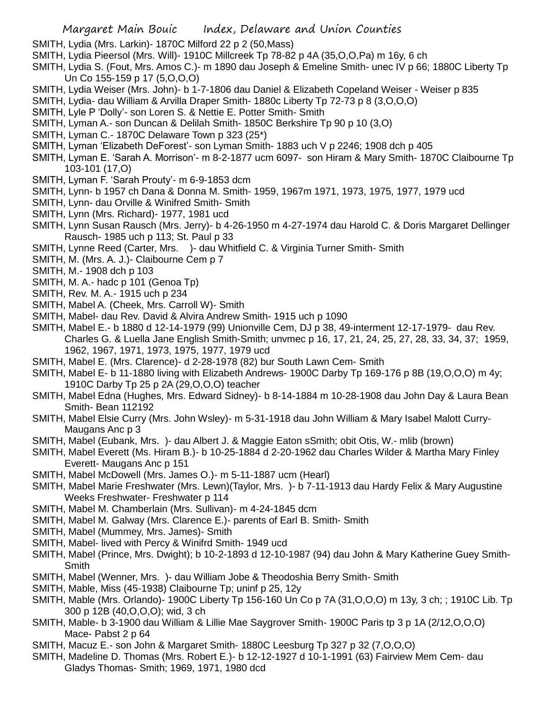SMITH, Lydia (Mrs. Larkin)- 1870C Milford 22 p 2 (50,Mass)

- SMITH, Lydia Pieersol (Mrs. Will)- 1910C Millcreek Tp 78-82 p 4A (35,O,O,Pa) m 16y, 6 ch
- SMITH, Lydia S. (Fout, Mrs. Amos C.)- m 1890 dau Joseph & Emeline Smith- unec IV p 66; 1880C Liberty Tp Un Co 155-159 p 17 (5,O,O,O)
- SMITH, Lydia Weiser (Mrs. John)- b 1-7-1806 dau Daniel & Elizabeth Copeland Weiser Weiser p 835
- SMITH, Lydia- dau William & Arvilla Draper Smith- 1880c Liberty Tp 72-73 p 8 (3,O,O,O)
- SMITH, Lyle P 'Dolly'- son Loren S. & Nettie E. Potter Smith- Smith
- SMITH, Lyman A.- son Duncan & Delilah Smith- 1850C Berkshire Tp 90 p 10 (3,O)
- SMITH, Lyman C.- 1870C Delaware Town p 323 (25\*)
- SMITH, Lyman 'Elizabeth DeForest'- son Lyman Smith- 1883 uch V p 2246; 1908 dch p 405
- SMITH, Lyman E. 'Sarah A. Morrison'- m 8-2-1877 ucm 6097- son Hiram & Mary Smith- 1870C Claibourne Tp 103-101 (17,O)
- SMITH, Lyman F. 'Sarah Prouty'- m 6-9-1853 dcm
- SMITH, Lynn- b 1957 ch Dana & Donna M. Smith- 1959, 1967m 1971, 1973, 1975, 1977, 1979 ucd
- SMITH, Lynn- dau Orville & Winifred Smith- Smith
- SMITH, Lynn (Mrs. Richard)- 1977, 1981 ucd
- SMITH, Lynn Susan Rausch (Mrs. Jerry)- b 4-26-1950 m 4-27-1974 dau Harold C. & Doris Margaret Dellinger Rausch- 1985 uch p 113; St. Paul p 33
- SMITH, Lynne Reed (Carter, Mrs. )- dau Whitfield C. & Virginia Turner Smith- Smith
- SMITH, M. (Mrs. A. J.)- Claibourne Cem p 7
- SMITH, M.- 1908 dch p 103
- SMITH, M. A.- hadc p 101 (Genoa Tp)
- SMITH, Rev. M. A.- 1915 uch p 234
- SMITH, Mabel A. (Cheek, Mrs. Carroll W)- Smith
- SMITH, Mabel- dau Rev. David & Alvira Andrew Smith- 1915 uch p 1090
- SMITH, Mabel E.- b 1880 d 12-14-1979 (99) Unionville Cem, DJ p 38, 49-interment 12-17-1979- dau Rev. Charles G. & Luella Jane English Smith-Smith; unvmec p 16, 17, 21, 24, 25, 27, 28, 33, 34, 37; 1959, 1962, 1967, 1971, 1973, 1975, 1977, 1979 ucd
- SMITH, Mabel E. (Mrs. Clarence)- d 2-28-1978 (82) bur South Lawn Cem- Smith
- SMITH, Mabel E- b 11-1880 living with Elizabeth Andrews- 1900C Darby Tp 169-176 p 8B (19,O,O,O) m 4y; 1910C Darby Tp 25 p 2A (29,O,O,O) teacher
- SMITH, Mabel Edna (Hughes, Mrs. Edward Sidney)- b 8-14-1884 m 10-28-1908 dau John Day & Laura Bean Smith- Bean 112192
- SMITH, Mabel Elsie Curry (Mrs. John Wsley)- m 5-31-1918 dau John William & Mary Isabel Malott Curry-Maugans Anc p 3
- SMITH, Mabel (Eubank, Mrs. )- dau Albert J. & Maggie Eaton sSmith; obit Otis, W.- mlib (brown)
- SMITH, Mabel Everett (Ms. Hiram B.)- b 10-25-1884 d 2-20-1962 dau Charles Wilder & Martha Mary Finley Everett- Maugans Anc p 151
- SMITH, Mabel McDowell (Mrs. James O.)- m 5-11-1887 ucm (Hearl)
- SMITH, Mabel Marie Freshwater (Mrs. Lewn)(Taylor, Mrs. )- b 7-11-1913 dau Hardy Felix & Mary Augustine Weeks Freshwater- Freshwater p 114
- SMITH, Mabel M. Chamberlain (Mrs. Sullivan)- m 4-24-1845 dcm
- SMITH, Mabel M. Galway (Mrs. Clarence E.)- parents of Earl B. Smith- Smith
- SMITH, Mabel (Mummey, Mrs. James)- Smith
- SMITH, Mabel- lived with Percy & Winifrd Smith- 1949 ucd
- SMITH, Mabel (Prince, Mrs. Dwight); b 10-2-1893 d 12-10-1987 (94) dau John & Mary Katherine Guey Smith-Smith
- SMITH, Mabel (Wenner, Mrs. )- dau William Jobe & Theodoshia Berry Smith- Smith
- SMITH, Mable, Miss (45-1938) Claibourne Tp; uninf p 25, 12y
- SMITH, Mable (Mrs. Orlando)- 1900C Liberty Tp 156-160 Un Co p 7A (31,O,O,O) m 13y, 3 ch; ; 1910C Lib. Tp 300 p 12B (40,O,O,O); wid, 3 ch
- SMITH, Mable- b 3-1900 dau William & Lillie Mae Saygrover Smith- 1900C Paris tp 3 p 1A (2/12,O,O,O) Mace- Pabst 2 p 64
- SMITH, Macuz E.- son John & Margaret Smith- 1880C Leesburg Tp 327 p 32 (7,O,O,O)
- SMITH, Madeline D. Thomas (Mrs. Robert E.)- b 12-12-1927 d 10-1-1991 (63) Fairview Mem Cem- dau Gladys Thomas- Smith; 1969, 1971, 1980 dcd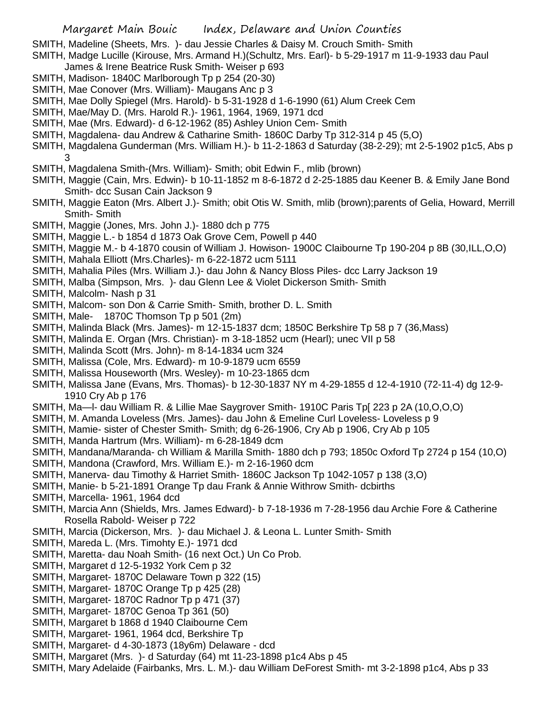SMITH, Madeline (Sheets, Mrs. )- dau Jessie Charles & Daisy M. Crouch Smith- Smith

- SMITH, Madge Lucille (Kirouse, Mrs. Armand H.)(Schultz, Mrs. Earl)- b 5-29-1917 m 11-9-1933 dau Paul James & Irene Beatrice Rusk Smith- Weiser p 693
- SMITH, Madison- 1840C Marlborough Tp p 254 (20-30)
- SMITH, Mae Conover (Mrs. William)- Maugans Anc p 3
- SMITH, Mae Dolly Spiegel (Mrs. Harold)- b 5-31-1928 d 1-6-1990 (61) Alum Creek Cem
- SMITH, Mae/May D. (Mrs. Harold R.)- 1961, 1964, 1969, 1971 dcd
- SMITH, Mae (Mrs. Edward)- d 6-12-1962 (85) Ashley Union Cem- Smith
- SMITH, Magdalena- dau Andrew & Catharine Smith- 1860C Darby Tp 312-314 p 45 (5,O)
- SMITH, Magdalena Gunderman (Mrs. William H.)- b 11-2-1863 d Saturday (38-2-29); mt 2-5-1902 p1c5, Abs p 3
- SMITH, Magdalena Smith-(Mrs. William)- Smith; obit Edwin F., mlib (brown)
- SMITH, Maggie (Cain, Mrs. Edwin)- b 10-11-1852 m 8-6-1872 d 2-25-1885 dau Keener B. & Emily Jane Bond Smith- dcc Susan Cain Jackson 9
- SMITH, Maggie Eaton (Mrs. Albert J.)- Smith; obit Otis W. Smith, mlib (brown);parents of Gelia, Howard, Merrill Smith- Smith
- SMITH, Maggie (Jones, Mrs. John J.)- 1880 dch p 775
- SMITH, Maggie L.- b 1854 d 1873 Oak Grove Cem, Powell p 440
- SMITH, Maggie M.- b 4-1870 cousin of William J. Howison- 1900C Claibourne Tp 190-204 p 8B (30,ILL,O,O)
- SMITH, Mahala Elliott (Mrs.Charles)- m 6-22-1872 ucm 5111
- SMITH, Mahalia Piles (Mrs. William J.)- dau John & Nancy Bloss Piles- dcc Larry Jackson 19
- SMITH, Malba (Simpson, Mrs. )- dau Glenn Lee & Violet Dickerson Smith- Smith
- SMITH, Malcolm- Nash p 31
- SMITH, Malcom- son Don & Carrie Smith- Smith, brother D. L. Smith
- SMITH, Male- 1870C Thomson Tp p 501 (2m)
- SMITH, Malinda Black (Mrs. James)- m 12-15-1837 dcm; 1850C Berkshire Tp 58 p 7 (36,Mass)
- SMITH, Malinda E. Organ (Mrs. Christian)- m 3-18-1852 ucm (Hearl); unec VII p 58
- SMITH, Malinda Scott (Mrs. John)- m 8-14-1834 ucm 324
- SMITH, Malissa (Cole, Mrs. Edward)- m 10-9-1879 ucm 6559
- SMITH, Malissa Houseworth (Mrs. Wesley)- m 10-23-1865 dcm
- SMITH, Malissa Jane (Evans, Mrs. Thomas)- b 12-30-1837 NY m 4-29-1855 d 12-4-1910 (72-11-4) dg 12-9- 1910 Cry Ab p 176
- SMITH, Ma—l- dau William R. & Lillie Mae Saygrover Smith- 1910C Paris Tp[ 223 p 2A (10,O,O,O)
- SMITH, M. Amanda Loveless (Mrs. James)- dau John & Emeline Curl Loveless- Loveless p 9
- SMITH, Mamie- sister of Chester Smith- Smith; dg 6-26-1906, Cry Ab p 1906, Cry Ab p 105
- SMITH, Manda Hartrum (Mrs. William)- m 6-28-1849 dcm
- SMITH, Mandana/Maranda- ch William & Marilla Smith- 1880 dch p 793; 1850c Oxford Tp 2724 p 154 (10,O)
- SMITH, Mandona (Crawford, Mrs. William E.)- m 2-16-1960 dcm
- SMITH, Manerva- dau Timothy & Harriet Smith- 1860C Jackson Tp 1042-1057 p 138 (3,O)
- SMITH, Manie- b 5-21-1891 Orange Tp dau Frank & Annie Withrow Smith- dcbirths
- SMITH, Marcella- 1961, 1964 dcd
- SMITH, Marcia Ann (Shields, Mrs. James Edward)- b 7-18-1936 m 7-28-1956 dau Archie Fore & Catherine Rosella Rabold- Weiser p 722
- SMITH, Marcia (Dickerson, Mrs. )- dau Michael J. & Leona L. Lunter Smith- Smith
- SMITH, Mareda L. (Mrs. Timohty E.)- 1971 dcd
- SMITH, Maretta- dau Noah Smith- (16 next Oct.) Un Co Prob.
- SMITH, Margaret d 12-5-1932 York Cem p 32
- SMITH, Margaret- 1870C Delaware Town p 322 (15)
- SMITH, Margaret- 1870C Orange Tp p 425 (28)
- SMITH, Margaret- 1870C Radnor Tp p 471 (37)
- SMITH, Margaret- 1870C Genoa Tp 361 (50)
- SMITH, Margaret b 1868 d 1940 Claibourne Cem
- SMITH, Margaret- 1961, 1964 dcd, Berkshire Tp
- SMITH, Margaret- d 4-30-1873 (18y6m) Delaware dcd
- SMITH, Margaret (Mrs. )- d Saturday (64) mt 11-23-1898 p1c4 Abs p 45
- SMITH, Mary Adelaide (Fairbanks, Mrs. L. M.)- dau William DeForest Smith- mt 3-2-1898 p1c4, Abs p 33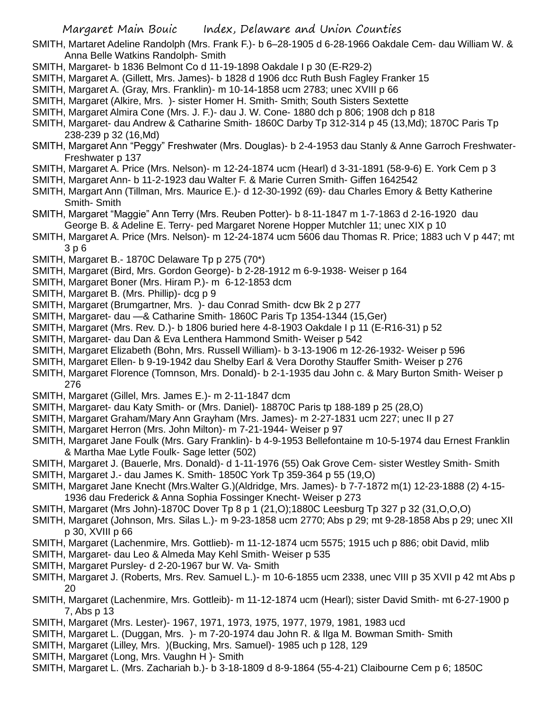SMITH, Martaret Adeline Randolph (Mrs. Frank F.)- b 6–28-1905 d 6-28-1966 Oakdale Cem- dau William W. & Anna Belle Watkins Randolph- Smith

- SMITH, Margaret- b 1836 Belmont Co d 11-19-1898 Oakdale I p 30 (E-R29-2)
- SMITH, Margaret A. (Gillett, Mrs. James)- b 1828 d 1906 dcc Ruth Bush Fagley Franker 15
- SMITH, Margaret A. (Gray, Mrs. Franklin)- m 10-14-1858 ucm 2783; unec XVIII p 66
- SMITH, Margaret (Alkire, Mrs. )- sister Homer H. Smith- Smith; South Sisters Sextette
- SMITH, Margaret Almira Cone (Mrs. J. F.)- dau J. W. Cone- 1880 dch p 806; 1908 dch p 818
- SMITH, Margaret- dau Andrew & Catharine Smith- 1860C Darby Tp 312-314 p 45 (13,Md); 1870C Paris Tp 238-239 p 32 (16,Md)
- SMITH, Margaret Ann "Peggy" Freshwater (Mrs. Douglas)- b 2-4-1953 dau Stanly & Anne Garroch Freshwater-Freshwater p 137
- SMITH, Margaret A. Price (Mrs. Nelson)- m 12-24-1874 ucm (Hearl) d 3-31-1891 (58-9-6) E. York Cem p 3
- SMITH, Margaret Ann- b 11-2-1923 dau Walter F. & Marie Curren Smith- Giffen 1642542
- SMITH, Margart Ann (Tillman, Mrs. Maurice E.)- d 12-30-1992 (69)- dau Charles Emory & Betty Katherine Smith- Smith
- SMITH, Margaret "Maggie" Ann Terry (Mrs. Reuben Potter)- b 8-11-1847 m 1-7-1863 d 2-16-1920 dau George B. & Adeline E. Terry- ped Margaret Norene Hopper Mutchler 11; unec XIX p 10
- SMITH, Margaret A. Price (Mrs. Nelson)- m 12-24-1874 ucm 5606 dau Thomas R. Price; 1883 uch V p 447; mt 3 p 6
- SMITH, Margaret B.- 1870C Delaware Tp p 275 (70\*)
- SMITH, Margaret (Bird, Mrs. Gordon George)- b 2-28-1912 m 6-9-1938- Weiser p 164
- SMITH, Margaret Boner (Mrs. Hiram P.)- m 6-12-1853 dcm
- SMITH, Margaret B. (Mrs. Phillip)- dcg p 9
- SMITH, Margaret (Brumgartner, Mrs. )- dau Conrad Smith- dcw Bk 2 p 277
- SMITH, Margaret- dau —& Catharine Smith- 1860C Paris Tp 1354-1344 (15,Ger)
- SMITH, Margaret (Mrs. Rev. D.)- b 1806 buried here 4-8-1903 Oakdale I p 11 (E-R16-31) p 52
- SMITH, Margaret- dau Dan & Eva Lenthera Hammond Smith- Weiser p 542
- SMITH, Margaret Elizabeth (Bohn, Mrs. Russell William)- b 3-13-1906 m 12-26-1932- Weiser p 596
- SMITH, Margaret Ellen- b 9-19-1942 dau Shelby Earl & Vera Dorothy Stauffer Smith- Weiser p 276
- SMITH, Margaret Florence (Tomnson, Mrs. Donald)- b 2-1-1935 dau John c. & Mary Burton Smith- Weiser p 276
- SMITH, Margaret (Gillel, Mrs. James E.)- m 2-11-1847 dcm
- SMITH, Margaret- dau Katy Smith- or (Mrs. Daniel)- 18870C Paris tp 188-189 p 25 (28,O)
- SMITH, Margaret Graham/Mary Ann Grayham (Mrs. James)- m 2-27-1831 ucm 227; unec II p 27
- SMITH, Margaret Herron (Mrs. John Milton)- m 7-21-1944- Weiser p 97
- SMITH, Margaret Jane Foulk (Mrs. Gary Franklin)- b 4-9-1953 Bellefontaine m 10-5-1974 dau Ernest Franklin & Martha Mae Lytle Foulk- Sage letter (502)
- SMITH, Margaret J. (Bauerle, Mrs. Donald)- d 1-11-1976 (55) Oak Grove Cem- sister Westley Smith- Smith
- SMITH, Margaret J.- dau James K. Smith- 1850C York Tp 359-364 p 55 (19,O)
- SMITH, Margaret Jane Knecht (Mrs.Walter G.)(Aldridge, Mrs. James)- b 7-7-1872 m(1) 12-23-1888 (2) 4-15- 1936 dau Frederick & Anna Sophia Fossinger Knecht- Weiser p 273
- SMITH, Margaret (Mrs John)-1870C Dover Tp 8 p 1 (21,O);1880C Leesburg Tp 327 p 32 (31,O,O,O)
- SMITH, Margaret (Johnson, Mrs. Silas L.)- m 9-23-1858 ucm 2770; Abs p 29; mt 9-28-1858 Abs p 29; unec XII p 30, XVIII p 66
- SMITH, Margaret (Lachenmire, Mrs. Gottlieb)- m 11-12-1874 ucm 5575; 1915 uch p 886; obit David, mlib
- SMITH, Margaret- dau Leo & Almeda May Kehl Smith- Weiser p 535
- SMITH, Margaret Pursley- d 2-20-1967 bur W. Va- Smith
- SMITH, Margaret J. (Roberts, Mrs. Rev. Samuel L.)- m 10-6-1855 ucm 2338, unec VIII p 35 XVII p 42 mt Abs p 20
- SMITH, Margaret (Lachenmire, Mrs. Gottleib)- m 11-12-1874 ucm (Hearl); sister David Smith- mt 6-27-1900 p 7, Abs p 13
- SMITH, Margaret (Mrs. Lester)- 1967, 1971, 1973, 1975, 1977, 1979, 1981, 1983 ucd
- SMITH, Margaret L. (Duggan, Mrs. )- m 7-20-1974 dau John R. & Ilga M. Bowman Smith- Smith
- SMITH, Margaret (Lilley, Mrs. )(Bucking, Mrs. Samuel)- 1985 uch p 128, 129
- SMITH, Margaret (Long, Mrs. Vaughn H )- Smith
- SMITH, Margaret L. (Mrs. Zachariah b.)- b 3-18-1809 d 8-9-1864 (55-4-21) Claibourne Cem p 6; 1850C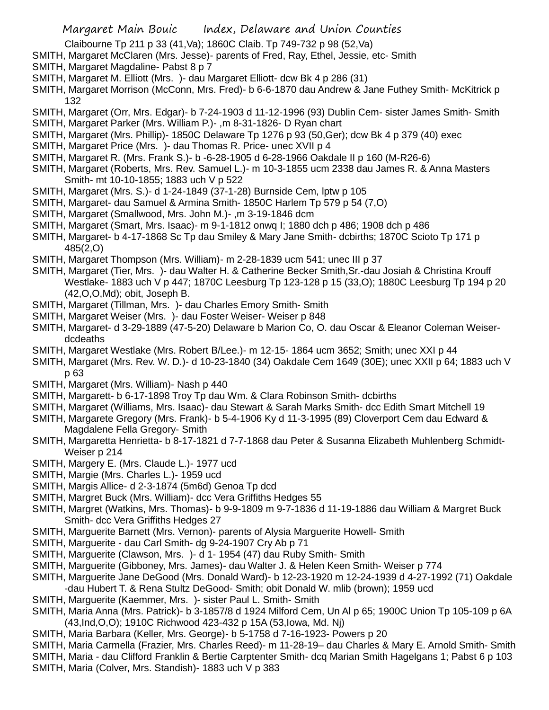- Claibourne Tp 211 p 33 (41,Va); 1860C Claib. Tp 749-732 p 98 (52,Va)
- SMITH, Margaret McClaren (Mrs. Jesse)- parents of Fred, Ray, Ethel, Jessie, etc- Smith
- SMITH, Margaret Magdaline- Pabst 8 p 7
- SMITH, Margaret M. Elliott (Mrs. )- dau Margaret Elliott- dcw Bk 4 p 286 (31)
- SMITH, Margaret Morrison (McConn, Mrs. Fred)- b 6-6-1870 dau Andrew & Jane Futhey Smith- McKitrick p 132
- SMITH, Margaret (Orr, Mrs. Edgar)- b 7-24-1903 d 11-12-1996 (93) Dublin Cem- sister James Smith- Smith
- SMITH, Margaret Parker (Mrs. William P.)- ,m 8-31-1826- D Ryan chart
- SMITH, Margaret (Mrs. Phillip)- 1850C Delaware Tp 1276 p 93 (50,Ger); dcw Bk 4 p 379 (40) exec
- SMITH, Margaret Price (Mrs. )- dau Thomas R. Price- unec XVII p 4
- SMITH, Margaret R. (Mrs. Frank S.)- b -6-28-1905 d 6-28-1966 Oakdale II p 160 (M-R26-6)
- SMITH, Margaret (Roberts, Mrs. Rev. Samuel L.)- m 10-3-1855 ucm 2338 dau James R. & Anna Masters Smith- mt 10-10-1855; 1883 uch V p 522
- SMITH, Margaret (Mrs. S.)- d 1-24-1849 (37-1-28) Burnside Cem, lptw p 105
- SMITH, Margaret- dau Samuel & Armina Smith- 1850C Harlem Tp 579 p 54 (7,O)
- SMITH, Margaret (Smallwood, Mrs. John M.)- ,m 3-19-1846 dcm
- SMITH, Margaret (Smart, Mrs. Isaac)- m 9-1-1812 onwq I; 1880 dch p 486; 1908 dch p 486
- SMITH, Margaret- b 4-17-1868 Sc Tp dau Smiley & Mary Jane Smith- dcbirths; 1870C Scioto Tp 171 p 485(2,O)
- SMITH, Margaret Thompson (Mrs. William)- m 2-28-1839 ucm 541; unec III p 37
- SMITH, Margaret (Tier, Mrs. )- dau Walter H. & Catherine Becker Smith,Sr.-dau Josiah & Christina Krouff Westlake- 1883 uch V p 447; 1870C Leesburg Tp 123-128 p 15 (33,O); 1880C Leesburg Tp 194 p 20 (42,O,O,Md); obit, Joseph B.
- SMITH, Margaret (Tillman, Mrs. )- dau Charles Emory Smith- Smith
- SMITH, Margaret Weiser (Mrs. )- dau Foster Weiser- Weiser p 848
- SMITH, Margaret- d 3-29-1889 (47-5-20) Delaware b Marion Co, O. dau Oscar & Eleanor Coleman Weiserdcdeaths
- SMITH, Margaret Westlake (Mrs. Robert B/Lee.)- m 12-15- 1864 ucm 3652; Smith; unec XXI p 44
- SMITH, Margaret (Mrs. Rev. W. D.)- d 10-23-1840 (34) Oakdale Cem 1649 (30E); unec XXII p 64; 1883 uch V p 63
- SMITH, Margaret (Mrs. William)- Nash p 440
- SMITH, Margarett- b 6-17-1898 Troy Tp dau Wm. & Clara Robinson Smith- dcbirths
- SMITH, Margaret (Williams, Mrs. Isaac)- dau Stewart & Sarah Marks Smith- dcc Edith Smart Mitchell 19
- SMITH, Margarete Gregory (Mrs. Frank)- b 5-4-1906 Ky d 11-3-1995 (89) Cloverport Cem dau Edward & Magdalene Fella Gregory- Smith
- SMITH, Margaretta Henrietta- b 8-17-1821 d 7-7-1868 dau Peter & Susanna Elizabeth Muhlenberg Schmidt-Weiser p 214
- SMITH, Margery E. (Mrs. Claude L.)- 1977 ucd
- SMITH, Margie (Mrs. Charles L.)- 1959 ucd
- SMITH, Margis Allice- d 2-3-1874 (5m6d) Genoa Tp dcd
- SMITH, Margret Buck (Mrs. William)- dcc Vera Griffiths Hedges 55
- SMITH, Margret (Watkins, Mrs. Thomas)- b 9-9-1809 m 9-7-1836 d 11-19-1886 dau William & Margret Buck Smith- dcc Vera Griffiths Hedges 27
- SMITH, Marguerite Barnett (Mrs. Vernon)- parents of Alysia Marguerite Howell- Smith
- SMITH, Marguerite dau Carl Smith- dg 9-24-1907 Cry Ab p 71
- SMITH, Marguerite (Clawson, Mrs. )- d 1- 1954 (47) dau Ruby Smith- Smith
- SMITH, Marguerite (Gibboney, Mrs. James)- dau Walter J. & Helen Keen Smith- Weiser p 774
- SMITH, Marguerite Jane DeGood (Mrs. Donald Ward)- b 12-23-1920 m 12-24-1939 d 4-27-1992 (71) Oakdale -dau Hubert T. & Rena Stultz DeGood- Smith; obit Donald W. mlib (brown); 1959 ucd
- SMITH, Marguerite (Kaemmer, Mrs. )- sister Paul L. Smith- Smith
- SMITH, Maria Anna (Mrs. Patrick)- b 3-1857/8 d 1924 Milford Cem, Un Al p 65; 1900C Union Tp 105-109 p 6A (43,Ind,O,O); 1910C Richwood 423-432 p 15A (53,Iowa, Md. Nj)
- SMITH, Maria Barbara (Keller, Mrs. George)- b 5-1758 d 7-16-1923- Powers p 20
- SMITH, Maria Carmella (Frazier, Mrs. Charles Reed)- m 11-28-19– dau Charles & Mary E. Arnold Smith- Smith SMITH, Maria - dau Clifford Franklin & Bertie Carptenter Smith- dcq Marian Smith Hagelgans 1; Pabst 6 p 103
- 
- SMITH, Maria (Colver, Mrs. Standish)- 1883 uch V p 383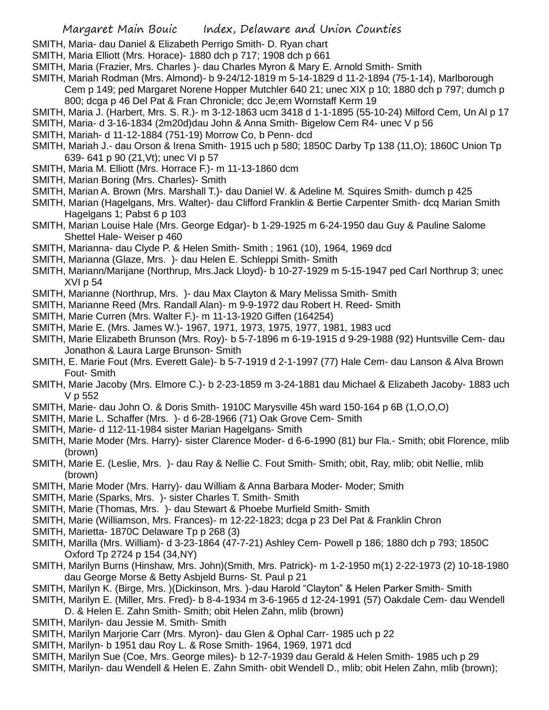SMITH, Maria- dau Daniel & Elizabeth Perrigo Smith- D. Ryan chart

SMITH, Maria Elliott (Mrs. Horace)- 1880 dch p 717; 1908 dch p 661

SMITH, Maria (Frazier, Mrs. Charles )- dau Charles Myron & Mary E. Arnold Smith- Smith

SMITH, Mariah Rodman (Mrs. Almond)- b 9-24/12-1819 m 5-14-1829 d 11-2-1894 (75-1-14), Marlborough Cem p 149; ped Margaret Norene Hopper Mutchler 640 21; unec XIX p 10; 1880 dch p 797; dumch p 800; dcga p 46 Del Pat & Fran Chronicle; dcc Je;em Wornstaff Kerm 19

- SMITH, Maria J. (Harbert, Mrs. S. R.)- m 3-12-1863 ucm 3418 d 1-1-1895 (55-10-24) Milford Cem, Un Al p 17
- SMITH, Maria- d 3-16-1834 (2m20d)dau John & Anna Smith- Bigelow Cem R4- unec V p 56
- SMITH, Mariah- d 11-12-1884 (751-19) Morrow Co, b Penn- dcd
- SMITH, Mariah J.- dau Orson & Irena Smith- 1915 uch p 580; 1850C Darby Tp 138 (11,O); 1860C Union Tp 639- 641 p 90 (21,Vt); unec VI p 57
- SMITH, Maria M. Elliott (Mrs. Horrace F.)- m 11-13-1860 dcm
- SMITH, Marian Boring (Mrs. Charles)- Smith
- SMITH, Marian A. Brown (Mrs. Marshall T.)- dau Daniel W. & Adeline M. Squires Smith- dumch p 425
- SMITH, Marian (Hagelgans, Mrs. Walter)- dau Clifford Franklin & Bertie Carpenter Smith- dcq Marian Smith Hagelgans 1; Pabst 6 p 103
- SMITH, Marian Louise Hale (Mrs. George Edgar)- b 1-29-1925 m 6-24-1950 dau Guy & Pauline Salome Shettel Hale- Weiser p 460
- SMITH, Marianna- dau Clyde P. & Helen Smith- Smith ; 1961 (10), 1964, 1969 dcd
- SMITH, Marianna (Glaze, Mrs. )- dau Helen E. Schleppi Smith- Smith
- SMITH, Mariann/Marijane (Northrup, Mrs.Jack Lloyd)- b 10-27-1929 m 5-15-1947 ped Carl Northrup 3; unec XVI p 54
- SMITH, Marianne (Northrup, Mrs. )- dau Max Clayton & Mary Melissa Smith- Smith
- SMITH, Marianne Reed (Mrs. Randall Alan)- m 9-9-1972 dau Robert H. Reed- Smith
- SMITH, Marie Curren (Mrs. Walter F.)- m 11-13-1920 Giffen (164254)
- SMITH, Marie E. (Mrs. James W.)- 1967, 1971, 1973, 1975, 1977, 1981, 1983 ucd
- SMITH, Marie Elizabeth Brunson (Mrs. Roy)- b 5-7-1896 m 6-19-1915 d 9-29-1988 (92) Huntsville Cem- dau Jonathon & Laura Large Brunson- Smith
- SMITH, E. Marie Fout (Mrs. Everett Gale)- b 5-7-1919 d 2-1-1997 (77) Hale Cem- dau Lanson & Alva Brown Fout- Smith
- SMITH, Marie Jacoby (Mrs. Elmore C.)- b 2-23-1859 m 3-24-1881 dau Michael & Elizabeth Jacoby- 1883 uch V p 552
- SMITH, Marie- dau John O. & Doris Smith- 1910C Marysville 45h ward 150-164 p 6B (1,O,O,O)
- SMITH, Marie L. Schaffer (Mrs. )- d 6-28-1966 (71) Oak Grove Cem- Smith
- SMITH, Marie- d 112-11-1984 sister Marian Hagelgans- Smith
- SMITH, Marie Moder (Mrs. Harry)- sister Clarence Moder- d 6-6-1990 (81) bur Fla.- Smith; obit Florence, mlib (brown)
- SMITH, Marie E. (Leslie, Mrs. )- dau Ray & Nellie C. Fout Smith- Smith; obit, Ray, mlib; obit Nellie, mlib (brown)
- SMITH, Marie Moder (Mrs. Harry)- dau William & Anna Barbara Moder- Moder; Smith
- SMITH, Marie (Sparks, Mrs. )- sister Charles T. Smith- Smith
- SMITH, Marie (Thomas, Mrs. )- dau Stewart & Phoebe Murfield Smith- Smith
- SMITH, Marie (Williamson, Mrs. Frances)- m 12-22-1823; dcga p 23 Del Pat & Franklin Chron
- SMITH, Marietta- 1870C Delaware Tp p 268 (3)
- SMITH, Marilla (Mrs. William)- d 3-23-1864 (47-7-21) Ashley Cem- Powell p 186; 1880 dch p 793; 1850C Oxford Tp 2724 p 154 (34,NY)
- SMITH, Marilyn Burns (Hinshaw, Mrs. John)(Smith, Mrs. Patrick)- m 1-2-1950 m(1) 2-22-1973 (2) 10-18-1980 dau George Morse & Betty Asbjeld Burns- St. Paul p 21
- SMITH, Marilyn K. (Birge, Mrs. )(Dickinson, Mrs. )-dau Harold "Clayton" & Helen Parker Smith- Smith
- SMITH, Marilyn E. (Miller, Mrs. Fred)- b 8-4-1934 m 3-6-1965 d 12-24-1991 (57) Oakdale Cem- dau Wendell D. & Helen E. Zahn Smith- Smith; obit Helen Zahn, mlib (brown)
- SMITH, Marilyn- dau Jessie M. Smith- Smith
- SMITH, Marilyn Marjorie Carr (Mrs. Myron)- dau Glen & Ophal Carr- 1985 uch p 22
- SMITH, Marilyn- b 1951 dau Roy L. & Rose Smith- 1964, 1969, 1971 dcd
- SMITH, Marilyn Sue (Coe, Mrs. George miles)- b 12-7-1939 dau Gerald & Helen Smith- 1985 uch p 29
- SMITH, Marilyn- dau Wendell & Helen E. Zahn Smith- obit Wendell D., mlib; obit Helen Zahn, mlib (brown);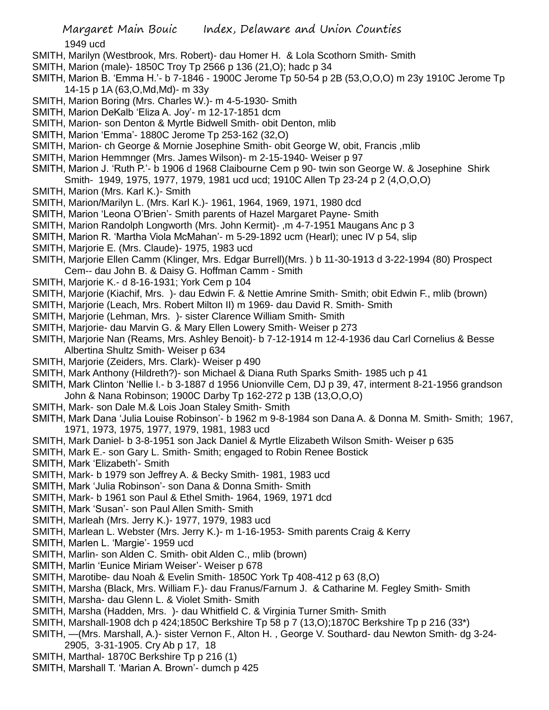1949 ucd

- SMITH, Marilyn (Westbrook, Mrs. Robert)- dau Homer H. & Lola Scothorn Smith- Smith
- SMITH, Marion (male)- 1850C Troy Tp 2566 p 136 (21,O); hadc p 34
- SMITH, Marion B. 'Emma H.'- b 7-1846 1900C Jerome Tp 50-54 p 2B (53,O,O,O) m 23y 1910C Jerome Tp 14-15 p 1A (63,O,Md,Md)- m 33y
- SMITH, Marion Boring (Mrs. Charles W.)- m 4-5-1930- Smith
- SMITH, Marion DeKalb 'Eliza A. Joy'- m 12-17-1851 dcm
- SMITH, Marion- son Denton & Myrtle Bidwell Smith- obit Denton, mlib
- SMITH, Marion 'Emma'- 1880C Jerome Tp 253-162 (32,O)
- SMITH, Marion- ch George & Mornie Josephine Smith- obit George W, obit, Francis ,mlib
- SMITH, Marion Hemmnger (Mrs. James Wilson)- m 2-15-1940- Weiser p 97
- SMITH, Marion J. 'Ruth P.'- b 1906 d 1968 Claibourne Cem p 90- twin son George W. & Josephine Shirk Smith- 1949, 1975, 1977, 1979, 1981 ucd ucd; 1910C Allen Tp 23-24 p 2 (4,O,O,O)
- SMITH, Marion (Mrs. Karl K.)- Smith
- SMITH, Marion/Marilyn L. (Mrs. Karl K.)- 1961, 1964, 1969, 1971, 1980 dcd
- SMITH, Marion 'Leona O'Brien'- Smith parents of Hazel Margaret Payne- Smith
- SMITH, Marion Randolph Longworth (Mrs. John Kermit)- ,m 4-7-1951 Maugans Anc p 3
- SMITH, Marion R. 'Martha Viola McMahan'- m 5-29-1892 ucm (Hearl); unec IV p 54, slip
- SMITH, Marjorie E. (Mrs. Claude)- 1975, 1983 ucd
- SMITH, Marjorie Ellen Camm (Klinger, Mrs. Edgar Burrell)(Mrs. ) b 11-30-1913 d 3-22-1994 (80) Prospect Cem-- dau John B. & Daisy G. Hoffman Camm - Smith
- SMITH, Marjorie K.- d 8-16-1931; York Cem p 104
- SMITH, Marjorie (Kiachif, Mrs. )- dau Edwin F. & Nettie Amrine Smith- Smith; obit Edwin F., mlib (brown)
- SMITH, Marjorie (Leach, Mrs. Robert Milton II) m 1969- dau David R. Smith- Smith
- SMITH, Marjorie (Lehman, Mrs. )- sister Clarence William Smith- Smith
- SMITH, Marjorie- dau Marvin G. & Mary Ellen Lowery Smith- Weiser p 273
- SMITH, Marjorie Nan (Reams, Mrs. Ashley Benoit)- b 7-12-1914 m 12-4-1936 dau Carl Cornelius & Besse Albertina Shultz Smith- Weiser p 634
- SMITH, Marjorie (Zeiders, Mrs. Clark)- Weiser p 490
- SMITH, Mark Anthony (Hildreth?)- son Michael & Diana Ruth Sparks Smith- 1985 uch p 41
- SMITH, Mark Clinton 'Nellie l.- b 3-1887 d 1956 Unionville Cem, DJ p 39, 47, interment 8-21-1956 grandson John & Nana Robinson; 1900C Darby Tp 162-272 p 13B (13,O,O,O)
- SMITH, Mark- son Dale M.& Lois Joan Staley Smith- Smith
- SMITH, Mark Dana 'Julia Louise Robinson'- b 1962 m 9-8-1984 son Dana A. & Donna M. Smith- Smith; 1967, 1971, 1973, 1975, 1977, 1979, 1981, 1983 ucd
- SMITH, Mark Daniel- b 3-8-1951 son Jack Daniel & Myrtle Elizabeth Wilson Smith- Weiser p 635
- SMITH, Mark E.- son Gary L. Smith- Smith; engaged to Robin Renee Bostick
- SMITH, Mark 'Elizabeth'- Smith
- SMITH, Mark- b 1979 son Jeffrey A. & Becky Smith- 1981, 1983 ucd
- SMITH, Mark 'Julia Robinson'- son Dana & Donna Smith- Smith
- SMITH, Mark- b 1961 son Paul & Ethel Smith- 1964, 1969, 1971 dcd
- SMITH, Mark 'Susan'- son Paul Allen Smith- Smith
- SMITH, Marleah (Mrs. Jerry K.)- 1977, 1979, 1983 ucd
- SMITH, Marlean L. Webster (Mrs. Jerry K.)- m 1-16-1953- Smith parents Craig & Kerry
- SMITH, Marlen L. 'Margie'- 1959 ucd
- SMITH, Marlin- son Alden C. Smith- obit Alden C., mlib (brown)
- SMITH, Marlin 'Eunice Miriam Weiser'- Weiser p 678
- SMITH, Marotibe- dau Noah & Evelin Smith- 1850C York Tp 408-412 p 63 (8,O)
- SMITH, Marsha (Black, Mrs. William F.)- dau Franus/Farnum J. & Catharine M. Fegley Smith- Smith
- SMITH, Marsha- dau Glenn L. & Violet Smith- Smith
- SMITH, Marsha (Hadden, Mrs. )- dau Whitfield C. & Virginia Turner Smith- Smith
- SMITH, Marshall-1908 dch p 424;1850C Berkshire Tp 58 p 7 (13,O);1870C Berkshire Tp p 216 (33\*)
- SMITH, —(Mrs. Marshall, A.)- sister Vernon F., Alton H. , George V. Southard- dau Newton Smith- dg 3-24- 2905, 3-31-1905. Cry Ab p 17, 18
- SMITH, Marthal- 1870C Berkshire Tp p 216 (1)
- SMITH, Marshall T. 'Marian A. Brown'- dumch p 425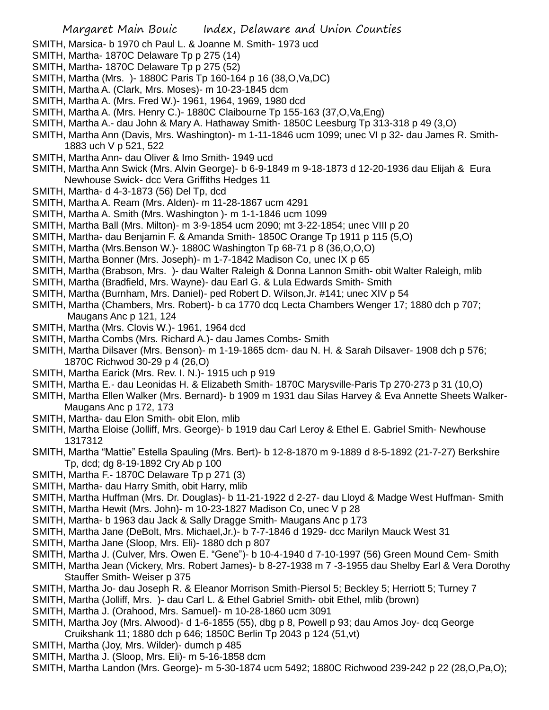- SMITH, Marsica- b 1970 ch Paul L. & Joanne M. Smith- 1973 ucd
- SMITH, Martha- 1870C Delaware Tp p 275 (14)
- SMITH, Martha- 1870C Delaware Tp p 275 (52)
- SMITH, Martha (Mrs. )- 1880C Paris Tp 160-164 p 16 (38,O,Va,DC)
- SMITH, Martha A. (Clark, Mrs. Moses)- m 10-23-1845 dcm
- SMITH, Martha A. (Mrs. Fred W.)- 1961, 1964, 1969, 1980 dcd
- SMITH, Martha A. (Mrs. Henry C.)- 1880C Claibourne Tp 155-163 (37,O,Va,Eng)
- SMITH, Martha A.- dau John & Mary A. Hathaway Smith- 1850C Leesburg Tp 313-318 p 49 (3,O)
- SMITH, Martha Ann (Davis, Mrs. Washington)- m 1-11-1846 ucm 1099; unec VI p 32- dau James R. Smith-1883 uch V p 521, 522
- SMITH, Martha Ann- dau Oliver & Imo Smith- 1949 ucd
- SMITH, Martha Ann Swick (Mrs. Alvin George)- b 6-9-1849 m 9-18-1873 d 12-20-1936 dau Elijah & Eura Newhouse Swick- dcc Vera Griffiths Hedges 11
- SMITH, Martha- d 4-3-1873 (56) Del Tp, dcd
- SMITH, Martha A. Ream (Mrs. Alden)- m 11-28-1867 ucm 4291
- SMITH, Martha A. Smith (Mrs. Washington )- m 1-1-1846 ucm 1099
- SMITH, Martha Ball (Mrs. Milton)- m 3-9-1854 ucm 2090; mt 3-22-1854; unec VIII p 20
- SMITH, Martha- dau Benjamin F. & Amanda Smith- 1850C Orange Tp 1911 p 115 (5,O)
- SMITH, Martha (Mrs.Benson W.)- 1880C Washington Tp 68-71 p 8 (36,O,O,O)
- SMITH, Martha Bonner (Mrs. Joseph)- m 1-7-1842 Madison Co, unec IX p 65
- SMITH, Martha (Brabson, Mrs. )- dau Walter Raleigh & Donna Lannon Smith- obit Walter Raleigh, mlib
- SMITH, Martha (Bradfield, Mrs. Wayne)- dau Earl G. & Lula Edwards Smith- Smith
- SMITH, Martha (Burnham, Mrs. Daniel)- ped Robert D. Wilson,Jr. #141; unec XIV p 54
- SMITH, Martha (Chambers, Mrs. Robert)- b ca 1770 dcq Lecta Chambers Wenger 17; 1880 dch p 707; Maugans Anc p 121, 124
- SMITH, Martha (Mrs. Clovis W.)- 1961, 1964 dcd
- SMITH, Martha Combs (Mrs. Richard A.)- dau James Combs- Smith
- SMITH, Martha Dilsaver (Mrs. Benson)- m 1-19-1865 dcm- dau N. H. & Sarah Dilsaver- 1908 dch p 576; 1870C Richwod 30-29 p 4 (26,O)
- SMITH, Martha Earick (Mrs. Rev. I. N.)- 1915 uch p 919
- SMITH, Martha E.- dau Leonidas H. & Elizabeth Smith- 1870C Marysville-Paris Tp 270-273 p 31 (10,O)
- SMITH, Martha Ellen Walker (Mrs. Bernard)- b 1909 m 1931 dau Silas Harvey & Eva Annette Sheets Walker-Maugans Anc p 172, 173
- SMITH, Martha- dau Elon Smith- obit Elon, mlib
- SMITH, Martha Eloise (Jolliff, Mrs. George)- b 1919 dau Carl Leroy & Ethel E. Gabriel Smith- Newhouse 1317312
- SMITH, Martha "Mattie" Estella Spauling (Mrs. Bert)- b 12-8-1870 m 9-1889 d 8-5-1892 (21-7-27) Berkshire Tp, dcd; dg 8-19-1892 Cry Ab p 100
- SMITH, Martha F.- 1870C Delaware Tp p 271 (3)
- SMITH, Martha- dau Harry Smith, obit Harry, mlib
- SMITH, Martha Huffman (Mrs. Dr. Douglas)- b 11-21-1922 d 2-27- dau Lloyd & Madge West Huffman- Smith
- SMITH, Martha Hewit (Mrs. John)- m 10-23-1827 Madison Co, unec V p 28
- SMITH, Martha- b 1963 dau Jack & Sally Dragge Smith- Maugans Anc p 173
- SMITH, Martha Jane (DeBolt, Mrs. Michael,Jr.)- b 7-7-1846 d 1929- dcc Marilyn Mauck West 31
- SMITH, Martha Jane (Sloop, Mrs. Eli)- 1880 dch p 807
- SMITH, Martha J. (Culver, Mrs. Owen E. "Gene")- b 10-4-1940 d 7-10-1997 (56) Green Mound Cem- Smith
- SMITH, Martha Jean (Vickery, Mrs. Robert James)- b 8-27-1938 m 7 -3-1955 dau Shelby Earl & Vera Dorothy Stauffer Smith- Weiser p 375
- SMITH, Martha Jo- dau Joseph R. & Eleanor Morrison Smith-Piersol 5; Beckley 5; Herriott 5; Turney 7
- SMITH, Martha (Jolliff, Mrs. )- dau Carl L. & Ethel Gabriel Smith- obit Ethel, mlib (brown)
- SMITH, Martha J. (Orahood, Mrs. Samuel)- m 10-28-1860 ucm 3091
- SMITH, Martha Joy (Mrs. Alwood)- d 1-6-1855 (55), dbg p 8, Powell p 93; dau Amos Joy- dcq George Cruikshank 11; 1880 dch p 646; 1850C Berlin Tp 2043 p 124 (51,vt)
- SMITH, Martha (Joy, Mrs. Wilder)- dumch p 485
- SMITH, Martha J. (Sloop, Mrs. Eli)- m 5-16-1858 dcm
- SMITH, Martha Landon (Mrs. George)- m 5-30-1874 ucm 5492; 1880C Richwood 239-242 p 22 (28,O,Pa,O);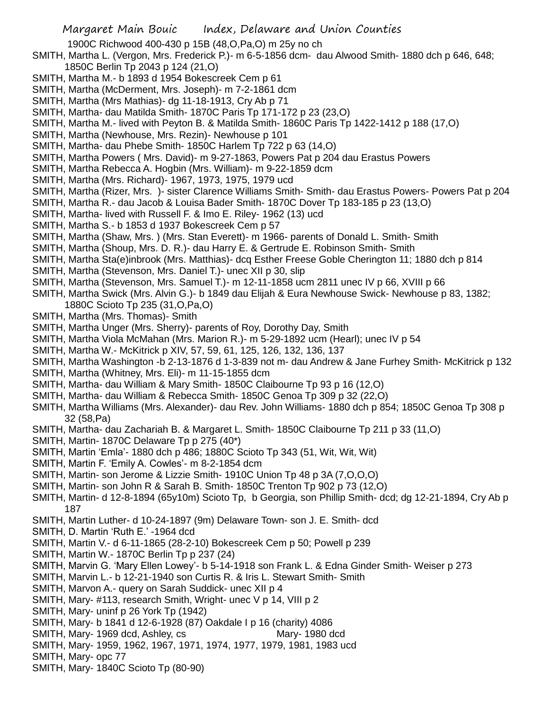1900C Richwood 400-430 p 15B (48,O,Pa,O) m 25y no ch

- SMITH, Martha L. (Vergon, Mrs. Frederick P.)- m 6-5-1856 dcm- dau Alwood Smith- 1880 dch p 646, 648; 1850C Berlin Tp 2043 p 124 (21,O)
- SMITH, Martha M.- b 1893 d 1954 Bokescreek Cem p 61
- SMITH, Martha (McDerment, Mrs. Joseph)- m 7-2-1861 dcm
- SMITH, Martha (Mrs Mathias)- dg 11-18-1913, Cry Ab p 71
- SMITH, Martha- dau Matilda Smith- 1870C Paris Tp 171-172 p 23 (23,O)
- SMITH, Martha M.- lived with Peyton B. & Matilda Smith- 1860C Paris Tp 1422-1412 p 188 (17,O)
- SMITH, Martha (Newhouse, Mrs. Rezin)- Newhouse p 101
- SMITH, Martha- dau Phebe Smith- 1850C Harlem Tp 722 p 63 (14,O)
- SMITH, Martha Powers ( Mrs. David)- m 9-27-1863, Powers Pat p 204 dau Erastus Powers
- SMITH, Martha Rebecca A. Hogbin (Mrs. William)- m 9-22-1859 dcm
- SMITH, Martha (Mrs. Richard)- 1967, 1973, 1975, 1979 ucd
- SMITH, Martha (Rizer, Mrs. )- sister Clarence Williams Smith- Smith- dau Erastus Powers- Powers Pat p 204
- SMITH, Martha R.- dau Jacob & Louisa Bader Smith- 1870C Dover Tp 183-185 p 23 (13,O)
- SMITH, Martha- lived with Russell F. & Imo E. Riley- 1962 (13) ucd
- SMITH, Martha S.- b 1853 d 1937 Bokescreek Cem p 57
- SMITH, Martha (Shaw, Mrs. ) (Mrs. Stan Everett)- m 1966- parents of Donald L. Smith- Smith
- SMITH, Martha (Shoup, Mrs. D. R.)- dau Harry E. & Gertrude E. Robinson Smith- Smith
- SMITH, Martha Sta(e)inbrook (Mrs. Matthias)- dcq Esther Freese Goble Cherington 11; 1880 dch p 814
- SMITH, Martha (Stevenson, Mrs. Daniel T.)- unec XII p 30, slip
- SMITH, Martha (Stevenson, Mrs. Samuel T.)- m 12-11-1858 ucm 2811 unec IV p 66, XVIII p 66
- SMITH, Martha Swick (Mrs. Alvin G.)- b 1849 dau Elijah & Eura Newhouse Swick- Newhouse p 83, 1382; 1880C Scioto Tp 235 (31,O,Pa,O)
- SMITH, Martha (Mrs. Thomas)- Smith
- SMITH, Martha Unger (Mrs. Sherry)- parents of Roy, Dorothy Day, Smith
- SMITH, Martha Viola McMahan (Mrs. Marion R.)- m 5-29-1892 ucm (Hearl); unec IV p 54
- SMITH, Martha W.- McKitrick p XIV, 57, 59, 61, 125, 126, 132, 136, 137
- SMITH, Martha Washington -b 2-13-1876 d 1-3-839 not m- dau Andrew & Jane Furhey Smith- McKitrick p 132
- SMITH, Martha (Whitney, Mrs. Eli)- m 11-15-1855 dcm
- SMITH, Martha- dau William & Mary Smith- 1850C Claibourne Tp 93 p 16 (12,O)
- SMITH, Martha- dau William & Rebecca Smith- 1850C Genoa Tp 309 p 32 (22,O)
- SMITH, Martha Williams (Mrs. Alexander)- dau Rev. John Williams- 1880 dch p 854; 1850C Genoa Tp 308 p 32 (58,Pa)
- SMITH, Martha- dau Zachariah B. & Margaret L. Smith- 1850C Claibourne Tp 211 p 33 (11,O)
- SMITH, Martin- 1870C Delaware Tp p 275 (40\*)
- SMITH, Martin 'Emla'- 1880 dch p 486; 1880C Scioto Tp 343 (51, Wit, Wit, Wit)
- SMITH, Martin F. 'Emily A. Cowles'- m 8-2-1854 dcm
- SMITH, Martin- son Jerome & Lizzie Smith- 1910C Union Tp 48 p 3A (7,O,O,O)
- SMITH, Martin- son John R & Sarah B. Smith- 1850C Trenton Tp 902 p 73 (12,O)
- SMITH, Martin- d 12-8-1894 (65y10m) Scioto Tp, b Georgia, son Phillip Smith- dcd; dg 12-21-1894, Cry Ab p 187
- SMITH, Martin Luther- d 10-24-1897 (9m) Delaware Town- son J. E. Smith- dcd
- SMITH, D. Martin 'Ruth E.' -1964 dcd
- SMITH, Martin V.- d 6-11-1865 (28-2-10) Bokescreek Cem p 50; Powell p 239
- SMITH, Martin W.- 1870C Berlin Tp p 237 (24)
- SMITH, Marvin G. 'Mary Ellen Lowey'- b 5-14-1918 son Frank L. & Edna Ginder Smith- Weiser p 273
- SMITH, Marvin L.- b 12-21-1940 son Curtis R. & Iris L. Stewart Smith- Smith
- SMITH, Marvon A.- query on Sarah Suddick- unec XII p 4
- SMITH, Mary- #113, research Smith, Wright- unec V p 14, VIII p 2
- SMITH, Mary- uninf p 26 York Tp (1942)
- SMITH, Mary- b 1841 d 12-6-1928 (87) Oakdale I p 16 (charity) 4086
- SMITH, Mary- 1969 dcd, Ashley, cs Mary- 1980 dcd
- SMITH, Mary- 1959, 1962, 1967, 1971, 1974, 1977, 1979, 1981, 1983 ucd
- SMITH, Mary- opc 77
- SMITH, Mary- 1840C Scioto Tp (80-90)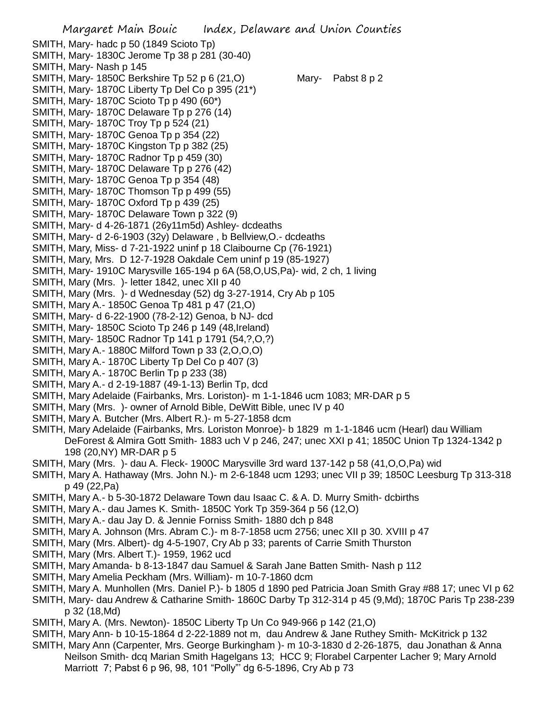Margaret Main Bouic Index, Delaware and Union Counties SMITH, Mary- hadc p 50 (1849 Scioto Tp) SMITH, Mary- 1830C Jerome Tp 38 p 281 (30-40) SMITH, Mary- Nash p 145 SMITH, Mary- 1850C Berkshire Tp 52 p 6 (21,O) Mary- Pabst 8 p 2 SMITH, Mary- 1870C Liberty Tp Del Co p 395 (21\*) SMITH, Mary- 1870C Scioto Tp p 490 (60\*) SMITH, Mary- 1870C Delaware Tp p 276 (14) SMITH, Mary- 1870C Troy Tp p 524 (21) SMITH, Mary- 1870C Genoa Tp p 354 (22) SMITH, Mary- 1870C Kingston Tp p 382 (25) SMITH, Mary- 1870C Radnor Tp p 459 (30) SMITH, Mary- 1870C Delaware Tp p 276 (42) SMITH, Mary- 1870C Genoa Tp p 354 (48) SMITH, Mary- 1870C Thomson Tp p 499 (55) SMITH, Mary- 1870C Oxford Tp p 439 (25) SMITH, Mary- 1870C Delaware Town p 322 (9) SMITH, Mary- d 4-26-1871 (26y11m5d) Ashley- dcdeaths SMITH, Mary- d 2-6-1903 (32y) Delaware , b Bellview,O.- dcdeaths SMITH, Mary, Miss- d 7-21-1922 uninf p 18 Claibourne Cp (76-1921) SMITH, Mary, Mrs. D 12-7-1928 Oakdale Cem uninf p 19 (85-1927) SMITH, Mary- 1910C Marysville 165-194 p 6A (58,O,US,Pa)- wid, 2 ch, 1 living SMITH, Mary (Mrs. )- letter 1842, unec XII p 40 SMITH, Mary (Mrs. )- d Wednesday (52) dg 3-27-1914, Cry Ab p 105 SMITH, Mary A.- 1850C Genoa Tp 481 p 47 (21,O) SMITH, Mary- d 6-22-1900 (78-2-12) Genoa, b NJ- dcd SMITH, Mary- 1850C Scioto Tp 246 p 149 (48,Ireland) SMITH, Mary- 1850C Radnor Tp 141 p 1791 (54,?,O,?) SMITH, Mary A.- 1880C Milford Town p 33 (2,O,O,O) SMITH, Mary A.- 1870C Liberty Tp Del Co p 407 (3) SMITH, Mary A.- 1870C Berlin Tp p 233 (38) SMITH, Mary A.- d 2-19-1887 (49-1-13) Berlin Tp, dcd SMITH, Mary Adelaide (Fairbanks, Mrs. Loriston)- m 1-1-1846 ucm 1083; MR-DAR p 5 SMITH, Mary (Mrs. )- owner of Arnold Bible, DeWitt Bible, unec IV p 40 SMITH, Mary A. Butcher (Mrs. Albert R.)- m 5-27-1858 dcm SMITH, Mary Adelaide (Fairbanks, Mrs. Loriston Monroe)- b 1829 m 1-1-1846 ucm (Hearl) dau William DeForest & Almira Gott Smith- 1883 uch V p 246, 247; unec XXI p 41; 1850C Union Tp 1324-1342 p 198 (20,NY) MR-DAR p 5 SMITH, Mary (Mrs. )- dau A. Fleck- 1900C Marysville 3rd ward 137-142 p 58 (41,O,O,Pa) wid SMITH, Mary A. Hathaway (Mrs. John N.)- m 2-6-1848 ucm 1293; unec VII p 39; 1850C Leesburg Tp 313-318 p 49 (22,Pa) SMITH, Mary A.- b 5-30-1872 Delaware Town dau Isaac C. & A. D. Murry Smith- dcbirths SMITH, Mary A.- dau James K. Smith- 1850C York Tp 359-364 p 56 (12,O) SMITH, Mary A.- dau Jay D. & Jennie Forniss Smith- 1880 dch p 848 SMITH, Mary A. Johnson (Mrs. Abram C.)- m 8-7-1858 ucm 2756; unec XII p 30. XVIII p 47 SMITH, Mary (Mrs. Albert)- dg 4-5-1907, Cry Ab p 33; parents of Carrie Smith Thurston SMITH, Mary (Mrs. Albert T.)- 1959, 1962 ucd SMITH, Mary Amanda- b 8-13-1847 dau Samuel & Sarah Jane Batten Smith- Nash p 112 SMITH, Mary Amelia Peckham (Mrs. William)- m 10-7-1860 dcm SMITH, Mary A. Munhollen (Mrs. Daniel P.)- b 1805 d 1890 ped Patricia Joan Smith Gray #88 17; unec VI p 62 SMITH, Mary- dau Andrew & Catharine Smith- 1860C Darby Tp 312-314 p 45 (9,Md); 1870C Paris Tp 238-239 p 32 (18,Md)

SMITH, Mary A. (Mrs. Newton)- 1850C Liberty Tp Un Co 949-966 p 142 (21,O)

SMITH, Mary Ann- b 10-15-1864 d 2-22-1889 not m, dau Andrew & Jane Ruthey Smith- McKitrick p 132 SMITH, Mary Ann (Carpenter, Mrs. George Burkingham )- m 10-3-1830 d 2-26-1875, dau Jonathan & Anna Neilson Smith- dcq Marian Smith Hagelgans 13; HCC 9; Florabel Carpenter Lacher 9; Mary Arnold

Marriott 7; Pabst 6 p 96, 98, 101 "Polly"' dg 6-5-1896, Cry Ab p 73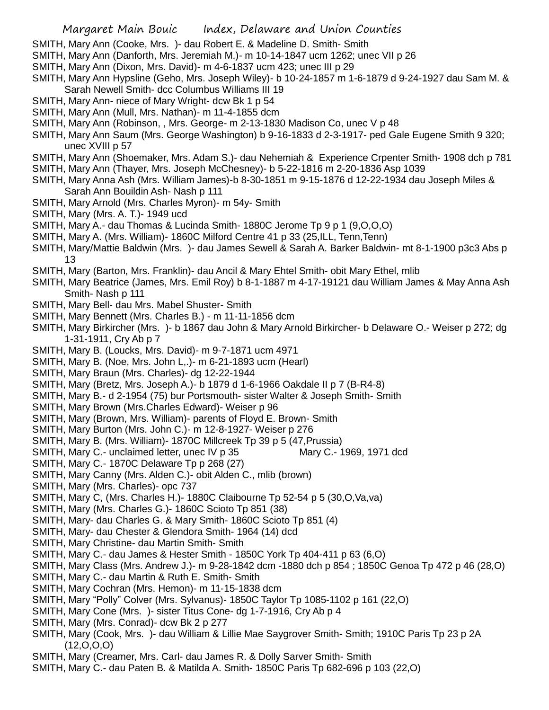- SMITH, Mary Ann (Cooke, Mrs. )- dau Robert E. & Madeline D. Smith- Smith
- SMITH, Mary Ann (Danforth, Mrs. Jeremiah M.)- m 10-14-1847 ucm 1262; unec VII p 26
- SMITH, Mary Ann (Dixon, Mrs. David)- m 4-6-1837 ucm 423; unec III p 29
- SMITH, Mary Ann Hypsline (Geho, Mrs. Joseph Wiley)- b 10-24-1857 m 1-6-1879 d 9-24-1927 dau Sam M. & Sarah Newell Smith- dcc Columbus Williams III 19
- SMITH, Mary Ann- niece of Mary Wright- dcw Bk 1 p 54
- SMITH, Mary Ann (Mull, Mrs. Nathan)- m 11-4-1855 dcm
- SMITH, Mary Ann (Robinson, , Mrs. George- m 2-13-1830 Madison Co, unec V p 48
- SMITH, Mary Ann Saum (Mrs. George Washington) b 9-16-1833 d 2-3-1917- ped Gale Eugene Smith 9 320; unec XVIII p 57
- SMITH, Mary Ann (Shoemaker, Mrs. Adam S.)- dau Nehemiah & Experience Crpenter Smith- 1908 dch p 781
- SMITH, Mary Ann (Thayer, Mrs. Joseph McChesney)- b 5-22-1816 m 2-20-1836 Asp 1039
- SMITH, Mary Anna Ash (Mrs. William James)-b 8-30-1851 m 9-15-1876 d 12-22-1934 dau Joseph Miles & Sarah Ann Bouildin Ash- Nash p 111
- SMITH, Mary Arnold (Mrs. Charles Myron)- m 54y- Smith
- SMITH, Mary (Mrs. A. T.)- 1949 ucd
- SMITH, Mary A.- dau Thomas & Lucinda Smith- 1880C Jerome Tp 9 p 1 (9,O,O,O)
- SMITH, Mary A. (Mrs. William)- 1860C Milford Centre 41 p 33 (25,ILL, Tenn,Tenn)
- SMITH, Mary/Mattie Baldwin (Mrs. )- dau James Sewell & Sarah A. Barker Baldwin- mt 8-1-1900 p3c3 Abs p 13
- SMITH, Mary (Barton, Mrs. Franklin)- dau Ancil & Mary Ehtel Smith- obit Mary Ethel, mlib
- SMITH, Mary Beatrice (James, Mrs. Emil Roy) b 8-1-1887 m 4-17-19121 dau William James & May Anna Ash Smith- Nash p 111
- SMITH, Mary Bell- dau Mrs. Mabel Shuster- Smith
- SMITH, Mary Bennett (Mrs. Charles B.) m 11-11-1856 dcm
- SMITH, Mary Birkircher (Mrs. )- b 1867 dau John & Mary Arnold Birkircher- b Delaware O.- Weiser p 272; dg 1-31-1911, Cry Ab p 7
- SMITH, Mary B. (Loucks, Mrs. David)- m 9-7-1871 ucm 4971
- SMITH, Mary B. (Noe, Mrs. John L,.)- m 6-21-1893 ucm (Hearl)
- SMITH, Mary Braun (Mrs. Charles)- dg 12-22-1944
- SMITH, Mary (Bretz, Mrs. Joseph A.)- b 1879 d 1-6-1966 Oakdale II p 7 (B-R4-8)
- SMITH, Mary B.- d 2-1954 (75) bur Portsmouth- sister Walter & Joseph Smith- Smith
- SMITH, Mary Brown (Mrs.Charles Edward)- Weiser p 96
- SMITH, Mary (Brown, Mrs. William)- parents of Floyd E. Brown- Smith
- SMITH, Mary Burton (Mrs. John C.)- m 12-8-1927- Weiser p 276
- SMITH, Mary B. (Mrs. William)- 1870C Millcreek Tp 39 p 5 (47,Prussia)
- SMITH, Mary C.- unclaimed letter, unec IV p 35 Mary C.- 1969, 1971 dcd
- SMITH, Mary C.- 1870C Delaware Tp p 268 (27)
- SMITH, Mary Canny (Mrs. Alden C.)- obit Alden C., mlib (brown)
- SMITH, Mary (Mrs. Charles)- opc 737
- SMITH, Mary C, (Mrs. Charles H.)- 1880C Claibourne Tp 52-54 p 5 (30,O,Va,va)
- SMITH, Mary (Mrs. Charles G.)- 1860C Scioto Tp 851 (38)
- SMITH, Mary- dau Charles G. & Mary Smith- 1860C Scioto Tp 851 (4)
- SMITH, Mary- dau Chester & Glendora Smith- 1964 (14) dcd
- SMITH, Mary Christine- dau Martin Smith- Smith
- SMITH, Mary C.- dau James & Hester Smith 1850C York Tp 404-411 p 63 (6,O)
- SMITH, Mary Class (Mrs. Andrew J.)- m 9-28-1842 dcm -1880 dch p 854 ; 1850C Genoa Tp 472 p 46 (28,O)
- SMITH, Mary C.- dau Martin & Ruth E. Smith- Smith
- SMITH, Mary Cochran (Mrs. Hemon)- m 11-15-1838 dcm
- SMITH, Mary "Polly" Colver (Mrs. Sylvanus)- 1850C Taylor Tp 1085-1102 p 161 (22,O)
- SMITH, Mary Cone (Mrs. )- sister Titus Cone- dg 1-7-1916, Cry Ab p 4
- SMITH, Mary (Mrs. Conrad)- dcw Bk 2 p 277
- SMITH, Mary (Cook, Mrs. )- dau William & Lillie Mae Saygrover Smith- Smith; 1910C Paris Tp 23 p 2A (12,O,O,O)
- SMITH, Mary (Creamer, Mrs. Carl- dau James R. & Dolly Sarver Smith- Smith
- SMITH, Mary C.- dau Paten B. & Matilda A. Smith- 1850C Paris Tp 682-696 p 103 (22,O)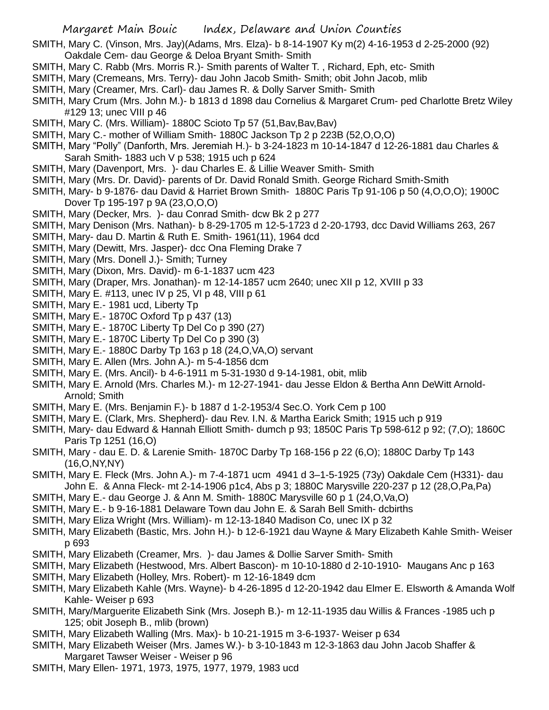- SMITH, Mary C. (Vinson, Mrs. Jay)(Adams, Mrs. Elza)- b 8-14-1907 Ky m(2) 4-16-1953 d 2-25-2000 (92) Oakdale Cem- dau George & Deloa Bryant Smith- Smith
- SMITH, Mary C. Rabb (Mrs. Morris R.)- Smith parents of Walter T. , Richard, Eph, etc- Smith
- SMITH, Mary (Cremeans, Mrs. Terry)- dau John Jacob Smith- Smith; obit John Jacob, mlib
- SMITH, Mary (Creamer, Mrs. Carl)- dau James R. & Dolly Sarver Smith- Smith
- SMITH, Mary Crum (Mrs. John M.)- b 1813 d 1898 dau Cornelius & Margaret Crum- ped Charlotte Bretz Wiley #129 13; unec VIII p 46
- SMITH, Mary C. (Mrs. William) 1880C Scioto Tp 57 (51, Bav, Bav, Bav)
- SMITH, Mary C.- mother of William Smith- 1880C Jackson Tp 2 p 223B (52,O,O,O)
- SMITH, Mary "Polly" (Danforth, Mrs. Jeremiah H.)- b 3-24-1823 m 10-14-1847 d 12-26-1881 dau Charles & Sarah Smith- 1883 uch V p 538; 1915 uch p 624
- SMITH, Mary (Davenport, Mrs. )- dau Charles E. & Lillie Weaver Smith- Smith
- SMITH, Mary (Mrs. Dr. David)- parents of Dr. David Ronald Smith. George Richard Smith-Smith
- SMITH, Mary- b 9-1876- dau David & Harriet Brown Smith- 1880C Paris Tp 91-106 p 50 (4,O,O,O); 1900C Dover Tp 195-197 p 9A (23,O,O,O)
- SMITH, Mary (Decker, Mrs. )- dau Conrad Smith- dcw Bk 2 p 277
- SMITH, Mary Denison (Mrs. Nathan)- b 8-29-1705 m 12-5-1723 d 2-20-1793, dcc David Williams 263, 267
- SMITH, Mary- dau D. Martin & Ruth E. Smith- 1961(11), 1964 dcd
- SMITH, Mary (Dewitt, Mrs. Jasper)- dcc Ona Fleming Drake 7
- SMITH, Mary (Mrs. Donell J.)- Smith; Turney
- SMITH, Mary (Dixon, Mrs. David)- m 6-1-1837 ucm 423
- SMITH, Mary (Draper, Mrs. Jonathan)- m 12-14-1857 ucm 2640; unec XII p 12, XVIII p 33
- SMITH, Mary E. #113, unec IV p 25, VI p 48, VIII p 61
- SMITH, Mary E.- 1981 ucd, Liberty Tp
- SMITH, Mary E.- 1870C Oxford Tp p 437 (13)
- SMITH, Mary E.- 1870C Liberty Tp Del Co p 390 (27)
- SMITH, Mary E.- 1870C Liberty Tp Del Co p 390 (3)
- SMITH, Mary E.- 1880C Darby Tp 163 p 18 (24,O,VA,O) servant
- SMITH, Mary E. Allen (Mrs. John A.)- m 5-4-1856 dcm
- SMITH, Mary E. (Mrs. Ancil)- b 4-6-1911 m 5-31-1930 d 9-14-1981, obit, mlib
- SMITH, Mary E. Arnold (Mrs. Charles M.)- m 12-27-1941- dau Jesse Eldon & Bertha Ann DeWitt Arnold-Arnold; Smith
- SMITH, Mary E. (Mrs. Benjamin F.)- b 1887 d 1-2-1953/4 Sec.O. York Cem p 100
- SMITH, Mary E. (Clark, Mrs. Shepherd)- dau Rev. I.N. & Martha Earick Smith; 1915 uch p 919
- SMITH, Mary- dau Edward & Hannah Elliott Smith- dumch p 93; 1850C Paris Tp 598-612 p 92; (7,O); 1860C Paris Tp 1251 (16,O)
- SMITH, Mary dau E. D. & Larenie Smith- 1870C Darby Tp 168-156 p 22 (6,O); 1880C Darby Tp 143 (16,O,NY,NY)
- SMITH, Mary E. Fleck (Mrs. John A.)- m 7-4-1871 ucm 4941 d 3–1-5-1925 (73y) Oakdale Cem (H331)- dau John E. & Anna Fleck- mt 2-14-1906 p1c4, Abs p 3; 1880C Marysville 220-237 p 12 (28,O,Pa,Pa)
- SMITH, Mary E.- dau George J. & Ann M. Smith- 1880C Marysville 60 p 1 (24,O,Va,O)
- SMITH, Mary E.- b 9-16-1881 Delaware Town dau John E. & Sarah Bell Smith- dcbirths
- SMITH, Mary Eliza Wright (Mrs. William)- m 12-13-1840 Madison Co, unec IX p 32
- SMITH, Mary Elizabeth (Bastic, Mrs. John H.)- b 12-6-1921 dau Wayne & Mary Elizabeth Kahle Smith- Weiser p 693
- SMITH, Mary Elizabeth (Creamer, Mrs. )- dau James & Dollie Sarver Smith- Smith
- SMITH, Mary Elizabeth (Hestwood, Mrs. Albert Bascon)- m 10-10-1880 d 2-10-1910- Maugans Anc p 163
- SMITH, Mary Elizabeth (Holley, Mrs. Robert)- m 12-16-1849 dcm
- SMITH, Mary Elizabeth Kahle (Mrs. Wayne)- b 4-26-1895 d 12-20-1942 dau Elmer E. Elsworth & Amanda Wolf Kahle- Weiser p 693
- SMITH, Mary/Marguerite Elizabeth Sink (Mrs. Joseph B.)- m 12-11-1935 dau Willis & Frances -1985 uch p 125; obit Joseph B., mlib (brown)
- SMITH, Mary Elizabeth Walling (Mrs. Max)- b 10-21-1915 m 3-6-1937- Weiser p 634
- SMITH, Mary Elizabeth Weiser (Mrs. James W.)- b 3-10-1843 m 12-3-1863 dau John Jacob Shaffer & Margaret Tawser Weiser - Weiser p 96
- SMITH, Mary Ellen- 1971, 1973, 1975, 1977, 1979, 1983 ucd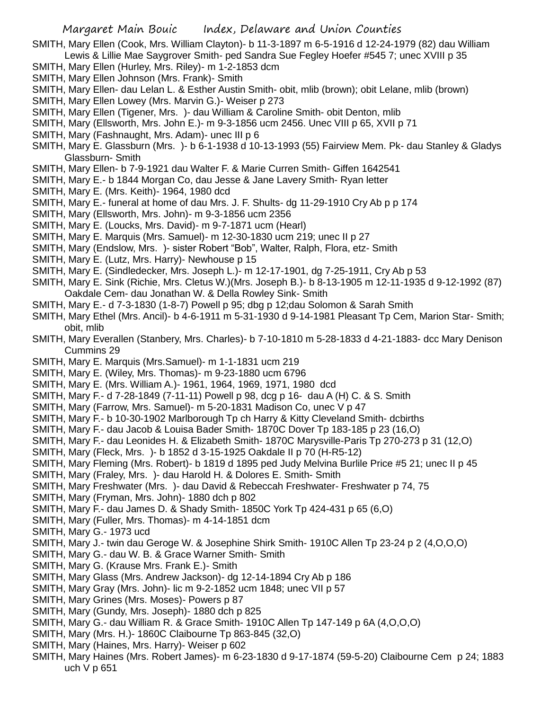SMITH, Mary Ellen (Cook, Mrs. William Clayton)- b 11-3-1897 m 6-5-1916 d 12-24-1979 (82) dau William Lewis & Lillie Mae Saygrover Smith- ped Sandra Sue Fegley Hoefer #545 7; unec XVIII p 35

- SMITH, Mary Ellen (Hurley, Mrs. Riley)- m 1-2-1853 dcm
- SMITH, Mary Ellen Johnson (Mrs. Frank)- Smith
- SMITH, Mary Ellen- dau Lelan L. & Esther Austin Smith- obit, mlib (brown); obit Lelane, mlib (brown)
- SMITH, Mary Ellen Lowey (Mrs. Marvin G.)- Weiser p 273
- SMITH, Mary Ellen (Tigener, Mrs. )- dau William & Caroline Smith- obit Denton, mlib
- SMITH, Mary (Ellsworth, Mrs. John E.)- m 9-3-1856 ucm 2456. Unec VIII p 65, XVII p 71
- SMITH, Mary (Fashnaught, Mrs. Adam)- unec III p 6
- SMITH, Mary E. Glassburn (Mrs. )- b 6-1-1938 d 10-13-1993 (55) Fairview Mem. Pk- dau Stanley & Gladys Glassburn- Smith
- SMITH, Mary Ellen- b 7-9-1921 dau Walter F. & Marie Curren Smith- Giffen 1642541
- SMITH, Mary E.- b 1844 Morgan Co, dau Jesse & Jane Lavery Smith- Ryan letter
- SMITH, Mary E. (Mrs. Keith)- 1964, 1980 dcd
- SMITH, Mary E.- funeral at home of dau Mrs. J. F. Shults- dg 11-29-1910 Cry Ab p p 174
- SMITH, Mary (Ellsworth, Mrs. John)- m 9-3-1856 ucm 2356
- SMITH, Mary E. (Loucks, Mrs. David)- m 9-7-1871 ucm (Hearl)
- SMITH, Mary E. Marquis (Mrs. Samuel)- m 12-30-1830 ucm 219; unec II p 27
- SMITH, Mary (Endslow, Mrs. )- sister Robert "Bob", Walter, Ralph, Flora, etz- Smith
- SMITH, Mary E. (Lutz, Mrs. Harry)- Newhouse p 15
- SMITH, Mary E. (Sindledecker, Mrs. Joseph L.)- m 12-17-1901, dg 7-25-1911, Cry Ab p 53
- SMITH, Mary E. Sink (Richie, Mrs. Cletus W.)(Mrs. Joseph B.)- b 8-13-1905 m 12-11-1935 d 9-12-1992 (87) Oakdale Cem- dau Jonathan W. & Della Rowley Sink- Smith
- SMITH, Mary E.- d 7-3-1830 (1-8-7) Powell p 95; dbg p 12;dau Solomon & Sarah Smith
- SMITH, Mary Ethel (Mrs. Ancil)- b 4-6-1911 m 5-31-1930 d 9-14-1981 Pleasant Tp Cem, Marion Star- Smith; obit, mlib
- SMITH, Mary Everallen (Stanbery, Mrs. Charles)- b 7-10-1810 m 5-28-1833 d 4-21-1883- dcc Mary Denison Cummins 29
- SMITH, Mary E. Marquis (Mrs.Samuel)- m 1-1-1831 ucm 219
- SMITH, Mary E. (Wiley, Mrs. Thomas)- m 9-23-1880 ucm 6796
- SMITH, Mary E. (Mrs. William A.)- 1961, 1964, 1969, 1971, 1980 dcd
- SMITH, Mary F.- d 7-28-1849 (7-11-11) Powell p 98, dcg p 16- dau A (H) C. & S. Smith
- SMITH, Mary (Farrow, Mrs. Samuel)- m 5-20-1831 Madison Co, unec V p 47
- SMITH, Mary F.- b 10-30-1902 Marlborough Tp ch Harry & Kitty Cleveland Smith- dcbirths
- SMITH, Mary F.- dau Jacob & Louisa Bader Smith- 1870C Dover Tp 183-185 p 23 (16,O)
- SMITH, Mary F.- dau Leonides H. & Elizabeth Smith- 1870C Marysville-Paris Tp 270-273 p 31 (12,O)
- SMITH, Mary (Fleck, Mrs. )- b 1852 d 3-15-1925 Oakdale II p 70 (H-R5-12)
- SMITH, Mary Fleming (Mrs. Robert)- b 1819 d 1895 ped Judy Melvina Burlile Price #5 21; unec II p 45
- SMITH, Mary (Fraley, Mrs. )- dau Harold H. & Dolores E. Smith- Smith
- SMITH, Mary Freshwater (Mrs. )- dau David & Rebeccah Freshwater- Freshwater p 74, 75
- SMITH, Mary (Fryman, Mrs. John)- 1880 dch p 802
- SMITH, Mary F.- dau James D. & Shady Smith- 1850C York Tp 424-431 p 65 (6,O)
- SMITH, Mary (Fuller, Mrs. Thomas)- m 4-14-1851 dcm
- SMITH, Mary G.- 1973 ucd
- SMITH, Mary J.- twin dau Geroge W. & Josephine Shirk Smith- 1910C Allen Tp 23-24 p 2 (4,O,O,O)
- SMITH, Mary G.- dau W. B. & Grace Warner Smith- Smith
- SMITH, Mary G. (Krause Mrs. Frank E.)- Smith
- SMITH, Mary Glass (Mrs. Andrew Jackson)- dg 12-14-1894 Cry Ab p 186
- SMITH, Mary Gray (Mrs. John)- lic m 9-2-1852 ucm 1848; unec VII p 57
- SMITH, Mary Grines (Mrs. Moses)- Powers p 87
- SMITH, Mary (Gundy, Mrs. Joseph)- 1880 dch p 825
- SMITH, Mary G.- dau William R. & Grace Smith- 1910C Allen Tp 147-149 p 6A (4,O,O,O)
- SMITH, Mary (Mrs. H.)- 1860C Claibourne Tp 863-845 (32,O)
- SMITH, Mary (Haines, Mrs. Harry)- Weiser p 602
- SMITH, Mary Haines (Mrs. Robert James)- m 6-23-1830 d 9-17-1874 (59-5-20) Claibourne Cem p 24; 1883 uch V p 651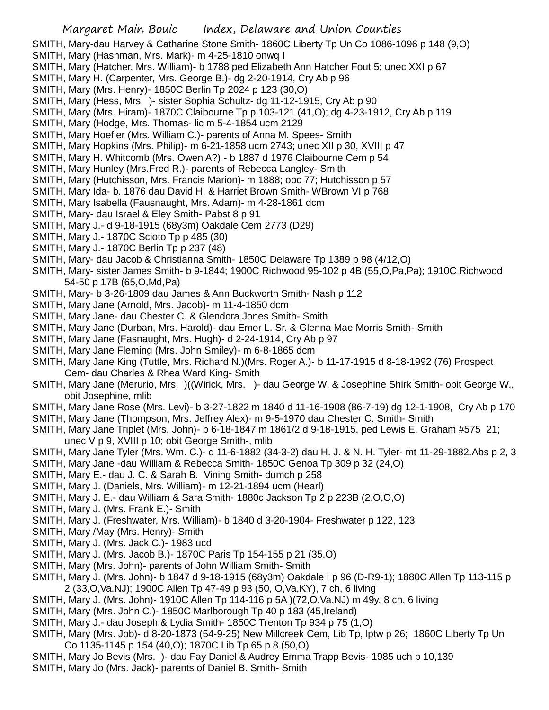- SMITH, Mary-dau Harvey & Catharine Stone Smith- 1860C Liberty Tp Un Co 1086-1096 p 148 (9,O)
- SMITH, Mary (Hashman, Mrs. Mark)- m 4-25-1810 onwq I
- SMITH, Mary (Hatcher, Mrs. William)- b 1788 ped Elizabeth Ann Hatcher Fout 5; unec XXI p 67
- SMITH, Mary H. (Carpenter, Mrs. George B.)- dg 2-20-1914, Cry Ab p 96
- SMITH, Mary (Mrs. Henry)- 1850C Berlin Tp 2024 p 123 (30,O)
- SMITH, Mary (Hess, Mrs. )- sister Sophia Schultz- dg 11-12-1915, Cry Ab p 90
- SMITH, Mary (Mrs. Hiram)- 1870C Claibourne Tp p 103-121 (41,O); dg 4-23-1912, Cry Ab p 119
- SMITH, Mary (Hodge, Mrs. Thomas- lic m 5-4-1854 ucm 2129
- SMITH, Mary Hoefler (Mrs. William C.)- parents of Anna M. Spees- Smith
- SMITH, Mary Hopkins (Mrs. Philip)- m 6-21-1858 ucm 2743; unec XII p 30, XVIII p 47
- SMITH, Mary H. Whitcomb (Mrs. Owen A?) b 1887 d 1976 Claibourne Cem p 54
- SMITH, Mary Hunley (Mrs.Fred R.)- parents of Rebecca Langley- Smith
- SMITH, Mary (Hutchisson, Mrs. Francis Marion)- m 1888; opc 77; Hutchisson p 57
- SMITH, Mary Ida- b. 1876 dau David H. & Harriet Brown Smith- WBrown VI p 768
- SMITH, Mary Isabella (Fausnaught, Mrs. Adam)- m 4-28-1861 dcm
- SMITH, Mary- dau Israel & Eley Smith- Pabst 8 p 91
- SMITH, Mary J.- d 9-18-1915 (68y3m) Oakdale Cem 2773 (D29)
- SMITH, Mary J.- 1870C Scioto Tp p 485 (30)
- SMITH, Mary J.- 1870C Berlin Tp p 237 (48)
- SMITH, Mary- dau Jacob & Christianna Smith- 1850C Delaware Tp 1389 p 98 (4/12,O)
- SMITH, Mary- sister James Smith- b 9-1844; 1900C Richwood 95-102 p 4B (55,O,Pa,Pa); 1910C Richwood 54-50 p 17B (65,O,Md,Pa)
- SMITH, Mary- b 3-26-1809 dau James & Ann Buckworth Smith- Nash p 112
- SMITH, Mary Jane (Arnold, Mrs. Jacob)- m 11-4-1850 dcm
- SMITH, Mary Jane- dau Chester C. & Glendora Jones Smith- Smith
- SMITH, Mary Jane (Durban, Mrs. Harold)- dau Emor L. Sr. & Glenna Mae Morris Smith- Smith
- SMITH, Mary Jane (Fasnaught, Mrs. Hugh)- d 2-24-1914, Cry Ab p 97
- SMITH, Mary Jane Fleming (Mrs. John Smiley)- m 6-8-1865 dcm
- SMITH, Mary Jane King (Tuttle, Mrs. Richard N.)(Mrs. Roger A.)- b 11-17-1915 d 8-18-1992 (76) Prospect Cem- dau Charles & Rhea Ward King- Smith
- SMITH, Mary Jane (Merurio, Mrs. )((Wirick, Mrs. )- dau George W. & Josephine Shirk Smith- obit George W., obit Josephine, mlib
- SMITH, Mary Jane Rose (Mrs. Levi)- b 3-27-1822 m 1840 d 11-16-1908 (86-7-19) dg 12-1-1908, Cry Ab p 170
- SMITH, Mary Jane (Thompson, Mrs. Jeffrey Alex)- m 9-5-1970 dau Chester C. Smith- Smith
- SMITH, Mary Jane Triplet (Mrs. John)- b 6-18-1847 m 1861/2 d 9-18-1915, ped Lewis E. Graham #575 21; unec V p 9, XVIII p 10; obit George Smith-, mlib
- SMITH, Mary Jane Tyler (Mrs. Wm. C.)- d 11-6-1882 (34-3-2) dau H. J. & N. H. Tyler- mt 11-29-1882.Abs p 2, 3
- SMITH, Mary Jane -dau William & Rebecca Smith- 1850C Genoa Tp 309 p 32 (24,O)
- SMITH, Mary E.- dau J. C. & Sarah B. Vining Smith- dumch p 258
- SMITH, Mary J. (Daniels, Mrs. William)- m 12-21-1894 ucm (Hearl)
- SMITH, Mary J. E.- dau William & Sara Smith- 1880c Jackson Tp 2 p 223B (2,O,O,O)
- SMITH, Mary J. (Mrs. Frank E.)- Smith
- SMITH, Mary J. (Freshwater, Mrs. William)- b 1840 d 3-20-1904- Freshwater p 122, 123
- SMITH, Mary /May (Mrs. Henry)- Smith
- SMITH, Mary J. (Mrs. Jack C.)- 1983 ucd
- SMITH, Mary J. (Mrs. Jacob B.)- 1870C Paris Tp 154-155 p 21 (35,O)
- SMITH, Mary (Mrs. John)- parents of John William Smith- Smith
- SMITH, Mary J. (Mrs. John)- b 1847 d 9-18-1915 (68y3m) Oakdale I p 96 (D-R9-1); 1880C Allen Tp 113-115 p 2 (33,O,Va.NJ); 1900C Allen Tp 47-49 p 93 (50, O,Va,KY), 7 ch, 6 living
- SMITH, Mary J. (Mrs. John)- 1910C Allen Tp 114-116 p 5A )(72,O,Va,NJ) m 49y, 8 ch, 6 living
- SMITH, Mary (Mrs. John C.)-1850C Marlborough Tp 40 p 183 (45, Ireland)
- SMITH, Mary J.- dau Joseph & Lydia Smith- 1850C Trenton Tp 934 p 75 (1,O)
- SMITH, Mary (Mrs. Job)- d 8-20-1873 (54-9-25) New Millcreek Cem, Lib Tp, lptw p 26; 1860C Liberty Tp Un Co 1135-1145 p 154 (40,O); 1870C Lib Tp 65 p 8 (50,O)
- SMITH, Mary Jo Bevis (Mrs. )- dau Fay Daniel & Audrey Emma Trapp Bevis- 1985 uch p 10,139 SMITH, Mary Jo (Mrs. Jack)- parents of Daniel B. Smith- Smith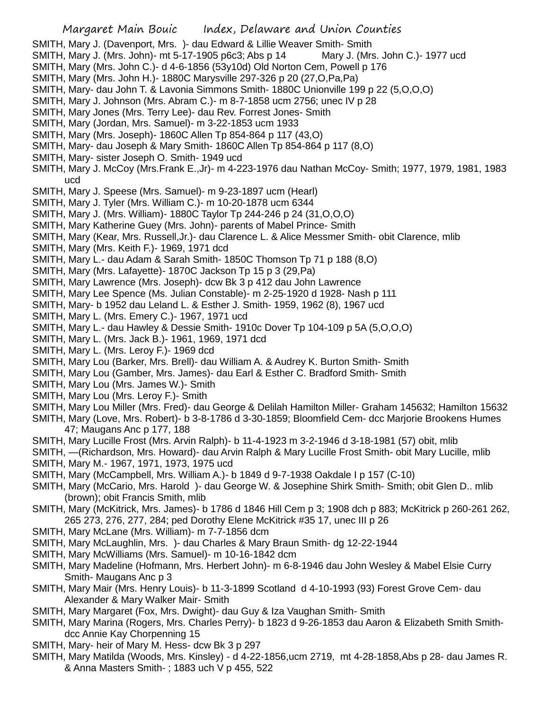- SMITH, Mary J. (Davenport, Mrs. )- dau Edward & Lillie Weaver Smith- Smith
- SMITH, Mary J. (Mrs. John)- mt 5-17-1905 p6c3; Abs p 14 Mary J. (Mrs. John C.)- 1977 ucd
- SMITH, Mary (Mrs. John C.)- d 4-6-1856 (53y10d) Old Norton Cem, Powell p 176
- SMITH, Mary (Mrs. John H.)- 1880C Marysville 297-326 p 20 (27,O,Pa,Pa)
- SMITH, Mary- dau John T. & Lavonia Simmons Smith- 1880C Unionville 199 p 22 (5,O,O,O)
- SMITH, Mary J. Johnson (Mrs. Abram C.)- m 8-7-1858 ucm 2756; unec IV p 28
- SMITH, Mary Jones (Mrs. Terry Lee)- dau Rev. Forrest Jones- Smith
- SMITH, Mary (Jordan, Mrs. Samuel)- m 3-22-1853 ucm 1933
- SMITH, Mary (Mrs. Joseph)- 1860C Allen Tp 854-864 p 117 (43,O)
- SMITH, Mary- dau Joseph & Mary Smith- 1860C Allen Tp 854-864 p 117 (8,O)
- SMITH, Mary- sister Joseph O. Smith- 1949 ucd
- SMITH, Mary J. McCoy (Mrs.Frank E.,Jr)- m 4-223-1976 dau Nathan McCoy- Smith; 1977, 1979, 1981, 1983 ucd
- SMITH, Mary J. Speese (Mrs. Samuel)- m 9-23-1897 ucm (Hearl)
- SMITH, Mary J. Tyler (Mrs. William C.)- m 10-20-1878 ucm 6344
- SMITH, Mary J. (Mrs. William)- 1880C Taylor Tp 244-246 p 24 (31,O,O,O)
- SMITH, Mary Katherine Guey (Mrs. John)- parents of Mabel Prince- Smith
- SMITH, Mary (Kear, Mrs. Russell,Jr.)- dau Clarence L. & Alice Messmer Smith- obit Clarence, mlib
- SMITH, Mary (Mrs. Keith F.)- 1969, 1971 dcd
- SMITH, Mary L.- dau Adam & Sarah Smith- 1850C Thomson Tp 71 p 188 (8,O)
- SMITH, Mary (Mrs. Lafayette)- 1870C Jackson Tp 15 p 3 (29,Pa)
- SMITH, Mary Lawrence (Mrs. Joseph)- dcw Bk 3 p 412 dau John Lawrence
- SMITH, Mary Lee Spence (Ms. Julian Constable)- m 2-25-1920 d 1928- Nash p 111
- SMITH, Mary- b 1952 dau Leland L. & Esther J. Smith- 1959, 1962 (8), 1967 ucd
- SMITH, Mary L. (Mrs. Emery C.)- 1967, 1971 ucd
- SMITH, Mary L.- dau Hawley & Dessie Smith- 1910c Dover Tp 104-109 p 5A (5,O,O,O)
- SMITH, Mary L. (Mrs. Jack B.)- 1961, 1969, 1971 dcd
- SMITH, Mary L. (Mrs. Leroy F.)- 1969 dcd
- SMITH, Mary Lou (Barker, Mrs. Brell)- dau William A. & Audrey K. Burton Smith- Smith
- SMITH, Mary Lou (Gamber, Mrs. James)- dau Earl & Esther C. Bradford Smith- Smith
- SMITH, Mary Lou (Mrs. James W.)- Smith
- SMITH, Mary Lou (Mrs. Leroy F.)- Smith
- SMITH, Mary Lou Miller (Mrs. Fred)- dau George & Delilah Hamilton Miller- Graham 145632; Hamilton 15632
- SMITH, Mary (Love, Mrs. Robert)- b 3-8-1786 d 3-30-1859; Bloomfield Cem- dcc Marjorie Brookens Humes 47; Maugans Anc p 177, 188
- SMITH, Mary Lucille Frost (Mrs. Arvin Ralph)- b 11-4-1923 m 3-2-1946 d 3-18-1981 (57) obit, mlib
- SMITH, —(Richardson, Mrs. Howard)- dau Arvin Ralph & Mary Lucille Frost Smith- obit Mary Lucille, mlib
- SMITH, Mary M.- 1967, 1971, 1973, 1975 ucd
- SMITH, Mary (McCampbell, Mrs. William A.)- b 1849 d 9-7-1938 Oakdale I p 157 (C-10)
- SMITH, Mary (McCario, Mrs. Harold) dau George W. & Josephine Shirk Smith- Smith; obit Glen D.. mlib (brown); obit Francis Smith, mlib
- SMITH, Mary (McKitrick, Mrs. James)- b 1786 d 1846 Hill Cem p 3; 1908 dch p 883; McKitrick p 260-261 262, 265 273, 276, 277, 284; ped Dorothy Elene McKitrick #35 17, unec III p 26
- SMITH, Mary McLane (Mrs. William)- m 7-7-1856 dcm
- SMITH, Mary McLaughlin, Mrs. )- dau Charles & Mary Braun Smith- dg 12-22-1944
- SMITH, Mary McWilliams (Mrs. Samuel)- m 10-16-1842 dcm
- SMITH, Mary Madeline (Hofmann, Mrs. Herbert John)- m 6-8-1946 dau John Wesley & Mabel Elsie Curry Smith- Maugans Anc p 3
- SMITH, Mary Mair (Mrs. Henry Louis)- b 11-3-1899 Scotland d 4-10-1993 (93) Forest Grove Cem- dau Alexander & Mary Walker Mair- Smith
- SMITH, Mary Margaret (Fox, Mrs. Dwight)- dau Guy & Iza Vaughan Smith- Smith
- SMITH, Mary Marina (Rogers, Mrs. Charles Perry)- b 1823 d 9-26-1853 dau Aaron & Elizabeth Smith Smithdcc Annie Kay Chorpenning 15
- SMITH, Mary- heir of Mary M. Hess- dcw Bk 3 p 297
- SMITH, Mary Matilda (Woods, Mrs. Kinsley) d 4-22-1856,ucm 2719, mt 4-28-1858,Abs p 28- dau James R. & Anna Masters Smith- ; 1883 uch V p 455, 522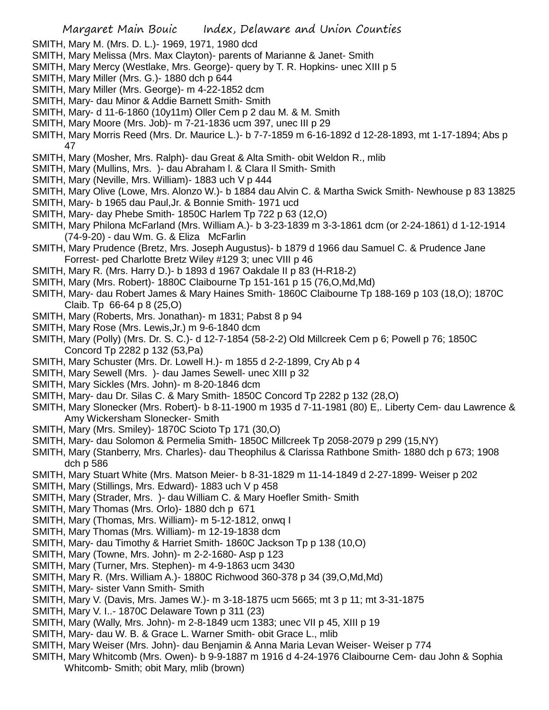- SMITH, Mary M. (Mrs. D. L.)- 1969, 1971, 1980 dcd
- SMITH, Mary Melissa (Mrs. Max Clayton)- parents of Marianne & Janet- Smith
- SMITH, Mary Mercy (Westlake, Mrs. George)- query by T. R. Hopkins- unec XIII p 5
- SMITH, Mary Miller (Mrs. G.)- 1880 dch p 644
- SMITH, Mary Miller (Mrs. George)- m 4-22-1852 dcm
- SMITH, Mary- dau Minor & Addie Barnett Smith- Smith
- SMITH, Mary- d 11-6-1860 (10y11m) Oller Cem p 2 dau M. & M. Smith
- SMITH, Mary Moore (Mrs. Job)- m 7-21-1836 ucm 397, unec III p 29
- SMITH, Mary Morris Reed (Mrs. Dr. Maurice L.)- b 7-7-1859 m 6-16-1892 d 12-28-1893, mt 1-17-1894; Abs p 47
- SMITH, Mary (Mosher, Mrs. Ralph)- dau Great & Alta Smith- obit Weldon R., mlib
- SMITH, Mary (Mullins, Mrs. )- dau Abraham l. & Clara Il Smith- Smith
- SMITH, Mary (Neville, Mrs. William)- 1883 uch V p 444
- SMITH, Mary Olive (Lowe, Mrs. Alonzo W.)- b 1884 dau Alvin C. & Martha Swick Smith- Newhouse p 83 13825
- SMITH, Mary- b 1965 dau Paul,Jr. & Bonnie Smith- 1971 ucd
- SMITH, Mary- day Phebe Smith- 1850C Harlem Tp 722 p 63 (12,O)
- SMITH, Mary Philona McFarland (Mrs. William A.)- b 3-23-1839 m 3-3-1861 dcm (or 2-24-1861) d 1-12-1914 (74-9-20) - dau Wm. G. & Eliza McFarlin
- SMITH, Mary Prudence (Bretz, Mrs. Joseph Augustus)- b 1879 d 1966 dau Samuel C. & Prudence Jane Forrest- ped Charlotte Bretz Wiley #129 3; unec VIII p 46
- SMITH, Mary R. (Mrs. Harry D.)- b 1893 d 1967 Oakdale II p 83 (H-R18-2)
- SMITH, Mary (Mrs. Robert)- 1880C Claibourne Tp 151-161 p 15 (76,O,Md,Md)
- SMITH, Mary- dau Robert James & Mary Haines Smith- 1860C Claibourne Tp 188-169 p 103 (18,O); 1870C Claib. Tp 66-64 p 8 (25,O)
- SMITH, Mary (Roberts, Mrs. Jonathan)- m 1831; Pabst 8 p 94
- SMITH, Mary Rose (Mrs. Lewis,Jr.) m 9-6-1840 dcm
- SMITH, Mary (Polly) (Mrs. Dr. S. C.)- d 12-7-1854 (58-2-2) Old Millcreek Cem p 6; Powell p 76; 1850C Concord Tp 2282 p 132 (53,Pa)
- SMITH, Mary Schuster (Mrs. Dr. Lowell H.)- m 1855 d 2-2-1899, Cry Ab p 4
- SMITH, Mary Sewell (Mrs. )- dau James Sewell- unec XIII p 32
- SMITH, Mary Sickles (Mrs. John)- m 8-20-1846 dcm
- SMITH, Mary- dau Dr. Silas C. & Mary Smith- 1850C Concord Tp 2282 p 132 (28,O)
- SMITH, Mary Slonecker (Mrs. Robert)- b 8-11-1900 m 1935 d 7-11-1981 (80) E,. Liberty Cem- dau Lawrence & Amy Wickersham Slonecker- Smith
- SMITH, Mary (Mrs. Smiley)- 1870C Scioto Tp 171 (30,O)
- SMITH, Mary- dau Solomon & Permelia Smith- 1850C Millcreek Tp 2058-2079 p 299 (15,NY)
- SMITH, Mary (Stanberry, Mrs. Charles)- dau Theophilus & Clarissa Rathbone Smith- 1880 dch p 673; 1908 dch p 586
- SMITH, Mary Stuart White (Mrs. Matson Meier- b 8-31-1829 m 11-14-1849 d 2-27-1899- Weiser p 202
- SMITH, Mary (Stillings, Mrs. Edward)- 1883 uch V p 458
- SMITH, Mary (Strader, Mrs. )- dau William C. & Mary Hoefler Smith- Smith
- SMITH, Mary Thomas (Mrs. Orlo)- 1880 dch p 671
- SMITH, Mary (Thomas, Mrs. William)- m 5-12-1812, onwq I
- SMITH, Mary Thomas (Mrs. William)- m 12-19-1838 dcm
- SMITH, Mary- dau Timothy & Harriet Smith- 1860C Jackson Tp p 138 (10,O)
- SMITH, Mary (Towne, Mrs. John)- m 2-2-1680- Asp p 123
- SMITH, Mary (Turner, Mrs. Stephen)- m 4-9-1863 ucm 3430
- SMITH, Mary R. (Mrs. William A.)- 1880C Richwood 360-378 p 34 (39,O,Md,Md)
- SMITH, Mary- sister Vann Smith- Smith
- SMITH, Mary V. (Davis, Mrs. James W.)- m 3-18-1875 ucm 5665; mt 3 p 11; mt 3-31-1875
- SMITH, Mary V. I..- 1870C Delaware Town p 311 (23)
- SMITH, Mary (Wally, Mrs. John)- m 2-8-1849 ucm 1383; unec VII p 45, XIII p 19
- SMITH, Mary- dau W. B. & Grace L. Warner Smith- obit Grace L., mlib
- SMITH, Mary Weiser (Mrs. John)- dau Benjamin & Anna Maria Levan Weiser- Weiser p 774
- SMITH, Mary Whitcomb (Mrs. Owen)- b 9-9-1887 m 1916 d 4-24-1976 Claibourne Cem- dau John & Sophia Whitcomb- Smith; obit Mary, mlib (brown)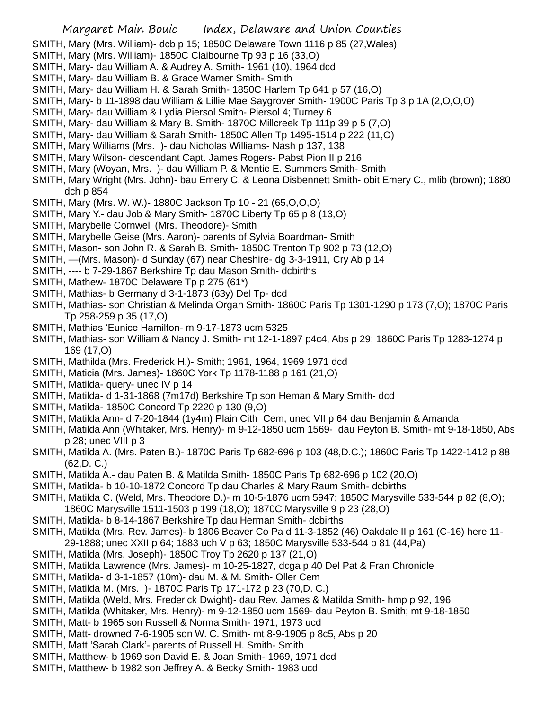SMITH, Mary (Mrs. William)- dcb p 15; 1850C Delaware Town 1116 p 85 (27,Wales)

- SMITH, Mary (Mrs. William)- 1850C Claibourne Tp 93 p 16 (33,O)
- SMITH, Mary- dau William A. & Audrey A. Smith- 1961 (10), 1964 dcd
- SMITH, Mary- dau William B. & Grace Warner Smith- Smith
- SMITH, Mary- dau William H. & Sarah Smith- 1850C Harlem Tp 641 p 57 (16,O)
- SMITH, Mary- b 11-1898 dau William & Lillie Mae Saygrover Smith- 1900C Paris Tp 3 p 1A (2,O,O,O)
- SMITH, Mary- dau William & Lydia Piersol Smith- Piersol 4; Turney 6
- SMITH, Mary- dau William & Mary B. Smith- 1870C Millcreek Tp 111p 39 p 5 (7,O)
- SMITH, Mary- dau William & Sarah Smith- 1850C Allen Tp 1495-1514 p 222 (11,O)
- SMITH, Mary Williams (Mrs. )- dau Nicholas Williams- Nash p 137, 138
- SMITH, Mary Wilson- descendant Capt. James Rogers- Pabst Pion II p 216
- SMITH, Mary (Woyan, Mrs. )- dau William P. & Mentie E. Summers Smith- Smith
- SMITH, Mary Wright (Mrs. John)- bau Emery C. & Leona Disbennett Smith- obit Emery C., mlib (brown); 1880 dch p 854
- SMITH, Mary (Mrs. W. W.)- 1880C Jackson Tp 10 21 (65,O,O,O)
- SMITH, Mary Y.- dau Job & Mary Smith- 1870C Liberty Tp 65 p 8 (13,O)
- SMITH, Marybelle Cornwell (Mrs. Theodore)- Smith
- SMITH, Marybelle Geise (Mrs. Aaron)- parents of Sylvia Boardman- Smith
- SMITH, Mason- son John R. & Sarah B. Smith- 1850C Trenton Tp 902 p 73 (12,O)
- SMITH, —(Mrs. Mason)- d Sunday (67) near Cheshire- dg 3-3-1911, Cry Ab p 14
- SMITH, ---- b 7-29-1867 Berkshire Tp dau Mason Smith- dcbirths
- SMITH, Mathew- 1870C Delaware Tp p 275 (61\*)
- SMITH, Mathias- b Germany d 3-1-1873 (63y) Del Tp- dcd
- SMITH, Mathias- son Christian & Melinda Organ Smith- 1860C Paris Tp 1301-1290 p 173 (7,O); 1870C Paris Tp 258-259 p 35 (17,O)
- SMITH, Mathias 'Eunice Hamilton- m 9-17-1873 ucm 5325
- SMITH, Mathias- son William & Nancy J. Smith- mt 12-1-1897 p4c4, Abs p 29; 1860C Paris Tp 1283-1274 p 169 (17,O)
- SMITH, Mathilda (Mrs. Frederick H.)- Smith; 1961, 1964, 1969 1971 dcd
- SMITH, Maticia (Mrs. James)- 1860C York Tp 1178-1188 p 161 (21,O)
- SMITH, Matilda- query- unec IV p 14
- SMITH, Matilda- d 1-31-1868 (7m17d) Berkshire Tp son Heman & Mary Smith- dcd
- SMITH, Matilda- 1850C Concord Tp 2220 p 130 (9,O)
- SMITH, Matilda Ann- d 7-20-1844 (1y4m) Plain Cith Cem, unec VII p 64 dau Benjamin & Amanda
- SMITH, Matilda Ann (Whitaker, Mrs. Henry)- m 9-12-1850 ucm 1569- dau Peyton B. Smith- mt 9-18-1850, Abs p 28; unec VIII p 3
- SMITH, Matilda A. (Mrs. Paten B.)- 1870C Paris Tp 682-696 p 103 (48,D.C.); 1860C Paris Tp 1422-1412 p 88 (62,D. C.)
- SMITH, Matilda A.- dau Paten B. & Matilda Smith- 1850C Paris Tp 682-696 p 102 (20,O)
- SMITH, Matilda- b 10-10-1872 Concord Tp dau Charles & Mary Raum Smith- dcbirths
- SMITH, Matilda C. (Weld, Mrs. Theodore D.)- m 10-5-1876 ucm 5947; 1850C Marysville 533-544 p 82 (8,O); 1860C Marysville 1511-1503 p 199 (18,O); 1870C Marysville 9 p 23 (28,O)
- SMITH, Matilda- b 8-14-1867 Berkshire Tp dau Herman Smith- dcbirths
- SMITH, Matilda (Mrs. Rev. James)- b 1806 Beaver Co Pa d 11-3-1852 (46) Oakdale II p 161 (C-16) here 11- 29-1888; unec XXII p 64; 1883 uch V p 63; 1850C Marysville 533-544 p 81 (44,Pa)
- SMITH, Matilda (Mrs. Joseph)- 1850C Troy Tp 2620 p 137 (21,O)
- SMITH, Matilda Lawrence (Mrs. James)- m 10-25-1827, dcga p 40 Del Pat & Fran Chronicle
- SMITH, Matilda- d 3-1-1857 (10m)- dau M. & M. Smith- Oller Cem
- SMITH, Matilda M. (Mrs. )- 1870C Paris Tp 171-172 p 23 (70,D. C.)
- SMITH, Matilda (Weld, Mrs. Frederick Dwight)- dau Rev. James & Matilda Smith- hmp p 92, 196
- SMITH, Matilda (Whitaker, Mrs. Henry)- m 9-12-1850 ucm 1569- dau Peyton B. Smith; mt 9-18-1850
- SMITH, Matt- b 1965 son Russell & Norma Smith- 1971, 1973 ucd
- SMITH, Matt- drowned 7-6-1905 son W. C. Smith- mt 8-9-1905 p 8c5, Abs p 20
- SMITH, Matt 'Sarah Clark'- parents of Russell H. Smith- Smith
- SMITH, Matthew- b 1969 son David E. & Joan Smith- 1969, 1971 dcd
- SMITH, Matthew- b 1982 son Jeffrey A. & Becky Smith- 1983 ucd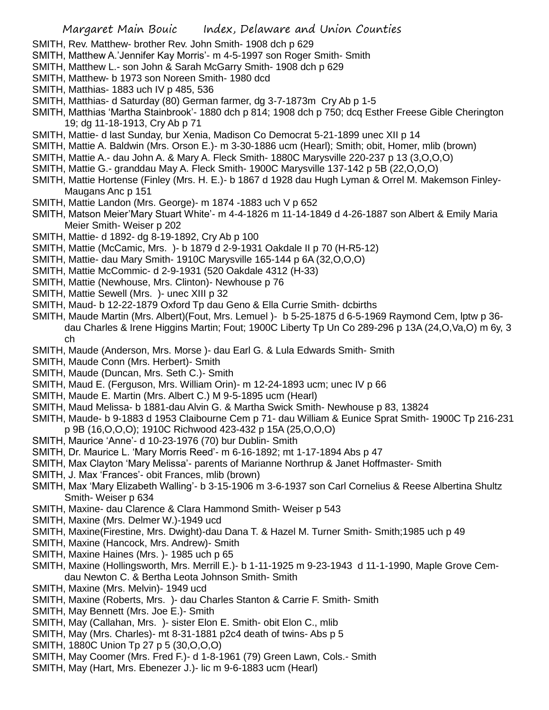- SMITH, Rev. Matthew- brother Rev. John Smith- 1908 dch p 629
- SMITH, Matthew A.'Jennifer Kay Morris'- m 4-5-1997 son Roger Smith- Smith
- SMITH, Matthew L.- son John & Sarah McGarry Smith- 1908 dch p 629
- SMITH, Matthew- b 1973 son Noreen Smith- 1980 dcd
- SMITH, Matthias- 1883 uch IV p 485, 536
- SMITH, Matthias- d Saturday (80) German farmer, dg 3-7-1873m Cry Ab p 1-5
- SMITH, Matthias 'Martha Stainbrook'- 1880 dch p 814; 1908 dch p 750; dcq Esther Freese Gible Cherington 19; dg 11-18-1913, Cry Ab p 71
- SMITH, Mattie- d last Sunday, bur Xenia, Madison Co Democrat 5-21-1899 unec XII p 14
- SMITH, Mattie A. Baldwin (Mrs. Orson E.)- m 3-30-1886 ucm (Hearl); Smith; obit, Homer, mlib (brown)
- SMITH, Mattie A.- dau John A. & Mary A. Fleck Smith- 1880C Marysville 220-237 p 13 (3,O,O,O)
- SMITH, Mattie G.- granddau May A. Fleck Smith- 1900C Marysville 137-142 p 5B (22,O,O,O)
- SMITH, Mattie Hortense (Finley (Mrs. H. E.)- b 1867 d 1928 dau Hugh Lyman & Orrel M. Makemson Finley-Maugans Anc p 151
- SMITH, Mattie Landon (Mrs. George)- m 1874 -1883 uch V p 652
- SMITH, Matson Meier'Mary Stuart White'- m 4-4-1826 m 11-14-1849 d 4-26-1887 son Albert & Emily Maria Meier Smith- Weiser p 202
- SMITH, Mattie- d 1892- dg 8-19-1892, Cry Ab p 100
- SMITH, Mattie (McCamic, Mrs. )- b 1879 d 2-9-1931 Oakdale II p 70 (H-R5-12)
- SMITH, Mattie- dau Mary Smith- 1910C Marysville 165-144 p 6A (32,O,O,O)
- SMITH, Mattie McCommic- d 2-9-1931 (520 Oakdale 4312 (H-33)
- SMITH, Mattie (Newhouse, Mrs. Clinton)- Newhouse p 76
- SMITH, Mattie Sewell (Mrs. )- unec XIII p 32
- SMITH, Maud- b 12-22-1879 Oxford Tp dau Geno & Ella Currie Smith- dcbirths
- SMITH, Maude Martin (Mrs. Albert)(Fout, Mrs. Lemuel )- b 5-25-1875 d 6-5-1969 Raymond Cem, lptw p 36 dau Charles & Irene Higgins Martin; Fout; 1900C Liberty Tp Un Co 289-296 p 13A (24,O,Va,O) m 6y, 3 ch
- SMITH, Maude (Anderson, Mrs. Morse )- dau Earl G. & Lula Edwards Smith- Smith
- SMITH, Maude Conn (Mrs. Herbert)- Smith
- SMITH, Maude (Duncan, Mrs. Seth C.)- Smith
- SMITH, Maud E. (Ferguson, Mrs. William Orin)- m 12-24-1893 ucm; unec IV p 66
- SMITH, Maude E. Martin (Mrs. Albert C.) M 9-5-1895 ucm (Hearl)
- SMITH, Maud Melissa- b 1881-dau Alvin G. & Martha Swick Smith- Newhouse p 83, 13824
- SMITH, Maude- b 9-1883 d 1953 Claibourne Cem p 71- dau William & Eunice Sprat Smith- 1900C Tp 216-231 p 9B (16,O,O,O); 1910C Richwood 423-432 p 15A (25,O,O,O)
- SMITH, Maurice 'Anne'- d 10-23-1976 (70) bur Dublin- Smith
- SMITH, Dr. Maurice L. 'Mary Morris Reed'- m 6-16-1892; mt 1-17-1894 Abs p 47
- SMITH, Max Clayton 'Mary Melissa'- parents of Marianne Northrup & Janet Hoffmaster- Smith
- SMITH, J. Max 'Frances'- obit Frances, mlib (brown)
- SMITH, Max 'Mary Elizabeth Walling'- b 3-15-1906 m 3-6-1937 son Carl Cornelius & Reese Albertina Shultz Smith- Weiser p 634
- SMITH, Maxine- dau Clarence & Clara Hammond Smith- Weiser p 543
- SMITH, Maxine (Mrs. Delmer W.)-1949 ucd
- SMITH, Maxine(Firestine, Mrs. Dwight)-dau Dana T. & Hazel M. Turner Smith- Smith;1985 uch p 49
- SMITH, Maxine (Hancock, Mrs. Andrew)- Smith
- SMITH, Maxine Haines (Mrs. )- 1985 uch p 65
- SMITH, Maxine (Hollingsworth, Mrs. Merrill E.)- b 1-11-1925 m 9-23-1943 d 11-1-1990, Maple Grove Cemdau Newton C. & Bertha Leota Johnson Smith- Smith
- SMITH, Maxine (Mrs. Melvin)- 1949 ucd
- SMITH, Maxine (Roberts, Mrs. )- dau Charles Stanton & Carrie F. Smith- Smith
- SMITH, May Bennett (Mrs. Joe E.)- Smith
- SMITH, May (Callahan, Mrs. )- sister Elon E. Smith- obit Elon C., mlib
- SMITH, May (Mrs. Charles)- mt 8-31-1881 p2c4 death of twins- Abs p 5
- SMITH, 1880C Union Tp 27 p 5 (30,O,O,O)
- SMITH, May Coomer (Mrs. Fred F.)- d 1-8-1961 (79) Green Lawn, Cols.- Smith
- SMITH, May (Hart, Mrs. Ebenezer J.)- lic m 9-6-1883 ucm (Hearl)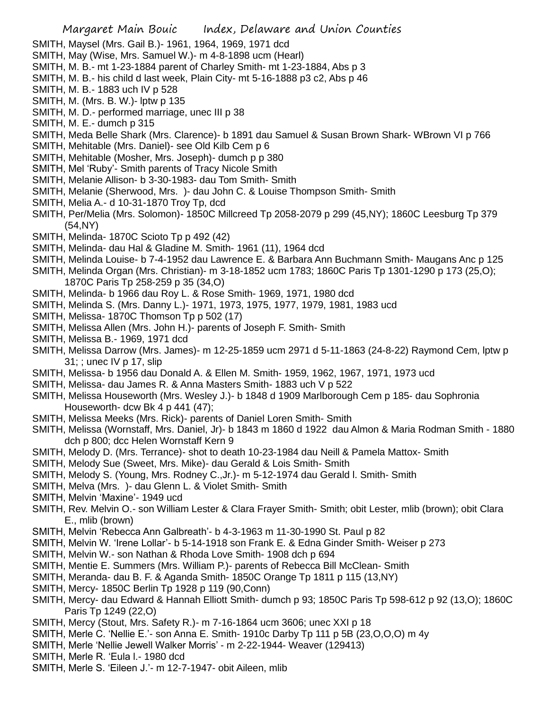- SMITH, Maysel (Mrs. Gail B.)- 1961, 1964, 1969, 1971 dcd
- SMITH, May (Wise, Mrs. Samuel W.)- m 4-8-1898 ucm (Hearl)
- SMITH, M. B.- mt 1-23-1884 parent of Charley Smith- mt 1-23-1884, Abs p 3
- SMITH, M. B.- his child d last week, Plain City- mt 5-16-1888 p3 c2, Abs p 46
- SMITH, M. B.- 1883 uch IV p 528
- SMITH, M. (Mrs. B. W.)- lptw p 135
- SMITH, M. D.- performed marriage, unec III p 38
- SMITH, M. E.- dumch p 315
- SMITH, Meda Belle Shark (Mrs. Clarence)- b 1891 dau Samuel & Susan Brown Shark- WBrown VI p 766
- SMITH, Mehitable (Mrs. Daniel)- see Old Kilb Cem p 6
- SMITH, Mehitable (Mosher, Mrs. Joseph)- dumch p p 380
- SMITH, Mel 'Ruby'- Smith parents of Tracy Nicole Smith
- SMITH, Melanie Allison- b 3-30-1983- dau Tom Smith- Smith
- SMITH, Melanie (Sherwood, Mrs. )- dau John C. & Louise Thompson Smith- Smith
- SMITH, Melia A.- d 10-31-1870 Troy Tp, dcd
- SMITH, Per/Melia (Mrs. Solomon)- 1850C Millcreed Tp 2058-2079 p 299 (45,NY); 1860C Leesburg Tp 379 (54,NY)
- SMITH, Melinda- 1870C Scioto Tp p 492 (42)
- SMITH, Melinda- dau Hal & Gladine M. Smith- 1961 (11), 1964 dcd
- SMITH, Melinda Louise- b 7-4-1952 dau Lawrence E. & Barbara Ann Buchmann Smith- Maugans Anc p 125
- SMITH, Melinda Organ (Mrs. Christian)- m 3-18-1852 ucm 1783; 1860C Paris Tp 1301-1290 p 173 (25,O); 1870C Paris Tp 258-259 p 35 (34,O)
- SMITH, Melinda- b 1966 dau Roy L. & Rose Smith- 1969, 1971, 1980 dcd
- SMITH, Melinda S. (Mrs. Danny L.)- 1971, 1973, 1975, 1977, 1979, 1981, 1983 ucd
- SMITH, Melissa- 1870C Thomson Tp p 502 (17)
- SMITH, Melissa Allen (Mrs. John H.)- parents of Joseph F. Smith- Smith
- SMITH, Melissa B.- 1969, 1971 dcd
- SMITH, Melissa Darrow (Mrs. James)- m 12-25-1859 ucm 2971 d 5-11-1863 (24-8-22) Raymond Cem, lptw p 31; ; unec IV p 17, slip
- SMITH, Melissa- b 1956 dau Donald A. & Ellen M. Smith- 1959, 1962, 1967, 1971, 1973 ucd
- SMITH, Melissa- dau James R. & Anna Masters Smith- 1883 uch V p 522
- SMITH, Melissa Houseworth (Mrs. Wesley J.)- b 1848 d 1909 Marlborough Cem p 185- dau Sophronia Houseworth- dcw Bk 4 p 441 (47);
- SMITH, Melissa Meeks (Mrs. Rick)- parents of Daniel Loren Smith- Smith
- SMITH, Melissa (Wornstaff, Mrs. Daniel, Jr)- b 1843 m 1860 d 1922 dau Almon & Maria Rodman Smith 1880 dch p 800; dcc Helen Wornstaff Kern 9
- SMITH, Melody D. (Mrs. Terrance)- shot to death 10-23-1984 dau Neill & Pamela Mattox- Smith
- SMITH, Melody Sue (Sweet, Mrs. Mike)- dau Gerald & Lois Smith- Smith
- SMITH, Melody S. (Young, Mrs. Rodney C.,Jr.)- m 5-12-1974 dau Gerald l. Smith- Smith
- SMITH, Melva (Mrs. )- dau Glenn L. & Violet Smith- Smith
- SMITH, Melvin 'Maxine'- 1949 ucd
- SMITH, Rev. Melvin O.- son William Lester & Clara Frayer Smith- Smith; obit Lester, mlib (brown); obit Clara E., mlib (brown)
- SMITH, Melvin 'Rebecca Ann Galbreath'- b 4-3-1963 m 11-30-1990 St. Paul p 82
- SMITH, Melvin W. 'Irene Lollar'- b 5-14-1918 son Frank E. & Edna Ginder Smith- Weiser p 273
- SMITH, Melvin W.- son Nathan & Rhoda Love Smith- 1908 dch p 694
- SMITH, Mentie E. Summers (Mrs. William P.)- parents of Rebecca Bill McClean- Smith
- SMITH, Meranda- dau B. F. & Aganda Smith- 1850C Orange Tp 1811 p 115 (13,NY)
- SMITH, Mercy- 1850C Berlin Tp 1928 p 119 (90,Conn)
- SMITH, Mercy- dau Edward & Hannah Elliott Smith- dumch p 93; 1850C Paris Tp 598-612 p 92 (13,O); 1860C Paris Tp 1249 (22,O)
- SMITH, Mercy (Stout, Mrs. Safety R.)- m 7-16-1864 ucm 3606; unec XXI p 18
- SMITH, Merle C. 'Nellie E.'- son Anna E. Smith- 1910c Darby Tp 111 p 5B (23,O,O,O) m 4y
- SMITH, Merle 'Nellie Jewell Walker Morris' m 2-22-1944- Weaver (129413)
- SMITH, Merle R. 'Eula l.- 1980 dcd
- SMITH, Merle S. 'Eileen J.'- m 12-7-1947- obit Aileen, mlib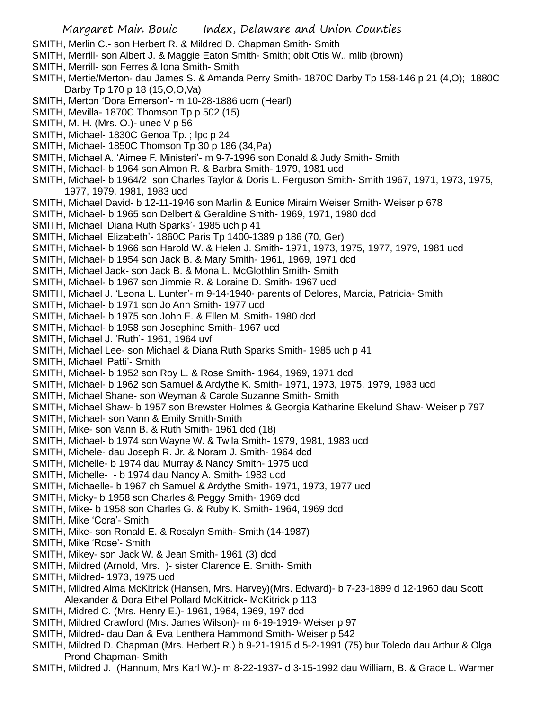- SMITH, Merlin C.- son Herbert R. & Mildred D. Chapman Smith- Smith
- SMITH, Merrill- son Albert J. & Maggie Eaton Smith- Smith; obit Otis W., mlib (brown)
- SMITH, Merrill- son Ferres & Iona Smith- Smith
- SMITH, Mertie/Merton- dau James S. & Amanda Perry Smith- 1870C Darby Tp 158-146 p 21 (4,O); 1880C Darby Tp 170 p 18 (15,O,O,Va)
- SMITH, Merton 'Dora Emerson'- m 10-28-1886 ucm (Hearl)
- SMITH, Mevilla- 1870C Thomson Tp p 502 (15)
- SMITH, M. H. (Mrs. O.)- unec V p 56
- SMITH, Michael- 1830C Genoa Tp. ; lpc p 24
- SMITH, Michael- 1850C Thomson Tp 30 p 186 (34,Pa)
- SMITH, Michael A. 'Aimee F. Ministeri'- m 9-7-1996 son Donald & Judy Smith- Smith
- SMITH, Michael- b 1964 son Almon R. & Barbra Smith- 1979, 1981 ucd
- SMITH, Michael- b 1964/2 son Charles Taylor & Doris L. Ferguson Smith- Smith 1967, 1971, 1973, 1975, 1977, 1979, 1981, 1983 ucd
- SMITH, Michael David- b 12-11-1946 son Marlin & Eunice Miraim Weiser Smith- Weiser p 678
- SMITH, Michael- b 1965 son Delbert & Geraldine Smith- 1969, 1971, 1980 dcd
- SMITH, Michael 'Diana Ruth Sparks'- 1985 uch p 41
- SMITH, Michael 'Elizabeth'- 1860C Paris Tp 1400-1389 p 186 (70, Ger)
- SMITH, Michael- b 1966 son Harold W. & Helen J. Smith- 1971, 1973, 1975, 1977, 1979, 1981 ucd
- SMITH, Michael- b 1954 son Jack B. & Mary Smith- 1961, 1969, 1971 dcd
- SMITH, Michael Jack- son Jack B. & Mona L. McGlothlin Smith- Smith
- SMITH, Michael- b 1967 son Jimmie R. & Loraine D. Smith- 1967 ucd
- SMITH, Michael J. 'Leona L. Lunter'- m 9-14-1940- parents of Delores, Marcia, Patricia- Smith
- SMITH, Michael- b 1971 son Jo Ann Smith- 1977 ucd
- SMITH, Michael- b 1975 son John E. & Ellen M. Smith- 1980 dcd
- SMITH, Michael- b 1958 son Josephine Smith- 1967 ucd
- SMITH, Michael J. 'Ruth'- 1961, 1964 uvf
- SMITH, Michael Lee- son Michael & Diana Ruth Sparks Smith- 1985 uch p 41
- SMITH, Michael 'Patti'- Smith
- SMITH, Michael- b 1952 son Roy L. & Rose Smith- 1964, 1969, 1971 dcd
- SMITH, Michael- b 1962 son Samuel & Ardythe K. Smith- 1971, 1973, 1975, 1979, 1983 ucd
- SMITH, Michael Shane- son Weyman & Carole Suzanne Smith- Smith
- SMITH, Michael Shaw- b 1957 son Brewster Holmes & Georgia Katharine Ekelund Shaw- Weiser p 797
- SMITH, Michael- son Vann & Emily Smith-Smith
- SMITH, Mike- son Vann B. & Ruth Smith- 1961 dcd (18)
- SMITH, Michael- b 1974 son Wayne W. & Twila Smith- 1979, 1981, 1983 ucd
- SMITH, Michele- dau Joseph R. Jr. & Noram J. Smith- 1964 dcd
- SMITH, Michelle- b 1974 dau Murray & Nancy Smith- 1975 ucd
- SMITH, Michelle- b 1974 dau Nancy A. Smith- 1983 ucd
- SMITH, Michaelle- b 1967 ch Samuel & Ardythe Smith- 1971, 1973, 1977 ucd
- SMITH, Micky- b 1958 son Charles & Peggy Smith- 1969 dcd
- SMITH, Mike- b 1958 son Charles G. & Ruby K. Smith- 1964, 1969 dcd
- SMITH, Mike 'Cora'- Smith
- SMITH, Mike- son Ronald E. & Rosalyn Smith- Smith (14-1987)
- SMITH, Mike 'Rose'- Smith
- SMITH, Mikey- son Jack W. & Jean Smith- 1961 (3) dcd
- SMITH, Mildred (Arnold, Mrs. )- sister Clarence E. Smith- Smith
- SMITH, Mildred- 1973, 1975 ucd
- SMITH, Mildred Alma McKitrick (Hansen, Mrs. Harvey)(Mrs. Edward)- b 7-23-1899 d 12-1960 dau Scott Alexander & Dora Ethel Pollard McKitrick- McKitrick p 113
- SMITH, Midred C. (Mrs. Henry E.)- 1961, 1964, 1969, 197 dcd
- SMITH, Mildred Crawford (Mrs. James Wilson)- m 6-19-1919- Weiser p 97
- SMITH, Mildred- dau Dan & Eva Lenthera Hammond Smith- Weiser p 542
- SMITH, Mildred D. Chapman (Mrs. Herbert R.) b 9-21-1915 d 5-2-1991 (75) bur Toledo dau Arthur & Olga Prond Chapman- Smith
- SMITH, Mildred J. (Hannum, Mrs Karl W.)- m 8-22-1937- d 3-15-1992 dau William, B. & Grace L. Warmer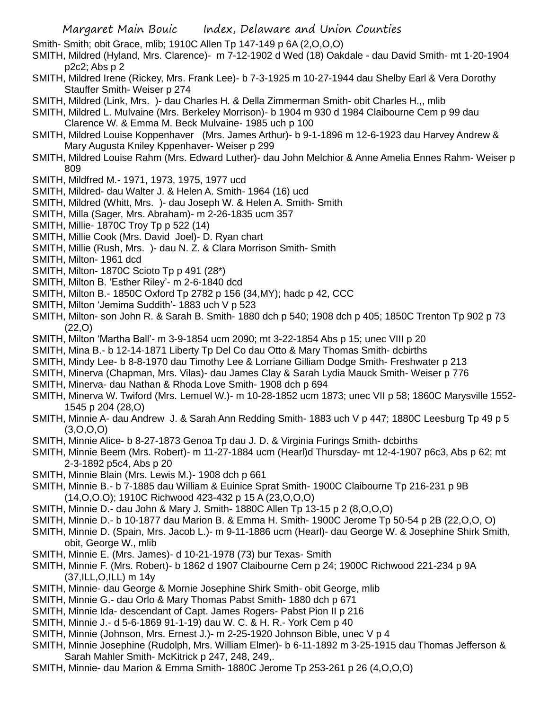Smith- Smith; obit Grace, mlib; 1910C Allen Tp 147-149 p 6A (2,O,O,O)

- SMITH, Mildred (Hyland, Mrs. Clarence)- m 7-12-1902 d Wed (18) Oakdale dau David Smith- mt 1-20-1904 p2c2; Abs p 2
- SMITH, Mildred Irene (Rickey, Mrs. Frank Lee)- b 7-3-1925 m 10-27-1944 dau Shelby Earl & Vera Dorothy Stauffer Smith- Weiser p 274
- SMITH, Mildred (Link, Mrs. )- dau Charles H. & Della Zimmerman Smith- obit Charles H.,, mlib

SMITH, Mildred L. Mulvaine (Mrs. Berkeley Morrison)- b 1904 m 930 d 1984 Claibourne Cem p 99 dau Clarence W. & Emma M. Beck Mulvaine- 1985 uch p 100

- SMITH, Mildred Louise Koppenhaver (Mrs. James Arthur)- b 9-1-1896 m 12-6-1923 dau Harvey Andrew & Mary Augusta Kniley Kppenhaver- Weiser p 299
- SMITH, Mildred Louise Rahm (Mrs. Edward Luther)- dau John Melchior & Anne Amelia Ennes Rahm- Weiser p 809
- SMITH, Mildfred M.- 1971, 1973, 1975, 1977 ucd
- SMITH, Mildred- dau Walter J. & Helen A. Smith- 1964 (16) ucd
- SMITH, Mildred (Whitt, Mrs. )- dau Joseph W. & Helen A. Smith- Smith
- SMITH, Milla (Sager, Mrs. Abraham)- m 2-26-1835 ucm 357
- SMITH, Millie- 1870C Troy Tp p 522 (14)
- SMITH, Millie Cook (Mrs. David Joel)- D. Ryan chart
- SMITH, Millie (Rush, Mrs. )- dau N. Z. & Clara Morrison Smith- Smith
- SMITH, Milton- 1961 dcd
- SMITH, Milton- 1870C Scioto Tp p 491 (28\*)
- SMITH, Milton B. 'Esther Riley'- m 2-6-1840 dcd
- SMITH, Milton B.- 1850C Oxford Tp 2782 p 156 (34,MY); hadc p 42, CCC
- SMITH, Milton 'Jemima Suddith'- 1883 uch V p 523
- SMITH, Milton- son John R. & Sarah B. Smith- 1880 dch p 540; 1908 dch p 405; 1850C Trenton Tp 902 p 73 (22,O)
- SMITH, Milton 'Martha Ball'- m 3-9-1854 ucm 2090; mt 3-22-1854 Abs p 15; unec VIII p 20
- SMITH, Mina B.- b 12-14-1871 Liberty Tp Del Co dau Otto & Mary Thomas Smith- dcbirths
- SMITH, Mindy Lee- b 8-8-1970 dau Timothy Lee & Lorriane Gilliam Dodge Smith- Freshwater p 213
- SMITH, Minerva (Chapman, Mrs. Vilas)- dau James Clay & Sarah Lydia Mauck Smith- Weiser p 776
- SMITH, Minerva- dau Nathan & Rhoda Love Smith- 1908 dch p 694
- SMITH, Minerva W. Twiford (Mrs. Lemuel W.)- m 10-28-1852 ucm 1873; unec VII p 58; 1860C Marysville 1552- 1545 p 204 (28,O)
- SMITH, Minnie A- dau Andrew J. & Sarah Ann Redding Smith- 1883 uch V p 447; 1880C Leesburg Tp 49 p 5 (3,O,O,O)
- SMITH, Minnie Alice- b 8-27-1873 Genoa Tp dau J. D. & Virginia Furings Smith- dcbirths
- SMITH, Minnie Beem (Mrs. Robert)- m 11-27-1884 ucm (Hearl)d Thursday- mt 12-4-1907 p6c3, Abs p 62; mt 2-3-1892 p5c4, Abs p 20
- SMITH, Minnie Blain (Mrs. Lewis M.)- 1908 dch p 661
- SMITH, Minnie B.- b 7-1885 dau William & Euinice Sprat Smith- 1900C Claibourne Tp 216-231 p 9B (14,O,O.O); 1910C Richwood 423-432 p 15 A (23,O,O,O)
- SMITH, Minnie D.- dau John & Mary J. Smith- 1880C Allen Tp 13-15 p 2 (8,O,O,O)
- SMITH, Minnie D.- b 10-1877 dau Marion B. & Emma H. Smith- 1900C Jerome Tp 50-54 p 2B (22,O,O, O)
- SMITH, Minnie D. (Spain, Mrs. Jacob L.)- m 9-11-1886 ucm (Hearl)- dau George W. & Josephine Shirk Smith, obit, George W., mlib
- SMITH, Minnie E. (Mrs. James)- d 10-21-1978 (73) bur Texas- Smith
- SMITH, Minnie F. (Mrs. Robert)- b 1862 d 1907 Claibourne Cem p 24; 1900C Richwood 221-234 p 9A (37,ILL,O,ILL) m 14y
- SMITH, Minnie- dau George & Mornie Josephine Shirk Smith- obit George, mlib
- SMITH, Minnie G.- dau Orlo & Mary Thomas Pabst Smith- 1880 dch p 671
- SMITH, Minnie Ida- descendant of Capt. James Rogers- Pabst Pion II p 216
- SMITH, Minnie J.- d 5-6-1869 91-1-19) dau W. C. & H. R.- York Cem p 40
- SMITH, Minnie (Johnson, Mrs. Ernest J.)- m 2-25-1920 Johnson Bible, unec V p 4
- SMITH, Minnie Josephine (Rudolph, Mrs. William Elmer)- b 6-11-1892 m 3-25-1915 dau Thomas Jefferson & Sarah Mahler Smith- McKitrick p 247, 248, 249,.
- SMITH, Minnie- dau Marion & Emma Smith- 1880C Jerome Tp 253-261 p 26 (4,O,O,O)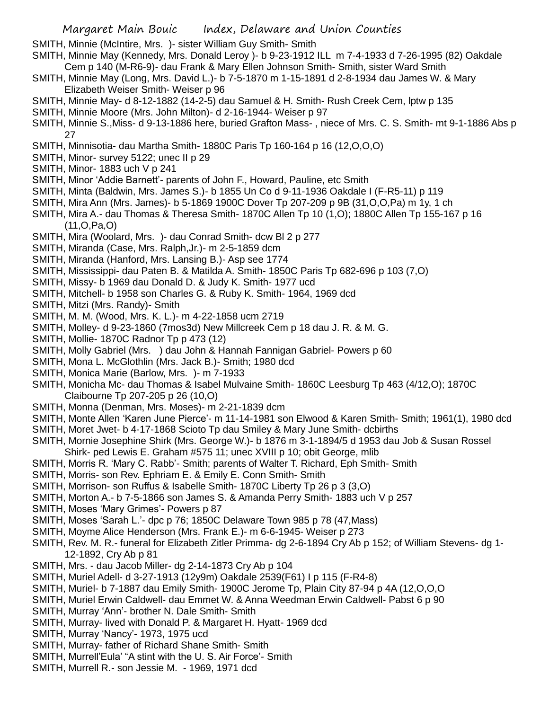- SMITH, Minnie (McIntire, Mrs. )- sister William Guy Smith- Smith
- SMITH, Minnie May (Kennedy, Mrs. Donald Leroy )- b 9-23-1912 ILL m 7-4-1933 d 7-26-1995 (82) Oakdale Cem p 140 (M-R6-9)- dau Frank & Mary Ellen Johnson Smith- Smith, sister Ward Smith
- SMITH, Minnie May (Long, Mrs. David L.)- b 7-5-1870 m 1-15-1891 d 2-8-1934 dau James W. & Mary Elizabeth Weiser Smith- Weiser p 96
- SMITH, Minnie May- d 8-12-1882 (14-2-5) dau Samuel & H. Smith- Rush Creek Cem, lptw p 135
- SMITH, Minnie Moore (Mrs. John Milton)- d 2-16-1944- Weiser p 97
- SMITH, Minnie S.,Miss- d 9-13-1886 here, buried Grafton Mass- , niece of Mrs. C. S. Smith- mt 9-1-1886 Abs p 27
- SMITH, Minnisotia- dau Martha Smith- 1880C Paris Tp 160-164 p 16 (12,O,O,O)
- SMITH, Minor- survey 5122; unec II p 29
- SMITH, Minor- 1883 uch V p 241
- SMITH, Minor 'Addie Barnett'- parents of John F., Howard, Pauline, etc Smith
- SMITH, Minta (Baldwin, Mrs. James S.)- b 1855 Un Co d 9-11-1936 Oakdale I (F-R5-11) p 119
- SMITH, Mira Ann (Mrs. James)- b 5-1869 1900C Dover Tp 207-209 p 9B (31,O,O,Pa) m 1y, 1 ch
- SMITH, Mira A.- dau Thomas & Theresa Smith- 1870C Allen Tp 10 (1,O); 1880C Allen Tp 155-167 p 16 (11,O,Pa,O)
- SMITH, Mira (Woolard, Mrs. )- dau Conrad Smith- dcw Bl 2 p 277
- SMITH, Miranda (Case, Mrs. Ralph,Jr.)- m 2-5-1859 dcm
- SMITH, Miranda (Hanford, Mrs. Lansing B.)- Asp see 1774
- SMITH, Mississippi- dau Paten B. & Matilda A. Smith- 1850C Paris Tp 682-696 p 103 (7,O)
- SMITH, Missy- b 1969 dau Donald D. & Judy K. Smith- 1977 ucd
- SMITH, Mitchell- b 1958 son Charles G. & Ruby K. Smith- 1964, 1969 dcd
- SMITH, Mitzi (Mrs. Randy)- Smith
- SMITH, M. M. (Wood, Mrs. K. L.)- m 4-22-1858 ucm 2719
- SMITH, Molley- d 9-23-1860 (7mos3d) New Millcreek Cem p 18 dau J. R. & M. G.
- SMITH, Mollie- 1870C Radnor Tp p 473 (12)
- SMITH, Molly Gabriel (Mrs. ) dau John & Hannah Fannigan Gabriel- Powers p 60
- SMITH, Mona L. McGlothlin (Mrs. Jack B.)- Smith; 1980 dcd
- SMITH, Monica Marie (Barlow, Mrs. )- m 7-1933
- SMITH, Monicha Mc- dau Thomas & Isabel Mulvaine Smith- 1860C Leesburg Tp 463 (4/12,O); 1870C Claibourne Tp 207-205 p 26 (10,O)
- SMITH, Monna (Denman, Mrs. Moses)- m 2-21-1839 dcm
- SMITH, Monte Allen 'Karen June Pierce'- m 11-14-1981 son Elwood & Karen Smith- Smith; 1961(1), 1980 dcd
- SMITH, Moret Jwet- b 4-17-1868 Scioto Tp dau Smiley & Mary June Smith- dcbirths
- SMITH, Mornie Josephine Shirk (Mrs. George W.)- b 1876 m 3-1-1894/5 d 1953 dau Job & Susan Rossel
- Shirk- ped Lewis E. Graham #575 11; unec XVIII p 10; obit George, mlib SMITH, Morris R. 'Mary C. Rabb'- Smith; parents of Walter T. Richard, Eph Smith- Smith
- SMITH, Morris- son Rev. Ephriam E. & Emily E. Conn Smith- Smith
- SMITH, Morrison- son Ruffus & Isabelle Smith- 1870C Liberty Tp 26 p 3 (3,O)
- SMITH, Morton A.- b 7-5-1866 son James S. & Amanda Perry Smith- 1883 uch V p 257
- SMITH, Moses 'Mary Grimes'- Powers p 87
- SMITH, Moses 'Sarah L.'- dpc p 76; 1850C Delaware Town 985 p 78 (47,Mass)
- SMITH, Moyme Alice Henderson (Mrs. Frank E.)- m 6-6-1945- Weiser p 273
- SMITH, Rev. M. R.- funeral for Elizabeth Zitler Primma- dg 2-6-1894 Cry Ab p 152; of William Stevens- dg 1- 12-1892, Cry Ab p 81
- SMITH, Mrs. dau Jacob Miller- dg 2-14-1873 Cry Ab p 104
- SMITH, Muriel Adell- d 3-27-1913 (12y9m) Oakdale 2539(F61) I p 115 (F-R4-8)
- SMITH, Muriel- b 7-1887 dau Emily Smith- 1900C Jerome Tp, Plain City 87-94 p 4A (12,O,O,O
- SMITH, Muriel Erwin Caldwell- dau Emmet W. & Anna Weedman Erwin Caldwell- Pabst 6 p 90
- SMITH, Murray 'Ann'- brother N. Dale Smith- Smith
- SMITH, Murray- lived with Donald P. & Margaret H. Hyatt- 1969 dcd
- SMITH, Murray 'Nancy'- 1973, 1975 ucd
- SMITH, Murray- father of Richard Shane Smith- Smith
- SMITH, Murrell'Eula' "A stint with the U. S. Air Force'- Smith
- SMITH, Murrell R.- son Jessie M. 1969, 1971 dcd